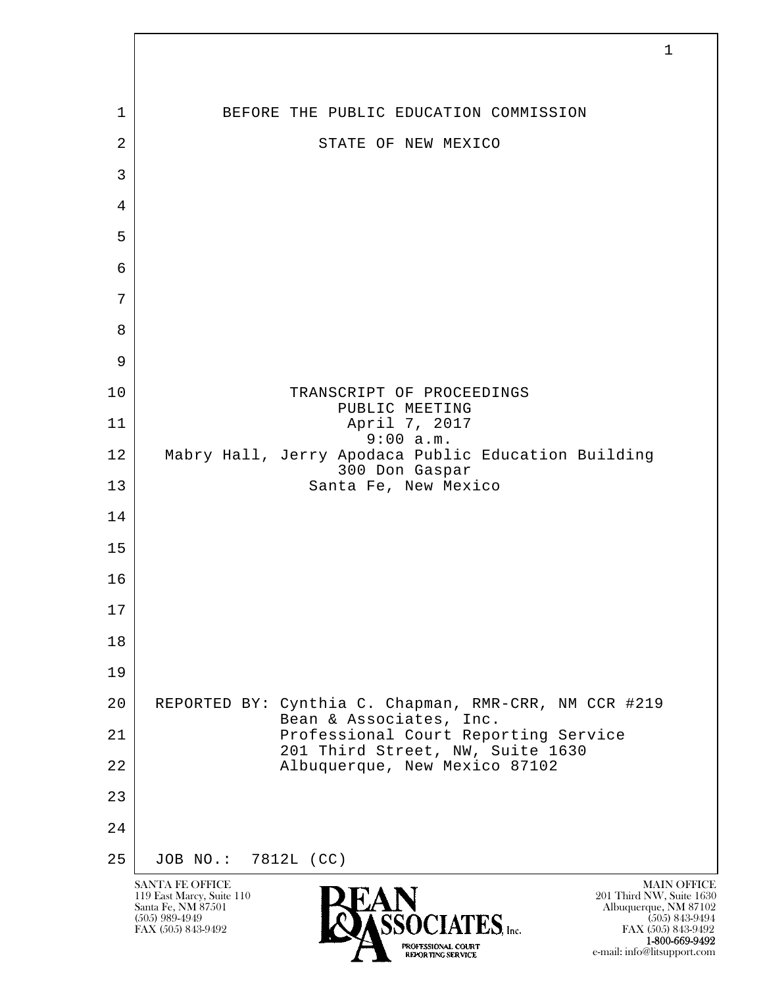l  $\overline{\phantom{a}}$ SANTA FE OFFICE MAIN OFFICE MAIN OFFICE MAIN OFFICE MAIN OFFICE 119 East Marcy, Suite 110<br>Santa Fe, NM 87501 Santa Fe, NM 87501 Albuquerque, NM 87102  $\sum_{\text{FAX (505) 843-9492}}$   $\sum_{\text{FAX (505) 843-9492}}$   $\sum_{\text{FAX (505) 843-9492}}$ 1 BEFORE THE PUBLIC EDUCATION COMMISSION 2 STATE OF NEW MEXICO 3 4 5 6 7 8 9 10 TRANSCRIPT OF PROCEEDINGS PUBLIC MEETING 11 | April 7, 2017 9:00 a.m. 12 Mabry Hall, Jerry Apodaca Public Education Building 300 Don Gaspar<br>13 Santa Fe, New Mex Santa Fe, New Mexico 14 15 16 17 18 19 20 REPORTED BY: Cynthia C. Chapman, RMR-CRR, NM CCR #219 Bean & Associates, Inc.<br>21 Professional Court Repo Professional Court Reporting Service 201 Third Street, NW, Suite 1630<br>22 Albuquerque, New Mexico 87102 Albuquerque, New Mexico 87102 23 24 25 JOB NO.: 7812L (CC)

FAX (505) 843-9492 FAX (505) 843-9492 1-800-669-9492 e-mail: info@litsupport.com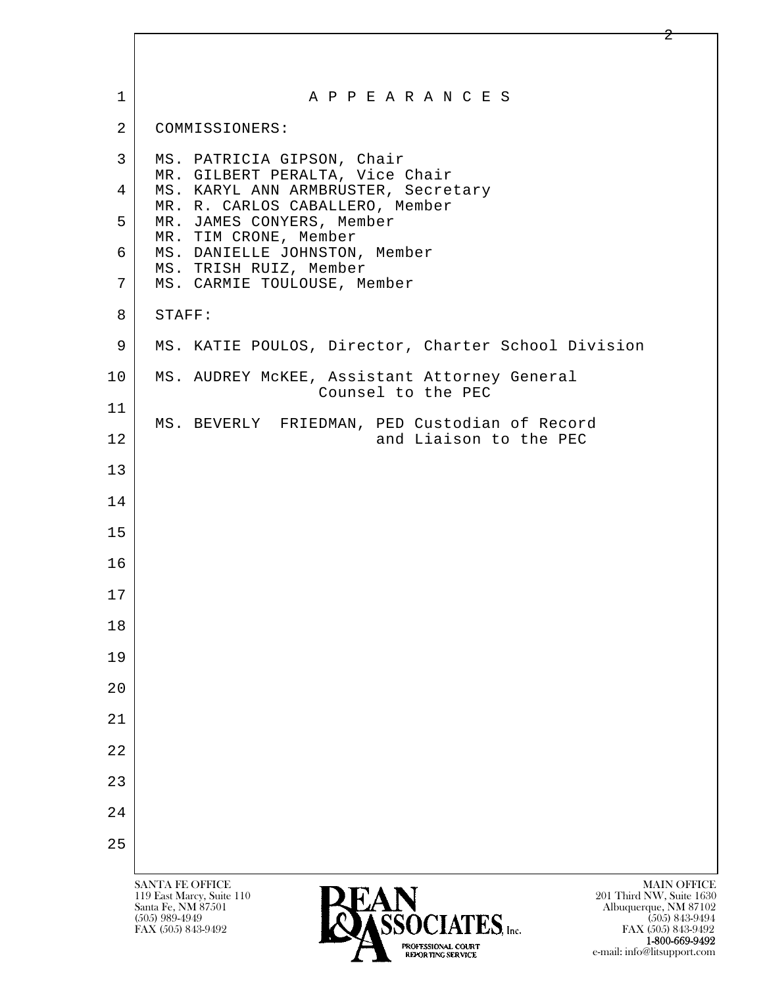| 1              | A P P E A R A N C E S                                                                                                                                                                                            |
|----------------|------------------------------------------------------------------------------------------------------------------------------------------------------------------------------------------------------------------|
| $\overline{a}$ | COMMISSIONERS:                                                                                                                                                                                                   |
| 3              | MS. PATRICIA GIPSON, Chair<br>MR. GILBERT PERALTA, Vice Chair                                                                                                                                                    |
| 4              | MS. KARYL ANN ARMBRUSTER, Secretary<br>MR. R. CARLOS CABALLERO, Member                                                                                                                                           |
| 5              | MR. JAMES CONYERS, Member<br>MR. TIM CRONE, Member                                                                                                                                                               |
| 6              | MS. DANIELLE JOHNSTON, Member<br>MS. TRISH RUIZ, Member                                                                                                                                                          |
| 7              | MS. CARMIE TOULOUSE, Member                                                                                                                                                                                      |
| 8              | STAFF:                                                                                                                                                                                                           |
| 9              | MS. KATIE POULOS, Director, Charter School Division                                                                                                                                                              |
| 10             | MS. AUDREY MCKEE, Assistant Attorney General<br>Counsel to the PEC                                                                                                                                               |
| 11             | MS. BEVERLY FRIEDMAN, PED Custodian of Record                                                                                                                                                                    |
| 12             | and Liaison to the PEC                                                                                                                                                                                           |
| 13             |                                                                                                                                                                                                                  |
| 14             |                                                                                                                                                                                                                  |
| 15             |                                                                                                                                                                                                                  |
| 16             |                                                                                                                                                                                                                  |
| 17             |                                                                                                                                                                                                                  |
| 18             |                                                                                                                                                                                                                  |
| 19             |                                                                                                                                                                                                                  |
| 20             |                                                                                                                                                                                                                  |
| 21             |                                                                                                                                                                                                                  |
| 22             |                                                                                                                                                                                                                  |
| 23             |                                                                                                                                                                                                                  |
| 24             |                                                                                                                                                                                                                  |
| 25             |                                                                                                                                                                                                                  |
|                | <b>SANTA FE OFFICE</b><br><b>MAIN OFFICE</b><br>119 East Marcy, Suite 110<br>201 Third NW, Suite 1630<br>Santa Fe, NM 87501<br>Albuquerque, NM 87102<br><b>CEOCLATEC</b><br>$(505)$ 989-4949<br>$(505)$ 843-9494 |

FAX (505) 843-9492 FAX (505) 843-9492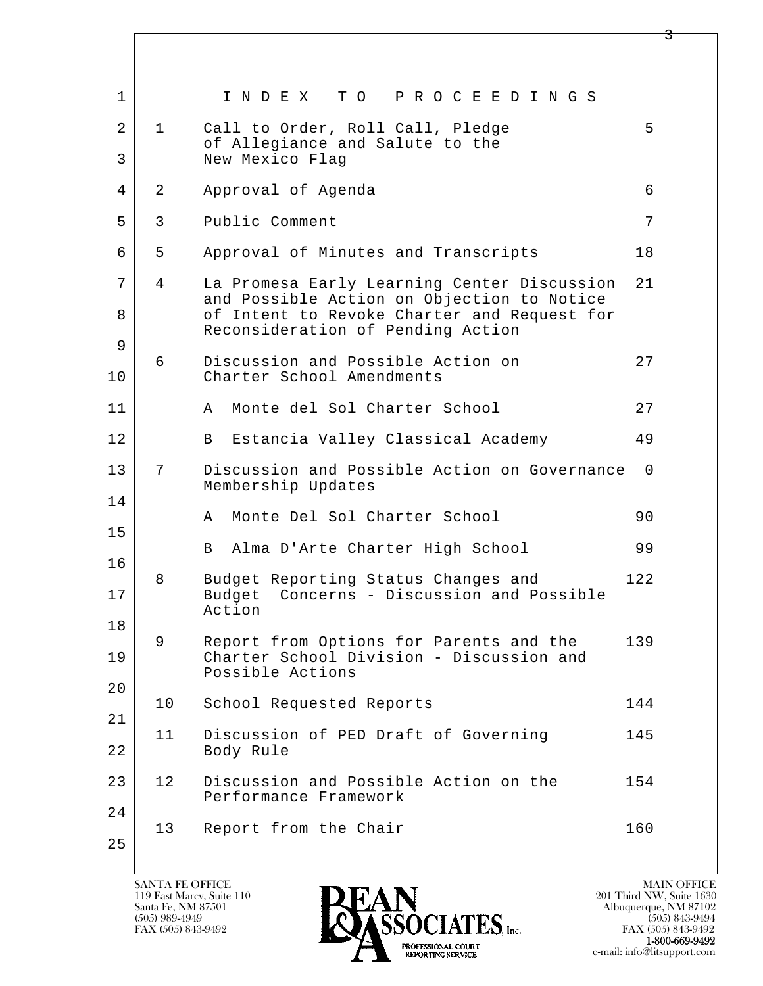| 1                   |              | I N D E X<br>TO PROCEEDINGS                                                                                                                                                   |     |
|---------------------|--------------|-------------------------------------------------------------------------------------------------------------------------------------------------------------------------------|-----|
| $\overline{a}$<br>3 | $\mathbf{1}$ | Call to Order, Roll Call, Pledge<br>of Allegiance and Salute to the<br>New Mexico Flag                                                                                        | 5   |
| 4                   | 2            | Approval of Agenda                                                                                                                                                            | 6   |
| 5                   | 3            | Public Comment                                                                                                                                                                | 7   |
| 6                   | 5            | Approval of Minutes and Transcripts                                                                                                                                           | 18  |
| 7<br>8              | 4            | La Promesa Early Learning Center Discussion<br>and Possible Action on Objection to Notice<br>of Intent to Revoke Charter and Request for<br>Reconsideration of Pending Action | 21  |
| 9<br>10             | 6            | Discussion and Possible Action on<br>Charter School Amendments                                                                                                                | 27  |
| 11                  |              | Monte del Sol Charter School<br>A                                                                                                                                             | 27  |
| 12                  |              | Estancia Valley Classical Academy<br>B                                                                                                                                        | 49  |
| 13                  | 7            | Discussion and Possible Action on Governance<br>Membership Updates                                                                                                            | 0   |
| 14                  |              | Monte Del Sol Charter School<br>A                                                                                                                                             | 90  |
| 15                  |              | Alma D'Arte Charter High School<br>B                                                                                                                                          | 99  |
| 16                  |              |                                                                                                                                                                               |     |
| 17                  | 8            | Budget Reporting Status Changes and<br>Concerns - Discussion and Possible<br>Budget<br>Action                                                                                 | 122 |
| 18                  | 9            | Report from Options for Parents and the                                                                                                                                       | 139 |
| 19                  |              | Charter School Division - Discussion and<br>Possible Actions                                                                                                                  |     |
| 20                  | 10           | School Requested Reports                                                                                                                                                      | 144 |
| 21                  |              |                                                                                                                                                                               |     |
| 22                  | 11           | Discussion of PED Draft of Governing<br>Body Rule                                                                                                                             | 145 |
| 23                  | 12           | Discussion and Possible Action on the<br>Performance Framework                                                                                                                | 154 |
| 24                  |              |                                                                                                                                                                               |     |
| 25                  | 13           | Report from the Chair                                                                                                                                                         | 160 |

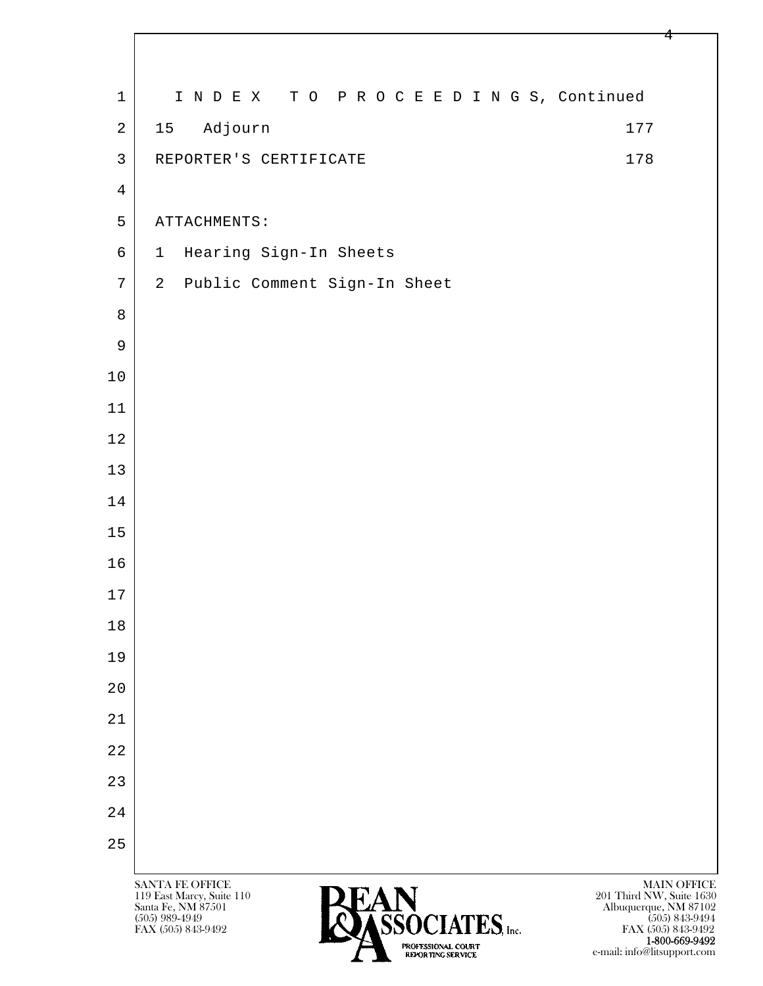| $\mathbf 1$    | INDEX TO PROCEEDINGS, Continued                                                                                                                                                                                                        |                                                                                                         |
|----------------|----------------------------------------------------------------------------------------------------------------------------------------------------------------------------------------------------------------------------------------|---------------------------------------------------------------------------------------------------------|
| $\overline{2}$ | Adjourn<br>15<br>177                                                                                                                                                                                                                   |                                                                                                         |
| $\mathfrak{Z}$ | 178<br>REPORTER'S CERTIFICATE                                                                                                                                                                                                          |                                                                                                         |
| $\overline{4}$ |                                                                                                                                                                                                                                        |                                                                                                         |
| 5              | ATTACHMENTS:                                                                                                                                                                                                                           |                                                                                                         |
| 6              | Hearing Sign-In Sheets<br>$\mathbf{1}$                                                                                                                                                                                                 |                                                                                                         |
| 7              | 2 Public Comment Sign-In Sheet                                                                                                                                                                                                         |                                                                                                         |
| 8              |                                                                                                                                                                                                                                        |                                                                                                         |
| 9              |                                                                                                                                                                                                                                        |                                                                                                         |
| $10$           |                                                                                                                                                                                                                                        |                                                                                                         |
| $11$           |                                                                                                                                                                                                                                        |                                                                                                         |
| 12             |                                                                                                                                                                                                                                        |                                                                                                         |
| 13             |                                                                                                                                                                                                                                        |                                                                                                         |
| 14             |                                                                                                                                                                                                                                        |                                                                                                         |
| 15             |                                                                                                                                                                                                                                        |                                                                                                         |
| 16             |                                                                                                                                                                                                                                        |                                                                                                         |
| $17$           |                                                                                                                                                                                                                                        |                                                                                                         |
| 18             |                                                                                                                                                                                                                                        |                                                                                                         |
| 19             |                                                                                                                                                                                                                                        |                                                                                                         |
| 20             |                                                                                                                                                                                                                                        |                                                                                                         |
| 21             |                                                                                                                                                                                                                                        |                                                                                                         |
| 22             |                                                                                                                                                                                                                                        |                                                                                                         |
| 23             |                                                                                                                                                                                                                                        |                                                                                                         |
| 24             |                                                                                                                                                                                                                                        |                                                                                                         |
| 25             |                                                                                                                                                                                                                                        |                                                                                                         |
|                | SANTA FE OFFICE<br>119 East Marcy, Suite 110<br>201 Third NW, Suite 1630<br>Santa Fe, NM 87501<br>$(505)$ 989-4949<br>$OCIATES$ , Inc.<br>FAX (505) 843-9492<br>PROFESSIONAL COURT<br>e-mail: info@litsupport.com<br>REPORTING SERVICE | <b>MAIN OFFICE</b><br>Albuquerque, NM 87102<br>$(505)$ 843-9494<br>FAX (505) 843-9492<br>1-800-669-9492 |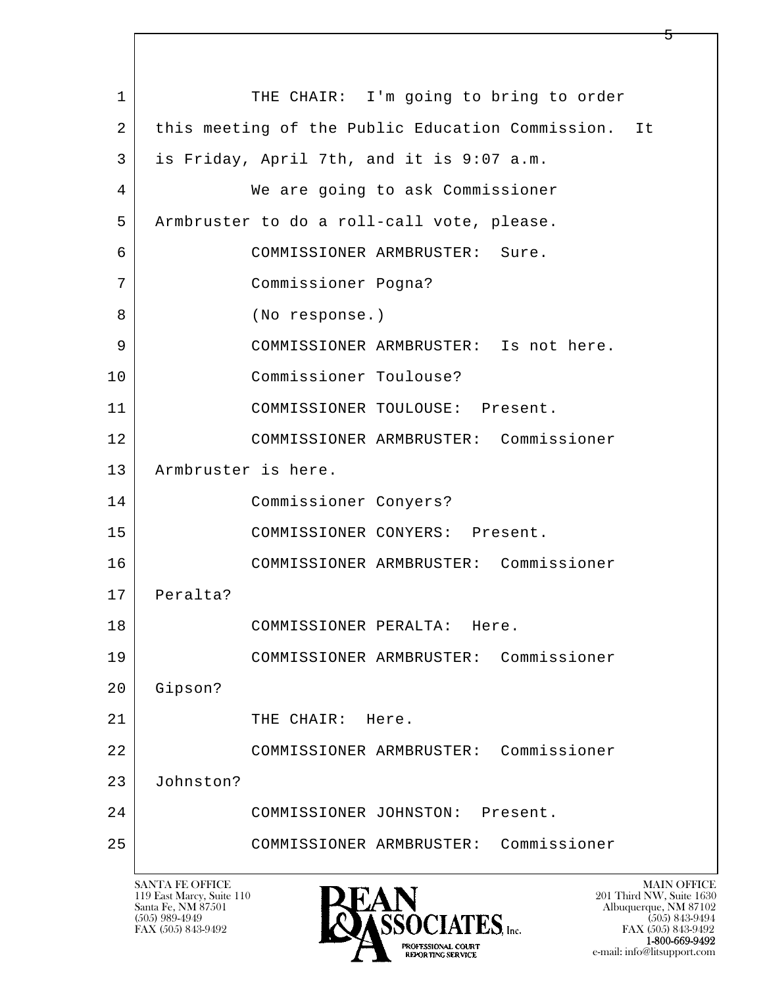l  $\overline{\phantom{a}}$ 1 THE CHAIR: I'm going to bring to order 2 | this meeting of the Public Education Commission. It 3 is Friday, April 7th, and it is 9:07 a.m. 4 We are going to ask Commissioner 5 | Armbruster to do a roll-call vote, please. 6 COMMISSIONER ARMBRUSTER: Sure. 7 Commissioner Pogna? 8 (No response.) 9 COMMISSIONER ARMBRUSTER: Is not here. 10 Commissioner Toulouse? 11 COMMISSIONER TOULOUSE: Present. 12 COMMISSIONER ARMBRUSTER: Commissioner 13 Armbruster is here. 14 Commissioner Conyers? 15 | COMMISSIONER CONYERS: Present. 16 COMMISSIONER ARMBRUSTER: Commissioner 17 Peralta? 18 COMMISSIONER PERALTA: Here. 19 COMMISSIONER ARMBRUSTER: Commissioner 20 Gipson? 21 THE CHAIR: Here. 22 COMMISSIONER ARMBRUSTER: Commissioner 23 Johnston? 24 COMMISSIONER JOHNSTON: Present. 25 COMMISSIONER ARMBRUSTER: Commissioner

119 East Marcy, Suite 110<br>Santa Fe, NM 87501

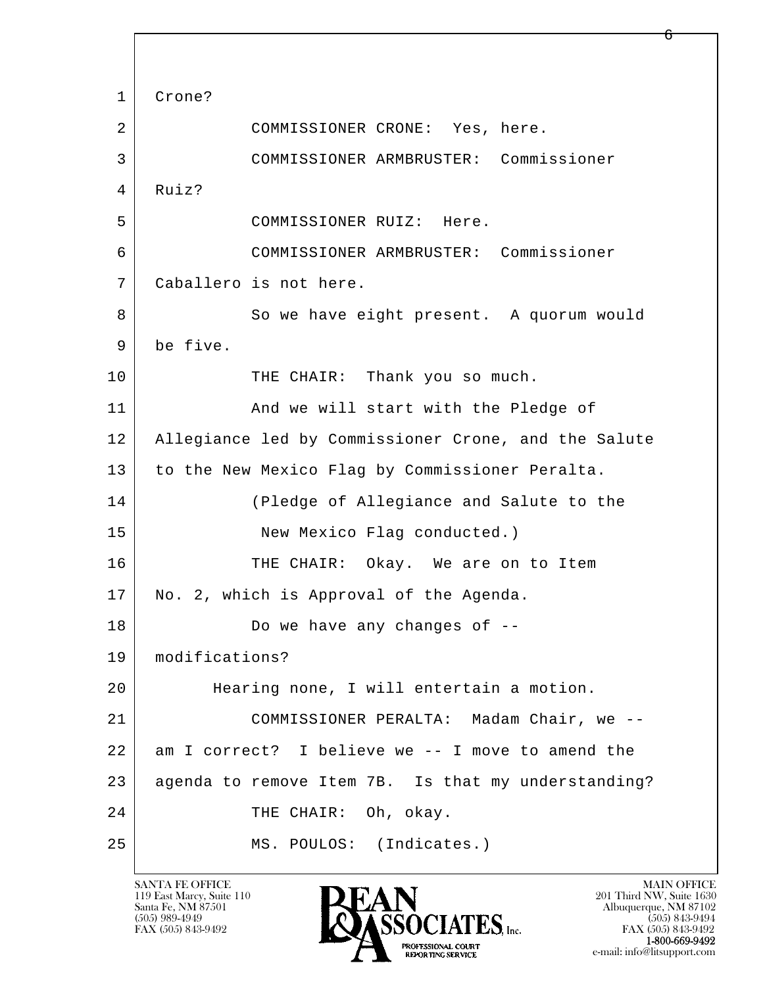l  $\overline{\phantom{a}}$  1 Crone? 2 COMMISSIONER CRONE: Yes, here. 3 COMMISSIONER ARMBRUSTER: Commissioner 4 Ruiz? 5 COMMISSIONER RUIZ: Here. 6 COMMISSIONER ARMBRUSTER: Commissioner 7 Caballero is not here. 8 So we have eight present. A quorum would 9 be five. 10 THE CHAIR: Thank you so much. 11 | And we will start with the Pledge of 12 Allegiance led by Commissioner Crone, and the Salute 13 to the New Mexico Flag by Commissioner Peralta. 14 (Pledge of Allegiance and Salute to the 15 New Mexico Flag conducted.) 16 THE CHAIR: Okay. We are on to Item 17 | No. 2, which is Approval of the Agenda. 18 Do we have any changes of  $-$  19 modifications? 20 Hearing none, I will entertain a motion. 21 COMMISSIONER PERALTA: Madam Chair, we -- 22 am I correct? I believe we -- I move to amend the 23 agenda to remove Item 7B. Is that my understanding? 24 THE CHAIR: Oh, okay. 25 MS. POULOS: (Indicates.)

119 East Marcy, Suite 110<br>Santa Fe, NM 87501



FAX (505) 843-9492 FAX (505) 843-9492 e-mail: info@litsupport.com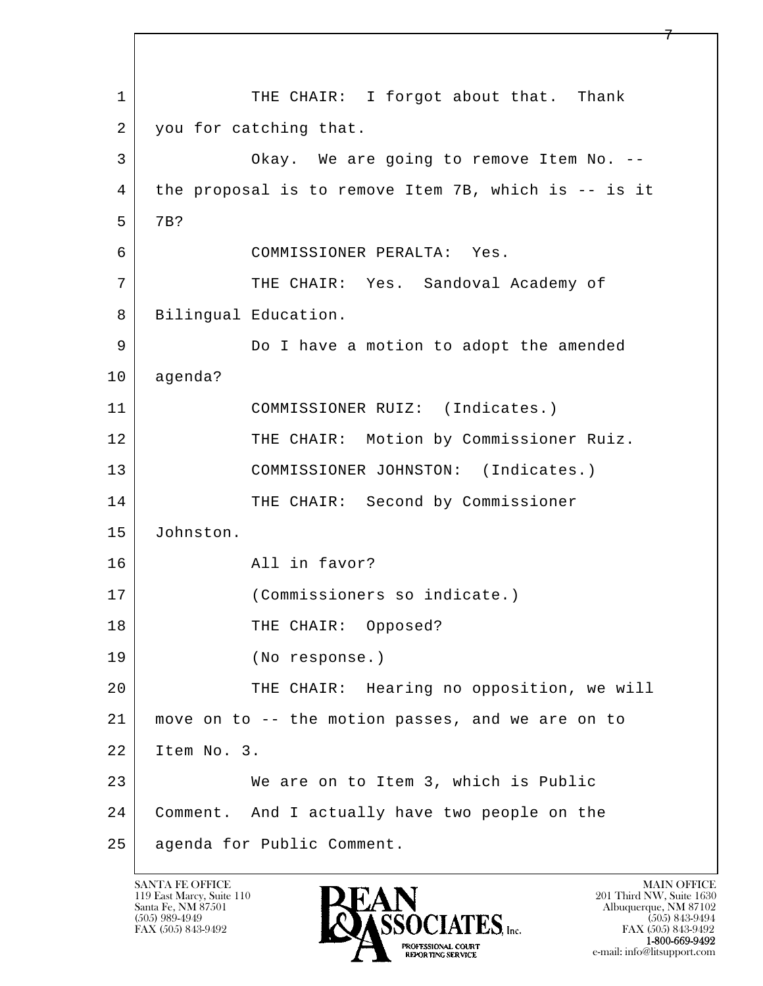l  $\overline{\phantom{a}}$ 1 THE CHAIR: I forgot about that. Thank 2 you for catching that. 3 Okay. We are going to remove Item No. -- 4 the proposal is to remove Item 7B, which is -- is it 5 7B? 6 COMMISSIONER PERALTA: Yes. 7 THE CHAIR: Yes. Sandoval Academy of 8 | Bilingual Education. 9 Do I have a motion to adopt the amended 10 agenda? 11 COMMISSIONER RUIZ: (Indicates.) 12 THE CHAIR: Motion by Commissioner Ruiz. 13 COMMISSIONER JOHNSTON: (Indicates.) 14 THE CHAIR: Second by Commissioner 15 Johnston. 16 All in favor? 17 (Commissioners so indicate.) 18 | THE CHAIR: Opposed? 19 (No response.) 20 THE CHAIR: Hearing no opposition, we will 21 move on to -- the motion passes, and we are on to 22 Item No. 3. 23 We are on to Item 3, which is Public 24 Comment. And I actually have two people on the 25 agenda for Public Comment.

119 East Marcy, Suite 110<br>Santa Fe, NM 87501

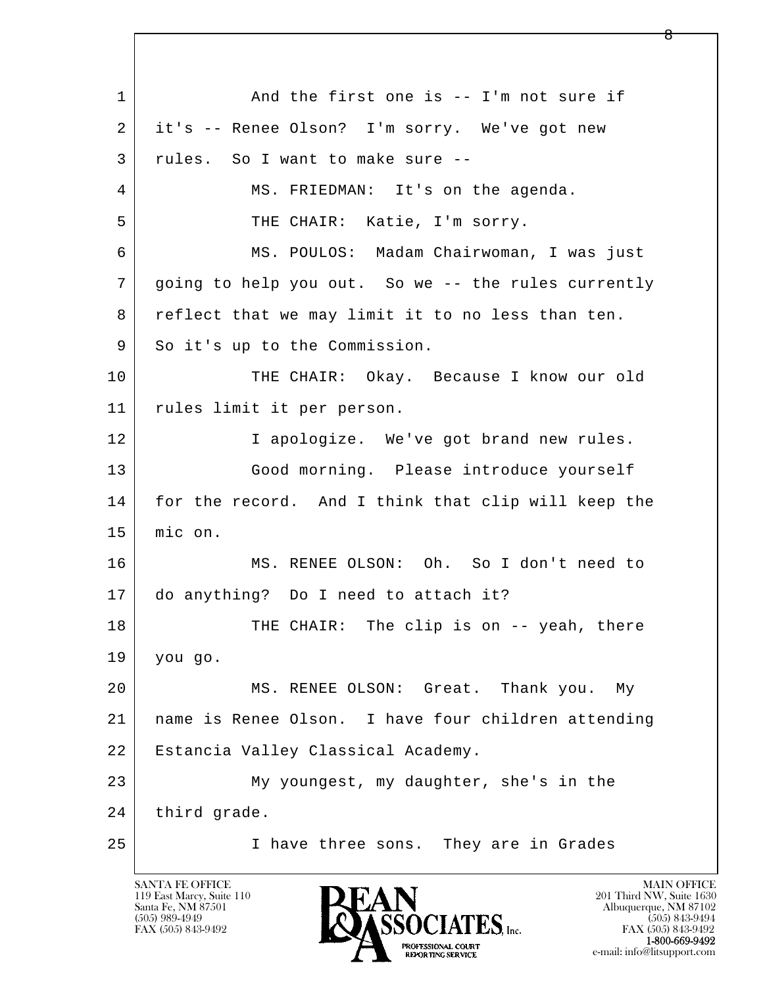l  $\overline{\phantom{a}}$ 1 and the first one is -- I'm not sure if 2 it's -- Renee Olson? I'm sorry. We've got new 3 rules. So I want to make sure -- 4 | MS. FRIEDMAN: It's on the agenda. 5 THE CHAIR: Katie, I'm sorry. 6 MS. POULOS: Madam Chairwoman, I was just 7 going to help you out. So we -- the rules currently 8 reflect that we may limit it to no less than ten. 9 So it's up to the Commission. 10 THE CHAIR: Okay. Because I know our old 11 rules limit it per person. 12 I apologize. We've got brand new rules. 13 Good morning. Please introduce yourself 14 for the record. And I think that clip will keep the 15 mic on. 16 MS. RENEE OLSON: Oh. So I don't need to 17 do anything? Do I need to attach it? 18 THE CHAIR: The clip is on -- yeah, there 19 you go. 20 MS. RENEE OLSON: Great. Thank you. My 21 name is Renee Olson. I have four children attending 22 Estancia Valley Classical Academy. 23 My youngest, my daughter, she's in the 24 third grade. 25 I have three sons. They are in Grades

119 East Marcy, Suite 110<br>Santa Fe, NM 87501

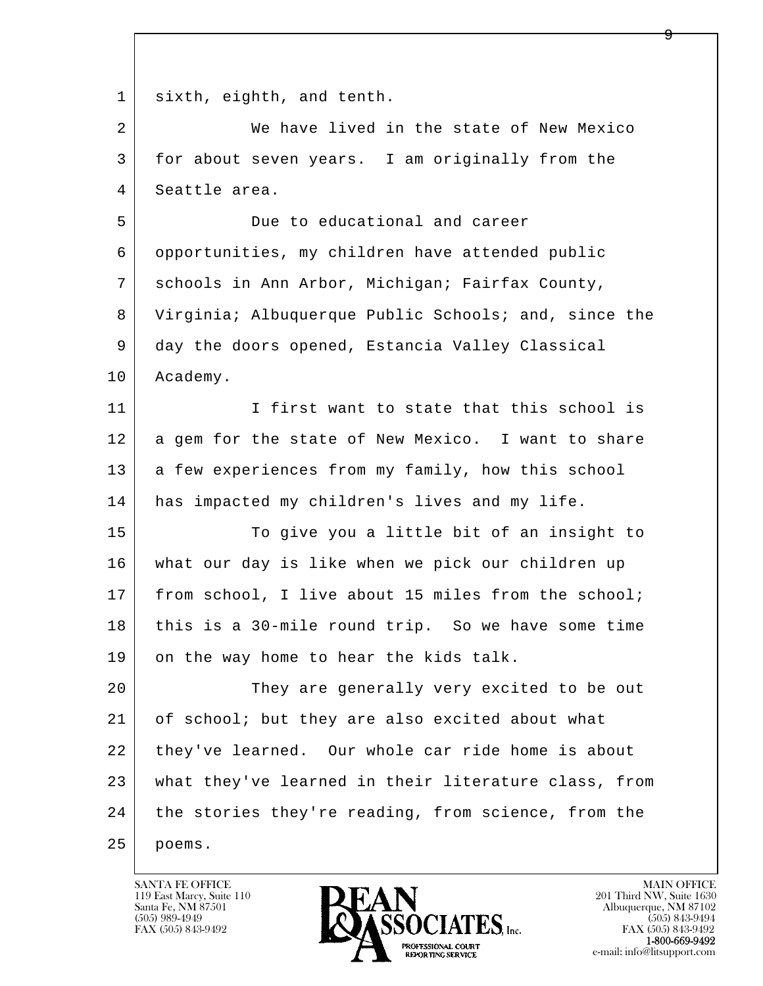l  $\overline{\phantom{a}}$ 1 sixth, eighth, and tenth. 2 We have lived in the state of New Mexico 3 for about seven years. I am originally from the 4 Seattle area. 5 Due to educational and career 6 opportunities, my children have attended public 7 schools in Ann Arbor, Michigan; Fairfax County, 8 Virginia; Albuquerque Public Schools; and, since the 9 day the doors opened, Estancia Valley Classical 10 Academy. 11 I first want to state that this school is 12 a gem for the state of New Mexico. I want to share 13 a few experiences from my family, how this school 14 has impacted my children's lives and my life. 15 To give you a little bit of an insight to 16 what our day is like when we pick our children up 17 | from school, I live about 15 miles from the school; 18 this is a 30-mile round trip. So we have some time 19 on the way home to hear the kids talk. 20 They are generally very excited to be out 21 of school; but they are also excited about what 22 they've learned. Our whole car ride home is about 23 what they've learned in their literature class, from 24 the stories they're reading, from science, from the 25 poems.

119 East Marcy, Suite 110<br>Santa Fe, NM 87501

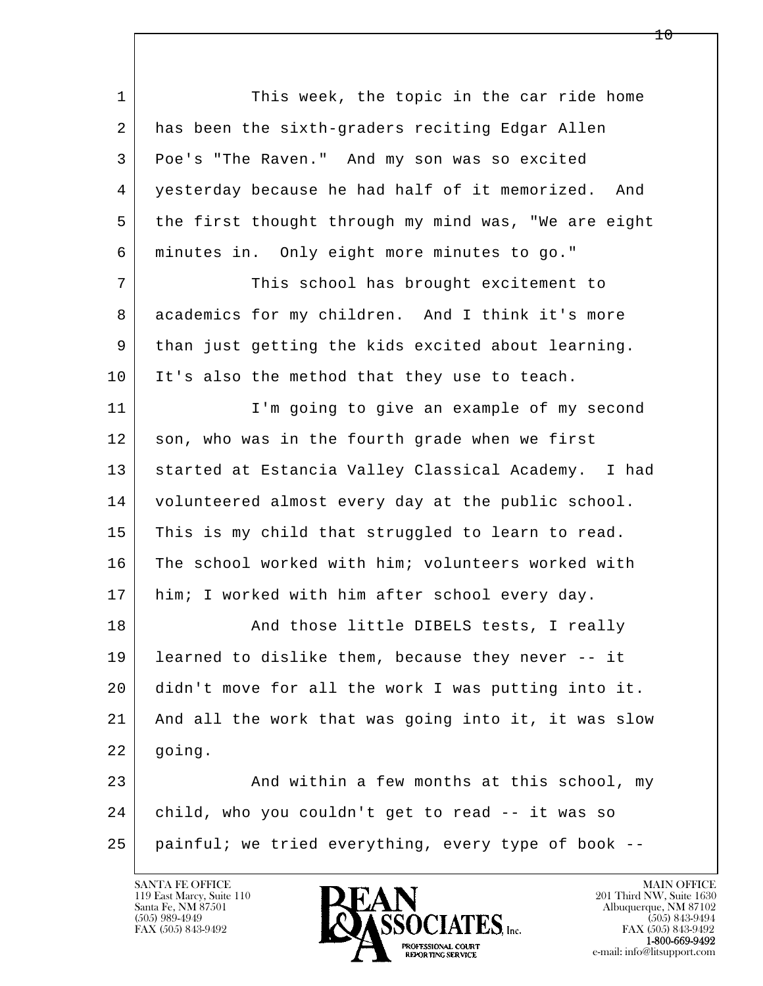l  $\overline{\phantom{a}}$ 1 This week, the topic in the car ride home 2 has been the sixth-graders reciting Edgar Allen 3 Poe's "The Raven." And my son was so excited 4 yesterday because he had half of it memorized. And 5 | the first thought through my mind was, "We are eight 6 minutes in. Only eight more minutes to go." 7 This school has brought excitement to 8 academics for my children. And I think it's more 9 than just getting the kids excited about learning. 10 It's also the method that they use to teach. 11 | I'm going to give an example of my second 12 son, who was in the fourth grade when we first 13 | started at Estancia Valley Classical Academy. I had 14 volunteered almost every day at the public school. 15 | This is my child that struggled to learn to read. 16 The school worked with him; volunteers worked with 17 | him; I worked with him after school every day. 18 | The Rand those little DIBELS tests, I really 19 learned to dislike them, because they never -- it 20 didn't move for all the work I was putting into it. 21 And all the work that was going into it, it was slow 22 going. 23 And within a few months at this school, my 24 child, who you couldn't get to read -- it was so 25 painful; we tried everything, every type of book --

119 East Marcy, Suite 110<br>Santa Fe, NM 87501



FAX (505) 843-9492<br>**1-800-669-9492** 

1 ი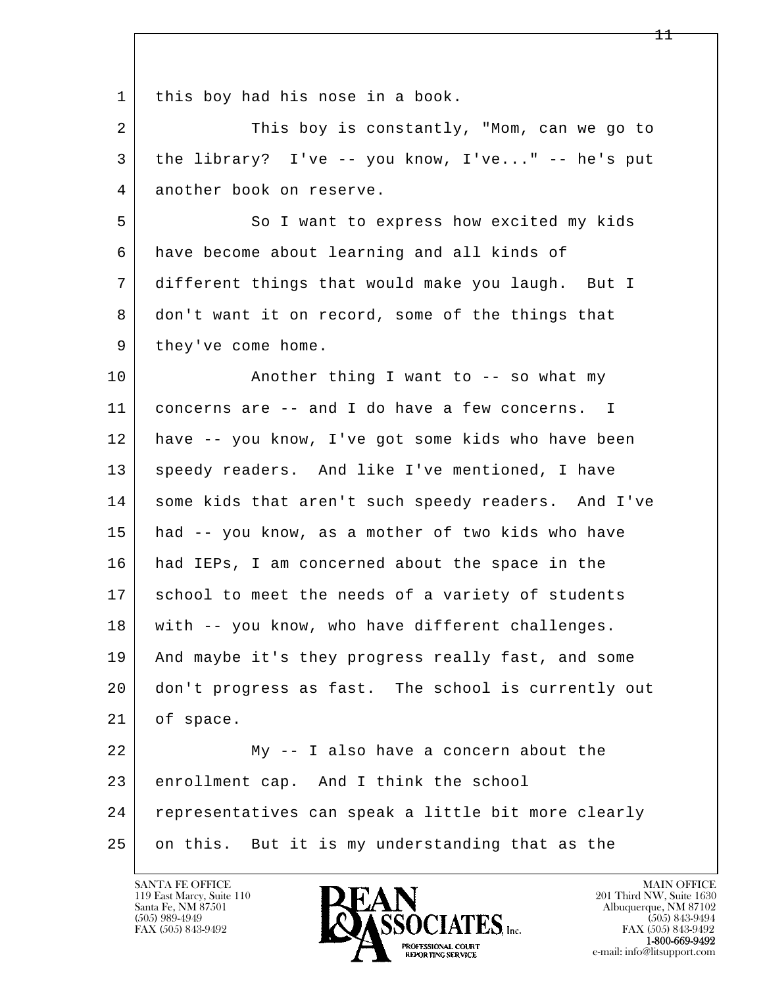l  $\overline{\phantom{a}}$ 1 | this boy had his nose in a book. 2 This boy is constantly, "Mom, can we go to 3 the library? I've -- you know, I've..." -- he's put 4 another book on reserve. 5 So I want to express how excited my kids 6 have become about learning and all kinds of 7 different things that would make you laugh. But I 8 don't want it on record, some of the things that 9 | they've come home. 10 | Another thing I want to -- so what my 11 concerns are -- and I do have a few concerns. I 12 have -- you know, I've got some kids who have been 13 speedy readers. And like I've mentioned, I have 14 some kids that aren't such speedy readers. And I've 15 had -- you know, as a mother of two kids who have 16 had IEPs, I am concerned about the space in the 17 school to meet the needs of a variety of students 18 with -- you know, who have different challenges. 19 And maybe it's they progress really fast, and some 20 don't progress as fast. The school is currently out 21 of space. 22 My -- I also have a concern about the 23 enrollment cap. And I think the school 24 representatives can speak a little bit more clearly 25 | on this. But it is my understanding that as the

119 East Marcy, Suite 110<br>Santa Fe, NM 87501



FAX (505) 843-9492<br>**1-800-669-9492**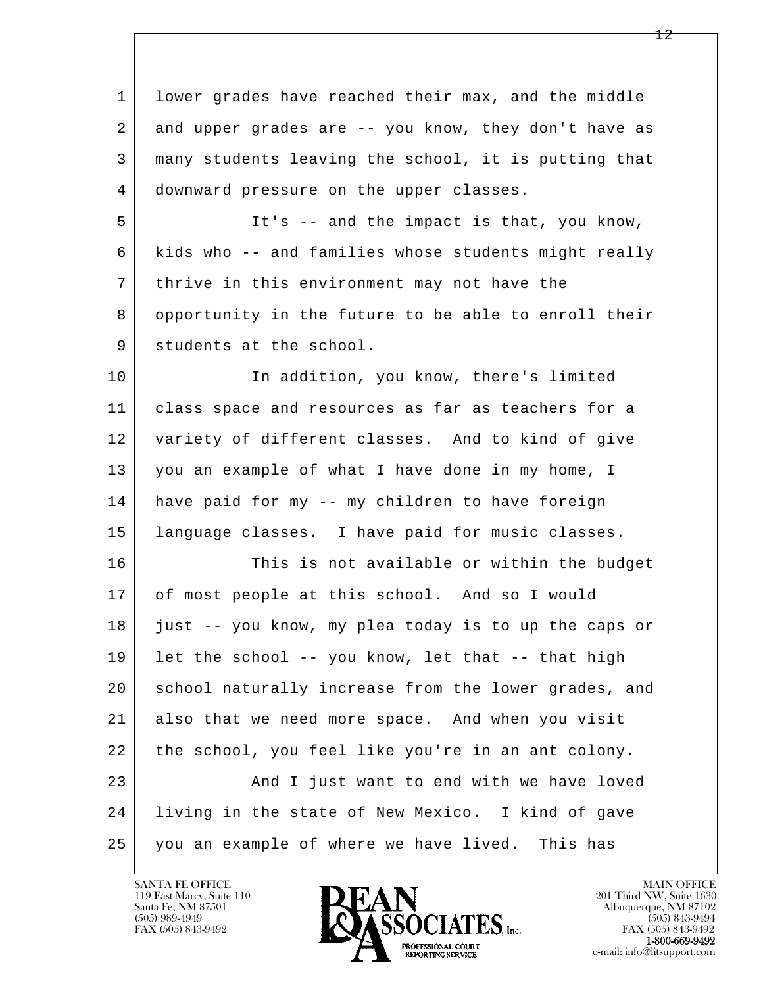l  $\overline{\phantom{a}}$  1 lower grades have reached their max, and the middle 2 | and upper grades are -- you know, they don't have as 3 many students leaving the school, it is putting that 4 downward pressure on the upper classes. 5 It's -- and the impact is that, you know, 6 kids who -- and families whose students might really 7 thrive in this environment may not have the 8 opportunity in the future to be able to enroll their 9 students at the school. 10 In addition, you know, there's limited 11 class space and resources as far as teachers for a 12 variety of different classes. And to kind of give 13 you an example of what I have done in my home, I 14 have paid for my -- my children to have foreign 15 language classes. I have paid for music classes. 16 This is not available or within the budget 17 of most people at this school. And so I would 18 just -- you know, my plea today is to up the caps or 19 | let the school -- you know, let that  $-$ - that high 20 school naturally increase from the lower grades, and 21 also that we need more space. And when you visit 22 the school, you feel like you're in an ant colony. 23 | And I just want to end with we have loved 24 living in the state of New Mexico. I kind of gave 25 you an example of where we have lived. This has

119 East Marcy, Suite 110<br>Santa Fe, NM 87501

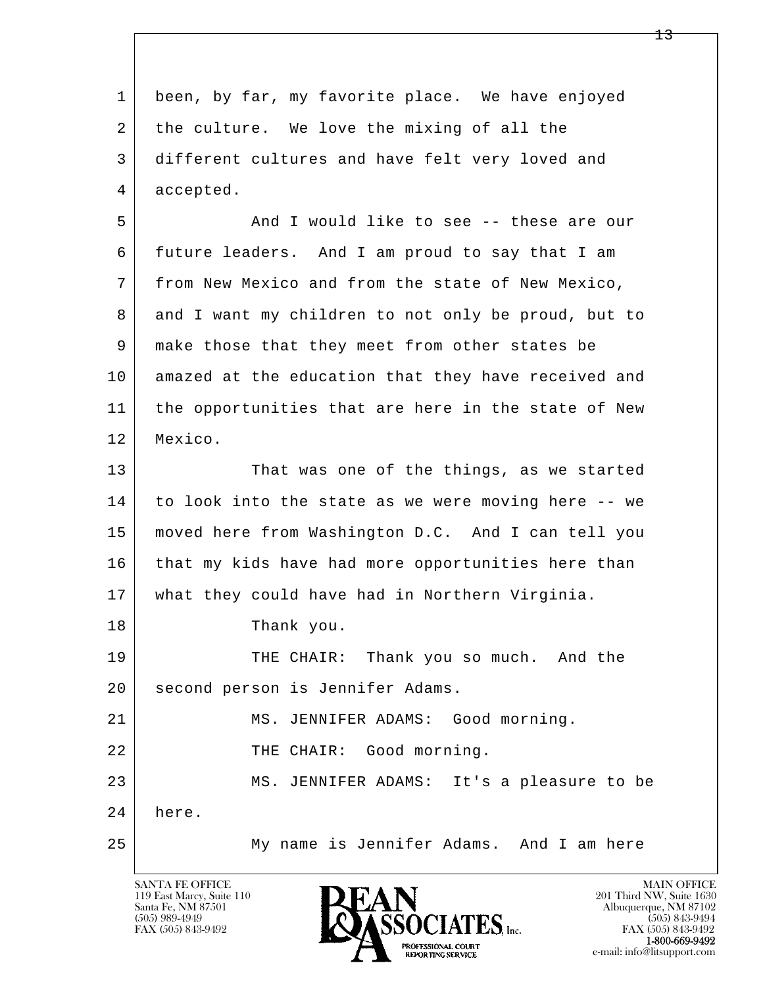| 1  | been, by far, my favorite place. We have enjoyed    |
|----|-----------------------------------------------------|
| 2  | the culture. We love the mixing of all the          |
| 3  | different cultures and have felt very loved and     |
| 4  | accepted.                                           |
| 5  | And I would like to see -- these are our            |
| 6  | future leaders. And I am proud to say that I am     |
| 7  | from New Mexico and from the state of New Mexico,   |
| 8  | and I want my children to not only be proud, but to |
| 9  | make those that they meet from other states be      |
| 10 | amazed at the education that they have received and |
| 11 | the opportunities that are here in the state of New |
| 12 | Mexico.                                             |
| 13 | That was one of the things, as we started           |
| 14 | to look into the state as we were moving here -- we |
| 15 | moved here from Washington D.C. And I can tell you  |
| 16 | that my kids have had more opportunities here than  |
| 17 | what they could have had in Northern Virginia.      |
| 18 | Thank you.                                          |
| 19 | THE CHAIR: Thank you so much. And the               |
| 20 | second person is Jennifer Adams.                    |
| 21 | MS. JENNIFER ADAMS: Good morning.                   |
| 22 | THE CHAIR: Good morning.                            |
| 23 | MS. JENNIFER ADAMS: It's a pleasure to be           |
| 24 | here.                                               |
| 25 | My name is Jennifer Adams. And I am here            |
|    |                                                     |

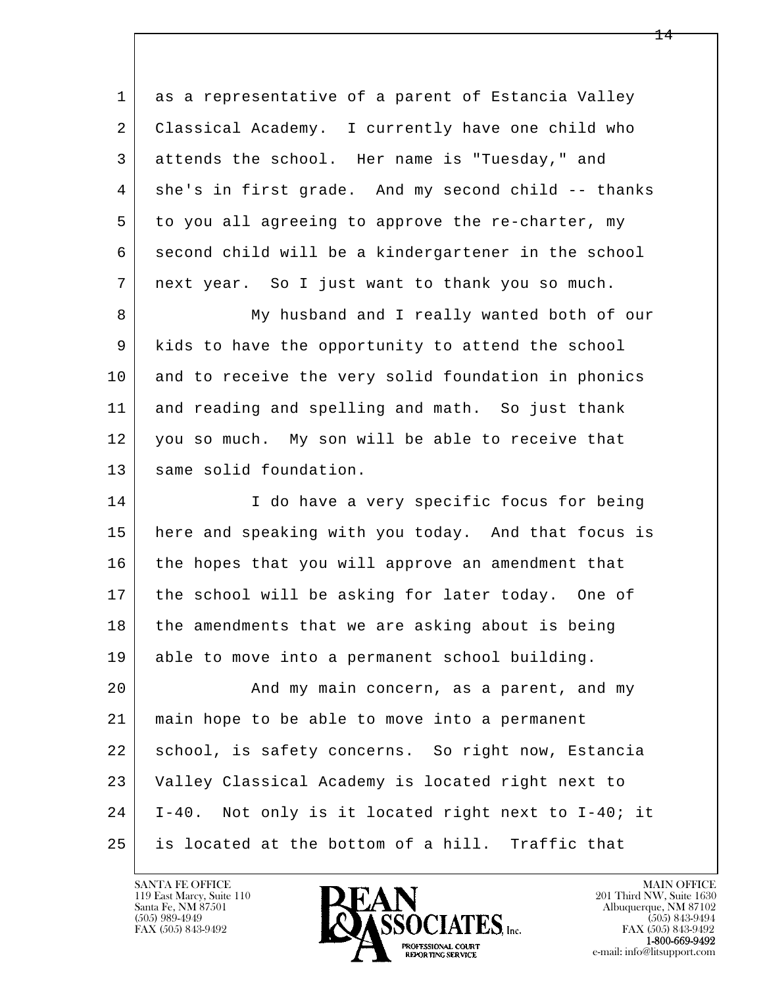| 1  | as a representative of a parent of Estancia Valley  |
|----|-----------------------------------------------------|
| 2  | Classical Academy. I currently have one child who   |
| 3  | attends the school. Her name is "Tuesday," and      |
| 4  | she's in first grade. And my second child -- thanks |
| 5  | to you all agreeing to approve the re-charter, my   |
| 6  | second child will be a kindergartener in the school |
| 7  | next year. So I just want to thank you so much.     |
| 8  | My husband and I really wanted both of our          |
| 9  | kids to have the opportunity to attend the school   |
| 10 | and to receive the very solid foundation in phonics |
| 11 | and reading and spelling and math. So just thank    |
| 12 | you so much. My son will be able to receive that    |
| 13 | same solid foundation.                              |
| 14 | I do have a very specific focus for being           |
| 15 | here and speaking with you today. And that focus is |
| 16 | the hopes that you will approve an amendment that   |
| 17 | the school will be asking for later today. One of   |
| 18 | the amendments that we are asking about is being    |
| 19 | able to move into a permanent school building.      |
| 20 | And my main concern, as a parent, and my            |
| 21 | main hope to be able to move into a permanent       |
| 22 | school, is safety concerns. So right now, Estancia  |
| 23 | Valley Classical Academy is located right next to   |
| 24 | I-40. Not only is it located right next to I-40; it |
| 25 | is located at the bottom of a hill. Traffic that    |

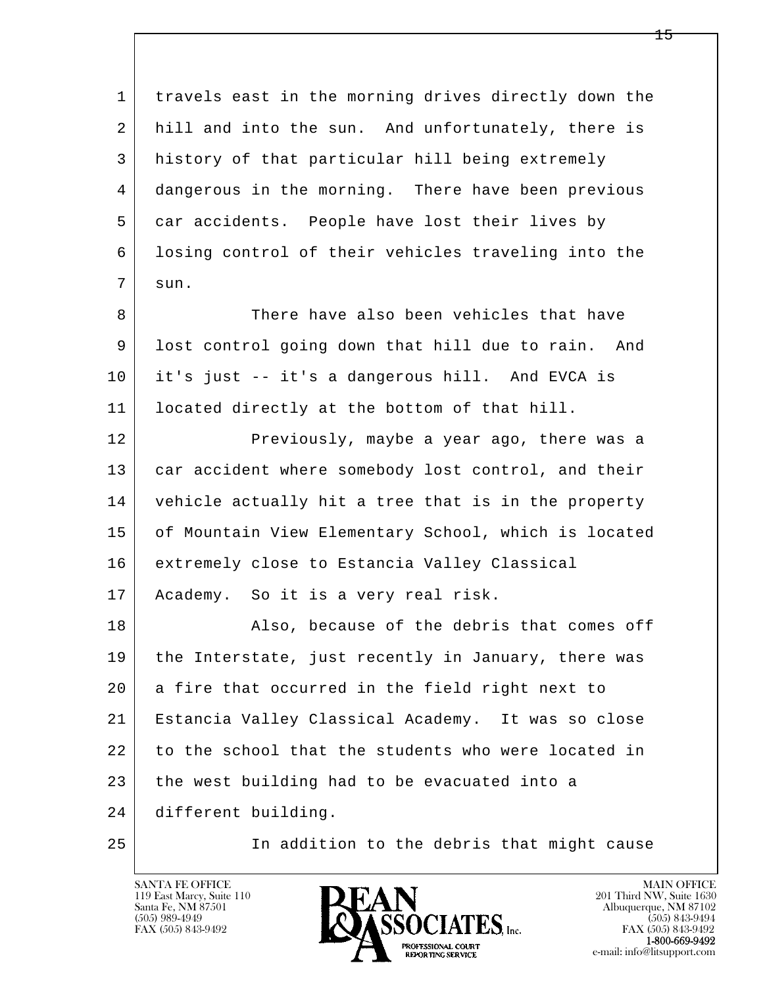| $\mathbf{1}$ | travels east in the morning drives directly down the |
|--------------|------------------------------------------------------|
| 2            | hill and into the sun. And unfortunately, there is   |
| 3            | history of that particular hill being extremely      |
| 4            | dangerous in the morning. There have been previous   |
| 5            | car accidents. People have lost their lives by       |
| 6            | losing control of their vehicles traveling into the  |
| 7            | sun.                                                 |
| 8            | There have also been vehicles that have              |
| 9            | lost control going down that hill due to rain. And   |
| 10           | it's just -- it's a dangerous hill. And EVCA is      |
| 11           | located directly at the bottom of that hill.         |
| 12           | Previously, maybe a year ago, there was a            |
| 13           | car accident where somebody lost control, and their  |
| 14           | vehicle actually hit a tree that is in the property  |
| 15           | of Mountain View Elementary School, which is located |
| 16           | extremely close to Estancia Valley Classical         |
| 17           | Academy. So it is a very real risk.                  |
| 18           | Also, because of the debris that comes off           |
| 19           | the Interstate, just recently in January, there was  |
| 20           | a fire that occurred in the field right next to      |
| 21           | Estancia Valley Classical Academy. It was so close   |
| 22           | to the school that the students who were located in  |
| 23           | the west building had to be evacuated into a         |
| 24           | different building.                                  |
| 25           | In addition to the debris that might cause           |

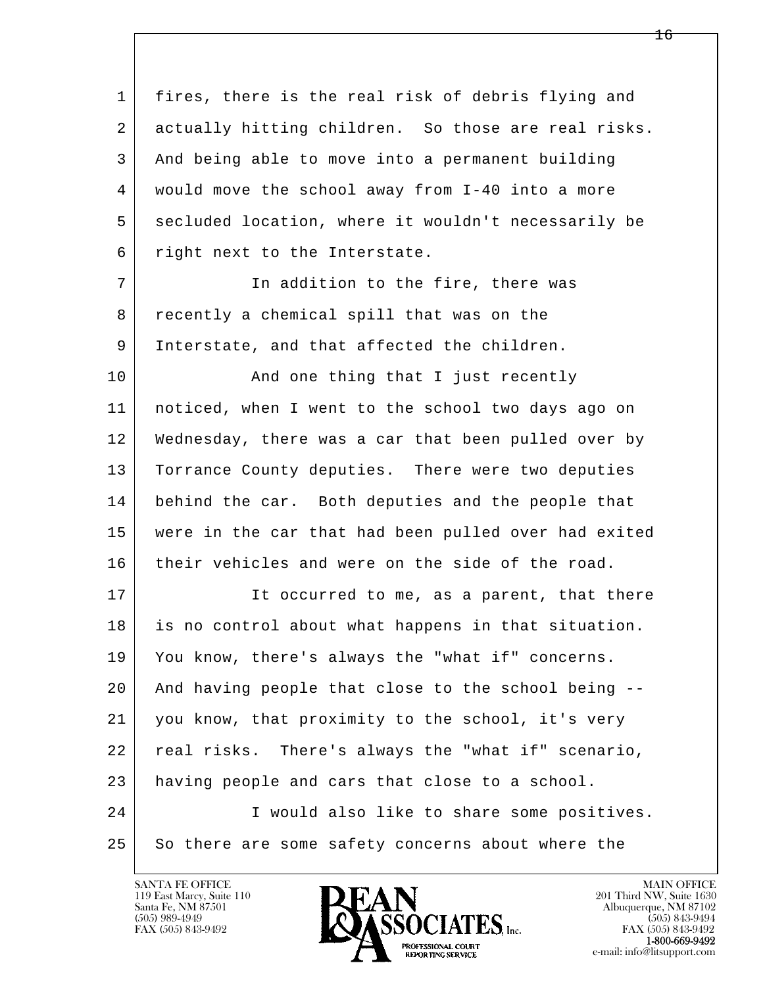l  $\overline{\phantom{a}}$  1 fires, there is the real risk of debris flying and 2 actually hitting children. So those are real risks. 3 And being able to move into a permanent building 4 would move the school away from I-40 into a more 5 secluded location, where it wouldn't necessarily be 6 right next to the Interstate. 7 In addition to the fire, there was 8 recently a chemical spill that was on the 9 Interstate, and that affected the children. 10 | And one thing that I just recently 11 noticed, when I went to the school two days ago on 12 Wednesday, there was a car that been pulled over by 13 Torrance County deputies. There were two deputies 14 behind the car. Both deputies and the people that 15 were in the car that had been pulled over had exited 16 their vehicles and were on the side of the road. 17 It occurred to me, as a parent, that there 18 is no control about what happens in that situation. 19 You know, there's always the "what if" concerns. 20 And having people that close to the school being -- 21 you know, that proximity to the school, it's very 22 real risks. There's always the "what if" scenario, 23 having people and cars that close to a school. 24 I would also like to share some positives. 25 So there are some safety concerns about where the

119 East Marcy, Suite 110<br>Santa Fe, NM 87501



FAX (505) 843-9492<br>1-800-669-9492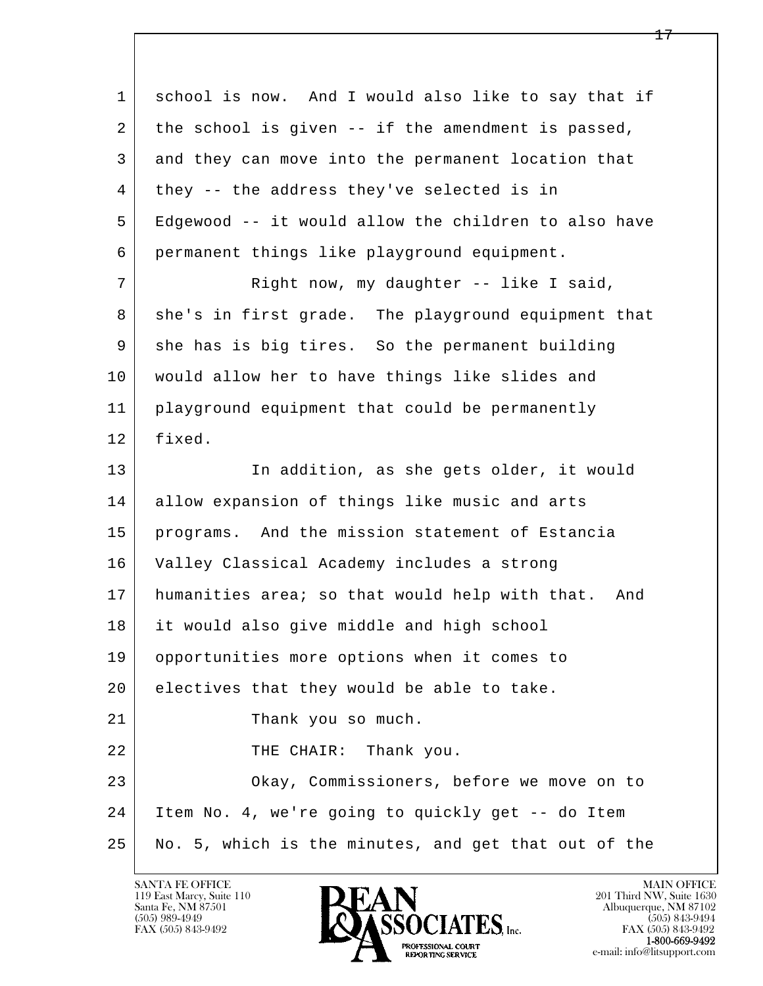| $\mathbf{1}$ | school is now. And I would also like to say that if   |
|--------------|-------------------------------------------------------|
| 2            | the school is given -- if the amendment is passed,    |
| 3            | and they can move into the permanent location that    |
| 4            | they -- the address they've selected is in            |
| 5            | Edgewood -- it would allow the children to also have  |
| 6            | permanent things like playground equipment.           |
| 7            | Right now, my daughter -- like I said,                |
| 8            | she's in first grade. The playground equipment that   |
| 9            | she has is big tires. So the permanent building       |
| 10           | would allow her to have things like slides and        |
| 11           | playground equipment that could be permanently        |
| 12           | fixed.                                                |
| 13           | In addition, as she gets older, it would              |
| 14           | allow expansion of things like music and arts         |
| 15           | programs. And the mission statement of Estancia       |
| 16           | Valley Classical Academy includes a strong            |
| 17           | humanities area; so that would help with that.<br>And |
| 18           | it would also give middle and high school             |
| 19           | opportunities more options when it comes to           |
| 20           | electives that they would be able to take.            |
| 21           | Thank you so much.                                    |
| 22           | THE CHAIR:<br>Thank you.                              |
| 23           | Okay, Commissioners, before we move on to             |
| 24           | Item No. 4, we're going to quickly get -- do Item     |
| 25           | No. 5, which is the minutes, and get that out of the  |

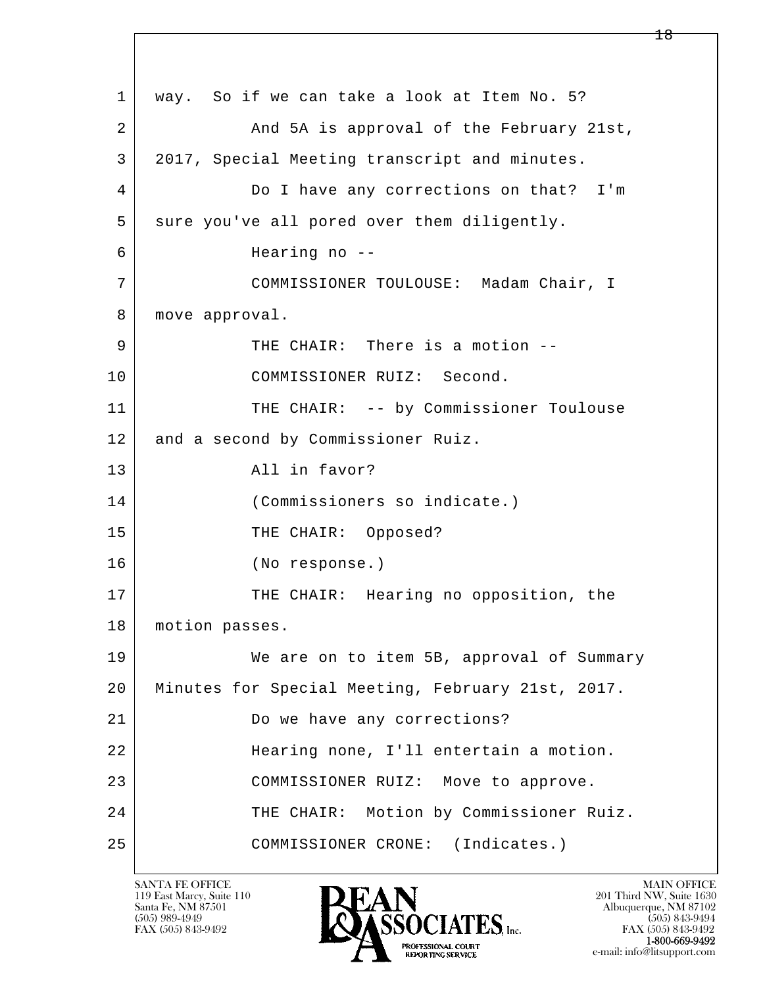l  $\overline{\phantom{a}}$  1 way. So if we can take a look at Item No. 5? 2 And 5A is approval of the February 21st, 3 2017, Special Meeting transcript and minutes. 4 Do I have any corrections on that? I'm 5 sure you've all pored over them diligently. 6 Hearing no -- 7 COMMISSIONER TOULOUSE: Madam Chair, I 8 | move approval. 9 THE CHAIR: There is a motion -- 10 COMMISSIONER RUIZ: Second. 11 THE CHAIR: -- by Commissioner Toulouse 12 and a second by Commissioner Ruiz. 13 all in favor? 14 (Commissioners so indicate.) 15 THE CHAIR: Opposed? 16 (No response.) 17 THE CHAIR: Hearing no opposition, the 18 | motion passes. 19 We are on to item 5B, approval of Summary 20 Minutes for Special Meeting, February 21st, 2017. 21 Do we have any corrections? 22 Hearing none, I'll entertain a motion. 23 COMMISSIONER RUIZ: Move to approve. 24 THE CHAIR: Motion by Commissioner Ruiz. 25 COMMISSIONER CRONE: (Indicates.)

119 East Marcy, Suite 110<br>Santa Fe, NM 87501

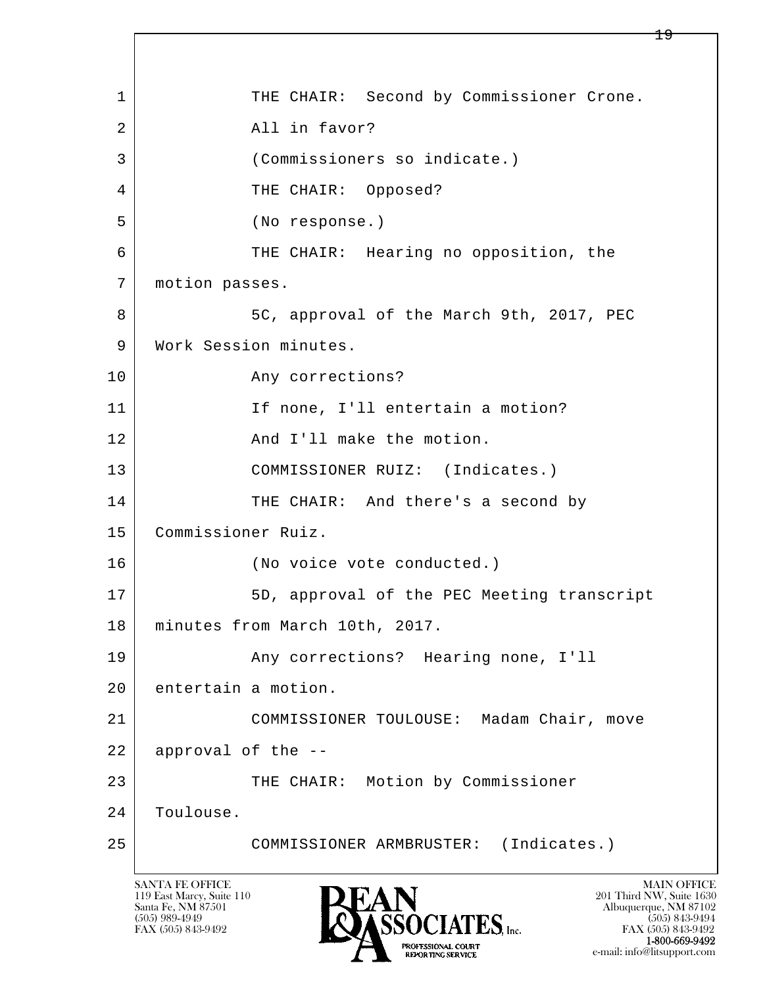l  $\overline{\phantom{a}}$ 1 THE CHAIR: Second by Commissioner Crone. 2 All in favor? 3 (Commissioners so indicate.) 4 THE CHAIR: Opposed? 5 (No response.) 6 THE CHAIR: Hearing no opposition, the 7 motion passes. 8 5C, approval of the March 9th, 2017, PEC 9 | Work Session minutes. 10 Any corrections? 11 | If none, I'll entertain a motion? 12 and I'll make the motion. 13 | COMMISSIONER RUIZ: (Indicates.) 14 THE CHAIR: And there's a second by 15 Commissioner Ruiz. 16 (No voice vote conducted.) 17 | SD, approval of the PEC Meeting transcript 18 minutes from March 10th, 2017. 19 | Any corrections? Hearing none, I'll 20 entertain a motion. 21 COMMISSIONER TOULOUSE: Madam Chair, move 22 approval of the -- 23 THE CHAIR: Motion by Commissioner 24 | Toulouse. 25 COMMISSIONER ARMBRUSTER: (Indicates.)

119 East Marcy, Suite 110<br>Santa Fe, NM 87501

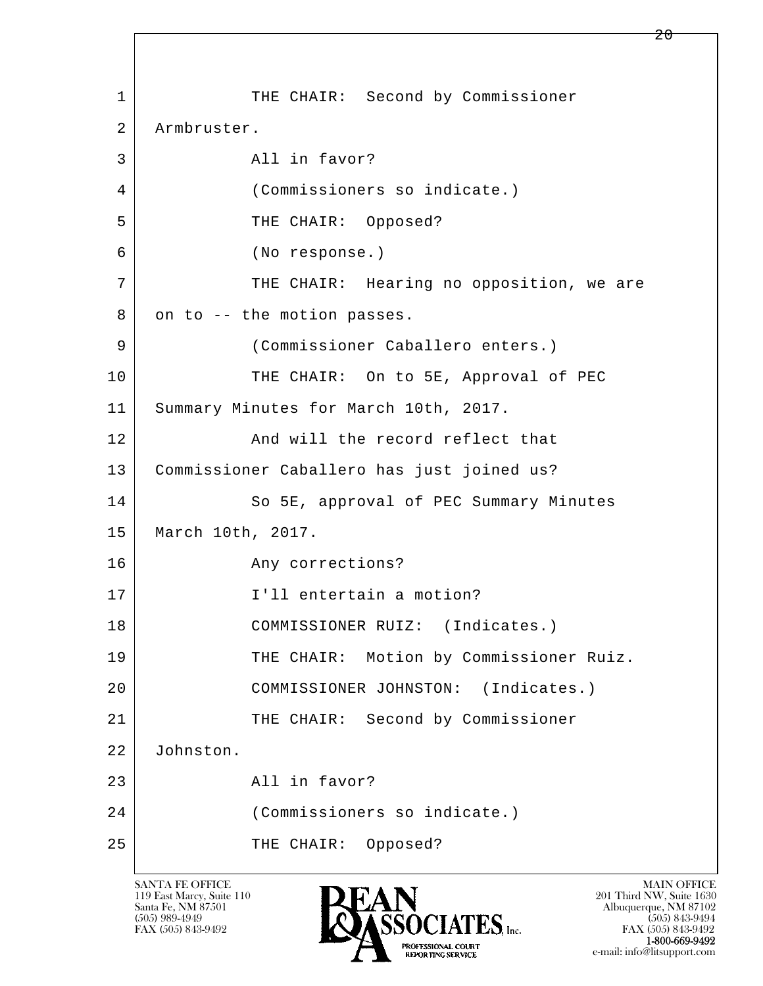l  $\overline{\phantom{a}}$ 1 THE CHAIR: Second by Commissioner 2 Armbruster. 3 All in favor? 4 (Commissioners so indicate.) 5 THE CHAIR: Opposed? 6 (No response.) 7 | THE CHAIR: Hearing no opposition, we are  $8$  on to  $-$  the motion passes. 9 (Commissioner Caballero enters.) 10 THE CHAIR: On to 5E, Approval of PEC 11 Summary Minutes for March 10th, 2017. 12 And will the record reflect that 13 Commissioner Caballero has just joined us? 14 So 5E, approval of PEC Summary Minutes 15 March 10th, 2017. 16 Any corrections? 17 I'll entertain a motion? 18 | COMMISSIONER RUIZ: (Indicates.) 19 THE CHAIR: Motion by Commissioner Ruiz. 20 COMMISSIONER JOHNSTON: (Indicates.) 21 | THE CHAIR: Second by Commissioner 22 Johnston. 23 All in favor? 24 (Commissioners so indicate.) 25 THE CHAIR: Opposed?

119 East Marcy, Suite 110<br>Santa Fe, NM 87501



FAX (505) 843-9492 FAX (505) 843-9492 e-mail: info@litsupport.com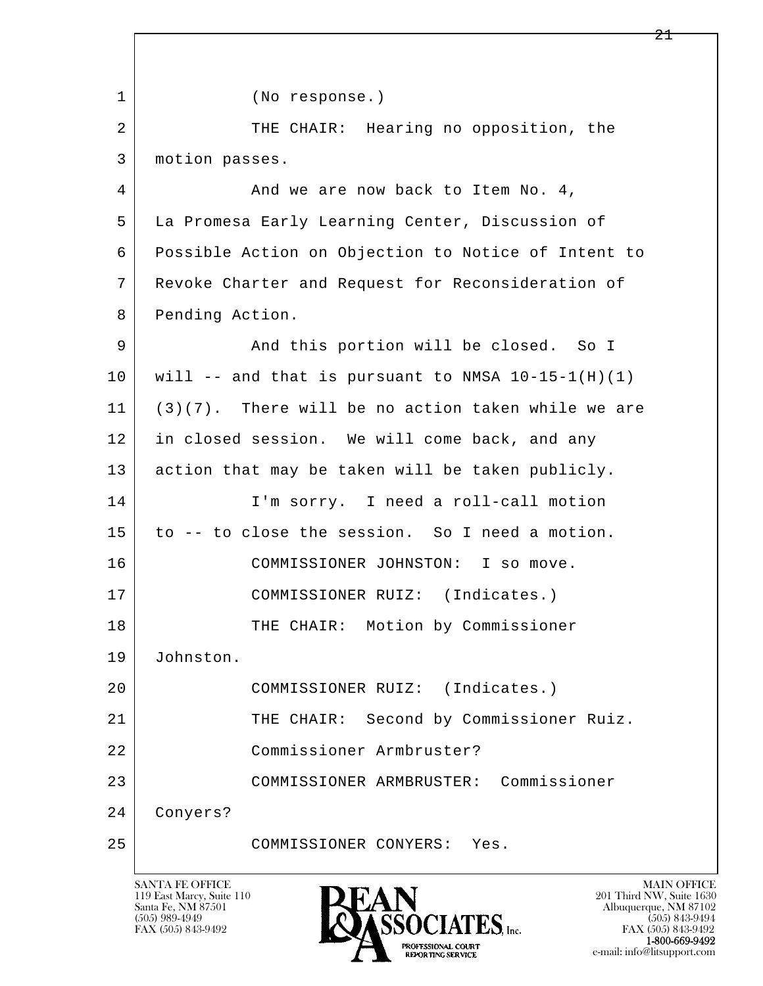l  $\overline{\phantom{a}}$  1 (No response.) 2 THE CHAIR: Hearing no opposition, the 3 motion passes. 4 And we are now back to Item No. 4, 5 La Promesa Early Learning Center, Discussion of 6 Possible Action on Objection to Notice of Intent to 7 Revoke Charter and Request for Reconsideration of 8 Pending Action. 9 And this portion will be closed. So I  $10$  will -- and that is pursuant to NMSA  $10-15-1(H)(1)$  11 (3)(7). There will be no action taken while we are 12 in closed session. We will come back, and any 13 action that may be taken will be taken publicly. 14 I'm sorry. I need a roll-call motion 15 to -- to close the session. So I need a motion. 16 COMMISSIONER JOHNSTON: I so move. 17 | COMMISSIONER RUIZ: (Indicates.) 18 | THE CHAIR: Motion by Commissioner 19 Johnston. 20 COMMISSIONER RUIZ: (Indicates.) 21 THE CHAIR: Second by Commissioner Ruiz. 22 Commissioner Armbruster? 23 COMMISSIONER ARMBRUSTER: Commissioner 24 Conyers? 25 COMMISSIONER CONYERS: Yes.

119 East Marcy, Suite 110<br>Santa Fe, NM 87501

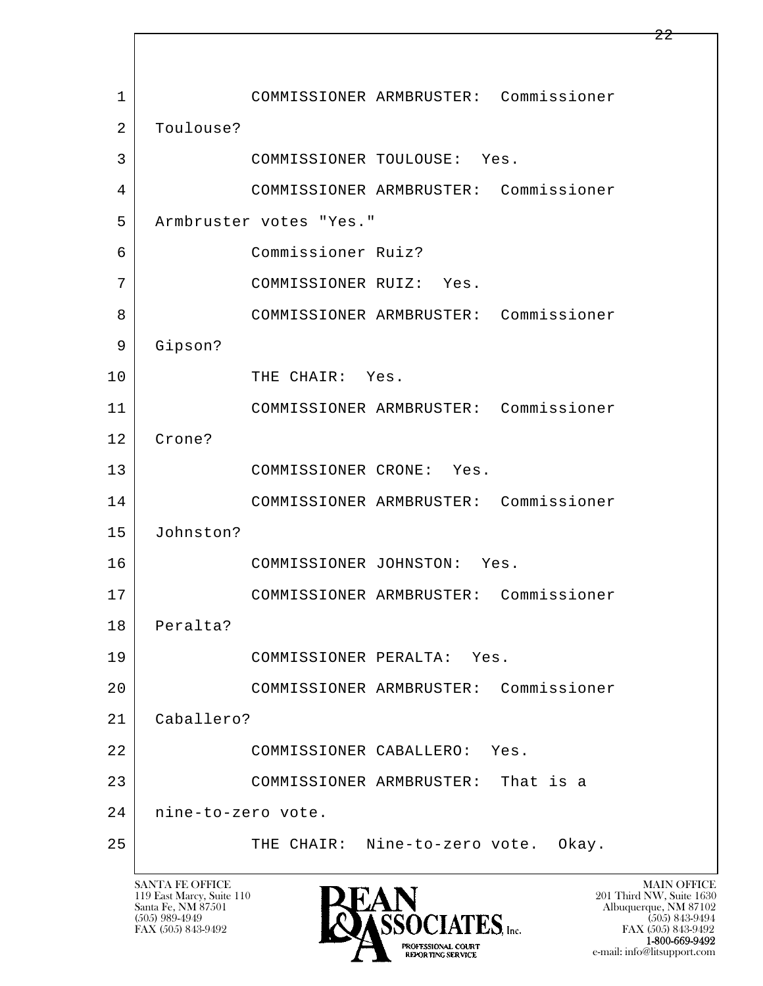l  $\overline{\phantom{a}}$  1 COMMISSIONER ARMBRUSTER: Commissioner 2 | Toulouse? 3 COMMISSIONER TOULOUSE: Yes. 4 COMMISSIONER ARMBRUSTER: Commissioner 5 Armbruster votes "Yes." 6 Commissioner Ruiz? 7 COMMISSIONER RUIZ: Yes. 8 COMMISSIONER ARMBRUSTER: Commissioner 9 Gipson? 10 THE CHAIR: Yes. 11 COMMISSIONER ARMBRUSTER: Commissioner 12 Crone? 13 COMMISSIONER CRONE: Yes. 14 COMMISSIONER ARMBRUSTER: Commissioner 15 Johnston? 16 COMMISSIONER JOHNSTON: Yes. 17 COMMISSIONER ARMBRUSTER: Commissioner 18 Peralta? 19 COMMISSIONER PERALTA: Yes. 20 COMMISSIONER ARMBRUSTER: Commissioner 21 Caballero? 22 COMMISSIONER CABALLERO: Yes. 23 COMMISSIONER ARMBRUSTER: That is a 24 nine-to-zero vote. 25 THE CHAIR: Nine-to-zero vote. Okay.

119 East Marcy, Suite 110<br>Santa Fe, NM 87501



FAX (505) 843-9492 FAX (505) 843-9492 e-mail: info@litsupport.com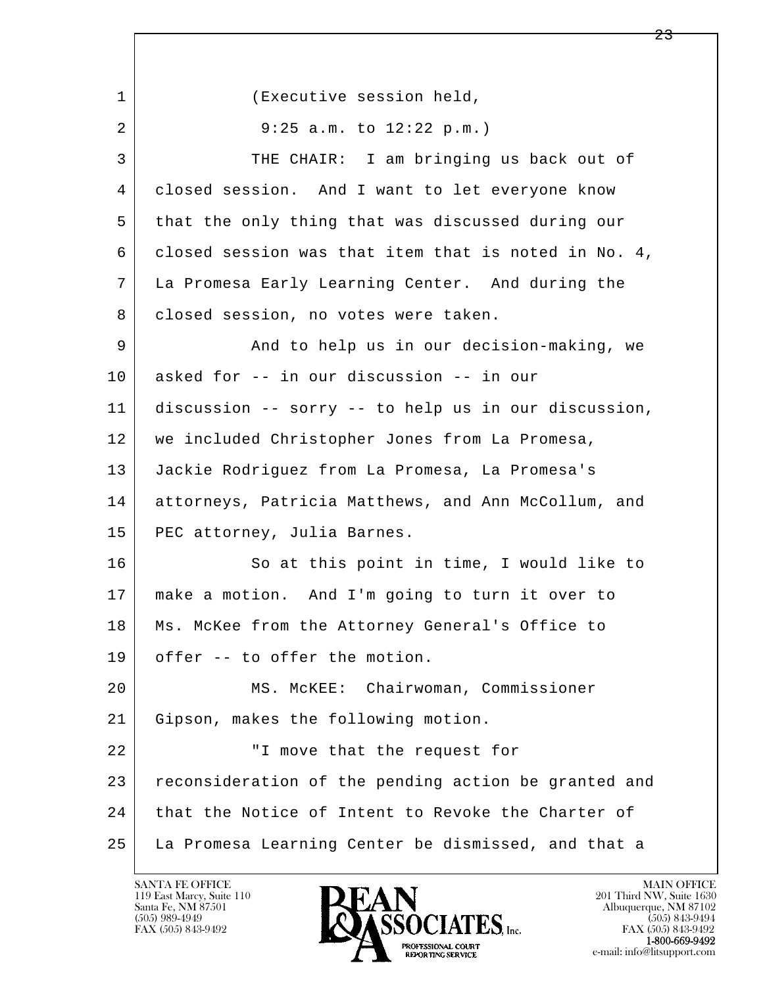l  $\overline{\phantom{a}}$ 1 (Executive session held, 2 9:25 a.m. to 12:22 p.m.) 3 THE CHAIR: I am bringing us back out of 4 closed session. And I want to let everyone know 5 that the only thing that was discussed during our 6 closed session was that item that is noted in No. 4, 7 La Promesa Early Learning Center. And during the 8 | closed session, no votes were taken. 9 and to help us in our decision-making, we 10 asked for -- in our discussion -- in our 11 discussion -- sorry -- to help us in our discussion, 12 we included Christopher Jones from La Promesa, 13 Jackie Rodriguez from La Promesa, La Promesa's 14 attorneys, Patricia Matthews, and Ann McCollum, and 15 PEC attorney, Julia Barnes. 16 So at this point in time, I would like to 17 make a motion. And I'm going to turn it over to 18 | Ms. McKee from the Attorney General's Office to 19 offer -- to offer the motion. 20 MS. McKEE: Chairwoman, Commissioner 21 Gipson, makes the following motion. 22 | The Unive that the request for 23 reconsideration of the pending action be granted and 24 that the Notice of Intent to Revoke the Charter of 25 La Promesa Learning Center be dismissed, and that a

119 East Marcy, Suite 110<br>Santa Fe, NM 87501

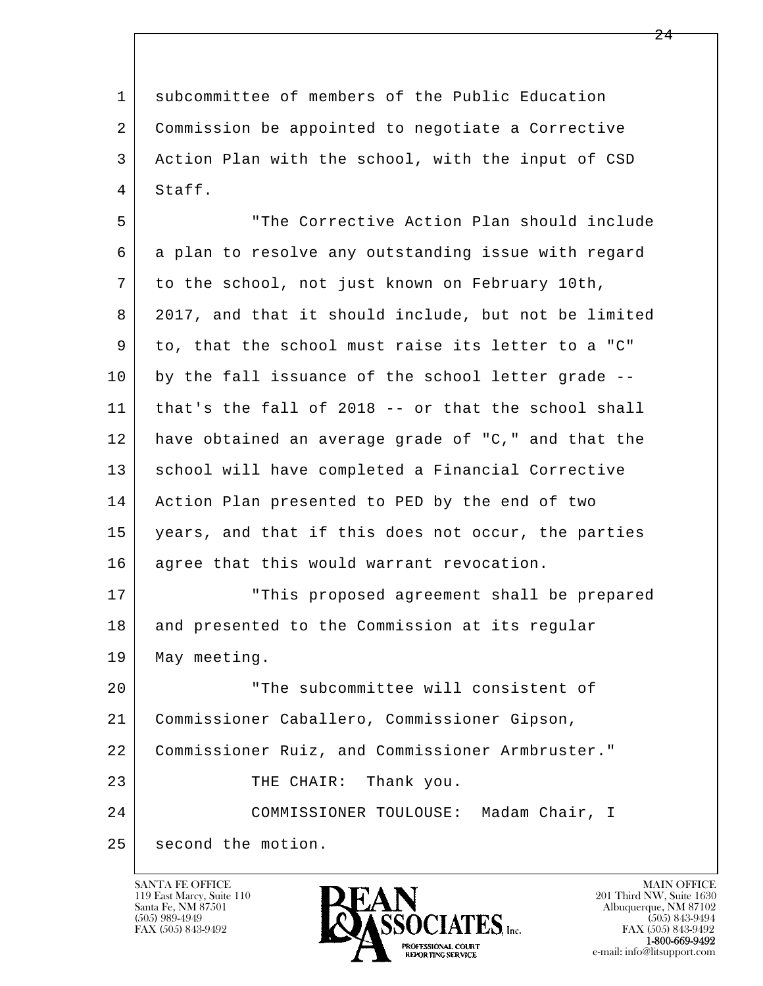1 subcommittee of members of the Public Education 2 Commission be appointed to negotiate a Corrective 3 Action Plan with the school, with the input of CSD 4 Staff.

 5 "The Corrective Action Plan should include 6 a plan to resolve any outstanding issue with regard 7 to the school, not just known on February 10th, 8 2017, and that it should include, but not be limited 9 to, that the school must raise its letter to a "C" 10 by the fall issuance of the school letter grade -- 11 that's the fall of 2018 -- or that the school shall 12 have obtained an average grade of "C," and that the 13 | school will have completed a Financial Corrective 14 Action Plan presented to PED by the end of two 15 years, and that if this does not occur, the parties 16 agree that this would warrant revocation. 17 This proposed agreement shall be prepared

18 and presented to the Commission at its regular 19 May meeting.

l  $\overline{\phantom{a}}$ 20 The subcommittee will consistent of 21 Commissioner Caballero, Commissioner Gipson, 22 Commissioner Ruiz, and Commissioner Armbruster." 23 THE CHAIR: Thank you. 24 COMMISSIONER TOULOUSE: Madam Chair, I 25 second the motion.

119 East Marcy, Suite 110<br>Santa Fe, NM 87501

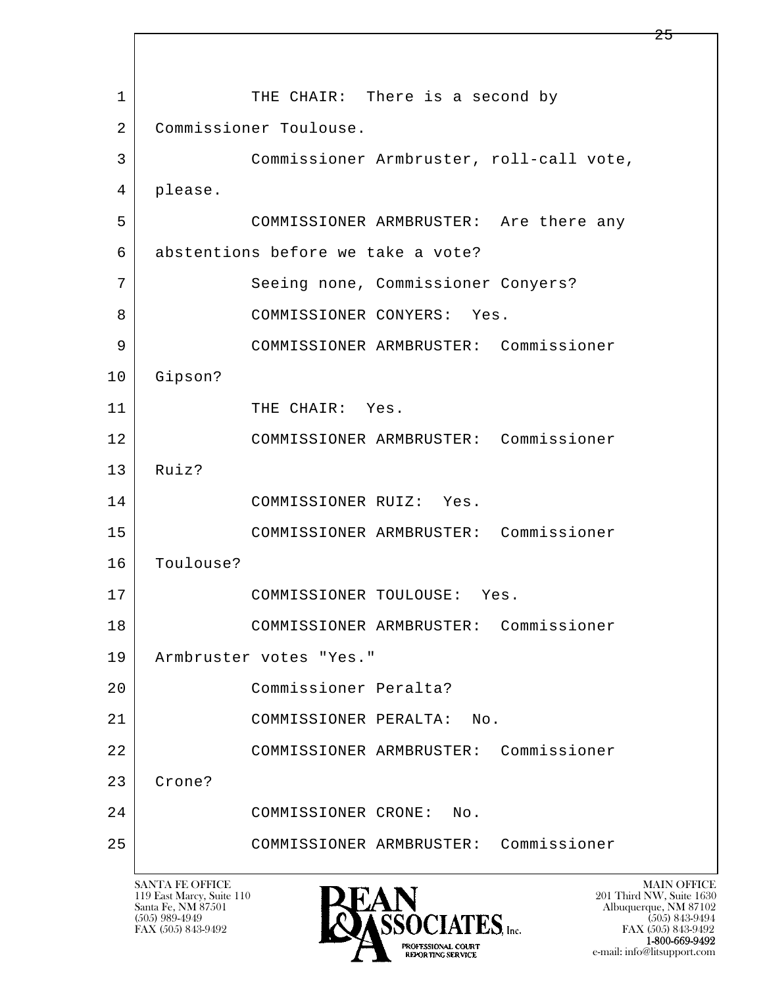l  $\overline{\phantom{a}}$ 1 THE CHAIR: There is a second by 2 Commissioner Toulouse. 3 Commissioner Armbruster, roll-call vote, 4 please. 5 COMMISSIONER ARMBRUSTER: Are there any 6 abstentions before we take a vote? 7 Seeing none, Commissioner Conyers? 8 COMMISSIONER CONYERS: Yes. 9 COMMISSIONER ARMBRUSTER: Commissioner 10 Gipson? 11 THE CHAIR: Yes. 12 COMMISSIONER ARMBRUSTER: Commissioner 13 Ruiz? 14 COMMISSIONER RUIZ: Yes. 15 COMMISSIONER ARMBRUSTER: Commissioner 16 Toulouse? 17 COMMISSIONER TOULOUSE: Yes. 18 COMMISSIONER ARMBRUSTER: Commissioner 19 Armbruster votes "Yes." 20 Commissioner Peralta? 21 | COMMISSIONER PERALTA: No. 22 COMMISSIONER ARMBRUSTER: Commissioner 23 Crone? 24 COMMISSIONER CRONE: No. 25 COMMISSIONER ARMBRUSTER: Commissioner

119 East Marcy, Suite 110<br>Santa Fe, NM 87501

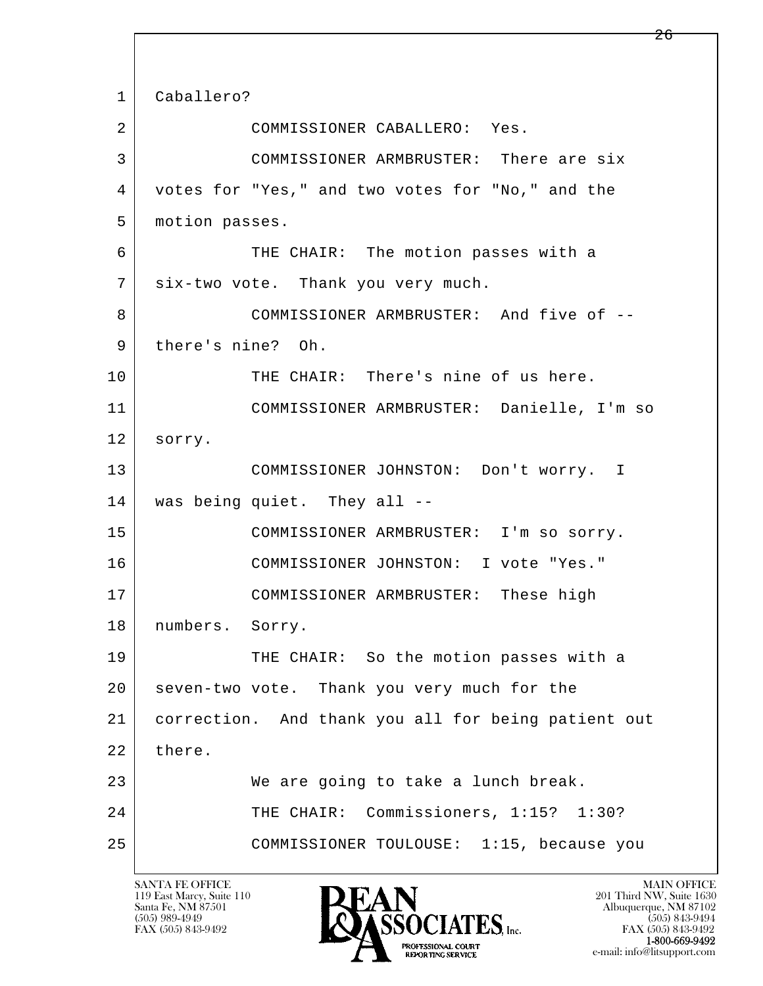l  $\overline{\phantom{a}}$  1 Caballero? 2 COMMISSIONER CABALLERO: Yes. 3 COMMISSIONER ARMBRUSTER: There are six 4 votes for "Yes," and two votes for "No," and the 5 motion passes. 6 THE CHAIR: The motion passes with a 7 six-two vote. Thank you very much. 8 COMMISSIONER ARMBRUSTER: And five of -- 9 | there's nine? Oh. 10 THE CHAIR: There's nine of us here. 11 COMMISSIONER ARMBRUSTER: Danielle, I'm so 12 sorry. 13 COMMISSIONER JOHNSTON: Don't worry. I 14 was being quiet. They all -- 15 COMMISSIONER ARMBRUSTER: I'm so sorry. 16 COMMISSIONER JOHNSTON: I vote "Yes." 17 | COMMISSIONER ARMBRUSTER: These high 18 numbers. Sorry. 19 THE CHAIR: So the motion passes with a 20 seven-two vote. Thank you very much for the 21 correction. And thank you all for being patient out 22 there. 23 We are going to take a lunch break. 24 | THE CHAIR: Commissioners, 1:15? 1:30? 25 COMMISSIONER TOULOUSE: 1:15, because you

119 East Marcy, Suite 110<br>Santa Fe, NM 87501

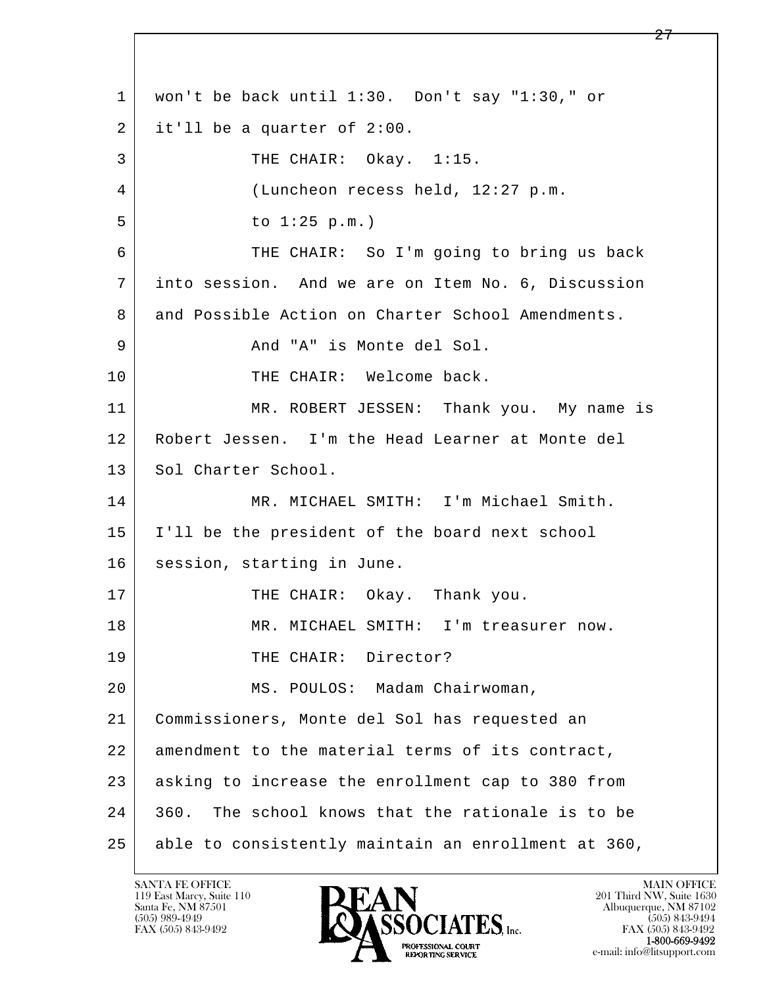l  $\overline{\phantom{a}}$  1 won't be back until 1:30. Don't say "1:30," or  $2$  it'll be a quarter of 2:00. 3 THE CHAIR: Okay. 1:15. 4 (Luncheon recess held, 12:27 p.m. 5 | to 1:25 p.m.) 6 THE CHAIR: So I'm going to bring us back 7 into session. And we are on Item No. 6, Discussion 8 and Possible Action on Charter School Amendments. 9 | The Controller And "A" is Monte del Sol. 10 THE CHAIR: Welcome back. 11 MR. ROBERT JESSEN: Thank you. My name is 12 Robert Jessen. I'm the Head Learner at Monte del 13 Sol Charter School. 14 MR. MICHAEL SMITH: I'm Michael Smith. 15 I'll be the president of the board next school 16 | session, starting in June. 17 THE CHAIR: Okay. Thank you. 18 MR. MICHAEL SMITH: I'm treasurer now. 19 THE CHAIR: Director? 20 MS. POULOS: Madam Chairwoman, 21 Commissioners, Monte del Sol has requested an 22 amendment to the material terms of its contract, 23 | asking to increase the enrollment cap to 380 from 24 360. The school knows that the rationale is to be 25 able to consistently maintain an enrollment at 360,

119 East Marcy, Suite 110<br>Santa Fe, NM 87501

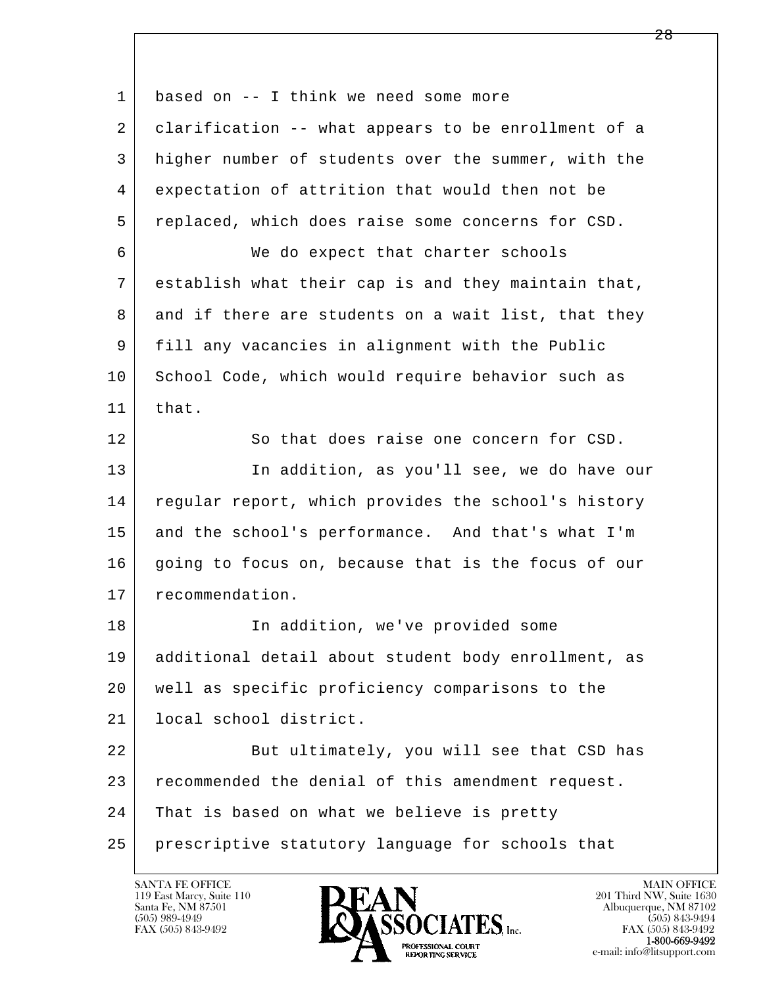| 1  | based on -- I think we need some more               |
|----|-----------------------------------------------------|
| 2  | clarification -- what appears to be enrollment of a |
| 3  | higher number of students over the summer, with the |
| 4  | expectation of attrition that would then not be     |
| 5  | replaced, which does raise some concerns for CSD.   |
| 6  | We do expect that charter schools                   |
| 7  | establish what their cap is and they maintain that, |
| 8  | and if there are students on a wait list, that they |
| 9  | fill any vacancies in alignment with the Public     |
| 10 | School Code, which would require behavior such as   |
| 11 | that.                                               |
| 12 | So that does raise one concern for CSD.             |
| 13 | In addition, as you'll see, we do have our          |
| 14 | regular report, which provides the school's history |
| 15 | and the school's performance. And that's what I'm   |
| 16 | going to focus on, because that is the focus of our |
| 17 | recommendation.                                     |
| 18 | In addition, we've provided some                    |
| 19 | additional detail about student body enrollment, as |
| 20 | well as specific proficiency comparisons to the     |
| 21 | local school district.                              |
| 22 | But ultimately, you will see that CSD has           |
| 23 | recommended the denial of this amendment request.   |
| 24 | That is based on what we believe is pretty          |
| 25 | prescriptive statutory language for schools that    |

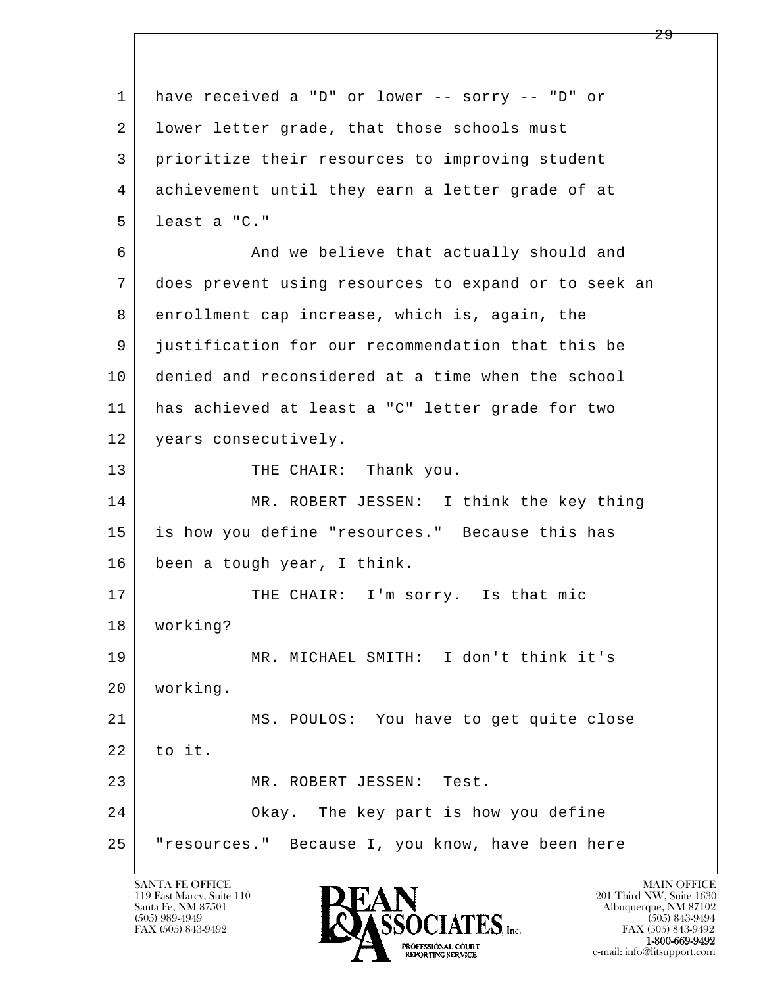l  $\overline{\phantom{a}}$  1 have received a "D" or lower -- sorry -- "D" or 2 lower letter grade, that those schools must 3 prioritize their resources to improving student 4 achievement until they earn a letter grade of at 5 least a "C." 6 And we believe that actually should and 7 does prevent using resources to expand or to seek an 8 enrollment cap increase, which is, again, the 9 justification for our recommendation that this be 10 denied and reconsidered at a time when the school 11 has achieved at least a "C" letter grade for two 12 years consecutively. 13 THE CHAIR: Thank you. 14 MR. ROBERT JESSEN: I think the key thing 15 is how you define "resources." Because this has 16 been a tough year, I think. 17 | THE CHAIR: I'm sorry. Is that mic 18 working? 19 MR. MICHAEL SMITH: I don't think it's 20 working. 21 MS. POULOS: You have to get quite close  $22$  to it. 23 MR. ROBERT JESSEN: Test. 24 Okay. The key part is how you define 25 | "resources." Because I, you know, have been here

119 East Marcy, Suite 110<br>Santa Fe, NM 87501



FAX (505) 843-9492 FAX (505) 843-9492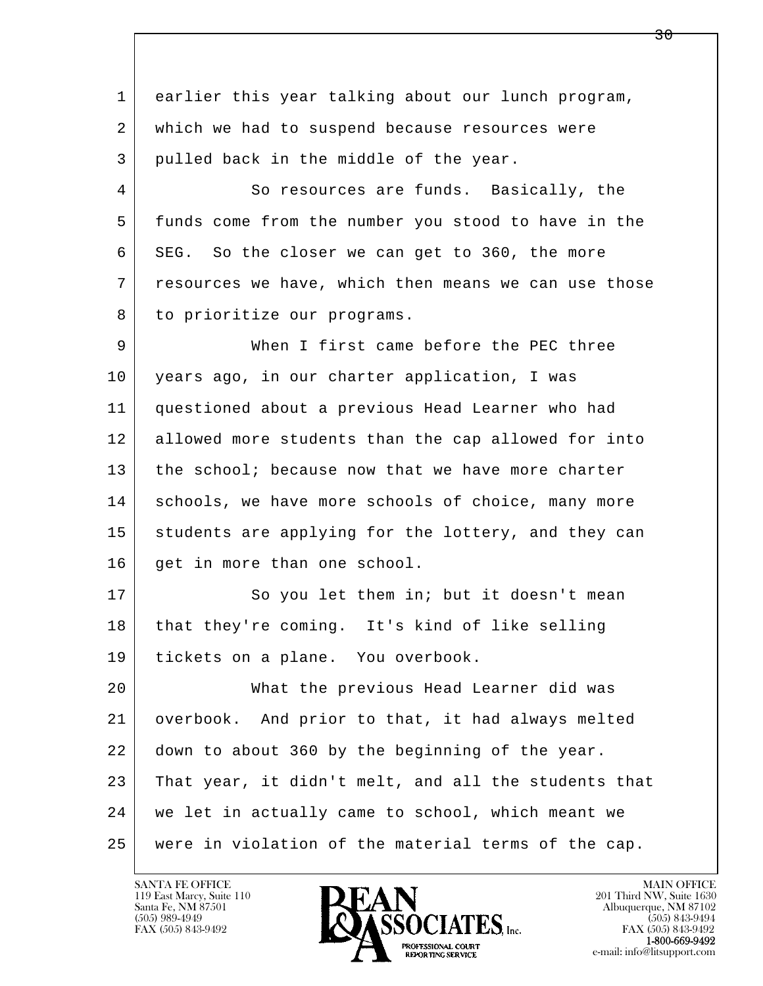l  $\overline{\phantom{a}}$  1 earlier this year talking about our lunch program, 2 | which we had to suspend because resources were 3 pulled back in the middle of the year. 4 So resources are funds. Basically, the 5 funds come from the number you stood to have in the 6 SEG. So the closer we can get to 360, the more 7 resources we have, which then means we can use those 8 to prioritize our programs. 9 When I first came before the PEC three 10 years ago, in our charter application, I was 11 questioned about a previous Head Learner who had 12 allowed more students than the cap allowed for into 13 the school; because now that we have more charter 14 schools, we have more schools of choice, many more 15 students are applying for the lottery, and they can 16 get in more than one school. 17 So you let them in; but it doesn't mean 18 that they're coming. It's kind of like selling 19 tickets on a plane. You overbook. 20 What the previous Head Learner did was 21 overbook. And prior to that, it had always melted 22 down to about 360 by the beginning of the year. 23 That year, it didn't melt, and all the students that 24 we let in actually came to school, which meant we 25 were in violation of the material terms of the cap.

119 East Marcy, Suite 110<br>Santa Fe, NM 87501



FAX (505) 843-9492<br>1-800-669-9492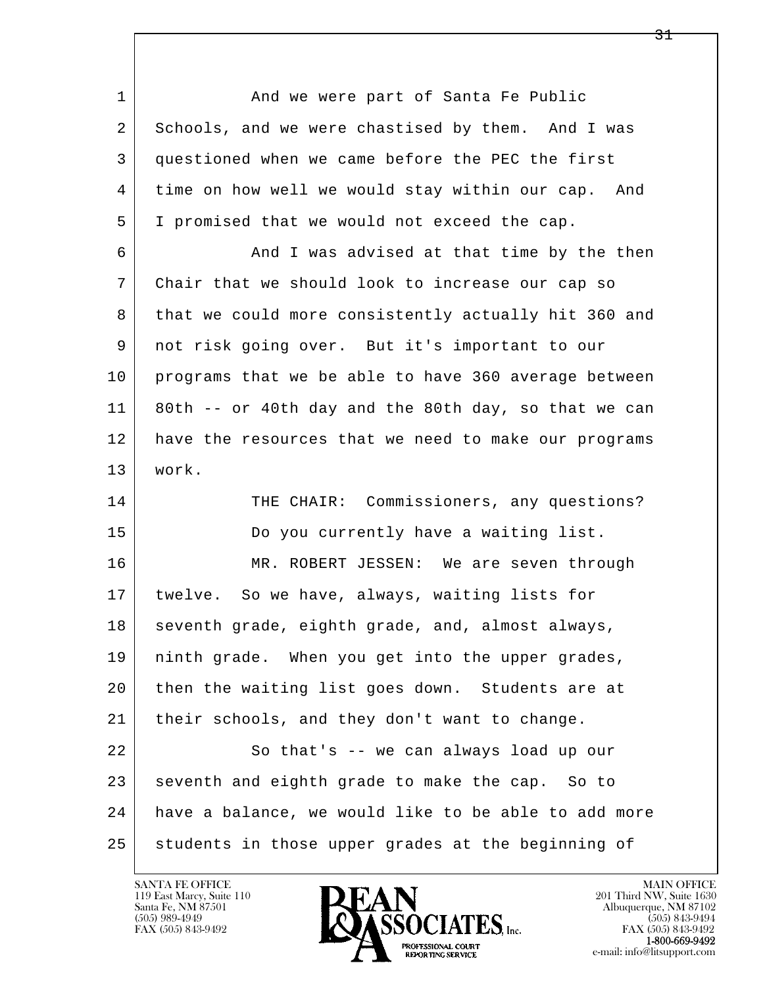l  $\overline{\phantom{a}}$ 1 And we were part of Santa Fe Public 2 | Schools, and we were chastised by them. And I was 3 questioned when we came before the PEC the first 4 time on how well we would stay within our cap. And 5 I promised that we would not exceed the cap. 6 | And I was advised at that time by the then 7 Chair that we should look to increase our cap so 8 that we could more consistently actually hit 360 and 9 not risk going over. But it's important to our 10 programs that we be able to have 360 average between 11 80th -- or 40th day and the 80th day, so that we can 12 have the resources that we need to make our programs 13 work. 14 THE CHAIR: Commissioners, any questions? 15 Do you currently have a waiting list. 16 MR. ROBERT JESSEN: We are seven through 17 twelve. So we have, always, waiting lists for 18 seventh grade, eighth grade, and, almost always, 19 ninth grade. When you get into the upper grades, 20 then the waiting list goes down. Students are at 21 their schools, and they don't want to change. 22 So that's -- we can always load up our 23 seventh and eighth grade to make the cap. So to 24 have a balance, we would like to be able to add more 25 students in those upper grades at the beginning of

119 East Marcy, Suite 110<br>Santa Fe, NM 87501



FAX (505) 843-9492<br>1-800-669-9492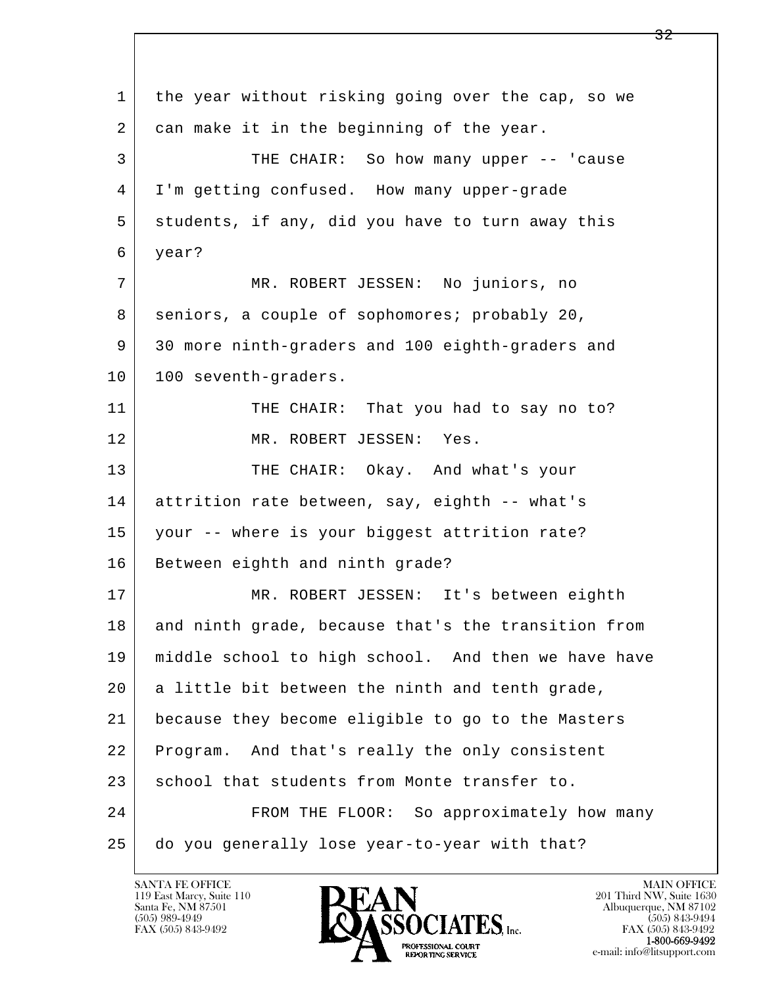| 1  | the year without risking going over the cap, so we  |
|----|-----------------------------------------------------|
| 2  | can make it in the beginning of the year.           |
| 3  | THE CHAIR: So how many upper -- 'cause              |
| 4  | I'm getting confused. How many upper-grade          |
| 5  | students, if any, did you have to turn away this    |
| 6  | year?                                               |
| 7  | MR. ROBERT JESSEN: No juniors, no                   |
| 8  | seniors, a couple of sophomores; probably 20,       |
| 9  | 30 more ninth-graders and 100 eighth-graders and    |
| 10 | 100 seventh-graders.                                |
| 11 | THE CHAIR: That you had to say no to?               |
| 12 | MR. ROBERT JESSEN: Yes.                             |
| 13 | THE CHAIR: Okay. And what's your                    |
| 14 | attrition rate between, say, eighth -- what's       |
| 15 | your -- where is your biggest attrition rate?       |
| 16 | Between eighth and ninth grade?                     |
| 17 | MR. ROBERT JESSEN: It's between eighth              |
| 18 | and ninth grade, because that's the transition from |
| 19 | middle school to high school. And then we have have |
| 20 | a little bit between the ninth and tenth grade,     |
| 21 | because they become eligible to go to the Masters   |
| 22 | Program. And that's really the only consistent      |
| 23 | school that students from Monte transfer to.        |
| 24 | FROM THE FLOOR: So approximately how many           |
| 25 | do you generally lose year-to-year with that?       |

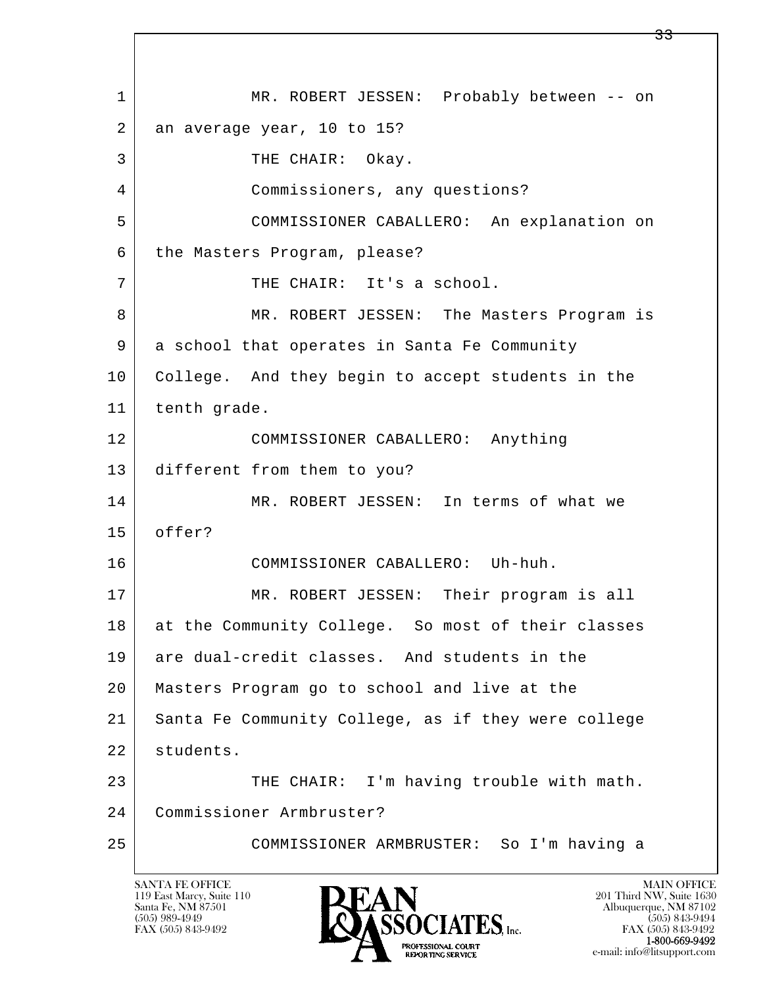l  $\overline{\phantom{a}}$  1 MR. ROBERT JESSEN: Probably between -- on 2 an average year, 10 to 15? 3 THE CHAIR: Okay. 4 Commissioners, any questions? 5 COMMISSIONER CABALLERO: An explanation on 6 the Masters Program, please? 7 | THE CHAIR: It's a school. 8 MR. ROBERT JESSEN: The Masters Program is 9 a school that operates in Santa Fe Community 10 College. And they begin to accept students in the 11 tenth grade. 12 COMMISSIONER CABALLERO: Anything 13 different from them to you? 14 MR. ROBERT JESSEN: In terms of what we 15 offer? 16 COMMISSIONER CABALLERO: Uh-huh. 17 MR. ROBERT JESSEN: Their program is all 18 at the Community College. So most of their classes 19 are dual-credit classes. And students in the 20 Masters Program go to school and live at the 21 Santa Fe Community College, as if they were college 22 students. 23 THE CHAIR: I'm having trouble with math. 24 Commissioner Armbruster? 25 COMMISSIONER ARMBRUSTER: So I'm having a

119 East Marcy, Suite 110<br>Santa Fe, NM 87501

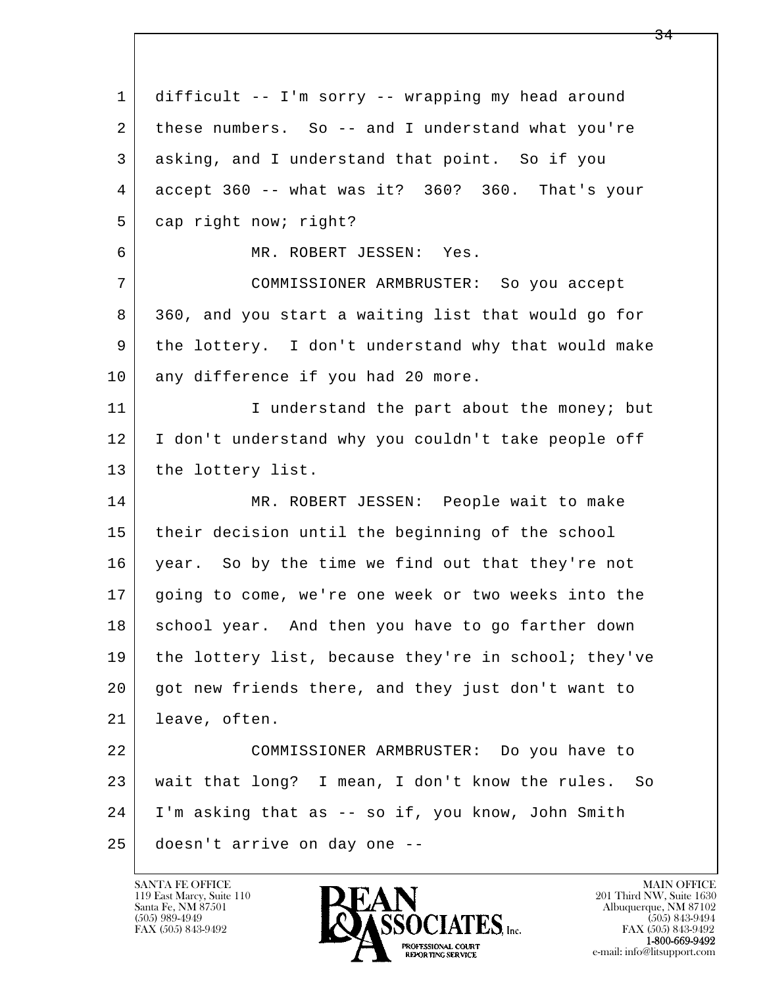l  $\overline{\phantom{a}}$  1 difficult -- I'm sorry -- wrapping my head around 2 these numbers. So -- and I understand what you're 3 asking, and I understand that point. So if you 4 accept 360 -- what was it? 360? 360. That's your 5 cap right now; right? 6 MR. ROBERT JESSEN: Yes. 7 COMMISSIONER ARMBRUSTER: So you accept 8 360, and you start a waiting list that would go for 9 the lottery. I don't understand why that would make 10 any difference if you had 20 more. 11 | Tunderstand the part about the money; but 12 I don't understand why you couldn't take people off 13 | the lottery list. 14 MR. ROBERT JESSEN: People wait to make 15 | their decision until the beginning of the school 16 year. So by the time we find out that they're not 17 going to come, we're one week or two weeks into the 18 school year. And then you have to go farther down 19 the lottery list, because they're in school; they've 20 got new friends there, and they just don't want to 21 leave, often. 22 COMMISSIONER ARMBRUSTER: Do you have to 23 wait that long? I mean, I don't know the rules. So 24 I'm asking that as -- so if, you know, John Smith 25 doesn't arrive on day one --

119 East Marcy, Suite 110<br>Santa Fe, NM 87501

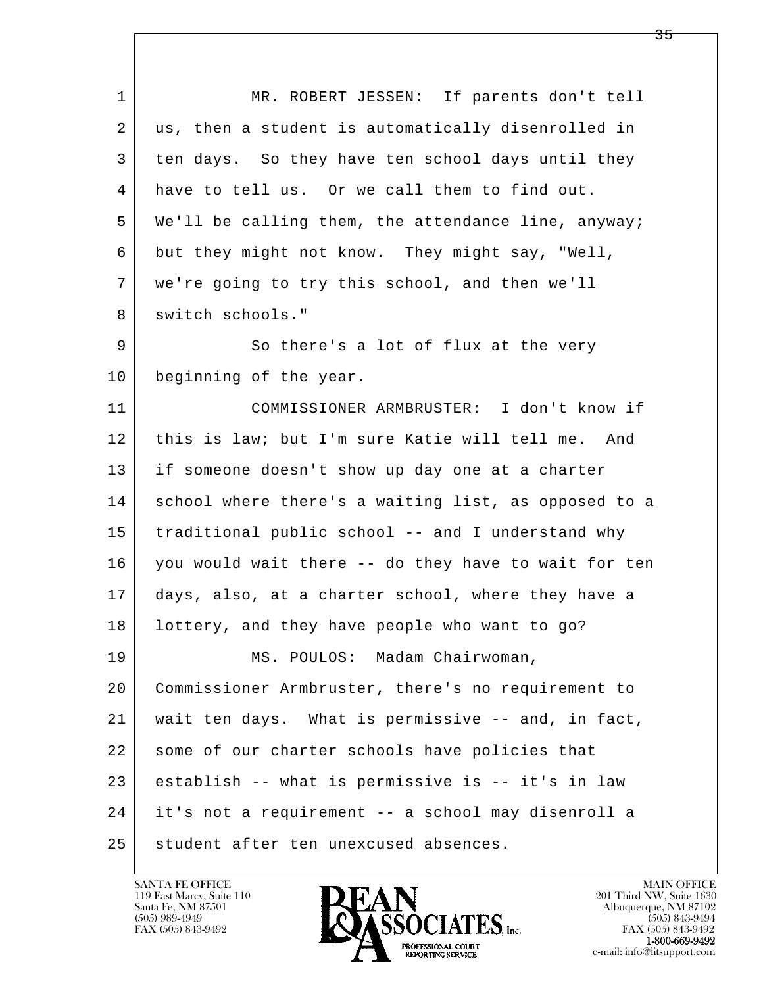l  $\overline{\phantom{a}}$  1 MR. ROBERT JESSEN: If parents don't tell 2 | us, then a student is automatically disenrolled in 3 ten days. So they have ten school days until they 4 have to tell us. Or we call them to find out. 5 We'll be calling them, the attendance line, anyway; 6 but they might not know. They might say, "Well, 7 we're going to try this school, and then we'll 8 switch schools." 9 So there's a lot of flux at the very 10 beginning of the year. 11 COMMISSIONER ARMBRUSTER: I don't know if 12 this is law; but I'm sure Katie will tell me. And 13 if someone doesn't show up day one at a charter 14 school where there's a waiting list, as opposed to a 15 traditional public school -- and I understand why 16 you would wait there -- do they have to wait for ten 17 days, also, at a charter school, where they have a 18 lottery, and they have people who want to go? 19 | MS. POULOS: Madam Chairwoman, 20 Commissioner Armbruster, there's no requirement to 21 wait ten days. What is permissive -- and, in fact, 22 some of our charter schools have policies that 23 establish -- what is permissive is -- it's in law 24 it's not a requirement -- a school may disenroll a 25 student after ten unexcused absences.

119 East Marcy, Suite 110<br>Santa Fe, NM 87501

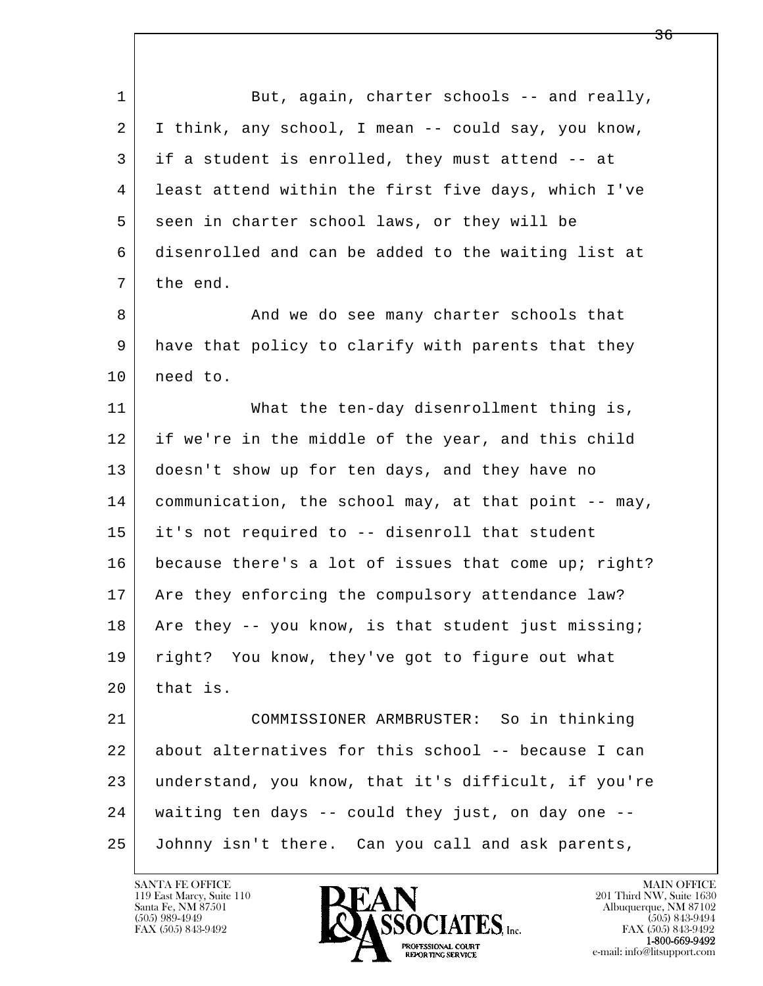l  $\overline{\phantom{a}}$ 1 But, again, charter schools -- and really, 2 I think, any school, I mean -- could say, you know, 3 if a student is enrolled, they must attend -- at 4 least attend within the first five days, which I've 5 seen in charter school laws, or they will be 6 disenrolled and can be added to the waiting list at 7 the end. 8 And we do see many charter schools that 9 have that policy to clarify with parents that they 10 need to. 11 What the ten-day disenrollment thing is, 12 if we're in the middle of the year, and this child 13 doesn't show up for ten days, and they have no 14 communication, the school may, at that point -- may, 15 it's not required to -- disenroll that student 16 because there's a lot of issues that come up; right? 17 Are they enforcing the compulsory attendance law? 18 Are they  $-$  you know, is that student just missing; 19 | right? You know, they've got to figure out what  $20$  that is. 21 COMMISSIONER ARMBRUSTER: So in thinking 22 about alternatives for this school -- because I can 23 understand, you know, that it's difficult, if you're 24 waiting ten days -- could they just, on day one -- 25 Johnny isn't there. Can you call and ask parents,

119 East Marcy, Suite 110<br>Santa Fe, NM 87501

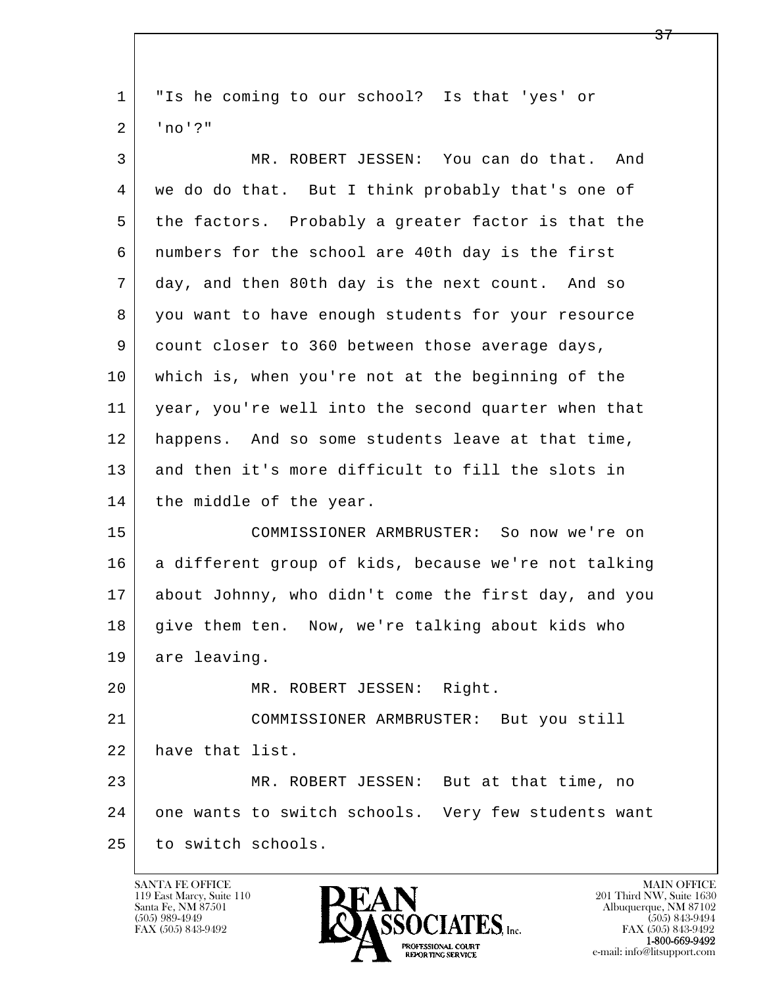l  $\overline{\phantom{a}}$  1 "Is he coming to our school? Is that 'yes' or 2 'no'?" 3 MR. ROBERT JESSEN: You can do that. And 4 we do do that. But I think probably that's one of 5 the factors. Probably a greater factor is that the 6 numbers for the school are 40th day is the first 7 day, and then 80th day is the next count. And so 8 you want to have enough students for your resource 9 count closer to 360 between those average days, 10 which is, when you're not at the beginning of the 11 year, you're well into the second quarter when that 12 happens. And so some students leave at that time, 13 and then it's more difficult to fill the slots in 14 the middle of the year. 15 COMMISSIONER ARMBRUSTER: So now we're on 16 a different group of kids, because we're not talking 17 about Johnny, who didn't come the first day, and you 18 give them ten. Now, we're talking about kids who 19 are leaving. 20 MR. ROBERT JESSEN: Right. 21 COMMISSIONER ARMBRUSTER: But you still 22 have that list. 23 MR. ROBERT JESSEN: But at that time, no 24 one wants to switch schools. Very few students want 25 to switch schools.

119 East Marcy, Suite 110<br>Santa Fe, NM 87501

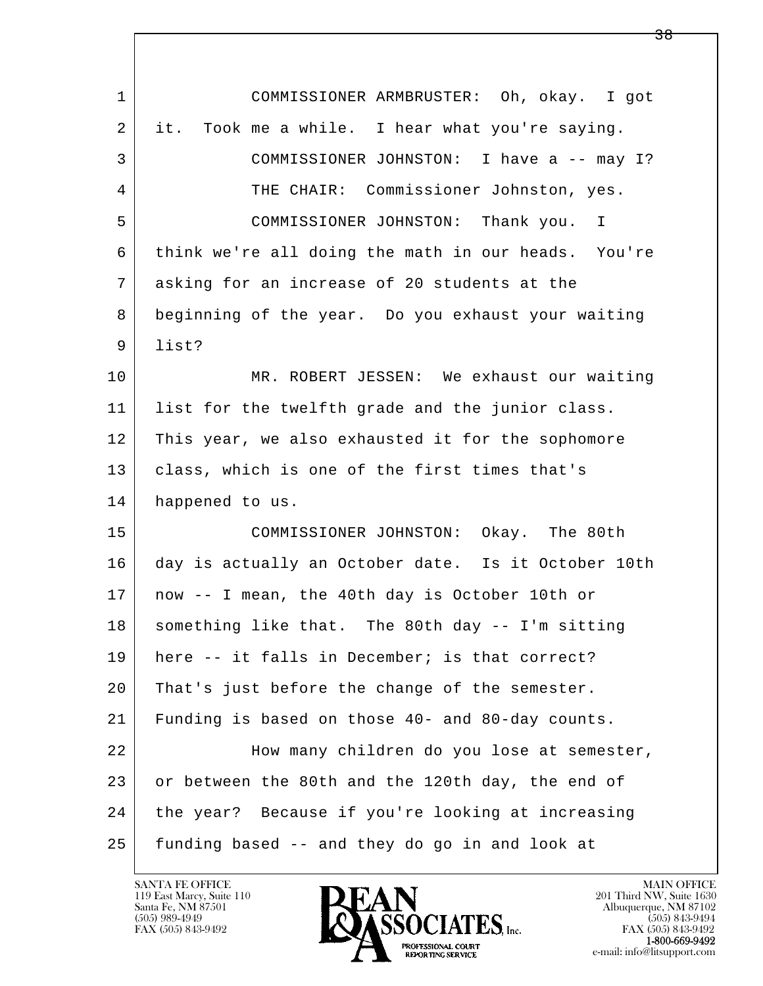| $\mathbf{1}$ | COMMISSIONER ARMBRUSTER: Oh, okay. I got            |
|--------------|-----------------------------------------------------|
| 2            | it. Took me a while. I hear what you're saying.     |
| 3            | COMMISSIONER JOHNSTON: I have a -- may I?           |
| 4            | THE CHAIR: Commissioner Johnston, yes.              |
| 5            | COMMISSIONER JOHNSTON: Thank you. I                 |
| 6            | think we're all doing the math in our heads. You're |
| 7            | asking for an increase of 20 students at the        |
| 8            | beginning of the year. Do you exhaust your waiting  |
| 9            | list?                                               |
| 10           | MR. ROBERT JESSEN: We exhaust our waiting           |
| 11           | list for the twelfth grade and the junior class.    |
| 12           | This year, we also exhausted it for the sophomore   |
| 13           | class, which is one of the first times that's       |
| 14           | happened to us.                                     |
| 15           | COMMISSIONER JOHNSTON: Okay. The 80th               |
| 16           | day is actually an October date. Is it October 10th |
| 17           | now -- I mean, the 40th day is October 10th or      |
| 18           | something like that. The 80th day -- I'm sitting    |
| 19           | here -- it falls in December; is that correct?      |
| 20           | That's just before the change of the semester.      |
| 21           | Funding is based on those 40- and 80-day counts.    |
| 22           | How many children do you lose at semester,          |
| 23           | or between the 80th and the 120th day, the end of   |
| 24           | the year? Because if you're looking at increasing   |
| 25           | funding based -- and they do go in and look at      |

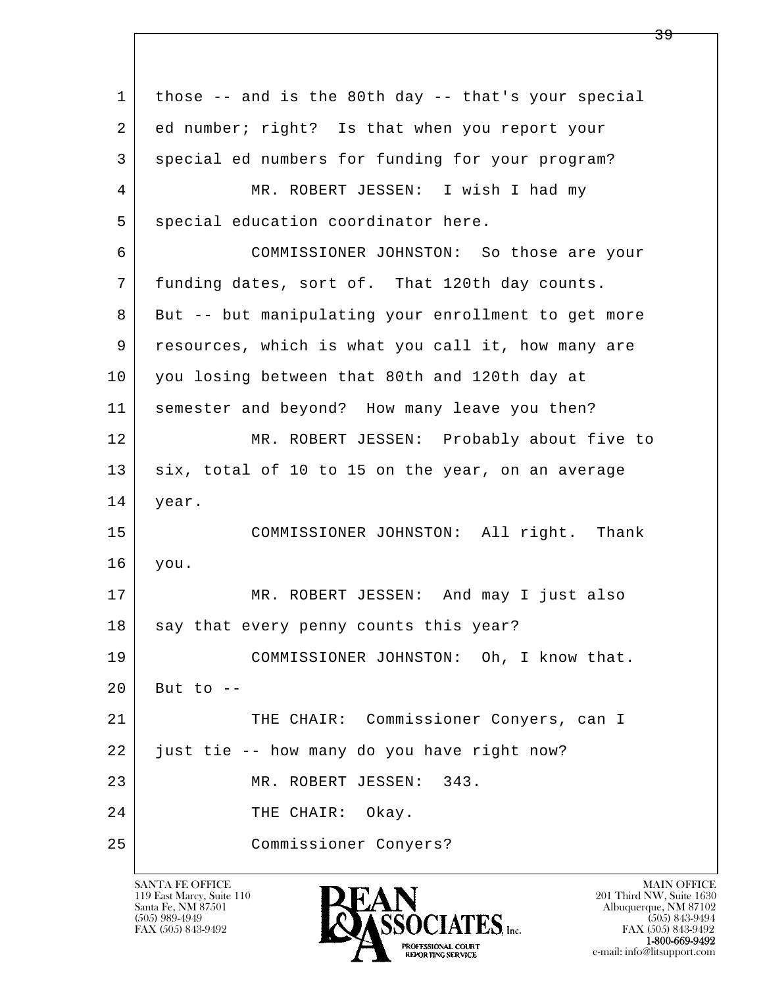l  $\overline{\phantom{a}}$  1 those -- and is the 80th day -- that's your special 2 ed number; right? Is that when you report your 3 special ed numbers for funding for your program? 4 MR. ROBERT JESSEN: I wish I had my 5 special education coordinator here. 6 COMMISSIONER JOHNSTON: So those are your 7 funding dates, sort of. That 120th day counts. 8 But -- but manipulating your enrollment to get more 9 resources, which is what you call it, how many are 10 you losing between that 80th and 120th day at 11 semester and beyond? How many leave you then? 12 MR. ROBERT JESSEN: Probably about five to 13 six, total of 10 to 15 on the year, on an average 14 year. 15 COMMISSIONER JOHNSTON: All right. Thank 16 you. 17 MR. ROBERT JESSEN: And may I just also 18 say that every penny counts this year? 19 COMMISSIONER JOHNSTON: Oh, I know that.  $20$  But to  $-$ 21 | THE CHAIR: Commissioner Conyers, can I 22 just tie -- how many do you have right now? 23 MR. ROBERT JESSEN: 343. 24 THE CHAIR: Okay. 25 Commissioner Conyers?

119 East Marcy, Suite 110<br>Santa Fe, NM 87501



FAX (505) 843-9492<br>1-800-669-9492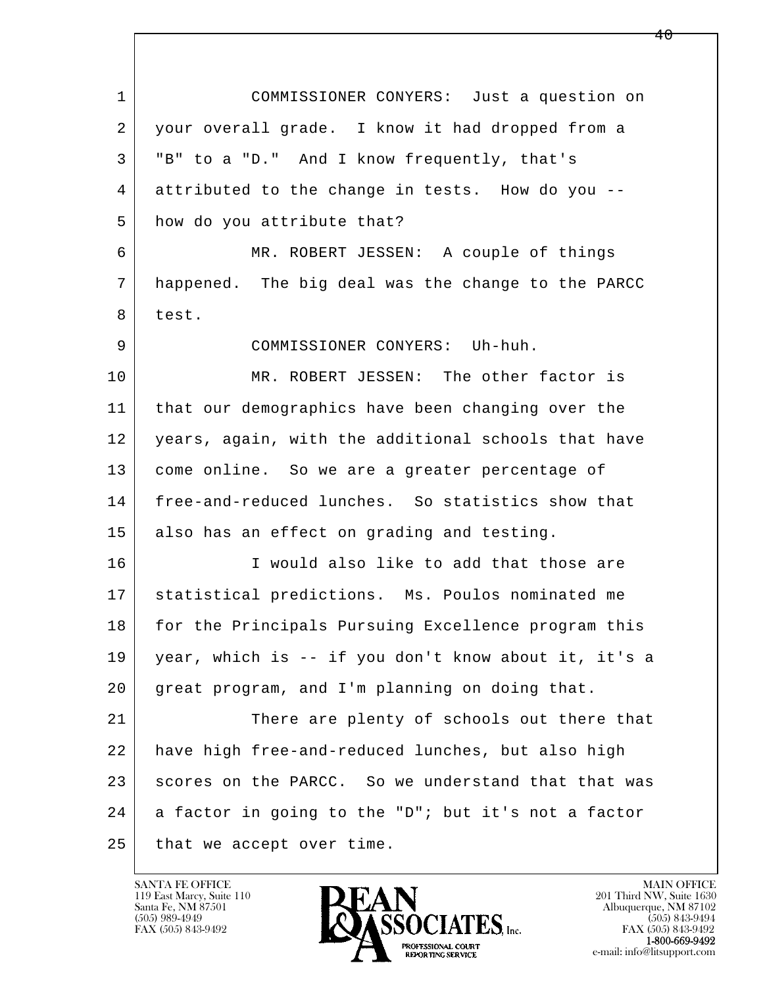l  $\overline{\phantom{a}}$  1 COMMISSIONER CONYERS: Just a question on 2 your overall grade. I know it had dropped from a 3 "B" to a "D." And I know frequently, that's 4 attributed to the change in tests. How do you -- 5 how do you attribute that? 6 MR. ROBERT JESSEN: A couple of things 7 happened. The big deal was the change to the PARCC 8 test. 9 COMMISSIONER CONYERS: Uh-huh. 10 | MR. ROBERT JESSEN: The other factor is 11 that our demographics have been changing over the 12 years, again, with the additional schools that have 13 come online. So we are a greater percentage of 14 free-and-reduced lunches. So statistics show that 15 also has an effect on grading and testing. 16 I would also like to add that those are 17 statistical predictions. Ms. Poulos nominated me 18 for the Principals Pursuing Excellence program this 19 year, which is -- if you don't know about it, it's a 20 great program, and I'm planning on doing that. 21 There are plenty of schools out there that 22 have high free-and-reduced lunches, but also high 23 scores on the PARCC. So we understand that that was  $24$  a factor in going to the "D"; but it's not a factor 25 that we accept over time.

119 East Marcy, Suite 110<br>Santa Fe, NM 87501



FAX (505) 843-9492<br>**1-800-669-9492**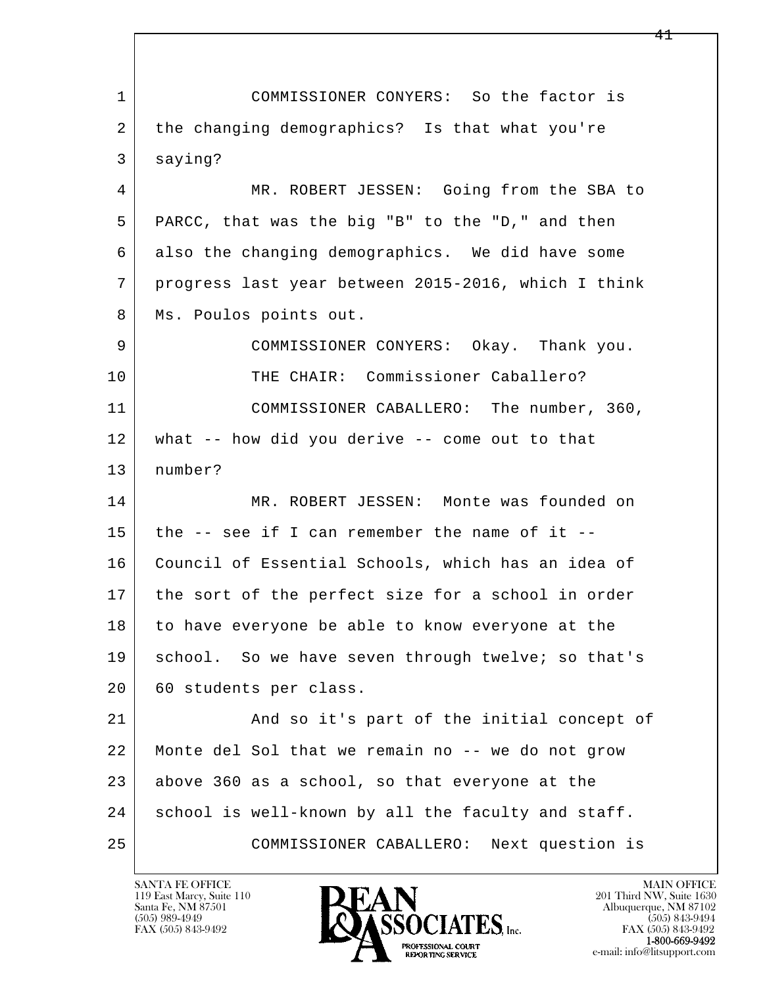l  $\overline{\phantom{a}}$  1 COMMISSIONER CONYERS: So the factor is 2 the changing demographics? Is that what you're 3 saying? 4 MR. ROBERT JESSEN: Going from the SBA to 5 PARCC, that was the big "B" to the "D," and then 6 also the changing demographics. We did have some 7 progress last year between 2015-2016, which I think 8 | Ms. Poulos points out. 9 COMMISSIONER CONYERS: Okay. Thank you. 10 THE CHAIR: Commissioner Caballero? 11 COMMISSIONER CABALLERO: The number, 360, 12 what -- how did you derive -- come out to that 13 number? 14 MR. ROBERT JESSEN: Monte was founded on  $15$  the  $-$  see if I can remember the name of it  $-$ 16 Council of Essential Schools, which has an idea of 17 the sort of the perfect size for a school in order 18 to have everyone be able to know everyone at the 19 | school. So we have seven through twelve; so that's 20 | 60 students per class. 21 | And so it's part of the initial concept of 22 Monte del Sol that we remain no -- we do not grow  $23$  above 360 as a school, so that everyone at the 24 school is well-known by all the faculty and staff. 25 COMMISSIONER CABALLERO: Next question is

119 East Marcy, Suite 110<br>Santa Fe, NM 87501



FAX (505) 843-9492<br>1-800-669-9492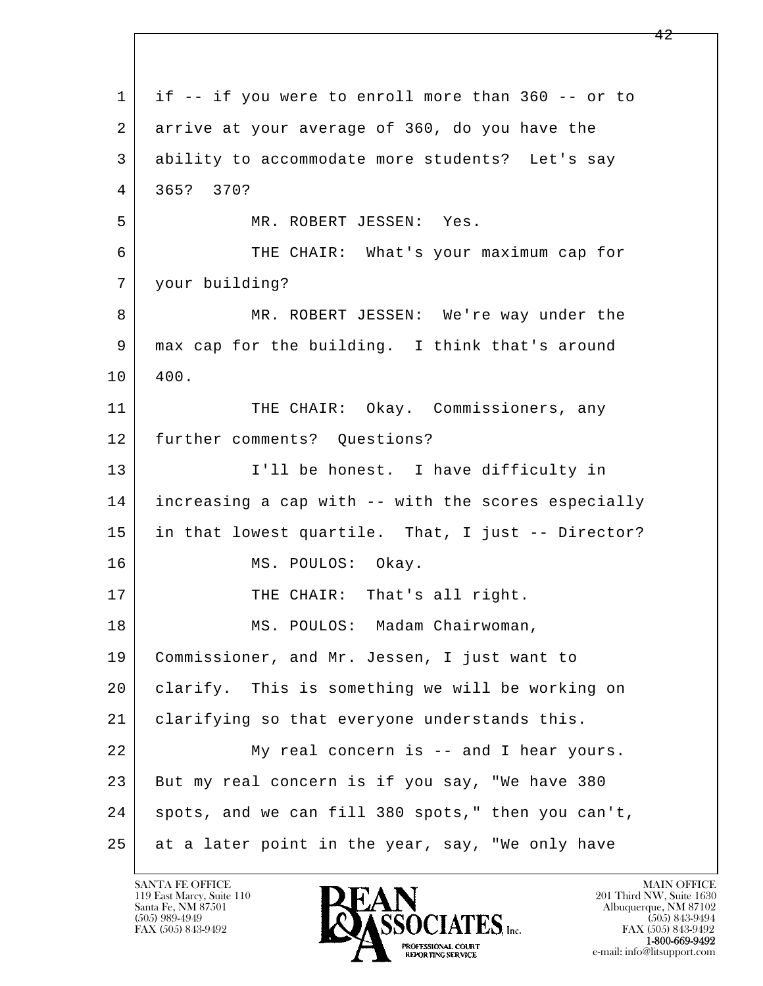l  $\overline{\phantom{a}}$  1 if -- if you were to enroll more than 360 -- or to 2 arrive at your average of 360, do you have the 3 ability to accommodate more students? Let's say 4 365? 370? 5 MR. ROBERT JESSEN: Yes. 6 THE CHAIR: What's your maximum cap for 7 your building? 8 MR. ROBERT JESSEN: We're way under the 9 max cap for the building. I think that's around  $10 | 400.$ 11 | THE CHAIR: Okay. Commissioners, any 12 further comments? Ouestions? 13 | I'll be honest. I have difficulty in 14 increasing a cap with -- with the scores especially 15 in that lowest quartile. That, I just -- Director? 16 MS. POULOS: Okay. 17 | THE CHAIR: That's all right. 18 | MS. POULOS: Madam Chairwoman, 19 Commissioner, and Mr. Jessen, I just want to 20 clarify. This is something we will be working on 21 | clarifying so that everyone understands this. 22 My real concern is -- and I hear yours. 23 But my real concern is if you say, "We have 380 24 spots, and we can fill 380 spots," then you can't, 25 at a later point in the year, say, "We only have

119 East Marcy, Suite 110<br>Santa Fe, NM 87501



FAX (505) 843-9492 FAX (505) 843-9492 e-mail: info@litsupport.com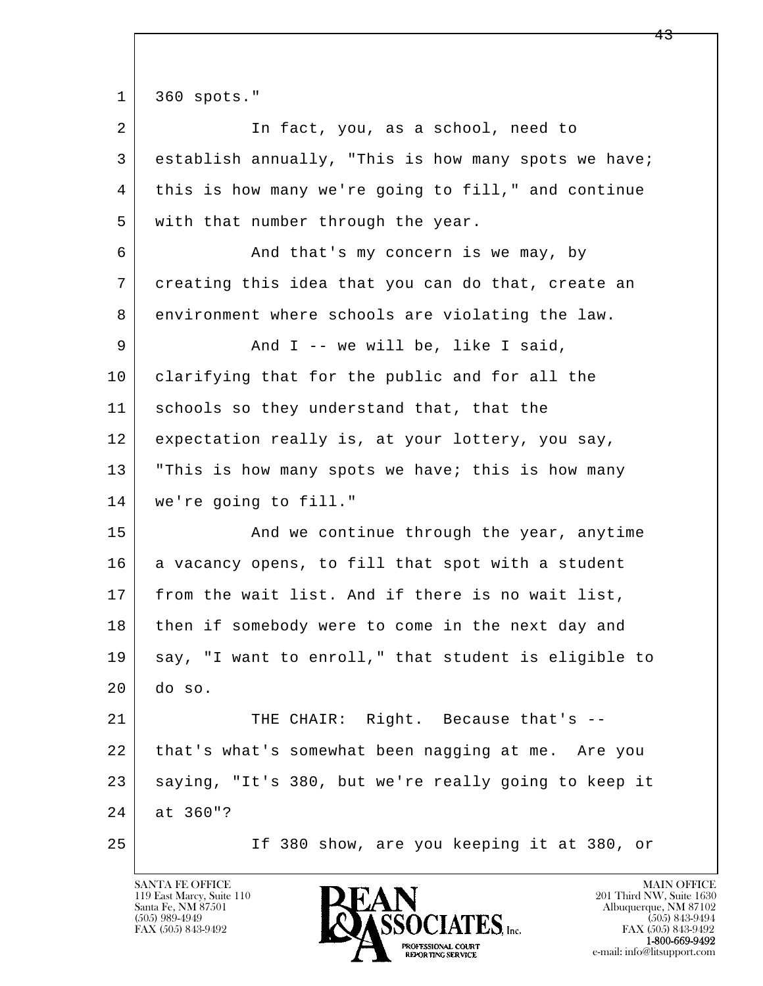l  $\overline{\phantom{a}}$  1 360 spots." 2 In fact, you, as a school, need to 3 establish annually, "This is how many spots we have; 4 this is how many we're going to fill," and continue 5 | with that number through the year. 6 And that's my concern is we may, by 7 creating this idea that you can do that, create an 8 environment where schools are violating the law. 9 And I -- we will be, like I said, 10 clarifying that for the public and for all the 11 | schools so they understand that, that the 12 expectation really is, at your lottery, you say, 13 | "This is how many spots we have; this is how many 14 we're going to fill." 15 | The Sand we continue through the year, anytime 16 a vacancy opens, to fill that spot with a student 17 from the wait list. And if there is no wait list, 18 then if somebody were to come in the next day and 19 say, "I want to enroll," that student is eligible to  $20$  do so. 21 THE CHAIR: Right. Because that's -- 22 that's what's somewhat been nagging at me. Are you 23 saying, "It's 380, but we're really going to keep it 24 at 360"? 25 If 380 show, are you keeping it at 380, or

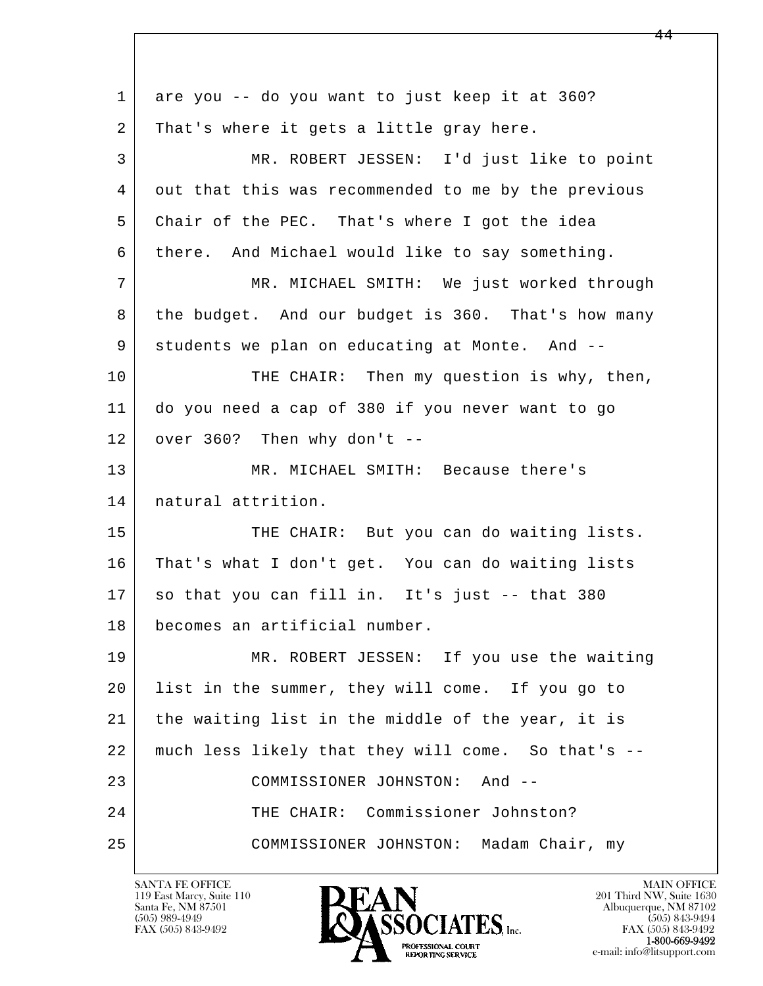| $\mathbf{1}$ | are you -- do you want to just keep it at 360?      |
|--------------|-----------------------------------------------------|
| 2            | That's where it gets a little gray here.            |
| 3            | MR. ROBERT JESSEN: I'd just like to point           |
| 4            | out that this was recommended to me by the previous |
| 5            | Chair of the PEC. That's where I got the idea       |
| 6            | there. And Michael would like to say something.     |
| 7            | MR. MICHAEL SMITH: We just worked through           |
| 8            | the budget. And our budget is 360. That's how many  |
| 9            | students we plan on educating at Monte. And --      |
| 10           | THE CHAIR: Then my question is why, then,           |
| 11           | do you need a cap of 380 if you never want to go    |
| 12           | over 360? Then why don't --                         |
| 13           | MR. MICHAEL SMITH: Because there's                  |
| 14           | natural attrition.                                  |
| 15           | THE CHAIR: But you can do waiting lists.            |
| 16           | That's what I don't get. You can do waiting lists   |
| 17           | so that you can fill in. It's just -- that 380      |
| 18           | becomes an artificial number.                       |
| 19           | MR. ROBERT JESSEN: If you use the waiting           |
| 20           | list in the summer, they will come. If you go to    |
| 21           | the waiting list in the middle of the year, it is   |
| 22           | much less likely that they will come. So that's --  |
| 23           | COMMISSIONER JOHNSTON:<br>And --                    |
| 24           | THE CHAIR: Commissioner Johnston?                   |
| 25           | COMMISSIONER JOHNSTON: Madam Chair, my              |

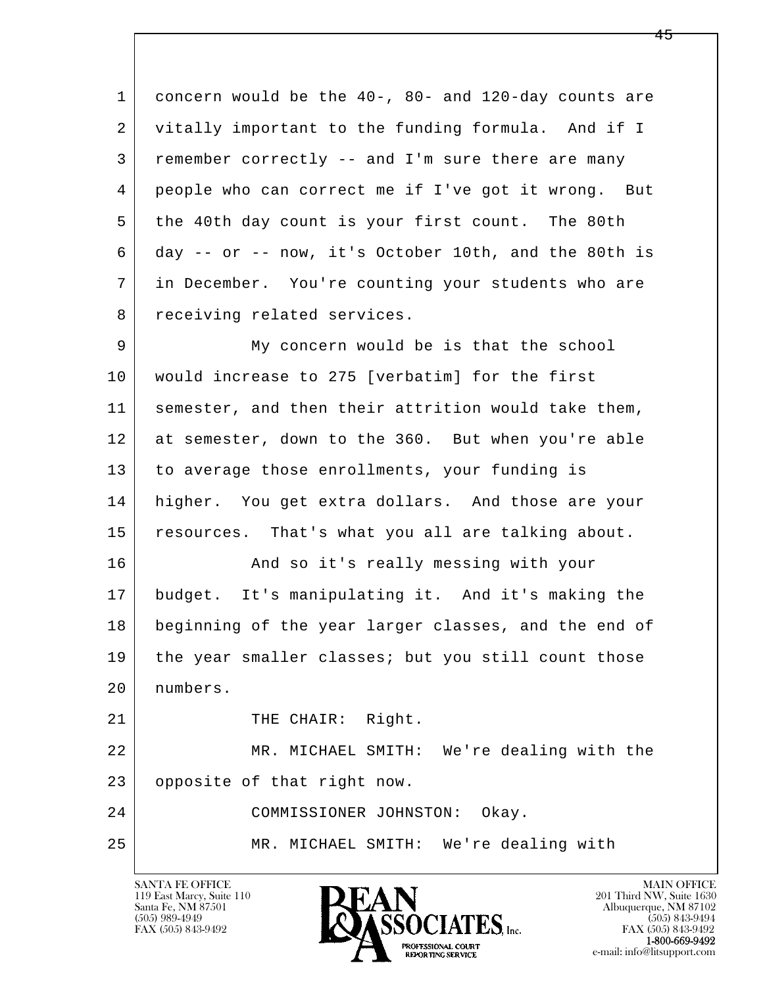1 concern would be the 40-, 80- and 120-day counts are 2 vitally important to the funding formula. And if I 3 remember correctly -- and I'm sure there are many 4 people who can correct me if I've got it wrong. But 5 the 40th day count is your first count. The 80th 6 day -- or -- now, it's October 10th, and the 80th is 7 in December. You're counting your students who are 8 receiving related services. 9 My concern would be is that the school

 10 would increase to 275 [verbatim] for the first 11 semester, and then their attrition would take them, 12 at semester, down to the 360. But when you're able 13 to average those enrollments, your funding is 14 | higher. You get extra dollars. And those are your 15 resources. That's what you all are talking about.

16 And so it's really messing with your 17 budget. It's manipulating it. And it's making the 18 beginning of the year larger classes, and the end of 19 | the year smaller classes; but you still count those 20 numbers.

21 | THE CHAIR: Right.

 22 MR. MICHAEL SMITH: We're dealing with the 23 opposite of that right now.

l  $\overline{\phantom{a}}$  24 COMMISSIONER JOHNSTON: Okay. 25 MR. MICHAEL SMITH: We're dealing with

119 East Marcy, Suite 110<br>Santa Fe, NM 87501

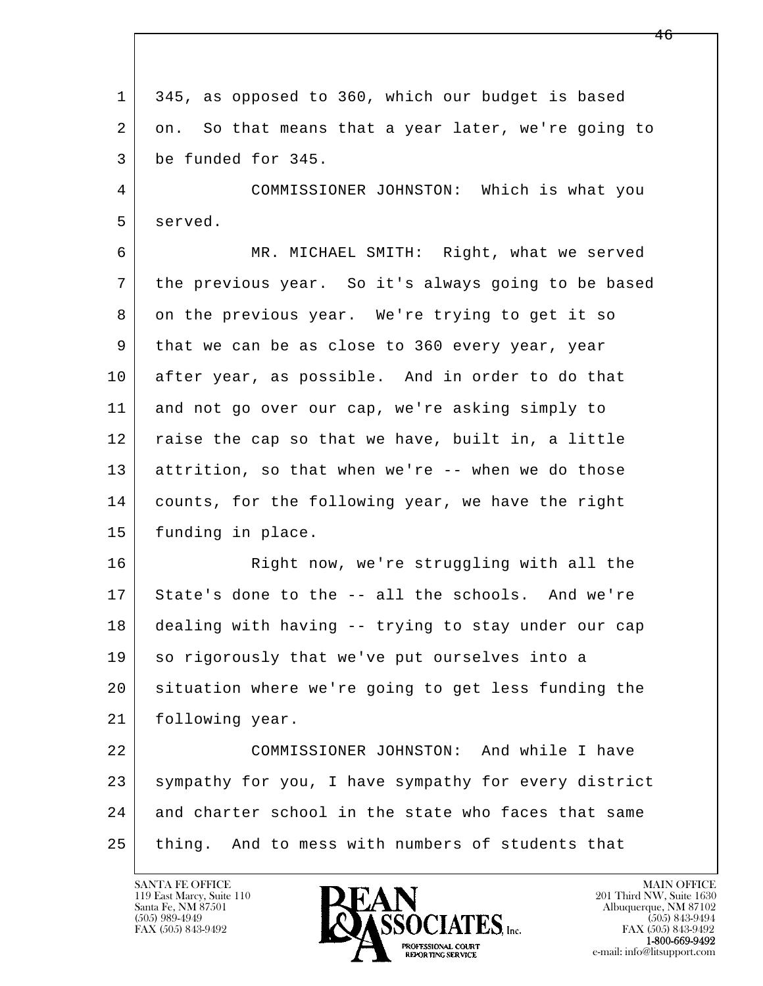1 345, as opposed to 360, which our budget is based 2 on. So that means that a year later, we're going to 3 be funded for 345.

 4 COMMISSIONER JOHNSTON: Which is what you 5 served.

 6 MR. MICHAEL SMITH: Right, what we served 7 the previous year. So it's always going to be based 8 on the previous year. We're trying to get it so 9 that we can be as close to 360 every year, year 10 after year, as possible. And in order to do that 11 and not go over our cap, we're asking simply to 12 raise the cap so that we have, built in, a little 13 attrition, so that when we're -- when we do those 14 counts, for the following year, we have the right 15 funding in place.

16 Right now, we're struggling with all the 17 State's done to the -- all the schools. And we're 18 dealing with having -- trying to stay under our cap 19 so rigorously that we've put ourselves into a 20 situation where we're going to get less funding the 21 following year.

l  $\overline{\phantom{a}}$  22 COMMISSIONER JOHNSTON: And while I have 23 sympathy for you, I have sympathy for every district 24 and charter school in the state who faces that same 25 thing. And to mess with numbers of students that

119 East Marcy, Suite 110<br>Santa Fe, NM 87501

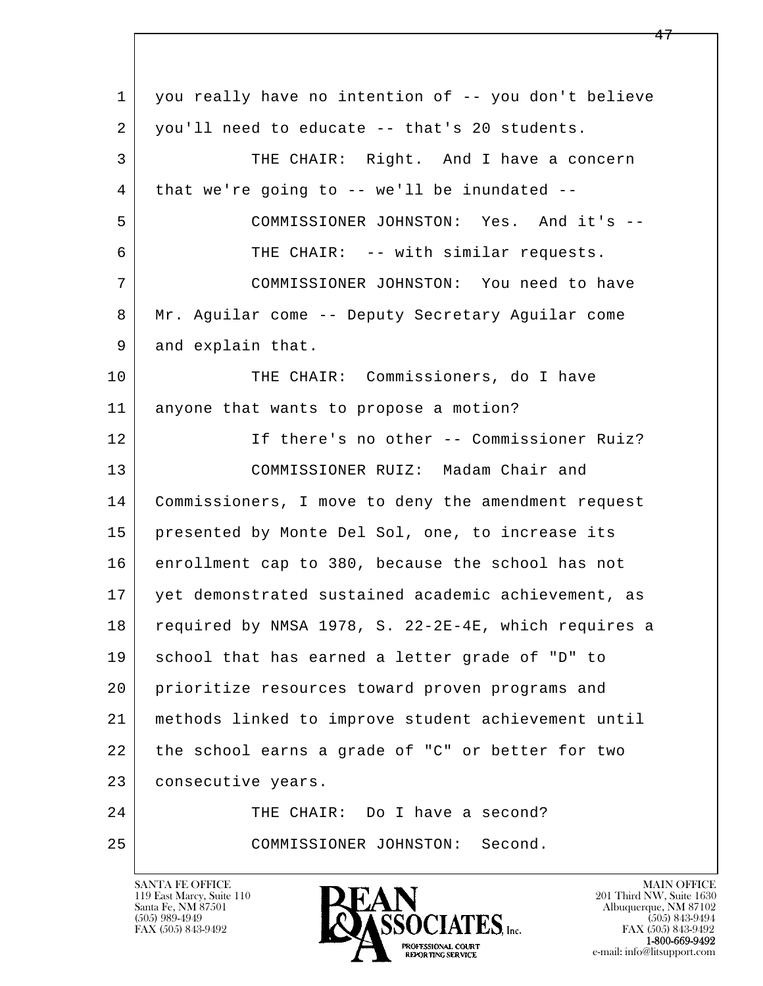l  $\overline{\phantom{a}}$  1 you really have no intention of -- you don't believe 2 you'll need to educate -- that's 20 students. 3 THE CHAIR: Right. And I have a concern  $4$  that we're going to -- we'll be inundated -- 5 COMMISSIONER JOHNSTON: Yes. And it's -- 6 THE CHAIR: -- with similar requests. 7 COMMISSIONER JOHNSTON: You need to have 8 Mr. Aguilar come -- Deputy Secretary Aguilar come 9 and explain that. 10 THE CHAIR: Commissioners, do I have 11 anyone that wants to propose a motion? 12 If there's no other -- Commissioner Ruiz? 13 COMMISSIONER RUIZ: Madam Chair and 14 Commissioners, I move to deny the amendment request 15 presented by Monte Del Sol, one, to increase its 16 enrollment cap to 380, because the school has not 17 yet demonstrated sustained academic achievement, as 18 required by NMSA 1978, S. 22-2E-4E, which requires a 19 school that has earned a letter grade of "D" to 20 prioritize resources toward proven programs and 21 methods linked to improve student achievement until 22 the school earns a grade of "C" or better for two 23 | consecutive years. 24 THE CHAIR: Do I have a second? 25 COMMISSIONER JOHNSTON: Second.

119 East Marcy, Suite 110<br>Santa Fe, NM 87501



FAX (505) 843-9492<br>1-800-669-9492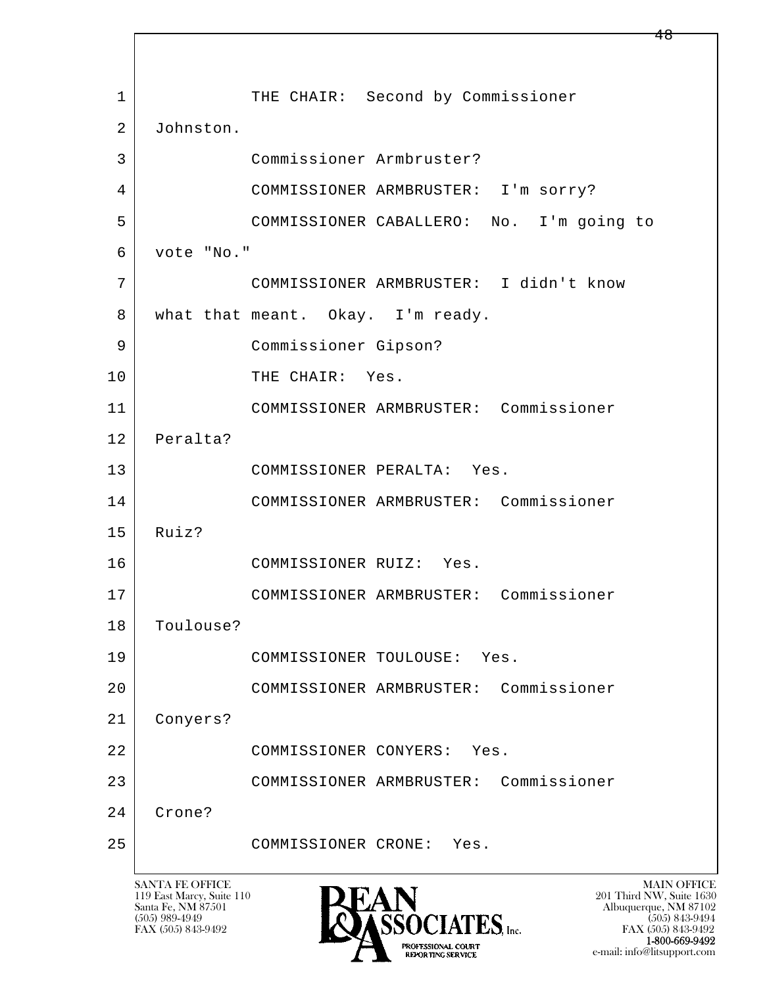l  $\overline{\phantom{a}}$ 1 THE CHAIR: Second by Commissioner 2 Johnston. 3 Commissioner Armbruster? 4 COMMISSIONER ARMBRUSTER: I'm sorry? 5 COMMISSIONER CABALLERO: No. I'm going to 6 vote "No." 7 COMMISSIONER ARMBRUSTER: I didn't know 8 | what that meant. Okay. I'm ready. 9 Commissioner Gipson? 10 THE CHAIR: Yes. 11 COMMISSIONER ARMBRUSTER: Commissioner 12 Peralta? 13 COMMISSIONER PERALTA: Yes. 14 COMMISSIONER ARMBRUSTER: Commissioner 15 Ruiz? 16 COMMISSIONER RUIZ: Yes. 17 COMMISSIONER ARMBRUSTER: Commissioner 18 Toulouse? 19 COMMISSIONER TOULOUSE: Yes. 20 COMMISSIONER ARMBRUSTER: Commissioner 21 Conyers? 22 COMMISSIONER CONYERS: Yes. 23 COMMISSIONER ARMBRUSTER: Commissioner 24 Crone? 25 COMMISSIONER CRONE: Yes.

119 East Marcy, Suite 110<br>Santa Fe, NM 87501



FAX (505) 843-9492<br>**1-800-669-9492** e-mail: info@litsupport.com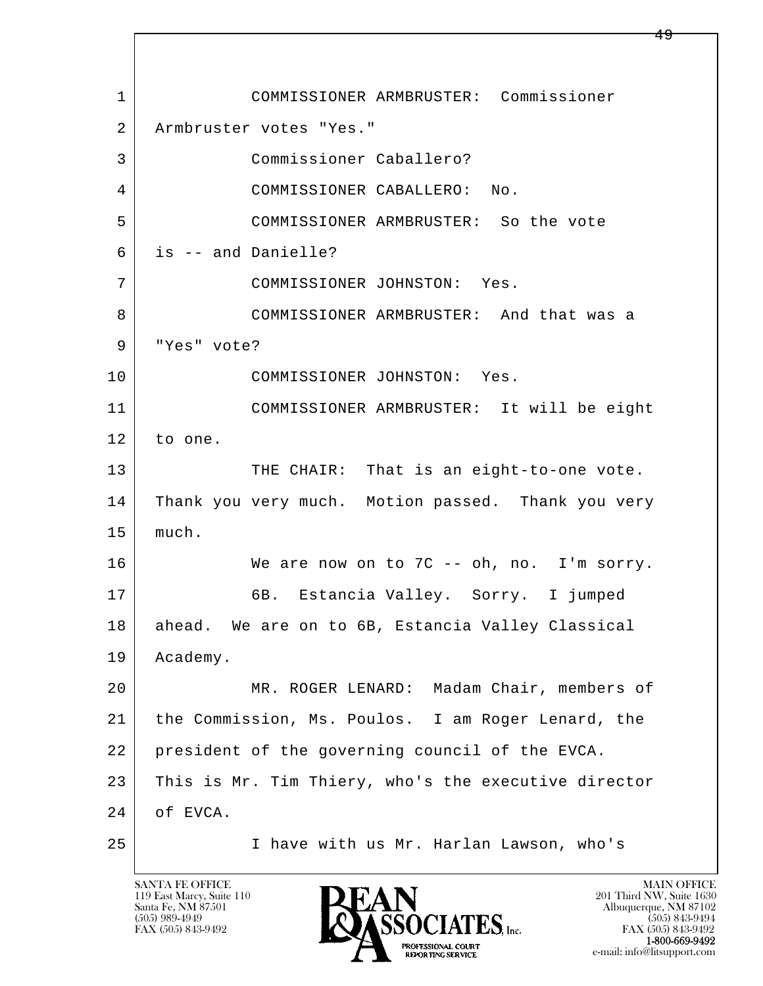l  $\overline{\phantom{a}}$  1 COMMISSIONER ARMBRUSTER: Commissioner 2 Armbruster votes "Yes." 3 Commissioner Caballero? 4 COMMISSIONER CABALLERO: No. 5 COMMISSIONER ARMBRUSTER: So the vote 6 is -- and Danielle? 7 COMMISSIONER JOHNSTON: Yes. 8 COMMISSIONER ARMBRUSTER: And that was a 9 "Yes" vote? 10 COMMISSIONER JOHNSTON: Yes. 11 COMMISSIONER ARMBRUSTER: It will be eight 12 to one. 13 THE CHAIR: That is an eight-to-one vote. 14 Thank you very much. Motion passed. Thank you very 15 | much. 16 We are now on to 7C -- oh, no. I'm sorry. 17 | 6B. Estancia Valley. Sorry. I jumped 18 ahead. We are on to 6B, Estancia Valley Classical 19 Academy. 20 MR. ROGER LENARD: Madam Chair, members of 21 the Commission, Ms. Poulos. I am Roger Lenard, the 22 president of the governing council of the EVCA. 23 This is Mr. Tim Thiery, who's the executive director 24 of EVCA. 25 I have with us Mr. Harlan Lawson, who's

119 East Marcy, Suite 110<br>Santa Fe, NM 87501

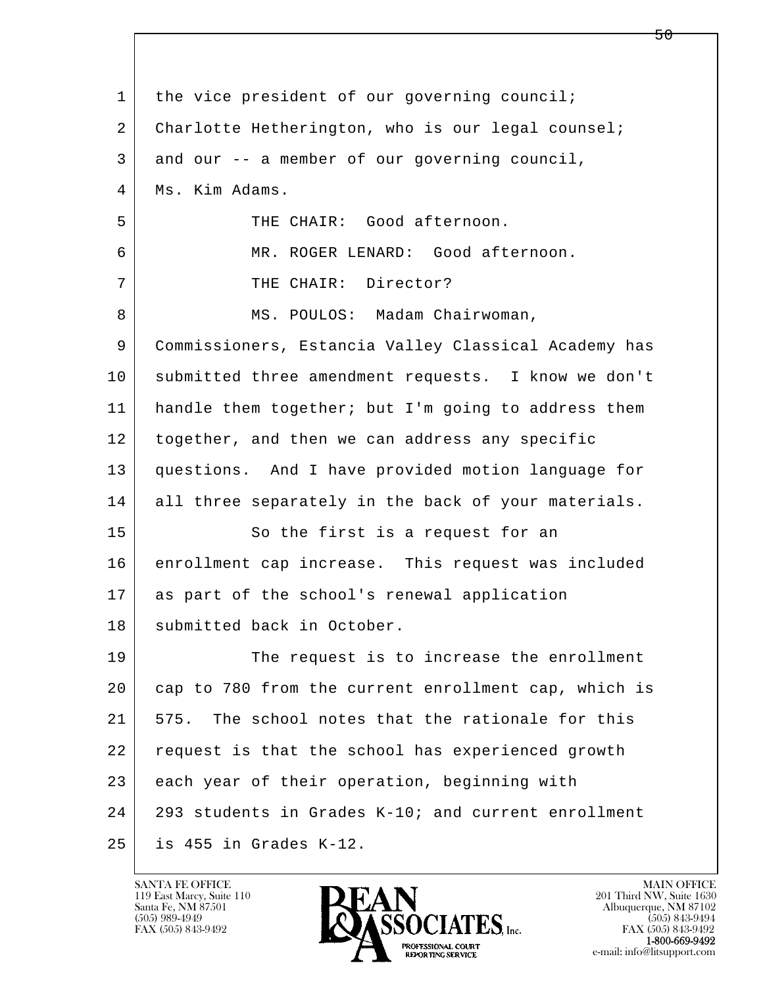| $\mathbf 1$ | the vice president of our governing council;         |
|-------------|------------------------------------------------------|
| 2           | Charlotte Hetherington, who is our legal counsel;    |
| 3           | and our -- a member of our governing council,        |
| 4           | Ms. Kim Adams.                                       |
| 5           | THE CHAIR: Good afternoon.                           |
| 6           | MR. ROGER LENARD: Good afternoon.                    |
| 7           | THE CHAIR: Director?                                 |
| 8           | MS. POULOS: Madam Chairwoman,                        |
| 9           | Commissioners, Estancia Valley Classical Academy has |
| 10          | submitted three amendment requests. I know we don't  |
| 11          | handle them together; but I'm going to address them  |
| 12          | together, and then we can address any specific       |
| 13          | questions. And I have provided motion language for   |
| 14          | all three separately in the back of your materials.  |
| 15          | So the first is a request for an                     |
| 16          | enrollment cap increase. This request was included   |
| 17          | as part of the school's renewal application          |
| 18          | submitted back in October.                           |
| 19          | The request is to increase the enrollment            |
| 20          | cap to 780 from the current enrollment cap, which is |
| 21          | The school notes that the rationale for this<br>575. |
| 22          | request is that the school has experienced growth    |
| 23          | each year of their operation, beginning with         |
| 24          | 293 students in Grades K-10; and current enrollment  |
| 25          | is 455 in Grades K-12.                               |

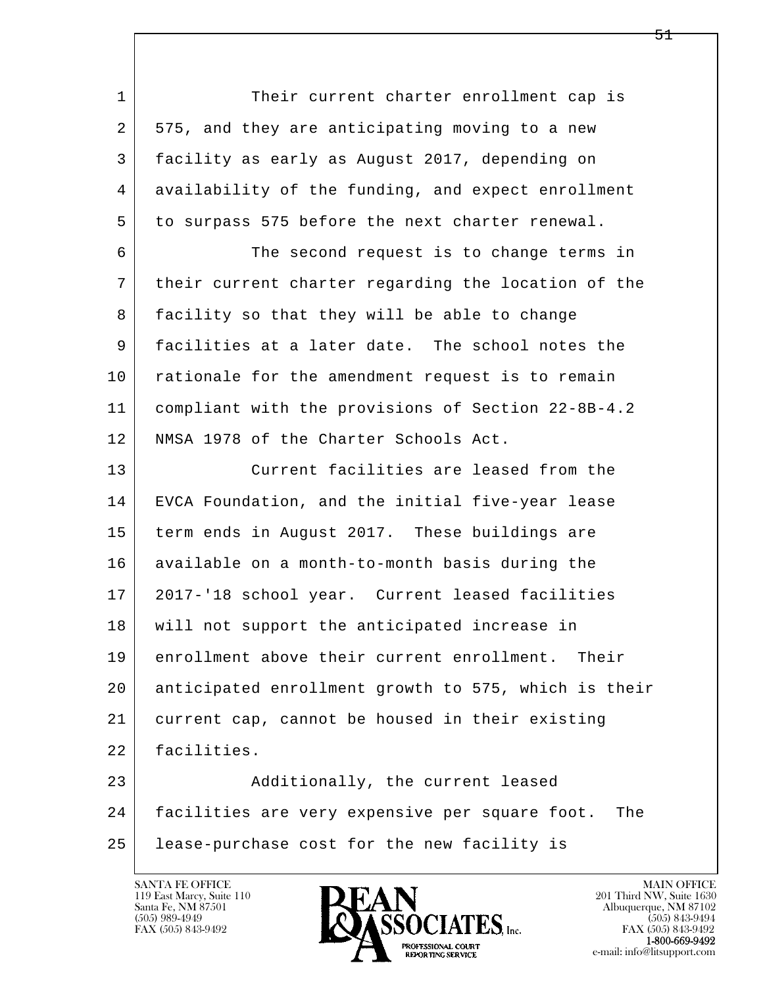l  $\overline{\phantom{a}}$ 1 Their current charter enrollment cap is 2 575, and they are anticipating moving to a new 3 facility as early as August 2017, depending on 4 availability of the funding, and expect enrollment 5 to surpass 575 before the next charter renewal. 6 The second request is to change terms in 7 their current charter regarding the location of the 8 facility so that they will be able to change 9 facilities at a later date. The school notes the 10 | rationale for the amendment request is to remain 11 compliant with the provisions of Section 22-8B-4.2 12 NMSA 1978 of the Charter Schools Act. 13 Current facilities are leased from the 14 EVCA Foundation, and the initial five-year lease 15 term ends in August 2017. These buildings are 16 available on a month-to-month basis during the 17 2017-'18 school year. Current leased facilities 18 will not support the anticipated increase in 19 enrollment above their current enrollment. Their 20 anticipated enrollment growth to 575, which is their 21 current cap, cannot be housed in their existing 22 facilities. 23 Additionally, the current leased 24 facilities are very expensive per square foot. The 25 lease-purchase cost for the new facility is

119 East Marcy, Suite 110<br>Santa Fe, NM 87501

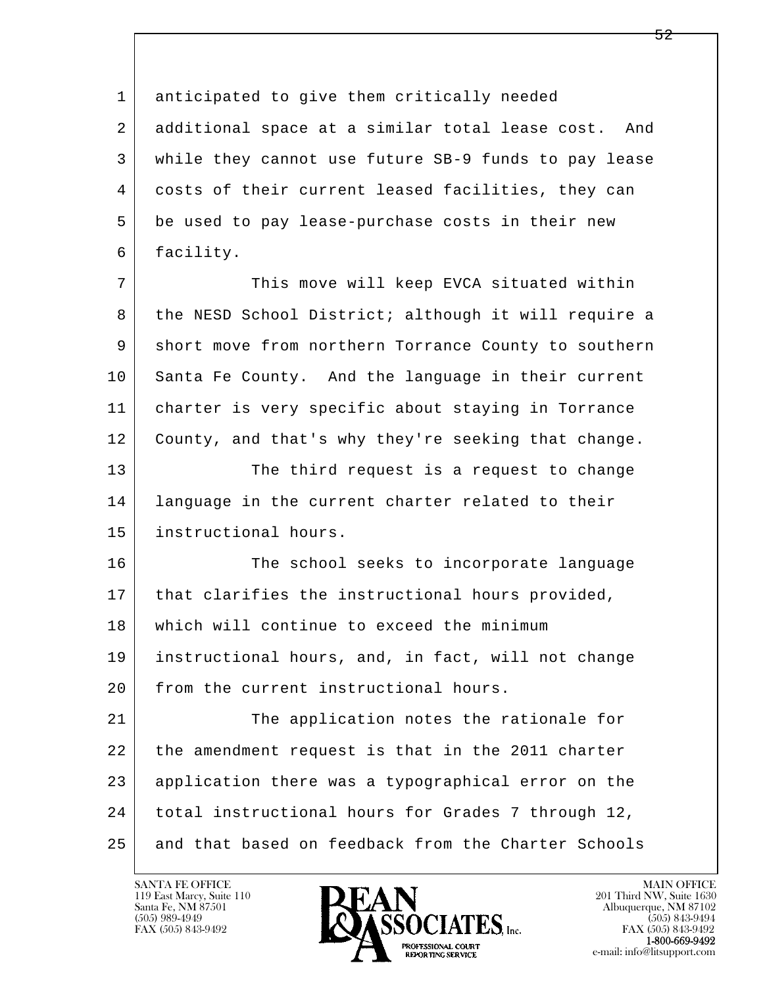1 anticipated to give them critically needed 2 additional space at a similar total lease cost. And 3 while they cannot use future SB-9 funds to pay lease 4 costs of their current leased facilities, they can 5 be used to pay lease-purchase costs in their new 6 facility.

7 This move will keep EVCA situated within 8 the NESD School District; although it will require a 9 short move from northern Torrance County to southern 10 Santa Fe County. And the language in their current 11 charter is very specific about staying in Torrance 12 | County, and that's why they're seeking that change. 13 The third request is a request to change 14 language in the current charter related to their 15 instructional hours.

16 The school seeks to incorporate language 17 | that clarifies the instructional hours provided, 18 which will continue to exceed the minimum 19 instructional hours, and, in fact, will not change 20 from the current instructional hours.

l  $\overline{\phantom{a}}$ 21 The application notes the rationale for 22 the amendment request is that in the 2011 charter 23 application there was a typographical error on the 24 total instructional hours for Grades 7 through 12, 25 and that based on feedback from the Charter Schools

119 East Marcy, Suite 110<br>Santa Fe, NM 87501



FAX (505) 843-9492<br>**1-800-669-9492**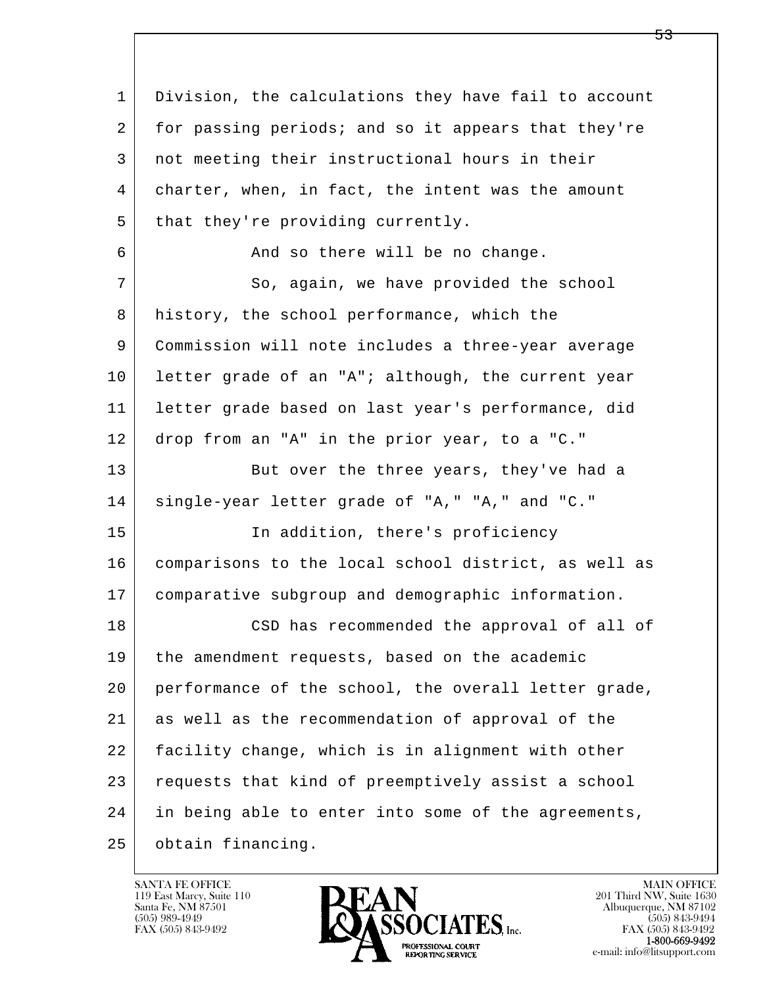l  $\overline{\phantom{a}}$  1 Division, the calculations they have fail to account 2 for passing periods; and so it appears that they're 3 not meeting their instructional hours in their 4 charter, when, in fact, the intent was the amount  $5$  that they're providing currently. 6 | Rand so there will be no change. 7 So, again, we have provided the school 8 history, the school performance, which the 9 Commission will note includes a three-year average 10 letter grade of an "A"; although, the current year 11 letter grade based on last year's performance, did 12 drop from an "A" in the prior year, to a "C." 13 But over the three years, they've had a 14 single-year letter grade of "A," "A," and "C." 15 | The addition, there's proficiency 16 comparisons to the local school district, as well as 17 comparative subgroup and demographic information. 18 | CSD has recommended the approval of all of 19 the amendment requests, based on the academic 20 performance of the school, the overall letter grade, 21 as well as the recommendation of approval of the 22 facility change, which is in alignment with other 23 requests that kind of preemptively assist a school 24 in being able to enter into some of the agreements, 25 obtain financing.

119 East Marcy, Suite 110<br>Santa Fe, NM 87501

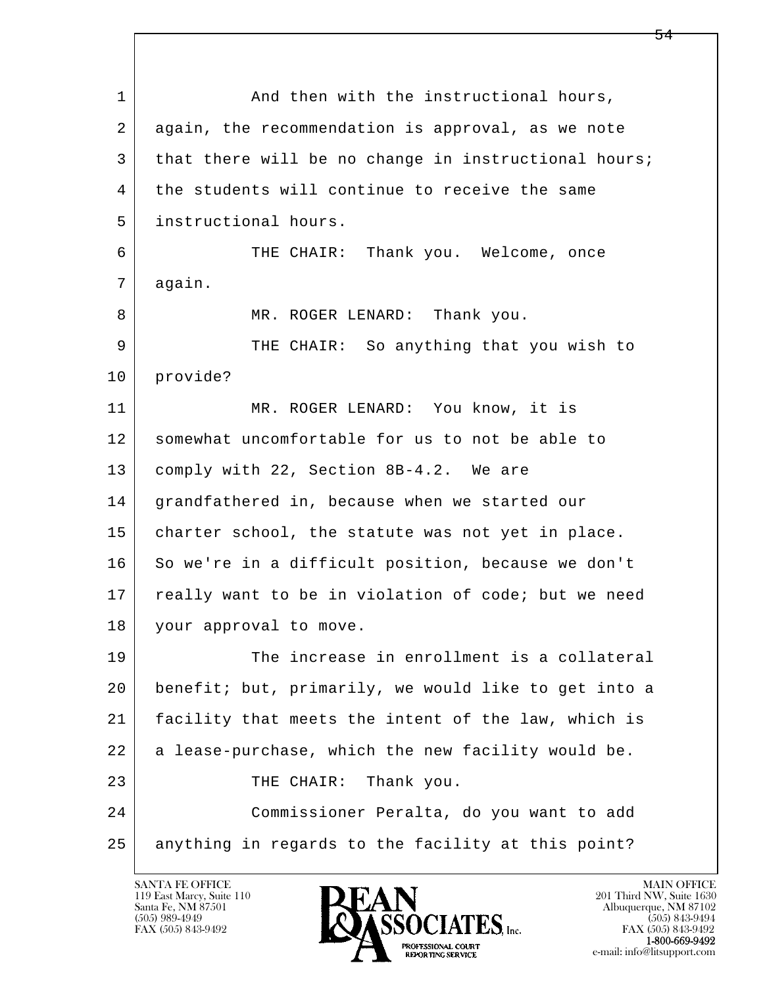l  $\overline{\phantom{a}}$ 1 and then with the instructional hours, 2 again, the recommendation is approval, as we note 3 that there will be no change in instructional hours; 4 the students will continue to receive the same 5 instructional hours. 6 THE CHAIR: Thank you. Welcome, once 7 again. 8 MR. ROGER LENARD: Thank you. 9 THE CHAIR: So anything that you wish to 10 provide? 11 | MR. ROGER LENARD: You know, it is 12 somewhat uncomfortable for us to not be able to 13 comply with 22, Section 8B-4.2. We are 14 grandfathered in, because when we started our 15 | charter school, the statute was not yet in place. 16 So we're in a difficult position, because we don't 17 | really want to be in violation of code; but we need 18 your approval to move. 19 The increase in enrollment is a collateral 20 benefit; but, primarily, we would like to get into a 21 facility that meets the intent of the law, which is 22 a lease-purchase, which the new facility would be. 23 THE CHAIR: Thank you. 24 Commissioner Peralta, do you want to add 25 | anything in regards to the facility at this point?

119 East Marcy, Suite 110<br>Santa Fe, NM 87501

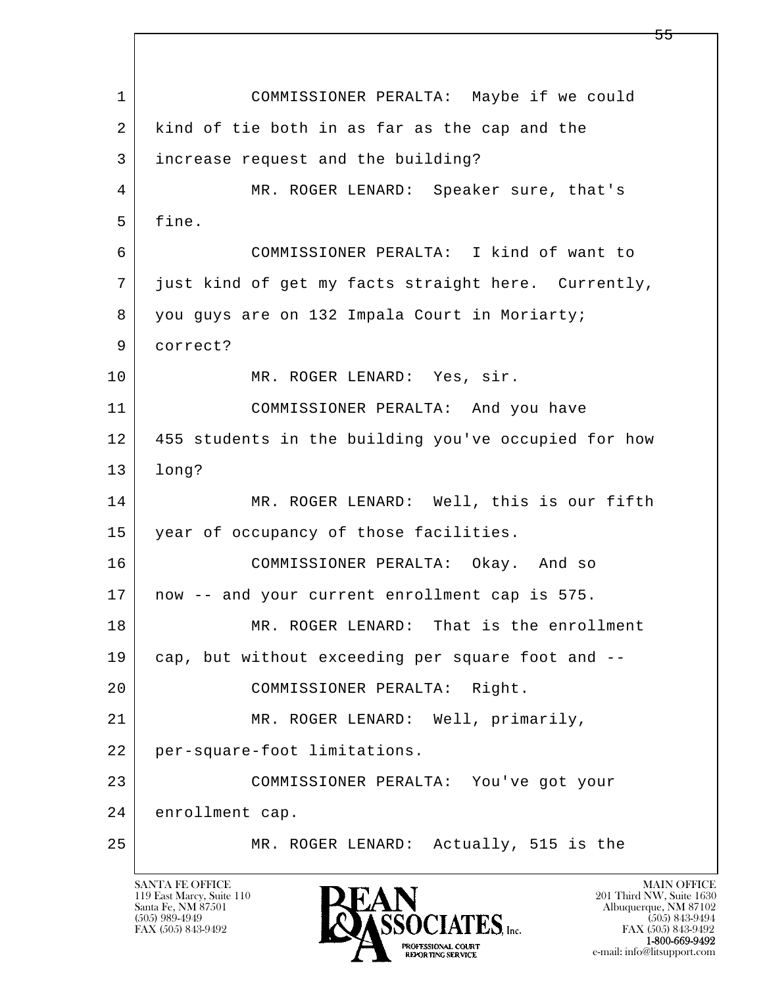l  $\overline{\phantom{a}}$  1 COMMISSIONER PERALTA: Maybe if we could 2 kind of tie both in as far as the cap and the 3 increase request and the building? 4 MR. ROGER LENARD: Speaker sure, that's 5 fine. 6 COMMISSIONER PERALTA: I kind of want to 7 just kind of get my facts straight here. Currently, 8 you guys are on 132 Impala Court in Moriarty; 9 correct? 10 MR. ROGER LENARD: Yes, sir. 11 COMMISSIONER PERALTA: And you have 12 455 students in the building you've occupied for how 13 long? 14 MR. ROGER LENARD: Well, this is our fifth 15 year of occupancy of those facilities. 16 COMMISSIONER PERALTA: Okay. And so 17 now -- and your current enrollment cap is 575. 18 MR. ROGER LENARD: That is the enrollment 19 cap, but without exceeding per square foot and -- 20 COMMISSIONER PERALTA: Right. 21 MR. ROGER LENARD: Well, primarily, 22 per-square-foot limitations. 23 COMMISSIONER PERALTA: You've got your 24 enrollment cap. 25 MR. ROGER LENARD: Actually, 515 is the

119 East Marcy, Suite 110<br>Santa Fe, NM 87501

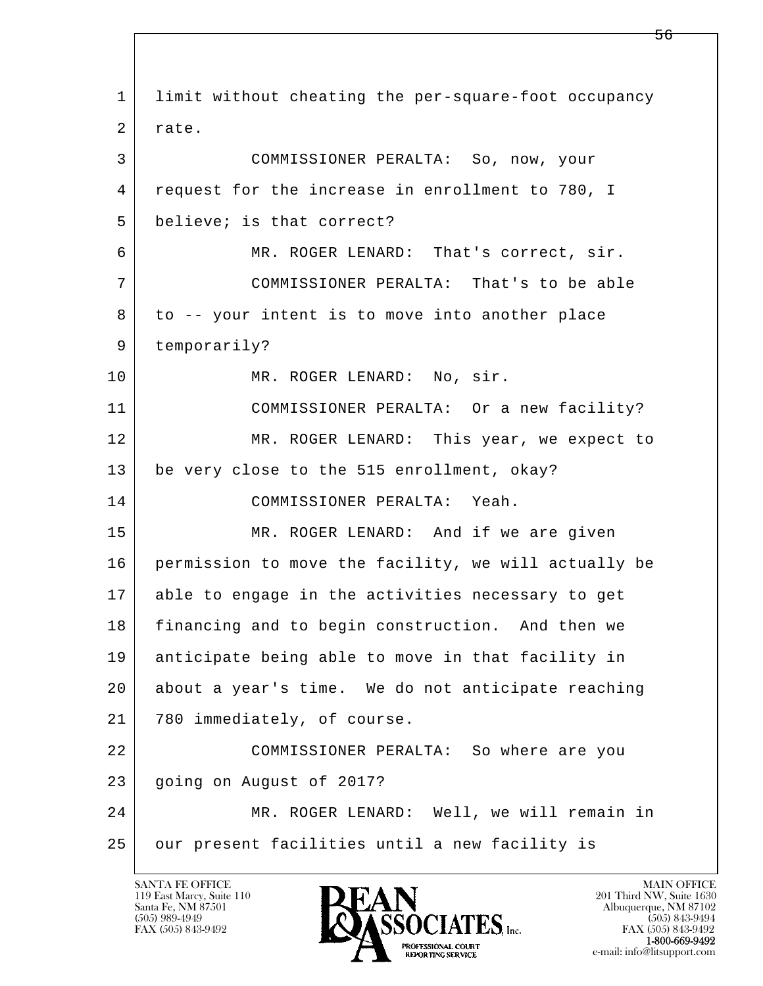l  $\overline{\phantom{a}}$  1 limit without cheating the per-square-foot occupancy 2 rate. 3 COMMISSIONER PERALTA: So, now, your 4 request for the increase in enrollment to 780, I 5 believe; is that correct? 6 MR. ROGER LENARD: That's correct, sir. 7 COMMISSIONER PERALTA: That's to be able 8 to -- your intent is to move into another place 9 temporarily? 10 MR. ROGER LENARD: No, sir. 11 COMMISSIONER PERALTA: Or a new facility? 12 MR. ROGER LENARD: This year, we expect to 13 be very close to the 515 enrollment, okay? 14 COMMISSIONER PERALTA: Yeah. 15 MR. ROGER LENARD: And if we are given 16 permission to move the facility, we will actually be 17 able to engage in the activities necessary to get 18 financing and to begin construction. And then we 19 anticipate being able to move in that facility in 20 about a year's time. We do not anticipate reaching 21 780 immediately, of course. 22 COMMISSIONER PERALTA: So where are you 23 | going on August of 2017? 24 MR. ROGER LENARD: Well, we will remain in 25 our present facilities until a new facility is

119 East Marcy, Suite 110<br>Santa Fe, NM 87501

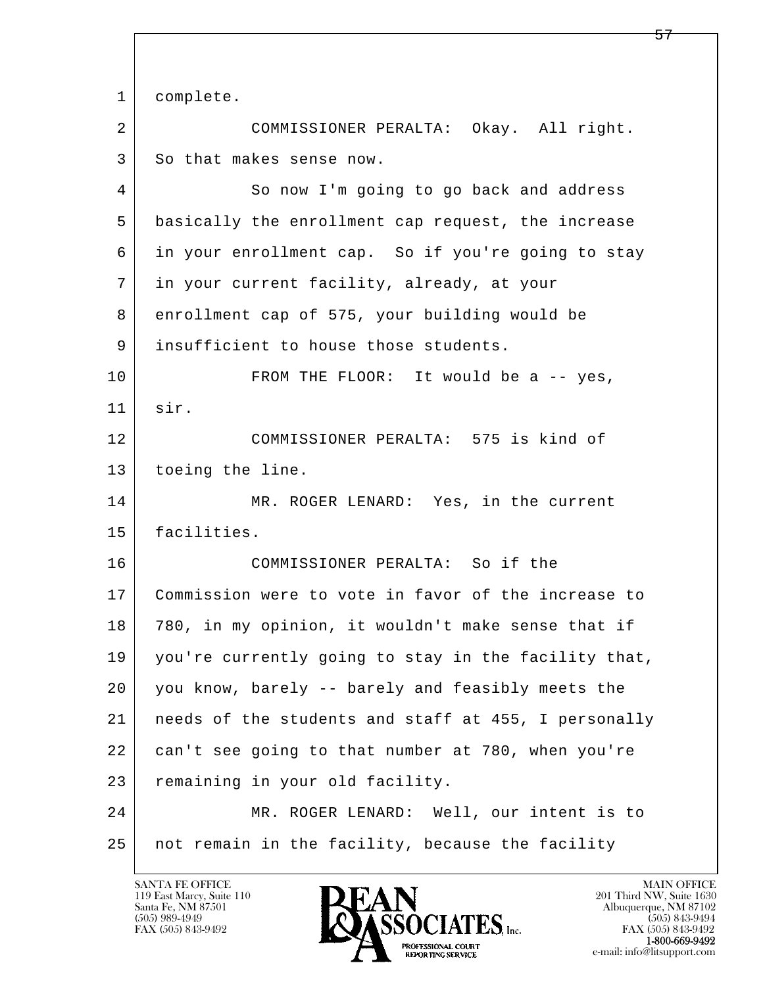l  $\overline{\phantom{a}}$  1 complete. 2 COMMISSIONER PERALTA: Okay. All right. 3 So that makes sense now. 4 So now I'm going to go back and address 5 basically the enrollment cap request, the increase 6 in your enrollment cap. So if you're going to stay 7 in your current facility, already, at your 8 enrollment cap of 575, your building would be 9 insufficient to house those students. 10 FROM THE FLOOR: It would be a -- yes, 11 sir. 12 COMMISSIONER PERALTA: 575 is kind of 13 | toeing the line. 14 MR. ROGER LENARD: Yes, in the current 15 facilities. 16 COMMISSIONER PERALTA: So if the 17 Commission were to vote in favor of the increase to 18 780, in my opinion, it wouldn't make sense that if 19 you're currently going to stay in the facility that, 20 you know, barely -- barely and feasibly meets the 21 needs of the students and staff at 455, I personally 22 can't see going to that number at 780, when you're 23 remaining in your old facility. 24 | MR. ROGER LENARD: Well, our intent is to 25 not remain in the facility, because the facility

119 East Marcy, Suite 110<br>Santa Fe, NM 87501

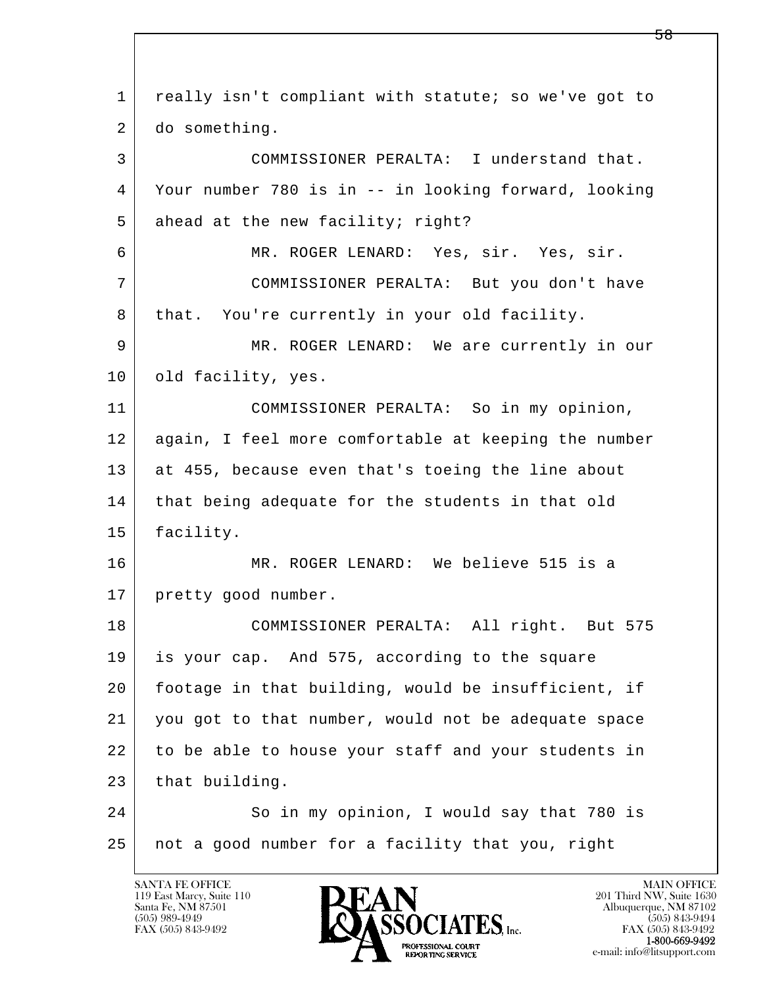| $\mathbf{1}$ | really isn't compliant with statute; so we've got to |
|--------------|------------------------------------------------------|
| 2            | do something.                                        |
| 3            | COMMISSIONER PERALTA: I understand that.             |
| 4            | Your number 780 is in -- in looking forward, looking |
| 5            | ahead at the new facility; right?                    |
| 6            | MR. ROGER LENARD: Yes, sir. Yes, sir.                |
| 7            | COMMISSIONER PERALTA: But you don't have             |
| 8            | that. You're currently in your old facility.         |
| 9            | MR. ROGER LENARD: We are currently in our            |
| 10           | old facility, yes.                                   |
| 11           | COMMISSIONER PERALTA: So in my opinion,              |
| 12           | again, I feel more comfortable at keeping the number |
| 13           | at 455, because even that's toeing the line about    |
| 14           | that being adequate for the students in that old     |
| 15           | facility.                                            |
| 16           | MR. ROGER LENARD: We believe 515 is a                |
| 17           | pretty good number.                                  |
| 18           | COMMISSIONER PERALTA: All right. But 575             |
| 19           | is your cap. And 575, according to the square        |
| 20           | footage in that building, would be insufficient, if  |
| 21           | you got to that number, would not be adequate space  |
| 22           | to be able to house your staff and your students in  |
| 23           | that building.                                       |
| 24           | So in my opinion, I would say that 780 is            |
| 25           | not a good number for a facility that you, right     |
|              |                                                      |

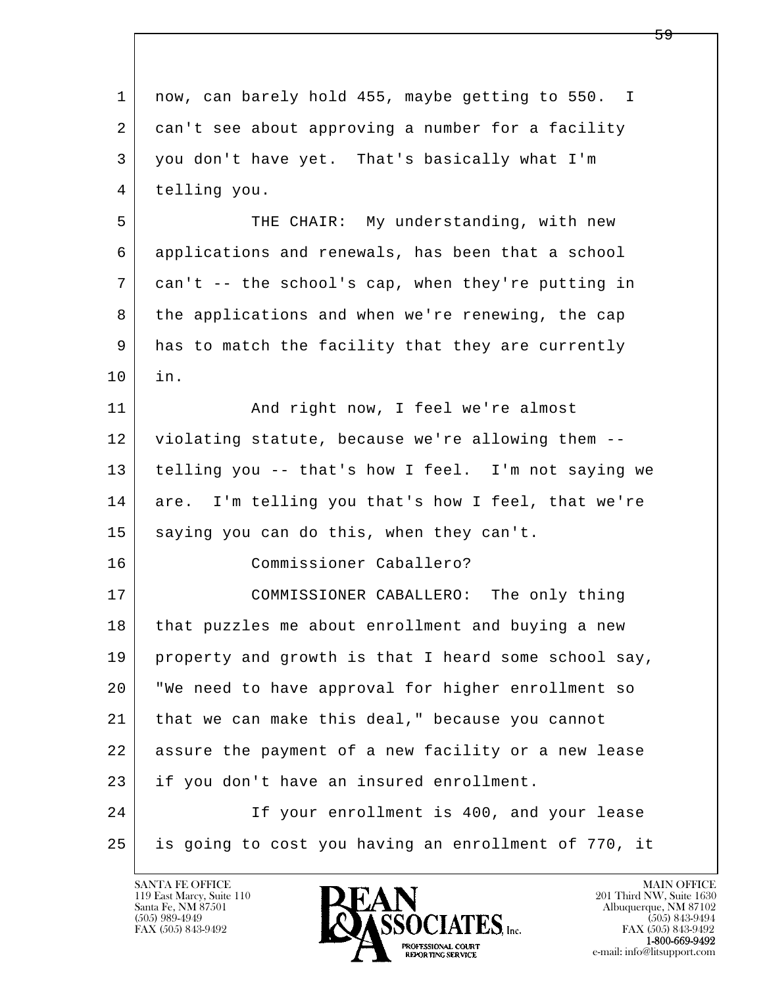| 1  | now, can barely hold 455, maybe getting to 550. I    |
|----|------------------------------------------------------|
| 2  | can't see about approving a number for a facility    |
| 3  | you don't have yet. That's basically what I'm        |
| 4  | telling you.                                         |
| 5  | THE CHAIR: My understanding, with new                |
| 6  | applications and renewals, has been that a school    |
| 7  | can't -- the school's cap, when they're putting in   |
| 8  | the applications and when we're renewing, the cap    |
| 9  | has to match the facility that they are currently    |
| 10 | in.                                                  |
| 11 | And right now, I feel we're almost                   |
| 12 | violating statute, because we're allowing them --    |
| 13 | telling you -- that's how I feel. I'm not saying we  |
| 14 | are. I'm telling you that's how I feel, that we're   |
| 15 | saying you can do this, when they can't.             |
| 16 | Commissioner Caballero?                              |
| 17 | COMMISSIONER CABALLERO: The only thing               |
| 18 | that puzzles me about enrollment and buying a new    |
| 19 | property and growth is that I heard some school say, |
| 20 | "We need to have approval for higher enrollment so   |
| 21 | that we can make this deal," because you cannot      |
| 22 | assure the payment of a new facility or a new lease  |
| 23 | if you don't have an insured enrollment.             |
| 24 | If your enrollment is 400, and your lease            |
| 25 | is going to cost you having an enrollment of 770, it |
|    |                                                      |

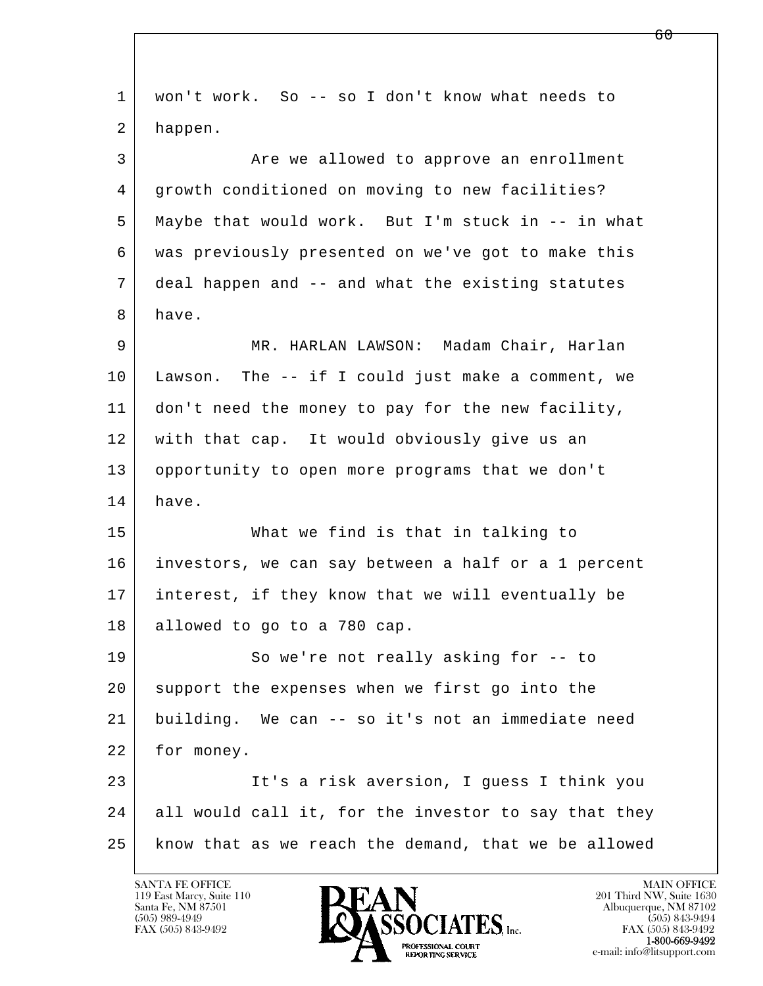l  $\overline{\phantom{a}}$  1 won't work. So -- so I don't know what needs to 2 happen. 3 Are we allowed to approve an enrollment 4 growth conditioned on moving to new facilities? 5 Maybe that would work. But I'm stuck in -- in what 6 was previously presented on we've got to make this 7 deal happen and -- and what the existing statutes 8 have. 9 MR. HARLAN LAWSON: Madam Chair, Harlan 10 Lawson. The -- if I could just make a comment, we 11 don't need the money to pay for the new facility, 12 with that cap. It would obviously give us an 13 opportunity to open more programs that we don't 14 have. 15 What we find is that in talking to 16 investors, we can say between a half or a 1 percent 17 interest, if they know that we will eventually be 18 allowed to go to a 780 cap. 19 So we're not really asking for -- to 20 support the expenses when we first go into the 21 building. We can -- so it's not an immediate need 22 for money. 23 | It's a risk aversion, I guess I think you 24 all would call it, for the investor to say that they 25 know that as we reach the demand, that we be allowed

119 East Marcy, Suite 110<br>Santa Fe, NM 87501



FAX (505) 843-9492<br>**1-800-669-9492**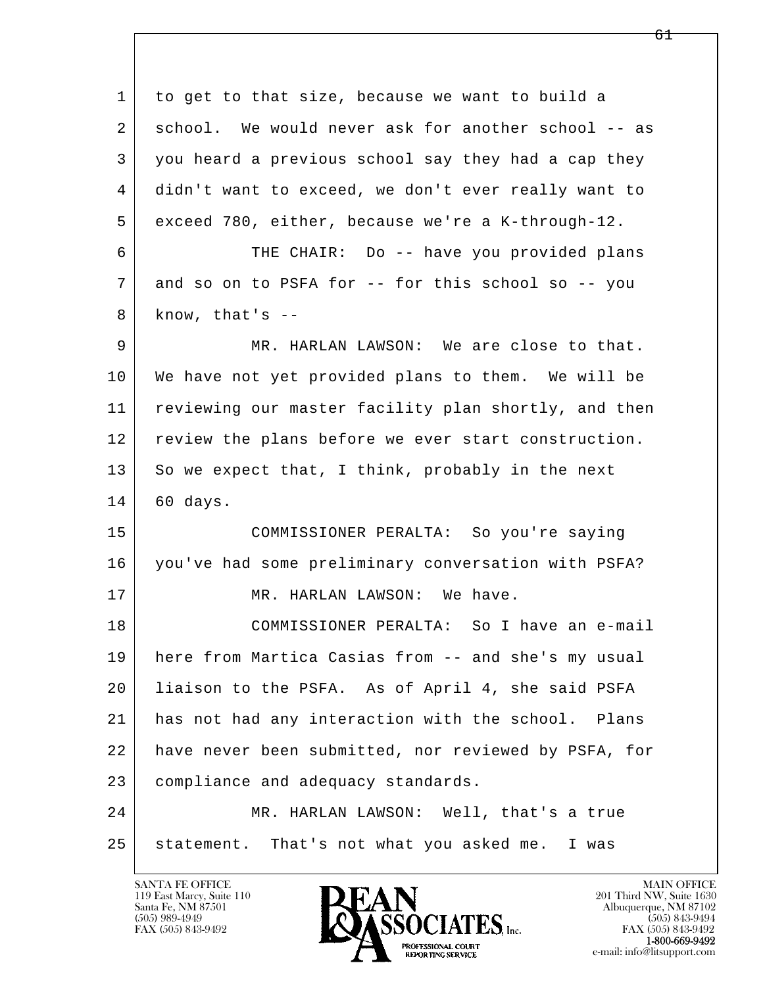l  $\overline{\phantom{a}}$  1 to get to that size, because we want to build a 2 school. We would never ask for another school -- as 3 you heard a previous school say they had a cap they 4 didn't want to exceed, we don't ever really want to 5 exceed 780, either, because we're a K-through-12. 6 THE CHAIR: Do -- have you provided plans 7 and so on to PSFA for -- for this school so -- you  $8$  know, that's  $-$  9 MR. HARLAN LAWSON: We are close to that. 10 We have not yet provided plans to them. We will be 11 reviewing our master facility plan shortly, and then 12 review the plans before we ever start construction. 13 So we expect that, I think, probably in the next 14 60 days. 15 COMMISSIONER PERALTA: So you're saying 16 you've had some preliminary conversation with PSFA? 17 MR. HARLAN LAWSON: We have. 18 COMMISSIONER PERALTA: So I have an e-mail 19 here from Martica Casias from -- and she's my usual 20 liaison to the PSFA. As of April 4, she said PSFA 21 has not had any interaction with the school. Plans 22 have never been submitted, nor reviewed by PSFA, for 23 compliance and adequacy standards. 24 MR. HARLAN LAWSON: Well, that's a true 25 statement. That's not what you asked me. I was

119 East Marcy, Suite 110<br>Santa Fe, NM 87501

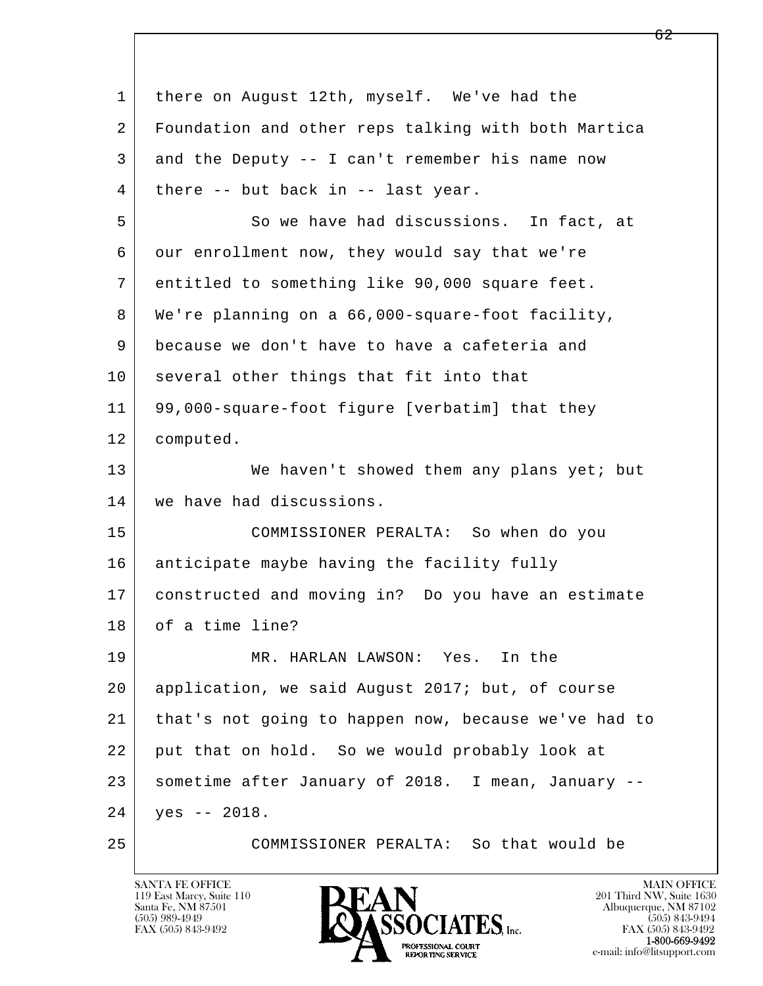| $\mathbf{1}$ | there on August 12th, myself. We've had the          |
|--------------|------------------------------------------------------|
| 2            | Foundation and other reps talking with both Martica  |
| 3            | and the Deputy -- I can't remember his name now      |
| 4            | there -- but back in -- last year.                   |
| 5            | So we have had discussions. In fact, at              |
| 6            | our enrollment now, they would say that we're        |
| 7            | entitled to something like 90,000 square feet.       |
| 8            | We're planning on a 66,000-square-foot facility,     |
| 9            | because we don't have to have a cafeteria and        |
| 10           | several other things that fit into that              |
| 11           | 99,000-square-foot figure [verbatim] that they       |
| 12           | computed.                                            |
| 13           | We haven't showed them any plans yet; but            |
| 14           | we have had discussions.                             |
| 15           | COMMISSIONER PERALTA: So when do you                 |
| 16           | anticipate maybe having the facility fully           |
| 17           | constructed and moving in? Do you have an estimate   |
| 18           | of a time line?                                      |
| 19           | MR. HARLAN LAWSON: Yes.<br>In the                    |
| 20           | application, we said August 2017; but, of course     |
| 21           | that's not going to happen now, because we've had to |
| 22           | put that on hold. So we would probably look at       |
| 23           | sometime after January of 2018. I mean, January --   |
| 24           | $yes -- 2018.$                                       |
| 25           | COMMISSIONER PERALTA: So that would be               |

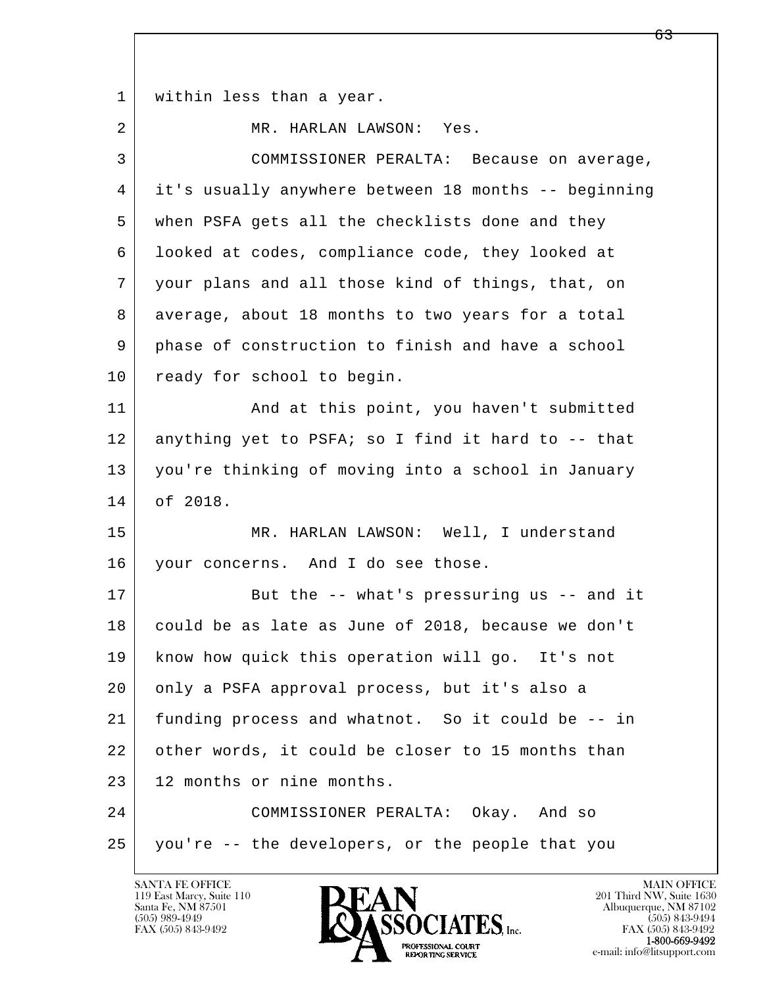1 | within less than a year. 2 MR. HARLAN LAWSON: Yes. 3 COMMISSIONER PERALTA: Because on average, 4 it's usually anywhere between 18 months -- beginning 5 when PSFA gets all the checklists done and they 6 looked at codes, compliance code, they looked at

 7 your plans and all those kind of things, that, on 8 average, about 18 months to two years for a total 9 phase of construction to finish and have a school 10 ready for school to begin.

11 | And at this point, you haven't submitted 12 anything yet to PSFA; so I find it hard to -- that 13 you're thinking of moving into a school in January 14 of 2018.

 15 MR. HARLAN LAWSON: Well, I understand 16 your concerns. And I do see those.

17 But the -- what's pressuring us -- and it 18 could be as late as June of 2018, because we don't 19 know how quick this operation will go. It's not 20 only a PSFA approval process, but it's also a 21 funding process and whatnot. So it could be -- in 22 other words, it could be closer to 15 months than 23 12 months or nine months.

l  $\overline{\phantom{a}}$  24 COMMISSIONER PERALTA: Okay. And so 25 you're -- the developers, or the people that you

119 East Marcy, Suite 110<br>Santa Fe, NM 87501

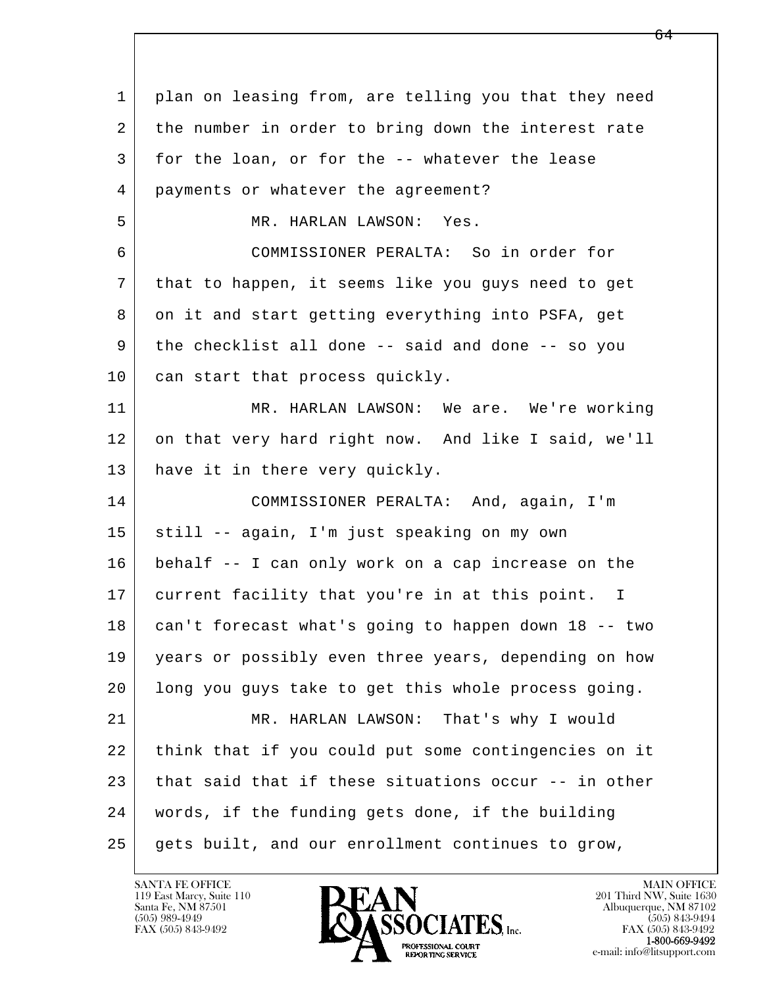l  $\overline{\phantom{a}}$  1 plan on leasing from, are telling you that they need 2 the number in order to bring down the interest rate 3 for the loan, or for the -- whatever the lease 4 payments or whatever the agreement? 5 MR. HARLAN LAWSON: Yes. 6 COMMISSIONER PERALTA: So in order for 7 that to happen, it seems like you guys need to get 8 on it and start getting everything into PSFA, get 9 the checklist all done -- said and done -- so you 10 can start that process quickly. 11 MR. HARLAN LAWSON: We are. We're working 12 on that very hard right now. And like I said, we'll 13 have it in there very quickly. 14 COMMISSIONER PERALTA: And, again, I'm 15 still -- again, I'm just speaking on my own 16 behalf -- I can only work on a cap increase on the 17 current facility that you're in at this point. I 18 can't forecast what's going to happen down 18 -- two 19 years or possibly even three years, depending on how 20 long you guys take to get this whole process going. 21 MR. HARLAN LAWSON: That's why I would 22 think that if you could put some contingencies on it 23 that said that if these situations occur -- in other 24 words, if the funding gets done, if the building 25 gets built, and our enrollment continues to grow,

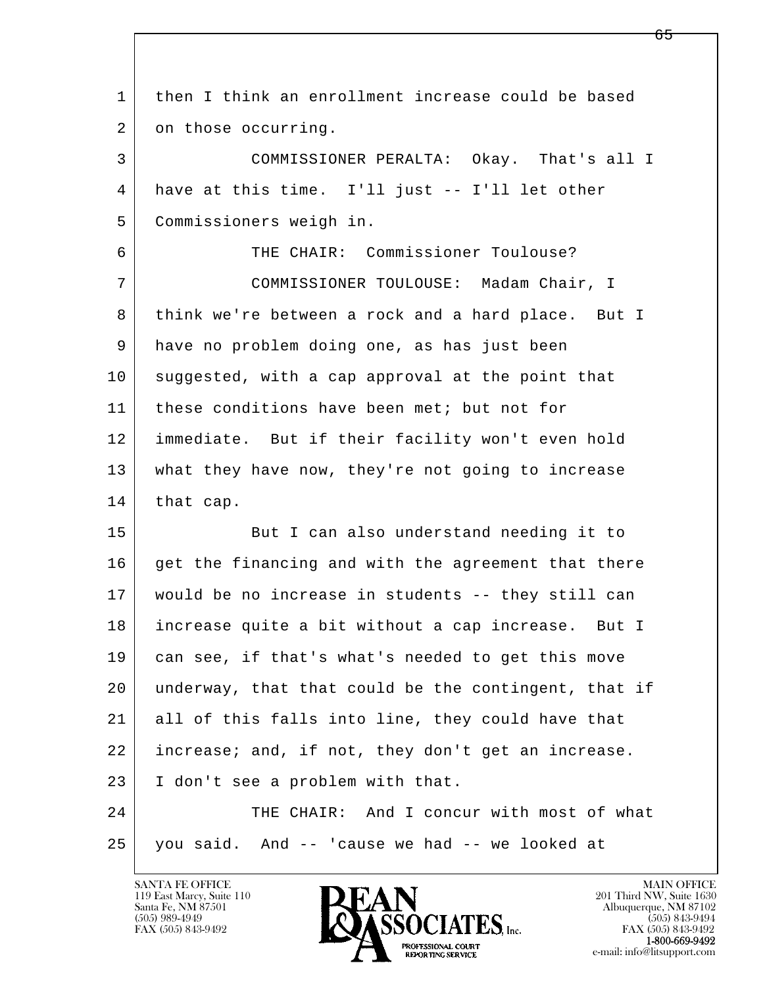l  $\overline{\phantom{a}}$  1 then I think an enrollment increase could be based 2 on those occurring. 3 COMMISSIONER PERALTA: Okay. That's all I 4 have at this time. I'll just -- I'll let other 5 Commissioners weigh in. 6 THE CHAIR: Commissioner Toulouse? 7 COMMISSIONER TOULOUSE: Madam Chair, I 8 think we're between a rock and a hard place. But I 9 have no problem doing one, as has just been 10 suggested, with a cap approval at the point that 11 these conditions have been met; but not for 12 immediate. But if their facility won't even hold 13 what they have now, they're not going to increase  $14$  that cap. 15 But I can also understand needing it to 16 get the financing and with the agreement that there 17 would be no increase in students -- they still can 18 increase quite a bit without a cap increase. But I 19 can see, if that's what's needed to get this move 20 underway, that that could be the contingent, that if 21 all of this falls into line, they could have that 22 increase; and, if not, they don't get an increase. 23 I don't see a problem with that. 24 THE CHAIR: And I concur with most of what  $25$  you said. And  $-$  'cause we had  $-$  we looked at

119 East Marcy, Suite 110<br>Santa Fe, NM 87501

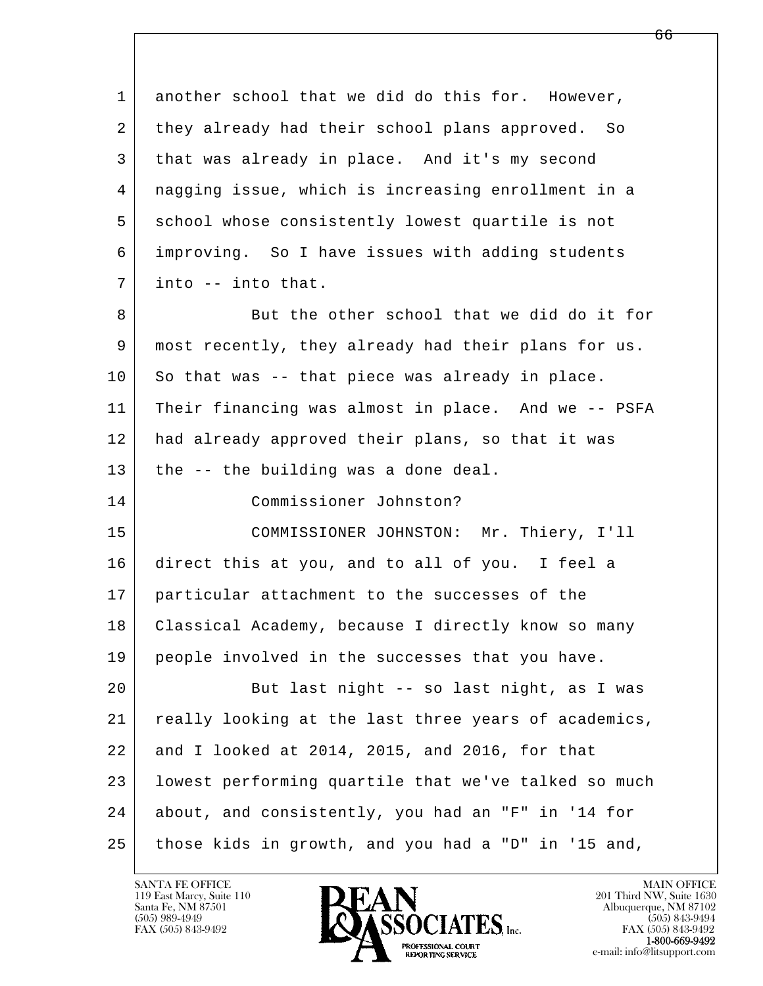| 1  | another school that we did do this for. However,     |
|----|------------------------------------------------------|
| 2  | they already had their school plans approved. So     |
| 3  | that was already in place. And it's my second        |
| 4  | nagging issue, which is increasing enrollment in a   |
| 5  | school whose consistently lowest quartile is not     |
| 6  | improving. So I have issues with adding students     |
| 7  | into -- into that.                                   |
| 8  | But the other school that we did do it for           |
| 9  | most recently, they already had their plans for us.  |
| 10 | So that was -- that piece was already in place.      |
| 11 | Their financing was almost in place. And we -- PSFA  |
| 12 | had already approved their plans, so that it was     |
| 13 | the -- the building was a done deal.                 |
| 14 | Commissioner Johnston?                               |
| 15 | COMMISSIONER JOHNSTON: Mr. Thiery, I'll              |
| 16 | direct this at you, and to all of you. I feel a      |
| 17 | particular attachment to the successes of the        |
| 18 | Classical Academy, because I directly know so many   |
| 19 | people involved in the successes that you have.      |
| 20 | But last night -- so last night, as I was            |
| 21 | really looking at the last three years of academics, |
| 22 | and I looked at 2014, 2015, and 2016, for that       |
| 23 | lowest performing quartile that we've talked so much |
| 24 | about, and consistently, you had an "F" in '14 for   |
| 25 | those kids in growth, and you had a "D" in '15 and,  |

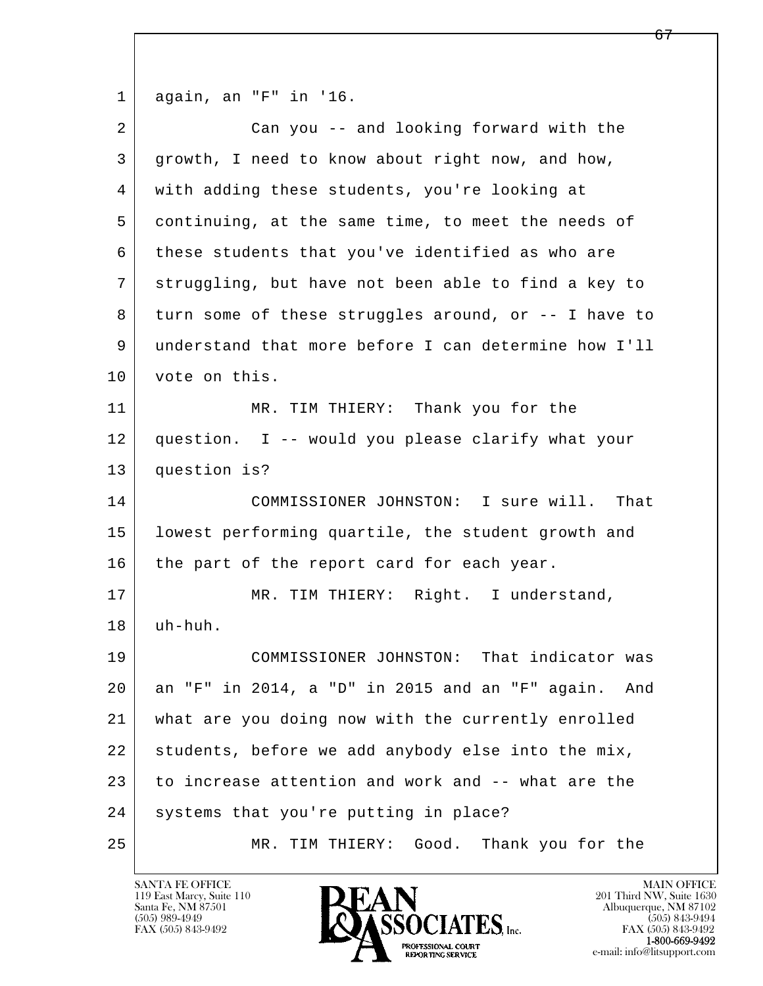1 again, an "F" in '16.

| $\overline{a}$ | Can you -- and looking forward with the                |
|----------------|--------------------------------------------------------|
| 3              | growth, I need to know about right now, and how,       |
| 4              | with adding these students, you're looking at          |
| 5              | continuing, at the same time, to meet the needs of     |
| 6              | these students that you've identified as who are       |
| 7              | struggling, but have not been able to find a key to    |
| 8              | turn some of these struggles around, or -- I have to   |
| 9              | understand that more before I can determine how I'll   |
| 10             | vote on this.                                          |
| 11             | MR. TIM THIERY: Thank you for the                      |
| 12             | question. I -- would you please clarify what your      |
| 13             | question is?                                           |
| 14             | COMMISSIONER JOHNSTON: I sure will.<br>That            |
| 15             | lowest performing quartile, the student growth and     |
| 16             | the part of the report card for each year.             |
| 17             | MR. TIM THIERY: Right. I understand,                   |
| 18             | uh-huh.                                                |
| 19             | COMMISSIONER JOHNSTON: That indicator was              |
| 20             | an "F" in 2014, a "D" in 2015 and an "F" again.<br>And |
| 21             | what are you doing now with the currently enrolled     |
| 22             | students, before we add anybody else into the mix,     |
| 23             | to increase attention and work and -- what are the     |
| 24             | systems that you're putting in place?                  |
| 25             | Good.<br>Thank you for the<br>TIM THIERY:<br>MR.       |

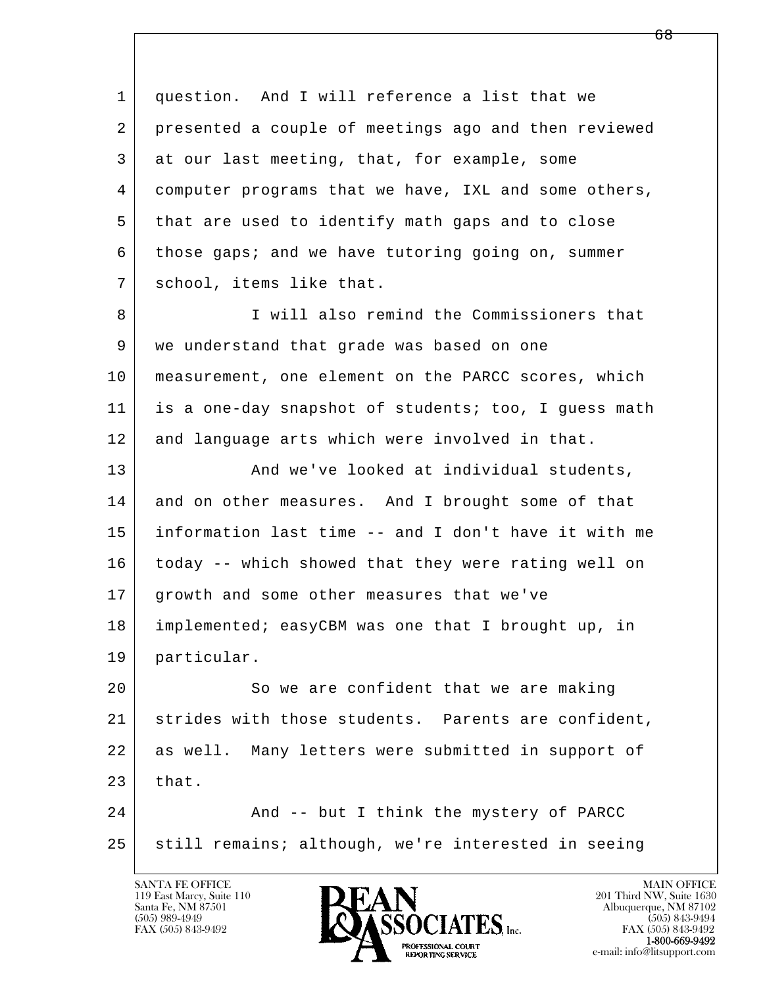l  $\overline{\phantom{a}}$  1 question. And I will reference a list that we 2 presented a couple of meetings ago and then reviewed 3 at our last meeting, that, for example, some 4 computer programs that we have, IXL and some others, 5 that are used to identify math gaps and to close 6 those gaps; and we have tutoring going on, summer 7 school, items like that. 8 I Will also remind the Commissioners that 9 we understand that grade was based on one 10 | measurement, one element on the PARCC scores, which 11 is a one-day snapshot of students; too, I guess math 12 and language arts which were involved in that. 13 | And we've looked at individual students, 14 and on other measures. And I brought some of that 15 information last time -- and I don't have it with me 16 today -- which showed that they were rating well on 17 growth and some other measures that we've 18 implemented; easyCBM was one that I brought up, in 19 particular. 20 So we are confident that we are making 21 strides with those students. Parents are confident, 22 as well. Many letters were submitted in support of  $23$  that. 24 And -- but I think the mystery of PARCC 25 still remains; although, we're interested in seeing

119 East Marcy, Suite 110<br>Santa Fe, NM 87501



FAX (505) 843-9492<br>**1-800-669-9492**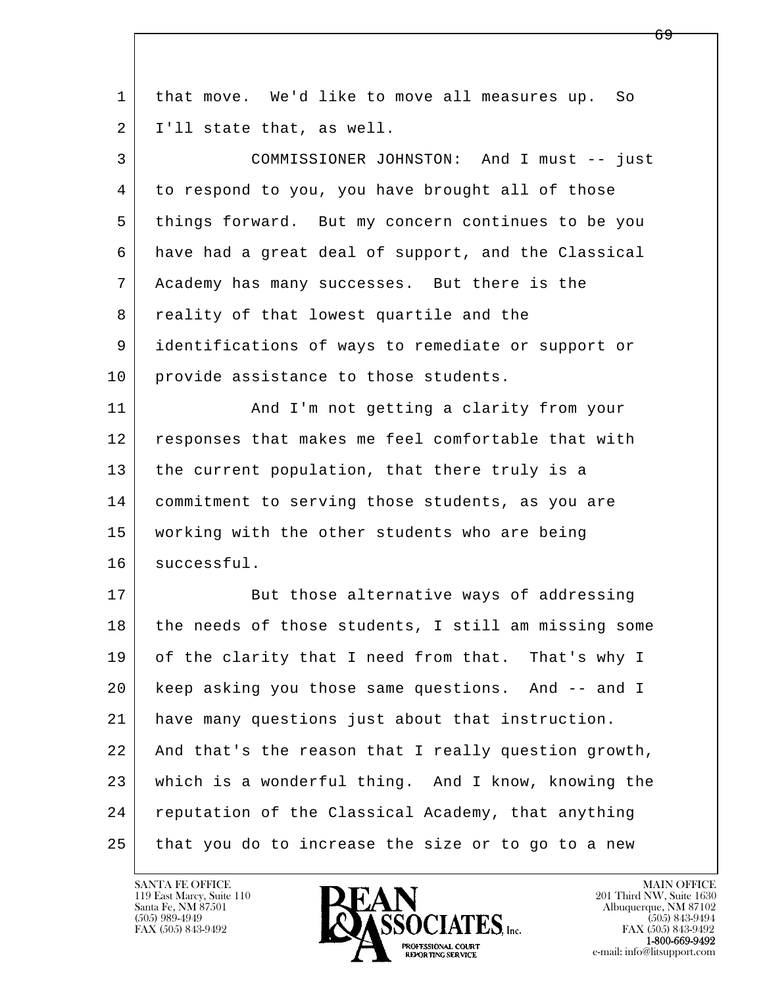| $\mathbf 1$    | that move. We'd like to move all measures up. So     |
|----------------|------------------------------------------------------|
| $\overline{2}$ | I'll state that, as well.                            |
| 3              | COMMISSIONER JOHNSTON: And I must -- just            |
| 4              | to respond to you, you have brought all of those     |
| 5              | things forward. But my concern continues to be you   |
| 6              | have had a great deal of support, and the Classical  |
| 7              | Academy has many successes. But there is the         |
| 8              | reality of that lowest quartile and the              |
| 9              | identifications of ways to remediate or support or   |
| 10             | provide assistance to those students.                |
| 11             | And I'm not getting a clarity from your              |
| 12             | responses that makes me feel comfortable that with   |
| 13             | the current population, that there truly is a        |
| 14             | commitment to serving those students, as you are     |
| 15             | working with the other students who are being        |
| 16             | successful.                                          |
| 17             | But those alternative ways of addressing             |
| 18             | the needs of those students, I still am missing some |
| 19             | of the clarity that I need from that. That's why I   |
| 20             | keep asking you those same questions. And -- and I   |
| 21             | have many questions just about that instruction.     |
| 22             | And that's the reason that I really question growth, |
| 23             | which is a wonderful thing. And I know, knowing the  |
| 24             | reputation of the Classical Academy, that anything   |
| 25             | that you do to increase the size or to go to a new   |

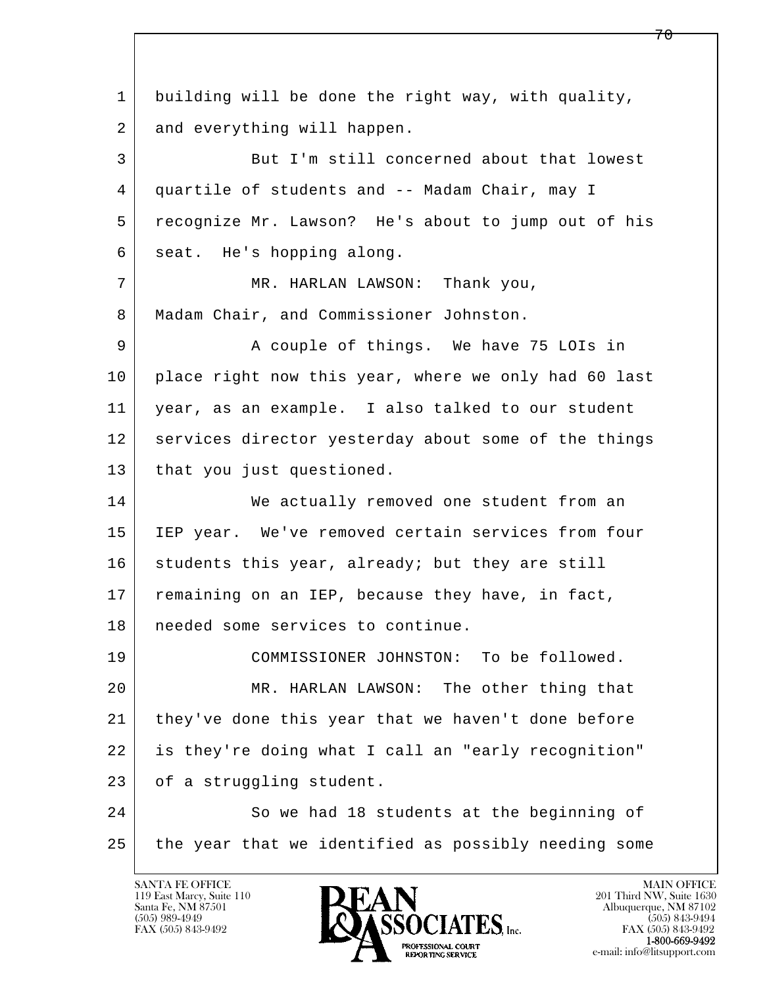l  $\overline{\phantom{a}}$  1 building will be done the right way, with quality, 2 and everything will happen. 3 But I'm still concerned about that lowest 4 quartile of students and -- Madam Chair, may I 5 recognize Mr. Lawson? He's about to jump out of his 6 seat. He's hopping along. 7 | MR. HARLAN LAWSON: Thank you, 8 | Madam Chair, and Commissioner Johnston. 9 A couple of things. We have 75 LOIs in 10 place right now this year, where we only had 60 last 11 year, as an example. I also talked to our student 12 services director yesterday about some of the things 13 | that you just questioned. 14 We actually removed one student from an 15 IEP year. We've removed certain services from four  $16$  students this year, already; but they are still 17 remaining on an IEP, because they have, in fact, 18 needed some services to continue. 19 COMMISSIONER JOHNSTON: To be followed. 20 MR. HARLAN LAWSON: The other thing that 21 they've done this year that we haven't done before 22 is they're doing what I call an "early recognition" 23 of a struggling student. 24 So we had 18 students at the beginning of 25 the year that we identified as possibly needing some

119 East Marcy, Suite 110<br>Santa Fe, NM 87501



7 በ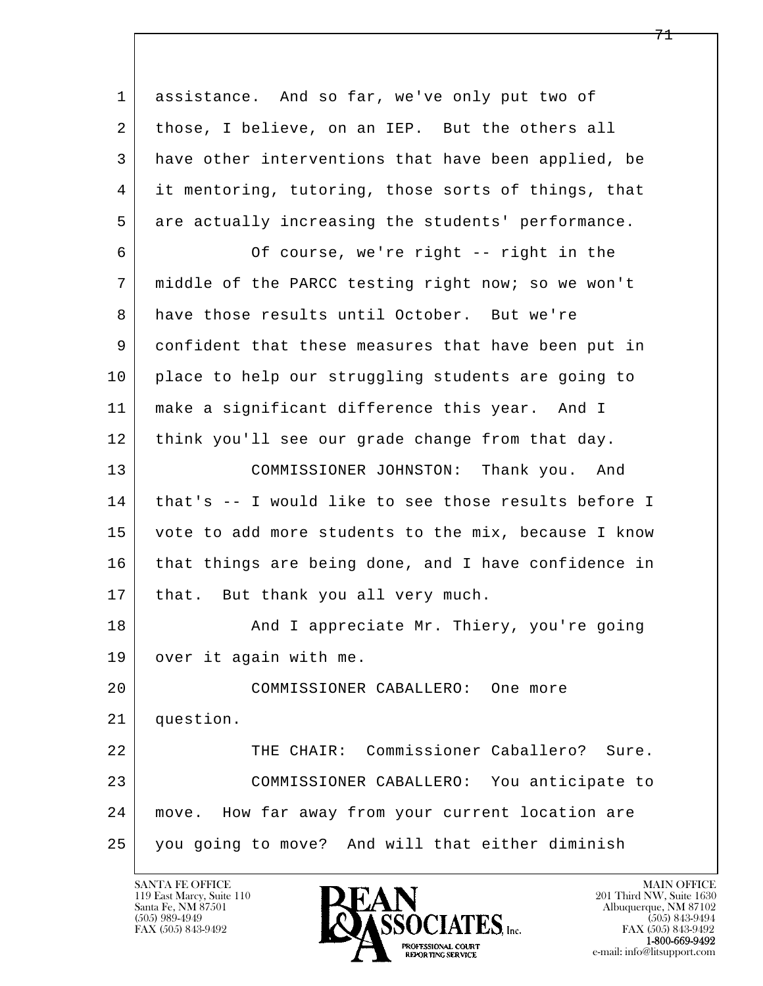l  $\overline{\phantom{a}}$  1 assistance. And so far, we've only put two of 2 those, I believe, on an IEP. But the others all 3 have other interventions that have been applied, be 4 it mentoring, tutoring, those sorts of things, that 5 are actually increasing the students' performance. 6 Of course, we're right -- right in the 7 middle of the PARCC testing right now; so we won't 8 have those results until October. But we're 9 confident that these measures that have been put in 10 place to help our struggling students are going to 11 make a significant difference this year. And I 12 think you'll see our grade change from that day. 13 COMMISSIONER JOHNSTON: Thank you. And 14 that's -- I would like to see those results before I 15 vote to add more students to the mix, because I know 16 that things are being done, and I have confidence in 17 | that. But thank you all very much. 18 | The Mand I appreciate Mr. Thiery, you're going 19 over it again with me. 20 COMMISSIONER CABALLERO: One more 21 question. 22 THE CHAIR: Commissioner Caballero? Sure. 23 COMMISSIONER CABALLERO: You anticipate to 24 move. How far away from your current location are 25 you going to move? And will that either diminish

119 East Marcy, Suite 110<br>Santa Fe, NM 87501

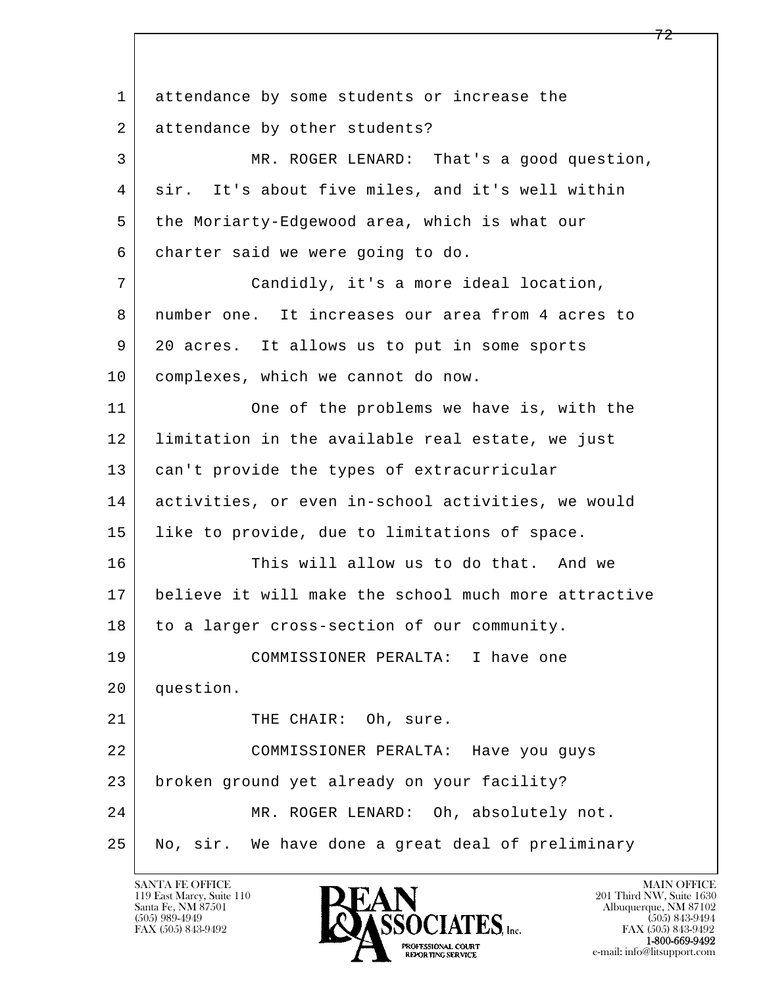l  $\overline{\phantom{a}}$ 1 attendance by some students or increase the 2 attendance by other students? 3 MR. ROGER LENARD: That's a good question, 4 sir. It's about five miles, and it's well within 5 | the Moriarty-Edgewood area, which is what our 6 charter said we were going to do. 7 Candidly, it's a more ideal location, 8 | number one. It increases our area from 4 acres to 9 20 acres. It allows us to put in some sports 10 complexes, which we cannot do now. 11 One of the problems we have is, with the 12 limitation in the available real estate, we just 13 can't provide the types of extracurricular 14 activities, or even in-school activities, we would 15 | like to provide, due to limitations of space. 16 This will allow us to do that. And we 17 believe it will make the school much more attractive 18 to a larger cross-section of our community. 19 COMMISSIONER PERALTA: I have one 20 question. 21 | THE CHAIR: Oh, sure. 22 COMMISSIONER PERALTA: Have you guys 23 broken ground yet already on your facility? 24 MR. ROGER LENARD: Oh, absolutely not. 25 No, sir. We have done a great deal of preliminary

119 East Marcy, Suite 110<br>Santa Fe, NM 87501

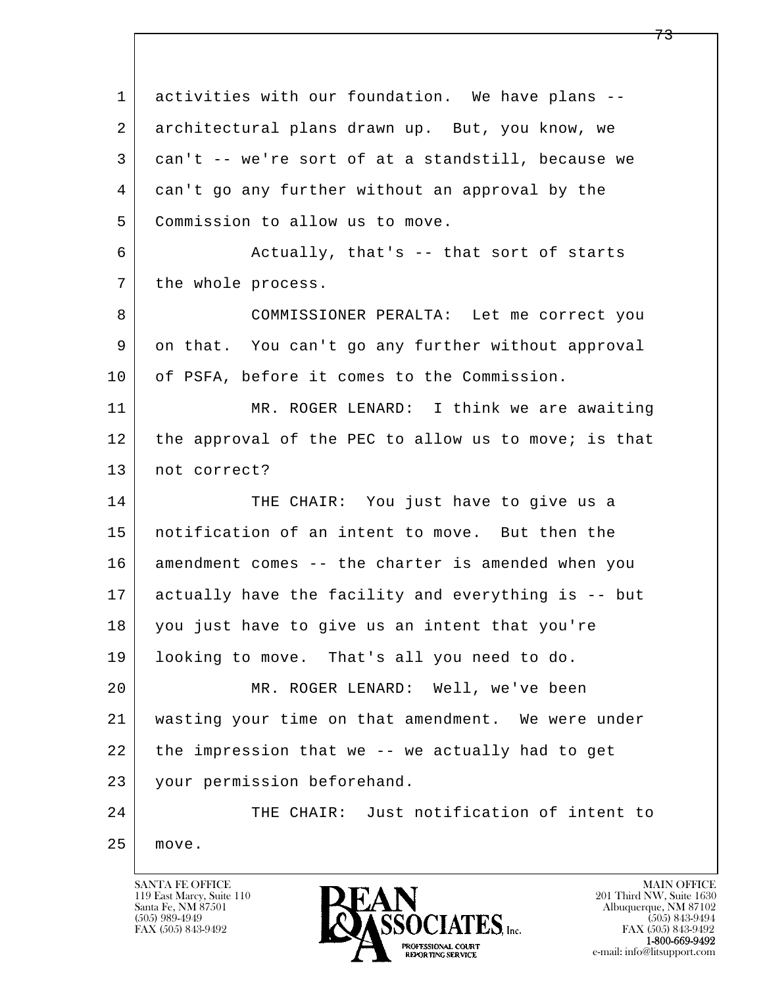l  $\overline{\phantom{a}}$ 1 activities with our foundation. We have plans -- 2 architectural plans drawn up. But, you know, we 3 can't -- we're sort of at a standstill, because we 4 can't go any further without an approval by the 5 Commission to allow us to move. 6 Actually, that's -- that sort of starts 7 the whole process. 8 COMMISSIONER PERALTA: Let me correct you 9 on that. You can't go any further without approval 10 of PSFA, before it comes to the Commission. 11 MR. ROGER LENARD: I think we are awaiting 12 the approval of the PEC to allow us to move; is that 13 | not correct? 14 THE CHAIR: You just have to give us a 15 notification of an intent to move. But then the 16 amendment comes -- the charter is amended when you 17 actually have the facility and everything is -- but 18 you just have to give us an intent that you're 19 looking to move. That's all you need to do. 20 MR. ROGER LENARD: Well, we've been 21 wasting your time on that amendment. We were under 22 the impression that we -- we actually had to get 23 your permission beforehand. 24 | THE CHAIR: Just notification of intent to 25 move.

119 East Marcy, Suite 110<br>Santa Fe, NM 87501

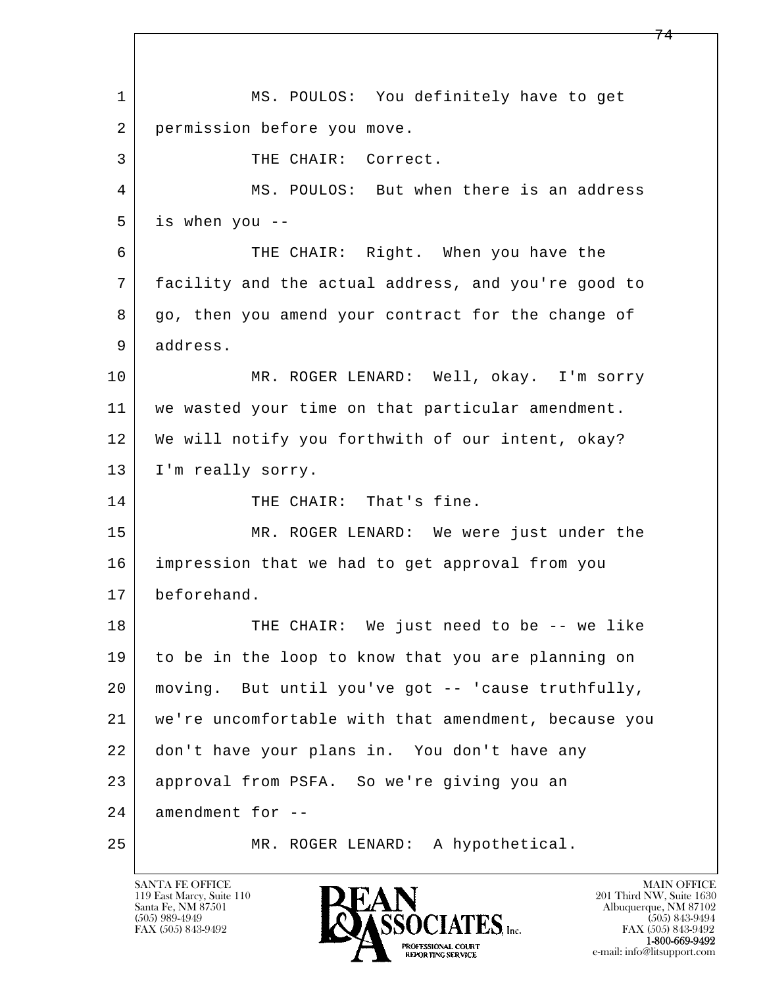l  $\overline{\phantom{a}}$  1 MS. POULOS: You definitely have to get 2 permission before you move. 3 | THE CHAIR: Correct. 4 MS. POULOS: But when there is an address 5 is when you -- 6 THE CHAIR: Right. When you have the 7 facility and the actual address, and you're good to 8 go, then you amend your contract for the change of 9 address. 10 MR. ROGER LENARD: Well, okay. I'm sorry 11 we wasted your time on that particular amendment. 12 We will notify you forthwith of our intent, okay? 13 | I'm really sorry. 14 THE CHAIR: That's fine. 15 | MR. ROGER LENARD: We were just under the 16 impression that we had to get approval from you 17 beforehand. 18 THE CHAIR: We just need to be -- we like 19 to be in the loop to know that you are planning on 20 moving. But until you've got -- 'cause truthfully, 21 we're uncomfortable with that amendment, because you 22 don't have your plans in. You don't have any 23 approval from PSFA. So we're giving you an  $24$  amendment for  $-$ 25 MR. ROGER LENARD: A hypothetical.

119 East Marcy, Suite 110<br>Santa Fe, NM 87501



FAX (505) 843-9492<br>1-800-669-9492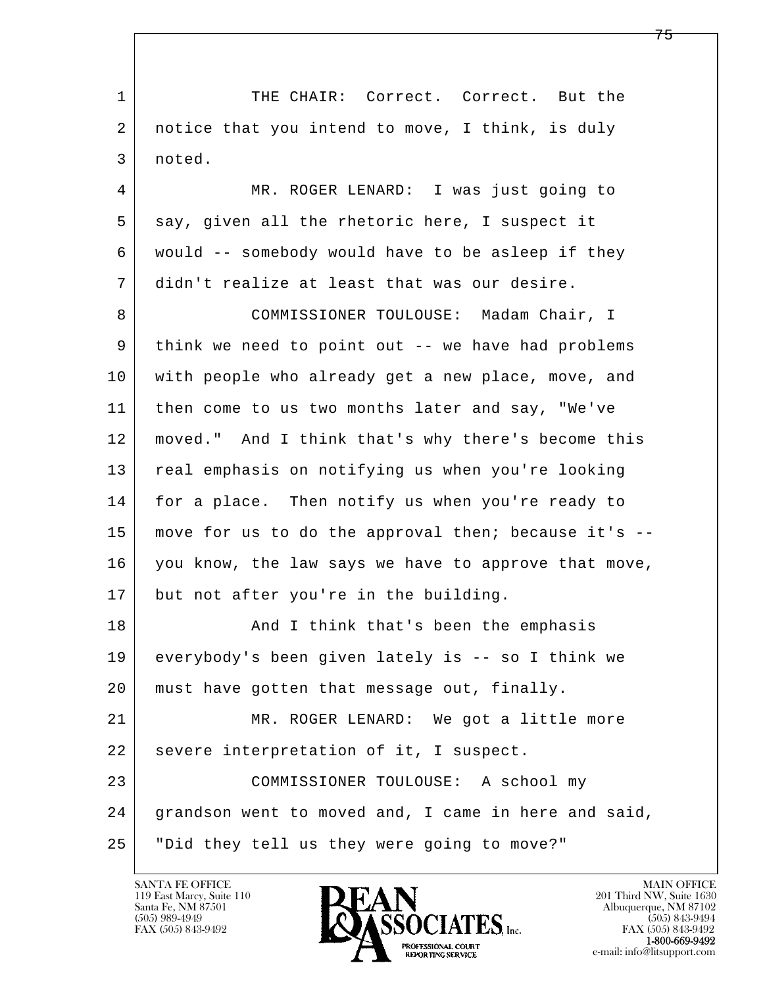l  $\overline{\phantom{a}}$ 1 THE CHAIR: Correct. Correct. But the 2 notice that you intend to move, I think, is duly 3 noted. 4 MR. ROGER LENARD: I was just going to 5 say, given all the rhetoric here, I suspect it 6 would -- somebody would have to be asleep if they 7 didn't realize at least that was our desire. 8 COMMISSIONER TOULOUSE: Madam Chair, I 9 think we need to point out -- we have had problems 10 with people who already get a new place, move, and 11 | then come to us two months later and say, "We've 12 moved." And I think that's why there's become this 13 real emphasis on notifying us when you're looking 14 for a place. Then notify us when you're ready to 15 move for us to do the approval then; because it's -- 16 you know, the law says we have to approve that move, 17 but not after you're in the building. 18 And I think that's been the emphasis 19 everybody's been given lately is -- so I think we 20 | must have gotten that message out, finally. 21 MR. ROGER LENARD: We got a little more 22 | severe interpretation of it, I suspect. 23 COMMISSIONER TOULOUSE: A school my 24 grandson went to moved and, I came in here and said, 25 "Did they tell us they were going to move?"

119 East Marcy, Suite 110<br>Santa Fe, NM 87501

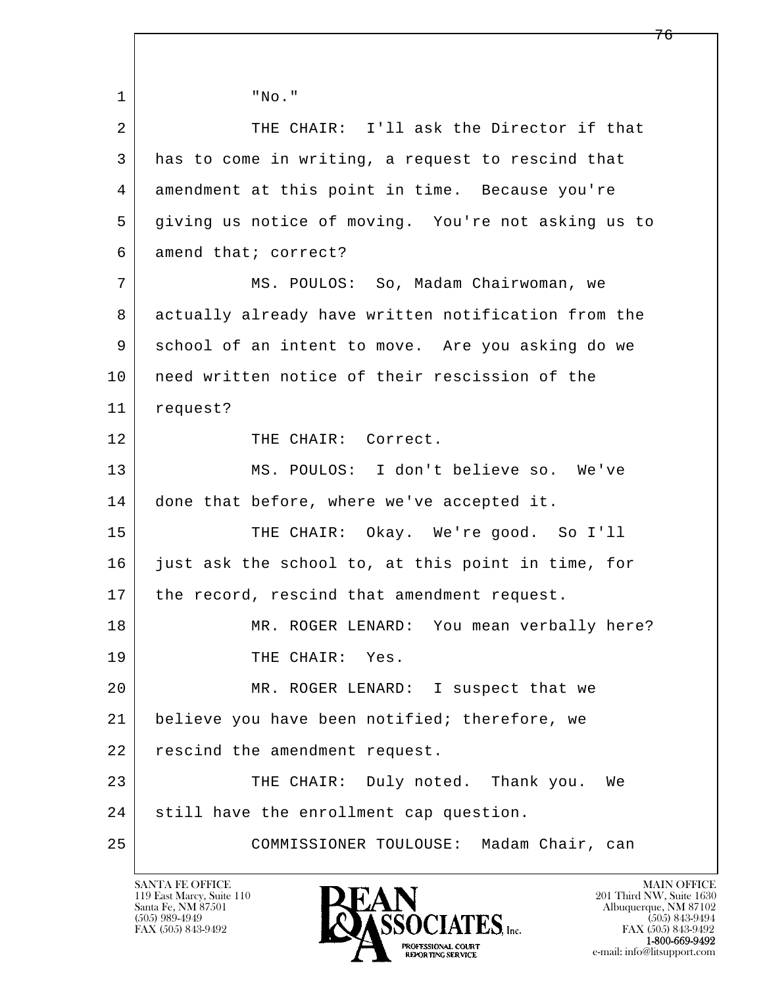l  $\overline{\phantom{a}}$  1 "No." 2 THE CHAIR: I'll ask the Director if that 3 has to come in writing, a request to rescind that 4 amendment at this point in time. Because you're 5 giving us notice of moving. You're not asking us to 6 amend that; correct? 7 | MS. POULOS: So, Madam Chairwoman, we 8 actually already have written notification from the 9 school of an intent to move. Are you asking do we 10 | need written notice of their rescission of the 11 request? 12 THE CHAIR: Correct. 13 MS. POULOS: I don't believe so. We've 14 done that before, where we've accepted it. 15 THE CHAIR: Okay. We're good. So I'll 16 just ask the school to, at this point in time, for 17 | the record, rescind that amendment request. 18 MR. ROGER LENARD: You mean verbally here? 19 THE CHAIR: Yes. 20 MR. ROGER LENARD: I suspect that we 21 believe you have been notified; therefore, we 22 rescind the amendment request. 23 THE CHAIR: Duly noted. Thank you. We 24 still have the enrollment cap question. 25 COMMISSIONER TOULOUSE: Madam Chair, can

119 East Marcy, Suite 110<br>Santa Fe, NM 87501

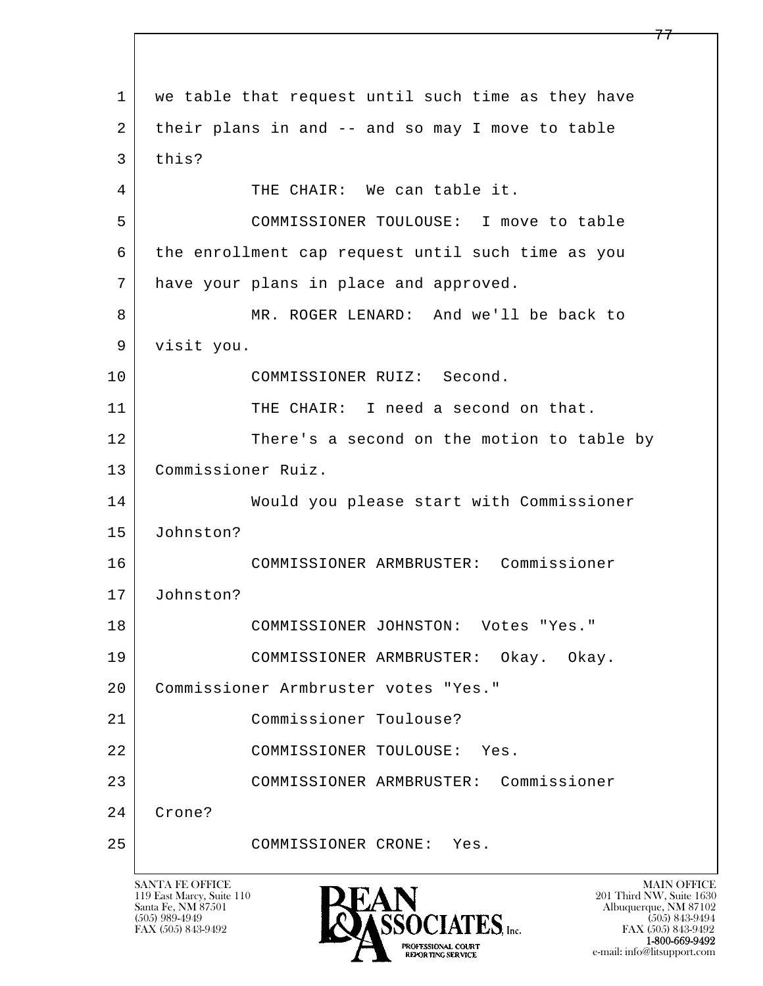l  $\overline{\phantom{a}}$ 1 we table that request until such time as they have 2 their plans in and -- and so may I move to table 3 this? 4 THE CHAIR: We can table it. 5 COMMISSIONER TOULOUSE: I move to table 6 the enrollment cap request until such time as you 7 have your plans in place and approved. 8 MR. ROGER LENARD: And we'll be back to 9 visit you. 10 COMMISSIONER RUIZ: Second. 11 THE CHAIR: I need a second on that. 12 There's a second on the motion to table by 13 Commissioner Ruiz. 14 Would you please start with Commissioner 15 Johnston? 16 COMMISSIONER ARMBRUSTER: Commissioner 17 Johnston? 18 COMMISSIONER JOHNSTON: Votes "Yes." 19 COMMISSIONER ARMBRUSTER: Okay. Okay. 20 Commissioner Armbruster votes "Yes." 21 Commissioner Toulouse? 22 COMMISSIONER TOULOUSE: Yes. 23 COMMISSIONER ARMBRUSTER: Commissioner 24 Crone? 25 COMMISSIONER CRONE: Yes.

119 East Marcy, Suite 110<br>Santa Fe, NM 87501



FAX (505) 843-9492 FAX (505) 843-9492 e-mail: info@litsupport.com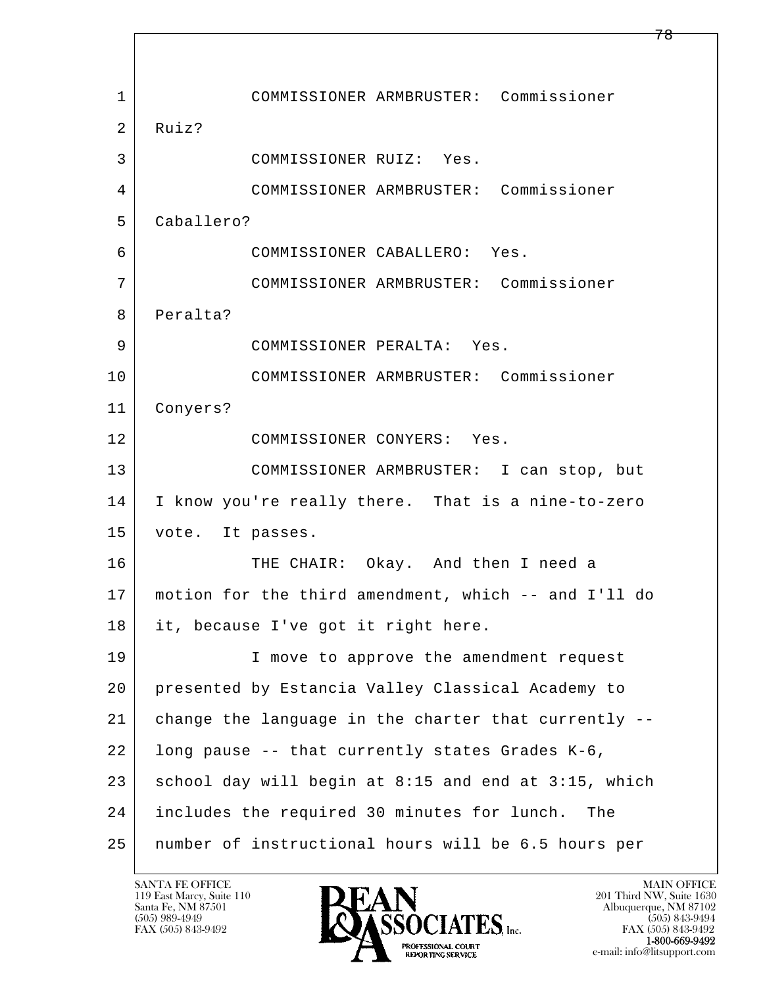l  $\overline{\phantom{a}}$  1 COMMISSIONER ARMBRUSTER: Commissioner 2 Ruiz? 3 COMMISSIONER RUIZ: Yes. 4 COMMISSIONER ARMBRUSTER: Commissioner 5 Caballero? 6 COMMISSIONER CABALLERO: Yes. 7 COMMISSIONER ARMBRUSTER: Commissioner 8 Peralta? 9 COMMISSIONER PERALTA: Yes. 10 COMMISSIONER ARMBRUSTER: Commissioner 11 Conyers? 12 COMMISSIONER CONYERS: Yes. 13 COMMISSIONER ARMBRUSTER: I can stop, but 14 I know you're really there. That is a nine-to-zero 15 vote. It passes. 16 THE CHAIR: Okay. And then I need a 17 motion for the third amendment, which -- and I'll do 18 it, because I've got it right here. 19 | I move to approve the amendment request 20 presented by Estancia Valley Classical Academy to 21 change the language in the charter that currently -- 22 long pause -- that currently states Grades K-6,  $23$  school day will begin at 8:15 and end at 3:15, which 24 includes the required 30 minutes for lunch. The 25 number of instructional hours will be 6.5 hours per

119 East Marcy, Suite 110<br>Santa Fe, NM 87501

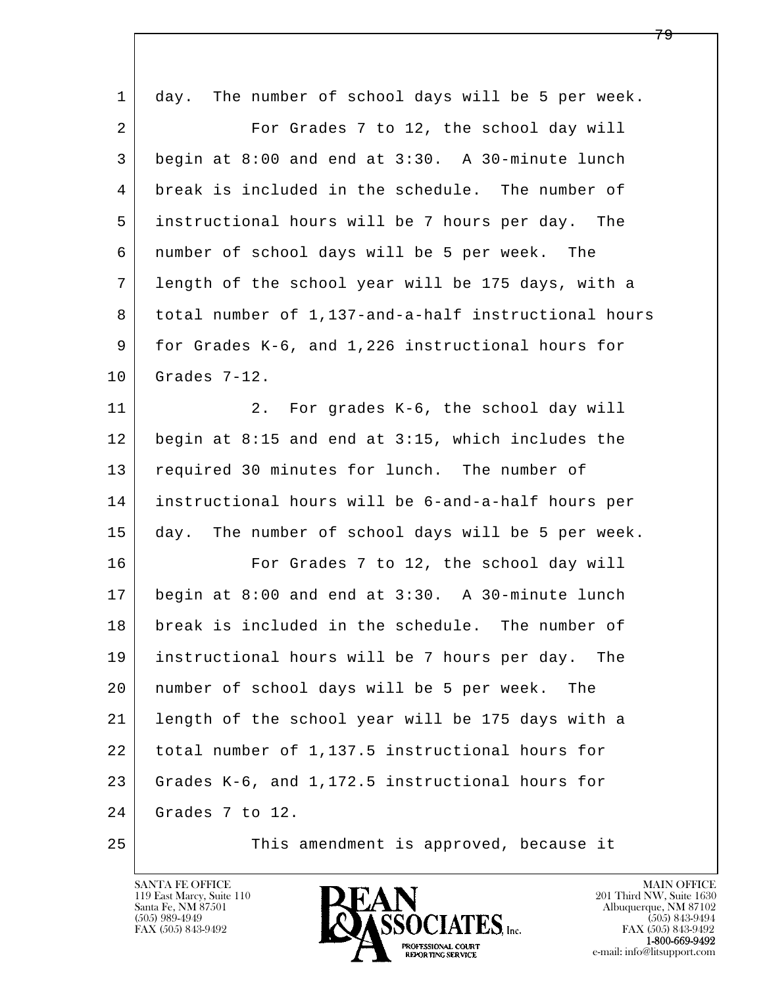| $\mathbf 1$    | The number of school days will be 5 per week.<br>day. |
|----------------|-------------------------------------------------------|
| $\overline{2}$ | For Grades 7 to 12, the school day will               |
| 3              | begin at 8:00 and end at 3:30. A 30-minute lunch      |
| 4              | break is included in the schedule. The number of      |
| 5              | instructional hours will be 7 hours per day. The      |
| 6              | number of school days will be 5 per week. The         |
| 7              | length of the school year will be 175 days, with a    |
| 8              | total number of 1,137-and-a-half instructional hours  |
| 9              | for Grades K-6, and 1,226 instructional hours for     |
| 10             | Grades 7-12.                                          |
| 11             | For grades K-6, the school day will<br>2.             |
| 12             | begin at 8:15 and end at 3:15, which includes the     |
| 13             | required 30 minutes for lunch. The number of          |
| 14             | instructional hours will be 6-and-a-half hours per    |
| 15             | day. The number of school days will be 5 per week.    |
| 16             | For Grades 7 to 12, the school day will               |
| 17             | begin at 8:00 and end at 3:30. A 30-minute lunch      |
| 18             | break is included in the schedule. The number of      |
| 19             | instructional hours will be 7 hours per day. The      |
| 20             | number of school days will be 5 per week.<br>The      |
| 21             | length of the school year will be 175 days with a     |
| 22             | total number of 1,137.5 instructional hours for       |
| 23             | Grades K-6, and 1,172.5 instructional hours for       |
| 24             | Grades 7 to 12.                                       |
| 25             | This amendment is approved, because it                |

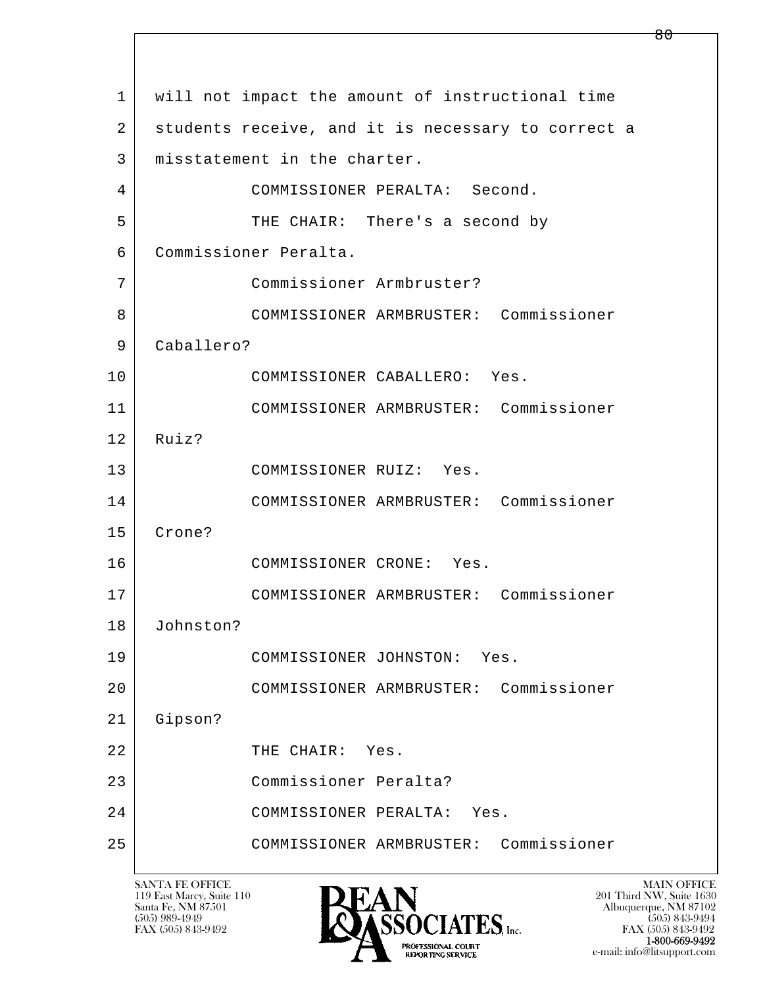l  $\overline{\phantom{a}}$  1 will not impact the amount of instructional time 2 students receive, and it is necessary to correct a 3 | misstatement in the charter. 4 COMMISSIONER PERALTA: Second. 5 THE CHAIR: There's a second by 6 Commissioner Peralta. 7 Commissioner Armbruster? 8 COMMISSIONER ARMBRUSTER: Commissioner 9 Caballero? 10 COMMISSIONER CABALLERO: Yes. 11 COMMISSIONER ARMBRUSTER: Commissioner 12 Ruiz? 13 COMMISSIONER RUIZ: Yes. 14 COMMISSIONER ARMBRUSTER: Commissioner 15 Crone? 16 COMMISSIONER CRONE: Yes. 17 COMMISSIONER ARMBRUSTER: Commissioner 18 Johnston? 19 COMMISSIONER JOHNSTON: Yes. 20 COMMISSIONER ARMBRUSTER: Commissioner 21 Gipson? 22 THE CHAIR: Yes. 23 Commissioner Peralta? 24 COMMISSIONER PERALTA: Yes. 25 COMMISSIONER ARMBRUSTER: Commissioner

119 East Marcy, Suite 110<br>Santa Fe, NM 87501



FAX (505) 843-9492 FAX (505) 843-9492 e-mail: info@litsupport.com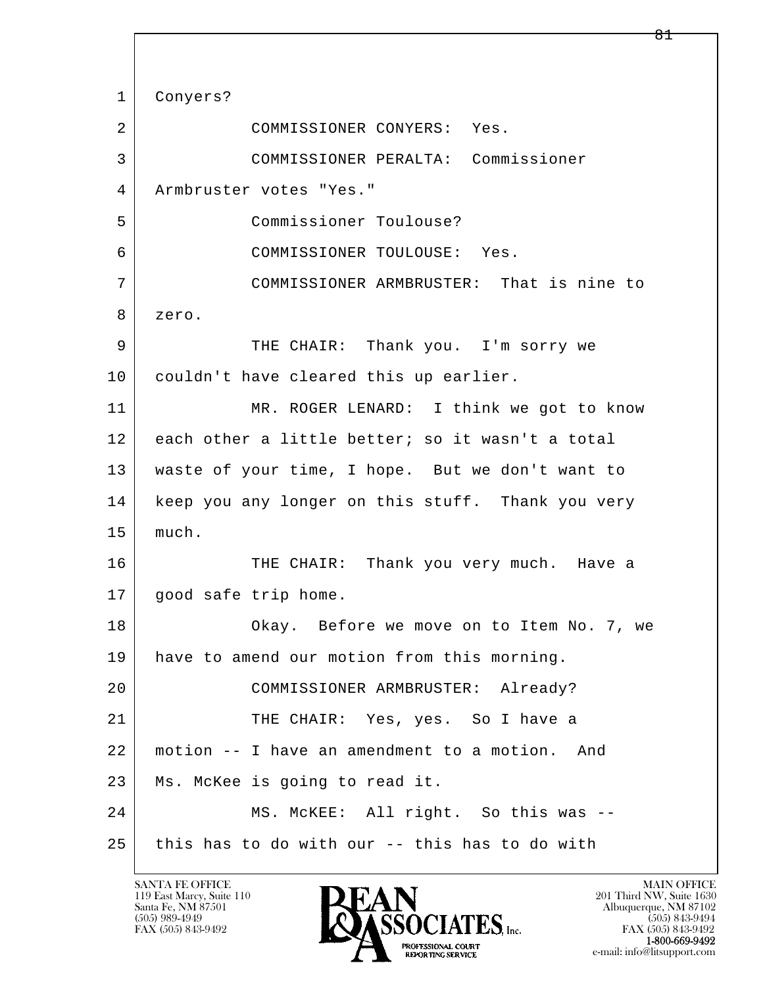l  $\overline{\phantom{a}}$  1 Conyers? 2 COMMISSIONER CONYERS: Yes. 3 COMMISSIONER PERALTA: Commissioner 4 Armbruster votes "Yes." 5 Commissioner Toulouse? 6 COMMISSIONER TOULOUSE: Yes. 7 COMMISSIONER ARMBRUSTER: That is nine to 8 zero. 9 THE CHAIR: Thank you. I'm sorry we 10 couldn't have cleared this up earlier. 11 MR. ROGER LENARD: I think we got to know 12 each other a little better; so it wasn't a total 13 waste of your time, I hope. But we don't want to 14 | keep you any longer on this stuff. Thank you very 15 | much. 16 THE CHAIR: Thank you very much. Have a 17 | good safe trip home. 18 Okay. Before we move on to Item No. 7, we 19 | have to amend our motion from this morning. 20 COMMISSIONER ARMBRUSTER: Already? 21 THE CHAIR: Yes, yes. So I have a 22 motion -- I have an amendment to a motion. And 23 Ms. McKee is going to read it. 24 MS. McKEE: All right. So this was --  $25$  this has to do with our -- this has to do with

119 East Marcy, Suite 110<br>Santa Fe, NM 87501

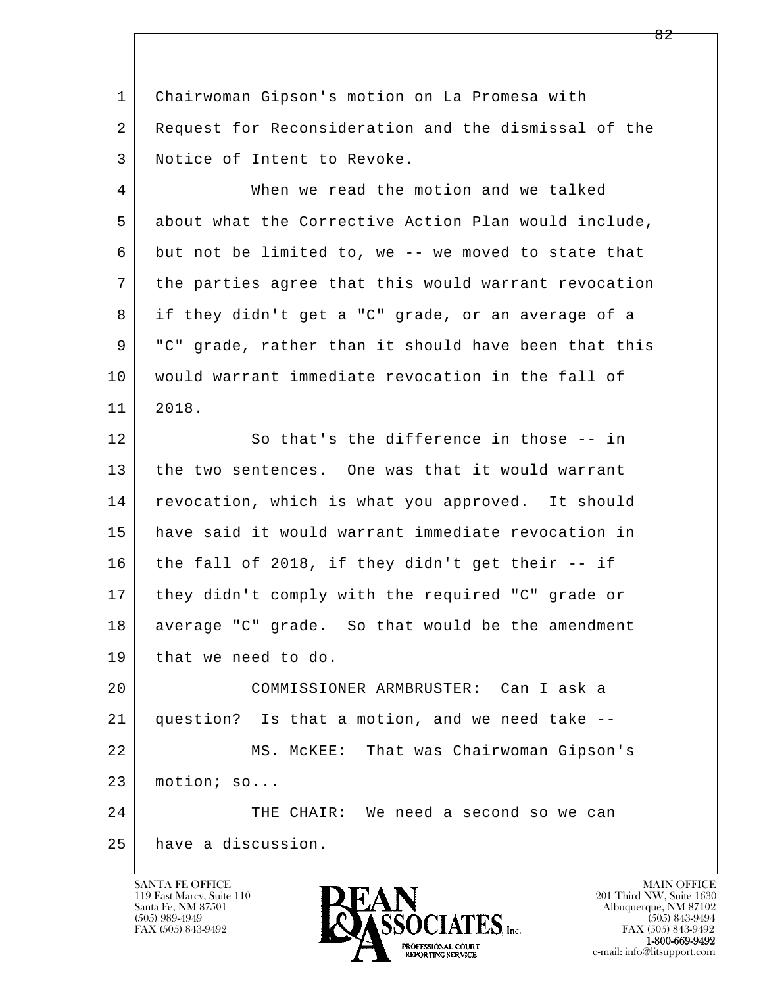1 Chairwoman Gipson's motion on La Promesa with 2 Request for Reconsideration and the dismissal of the 3 Notice of Intent to Revoke.

 4 When we read the motion and we talked 5 about what the Corrective Action Plan would include, 6 but not be limited to, we -- we moved to state that 7 the parties agree that this would warrant revocation 8 if they didn't get a "C" grade, or an average of a 9 "C" grade, rather than it should have been that this 10 would warrant immediate revocation in the fall of 11 2018. 12 So that's the difference in those -- in 13 the two sentences. One was that it would warrant 14 revocation, which is what you approved. It should 15 have said it would warrant immediate revocation in 16 the fall of 2018, if they didn't get their  $-$  if 17 they didn't comply with the required "C" grade or

18 average "C" grade. So that would be the amendment

19 | that we need to do.

l 20 COMMISSIONER ARMBRUSTER: Can I ask a 21 question? Is that a motion, and we need take -- 22 MS. McKEE: That was Chairwoman Gipson's 23 motion; so...

 $\overline{\phantom{a}}$ 24 THE CHAIR: We need a second so we can 25 have a discussion.

119 East Marcy, Suite 110<br>Santa Fe, NM 87501

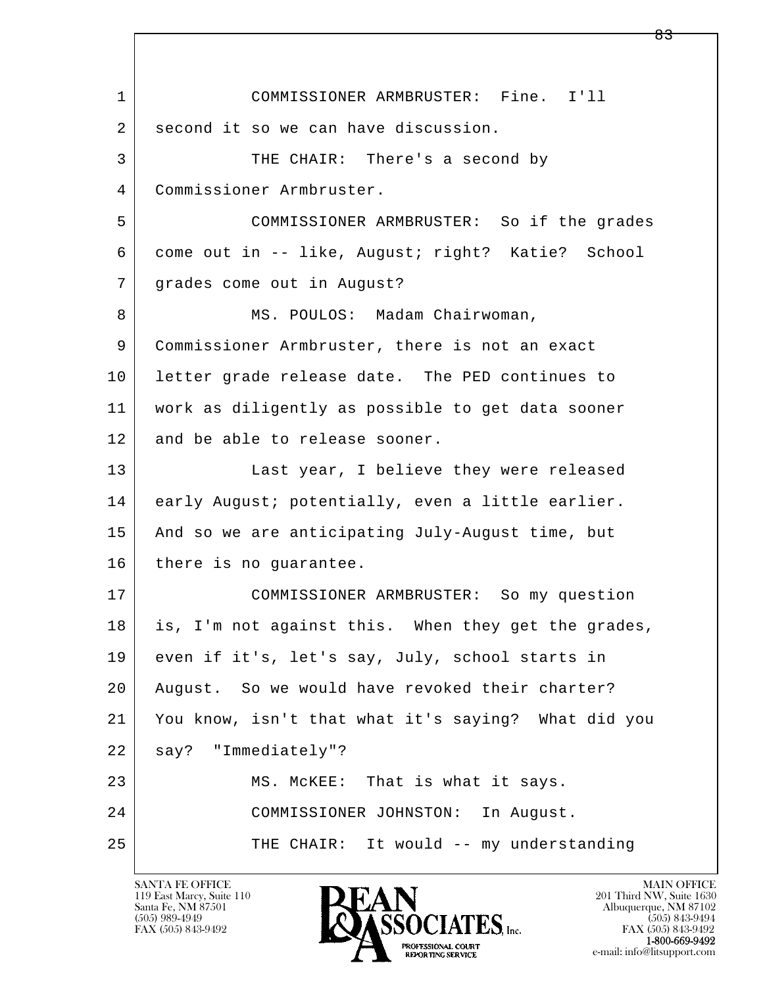l  $\overline{\phantom{a}}$  1 COMMISSIONER ARMBRUSTER: Fine. I'll 2 second it so we can have discussion. 3 THE CHAIR: There's a second by 4 Commissioner Armbruster. 5 COMMISSIONER ARMBRUSTER: So if the grades 6 come out in -- like, August; right? Katie? School 7 grades come out in August? 8 | MS. POULOS: Madam Chairwoman, 9 Commissioner Armbruster, there is not an exact 10 letter grade release date. The PED continues to 11 work as diligently as possible to get data sooner 12 and be able to release sooner. 13 Last year, I believe they were released 14 early August; potentially, even a little earlier. 15 | And so we are anticipating July-August time, but 16 there is no quarantee. 17 COMMISSIONER ARMBRUSTER: So my question 18 is, I'm not against this. When they get the grades, 19 even if it's, let's say, July, school starts in 20 August. So we would have revoked their charter? 21 You know, isn't that what it's saying? What did you 22 say? "Immediately"? 23 MS. McKEE: That is what it says. 24 COMMISSIONER JOHNSTON: In August. 25 | THE CHAIR: It would -- my understanding

119 East Marcy, Suite 110<br>Santa Fe, NM 87501

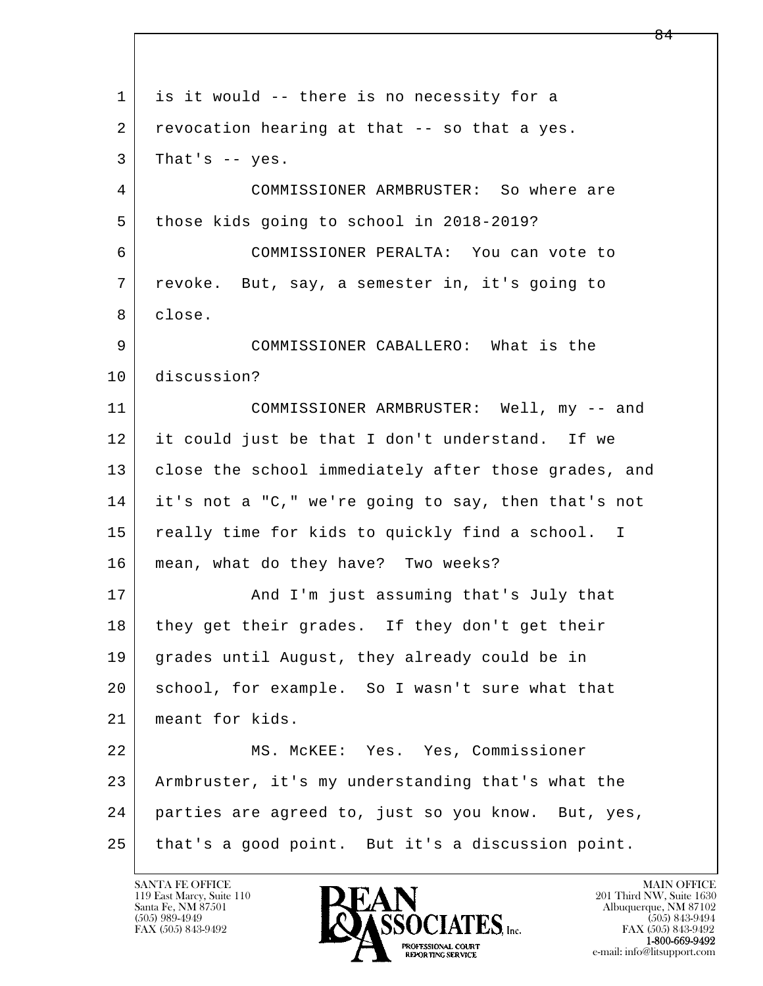l  $\overline{\phantom{a}}$  1 is it would -- there is no necessity for a 2 revocation hearing at that -- so that a yes.  $3$  That's  $-$  yes. 4 COMMISSIONER ARMBRUSTER: So where are 5 those kids going to school in 2018-2019? 6 COMMISSIONER PERALTA: You can vote to 7 | revoke. But, say, a semester in, it's going to 8 close. 9 COMMISSIONER CABALLERO: What is the 10 discussion? 11 COMMISSIONER ARMBRUSTER: Well, my -- and 12 it could just be that I don't understand. If we 13 | close the school immediately after those grades, and 14 it's not a "C," we're going to say, then that's not 15 really time for kids to quickly find a school. I 16 mean, what do they have? Two weeks? 17 | And I'm just assuming that's July that 18 | they get their grades. If they don't get their 19 grades until August, they already could be in 20 school, for example. So I wasn't sure what that 21 meant for kids. 22 MS. McKEE: Yes. Yes, Commissioner 23 Armbruster, it's my understanding that's what the 24 parties are agreed to, just so you know. But, yes, 25 that's a good point. But it's a discussion point.

119 East Marcy, Suite 110<br>Santa Fe, NM 87501



FAX (505) 843-9492<br>1-800-669-9492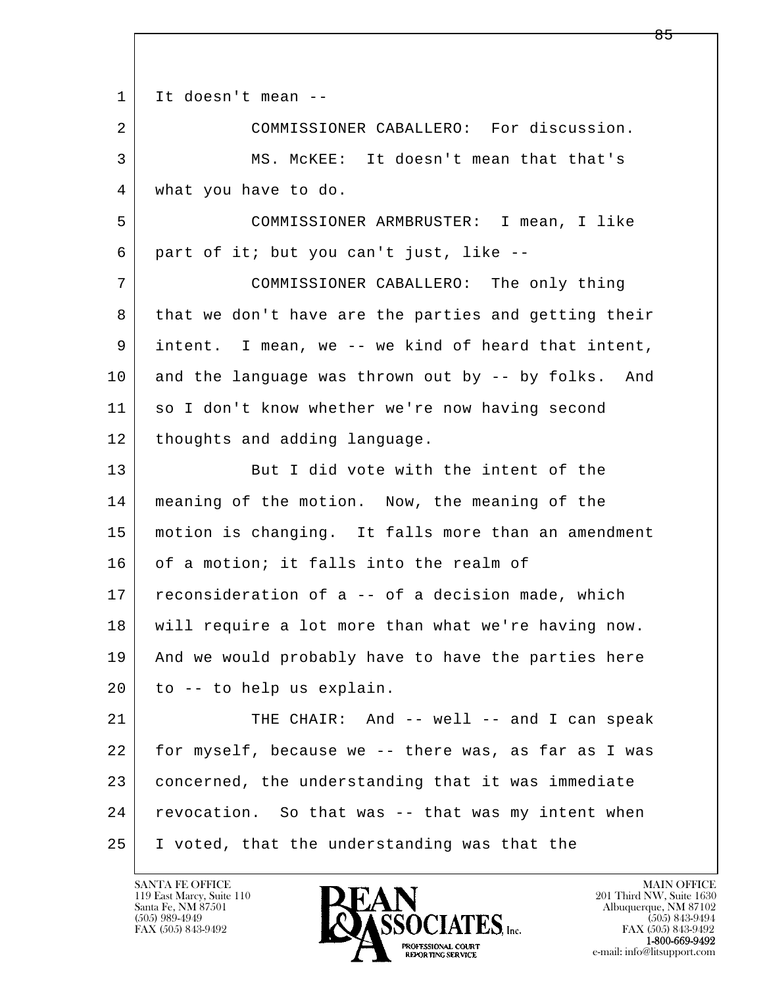l  $\overline{\phantom{a}}$ 1 It doesn't mean -- 2 COMMISSIONER CABALLERO: For discussion. 3 MS. McKEE: It doesn't mean that that's 4 what you have to do. 5 COMMISSIONER ARMBRUSTER: I mean, I like 6 part of it; but you can't just, like -- 7 COMMISSIONER CABALLERO: The only thing 8 that we don't have are the parties and getting their 9 intent. I mean, we -- we kind of heard that intent, 10 and the language was thrown out by -- by folks. And 11 so I don't know whether we're now having second 12 thoughts and adding language. 13 But I did vote with the intent of the 14 | meaning of the motion. Now, the meaning of the 15 motion is changing. It falls more than an amendment 16 of a motion; it falls into the realm of 17 reconsideration of a -- of a decision made, which 18 will require a lot more than what we're having now. 19 | And we would probably have to have the parties here 20 to -- to help us explain. 21 THE CHAIR: And -- well -- and I can speak 22 for myself, because we -- there was, as far as I was 23 concerned, the understanding that it was immediate 24 | revocation. So that was -- that was my intent when 25 I voted, that the understanding was that the

119 East Marcy, Suite 110<br>Santa Fe, NM 87501

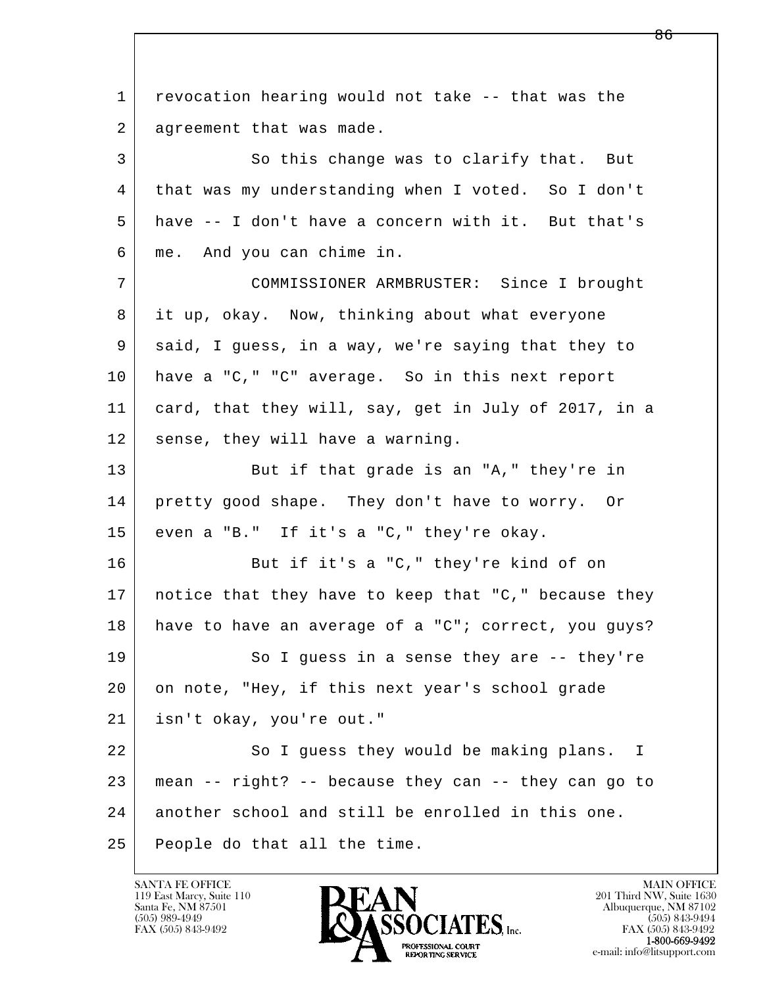l  $\overline{\phantom{a}}$  1 revocation hearing would not take -- that was the 2 agreement that was made. 3 So this change was to clarify that. But 4 that was my understanding when I voted. So I don't 5 have -- I don't have a concern with it. But that's 6 me. And you can chime in. 7 COMMISSIONER ARMBRUSTER: Since I brought 8 it up, okay. Now, thinking about what everyone 9 said, I guess, in a way, we're saying that they to 10 have a "C," "C" average. So in this next report 11 card, that they will, say, get in July of 2017, in a 12 sense, they will have a warning. 13 But if that grade is an "A," they're in 14 pretty good shape. They don't have to worry. Or 15 even a "B." If it's a "C," they're okay. 16 But if it's a "C," they're kind of on 17 notice that they have to keep that "C," because they 18 have to have an average of a "C"; correct, you guys? 19 So I guess in a sense they are -- they're 20 on note, "Hey, if this next year's school grade 21 isn't okay, you're out." 22 So I guess they would be making plans. I  $23$  mean  $-$  right?  $-$  because they can  $-$  they can go to 24 another school and still be enrolled in this one. 25 People do that all the time.

119 East Marcy, Suite 110<br>Santa Fe, NM 87501

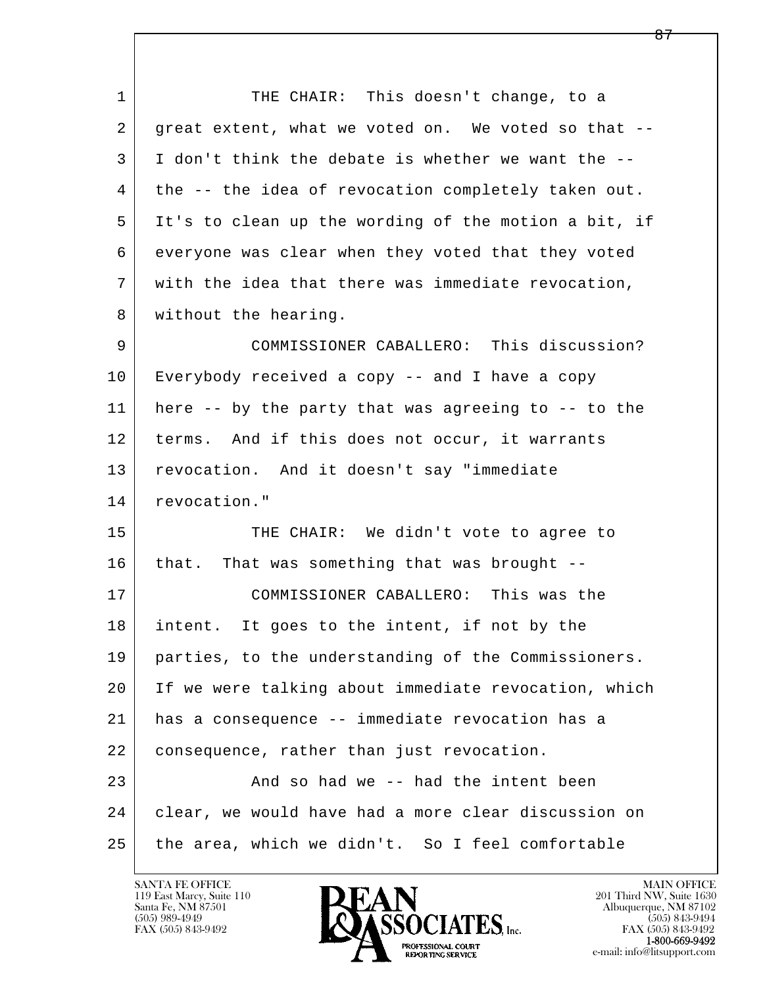l  $\overline{\phantom{a}}$ 1 THE CHAIR: This doesn't change, to a 2 great extent, what we voted on. We voted so that -- 3 I don't think the debate is whether we want the -- 4 the -- the idea of revocation completely taken out. 5 It's to clean up the wording of the motion a bit, if 6 everyone was clear when they voted that they voted 7 with the idea that there was immediate revocation, 8 | without the hearing. 9 COMMISSIONER CABALLERO: This discussion? 10 Everybody received a copy -- and I have a copy 11 here -- by the party that was agreeing to -- to the 12 | terms. And if this does not occur, it warrants 13 revocation. And it doesn't say "immediate 14 revocation." 15 THE CHAIR: We didn't vote to agree to 16 that. That was something that was brought -- 17 COMMISSIONER CABALLERO: This was the 18 intent. It goes to the intent, if not by the 19 parties, to the understanding of the Commissioners. 20 If we were talking about immediate revocation, which 21 has a consequence -- immediate revocation has a 22 consequence, rather than just revocation. 23 And so had we -- had the intent been 24 clear, we would have had a more clear discussion on 25 | the area, which we didn't. So I feel comfortable

119 East Marcy, Suite 110<br>Santa Fe, NM 87501

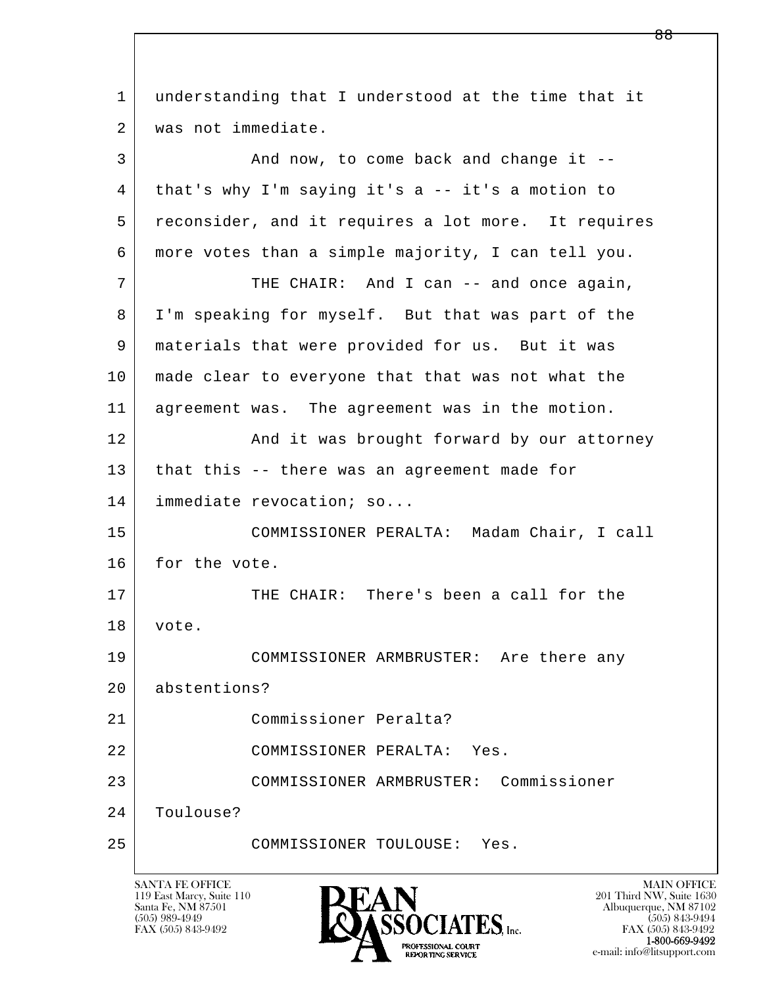l  $\overline{\phantom{a}}$  1 understanding that I understood at the time that it 2 was not immediate. 3 And now, to come back and change it -- 4 that's why I'm saying it's a -- it's a motion to 5 reconsider, and it requires a lot more. It requires 6 more votes than a simple majority, I can tell you. 7 THE CHAIR: And I can -- and once again, 8 I'm speaking for myself. But that was part of the 9 materials that were provided for us. But it was 10 made clear to everyone that that was not what the 11 agreement was. The agreement was in the motion. 12 | And it was brought forward by our attorney 13 that this -- there was an agreement made for 14 immediate revocation; so... 15 COMMISSIONER PERALTA: Madam Chair, I call 16 for the vote. 17 THE CHAIR: There's been a call for the 18 vote. 19 COMMISSIONER ARMBRUSTER: Are there any 20 abstentions? 21 Commissioner Peralta? 22 COMMISSIONER PERALTA: Yes. 23 COMMISSIONER ARMBRUSTER: Commissioner 24 Toulouse? 25 COMMISSIONER TOULOUSE: Yes.

119 East Marcy, Suite 110<br>Santa Fe, NM 87501

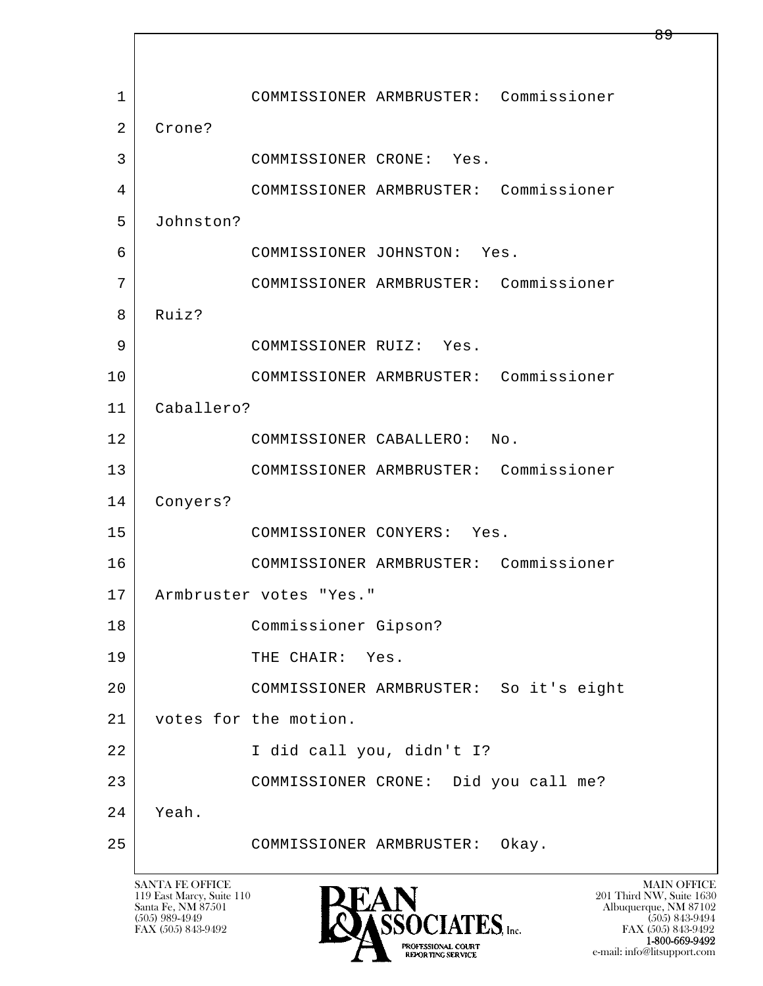l  $\overline{\phantom{a}}$  1 COMMISSIONER ARMBRUSTER: Commissioner 2 Crone? 3 COMMISSIONER CRONE: Yes. 4 COMMISSIONER ARMBRUSTER: Commissioner 5 Johnston? 6 COMMISSIONER JOHNSTON: Yes. 7 COMMISSIONER ARMBRUSTER: Commissioner 8 Ruiz? 9 | COMMISSIONER RUIZ: Yes. 10 COMMISSIONER ARMBRUSTER: Commissioner 11 Caballero? 12 COMMISSIONER CABALLERO: No. 13 COMMISSIONER ARMBRUSTER: Commissioner 14 Conyers? 15 COMMISSIONER CONYERS: Yes. 16 COMMISSIONER ARMBRUSTER: Commissioner 17 Armbruster votes "Yes." 18 Commissioner Gipson? 19 THE CHAIR: Yes. 20 COMMISSIONER ARMBRUSTER: So it's eight 21 votes for the motion. 22 I did call you, didn't I? 23 COMMISSIONER CRONE: Did you call me? 24 Yeah. 25 COMMISSIONER ARMBRUSTER: Okay.

119 East Marcy, Suite 110<br>Santa Fe, NM 87501



FAX (505) 843-9492 FAX (505) 843-9492 e-mail: info@litsupport.com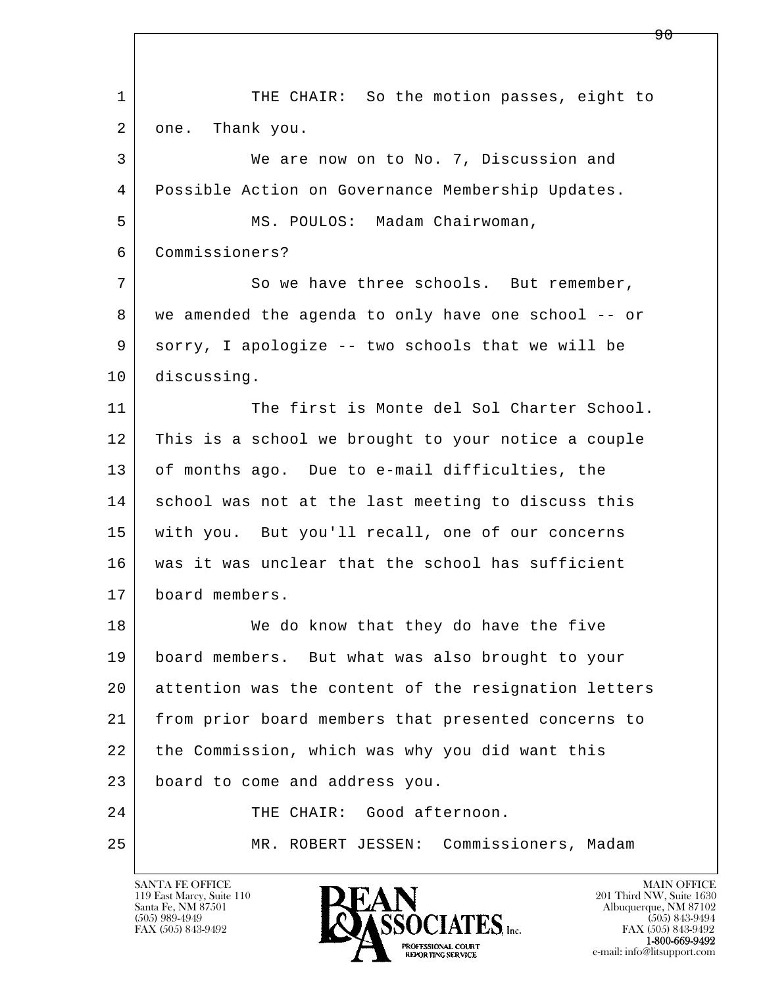l  $\overline{\phantom{a}}$ 1 THE CHAIR: So the motion passes, eight to 2 | one. Thank you. 3 We are now on to No. 7, Discussion and 4 Possible Action on Governance Membership Updates. 5 | MS. POULOS: Madam Chairwoman, 6 Commissioners? 7 So we have three schools. But remember, 8 we amended the agenda to only have one school -- or 9 sorry, I apologize -- two schools that we will be 10 discussing. 11 The first is Monte del Sol Charter School. 12 This is a school we brought to your notice a couple 13 of months ago. Due to e-mail difficulties, the 14 school was not at the last meeting to discuss this 15 with you. But you'll recall, one of our concerns 16 was it was unclear that the school has sufficient 17 board members. 18 We do know that they do have the five 19 board members. But what was also brought to your 20 attention was the content of the resignation letters 21 from prior board members that presented concerns to 22 the Commission, which was why you did want this 23 board to come and address you. 24 THE CHAIR: Good afternoon. 25 MR. ROBERT JESSEN: Commissioners, Madam

119 East Marcy, Suite 110<br>Santa Fe, NM 87501



FAX (505) 843-9492<br>**1-800-669-9492** 

ዓ A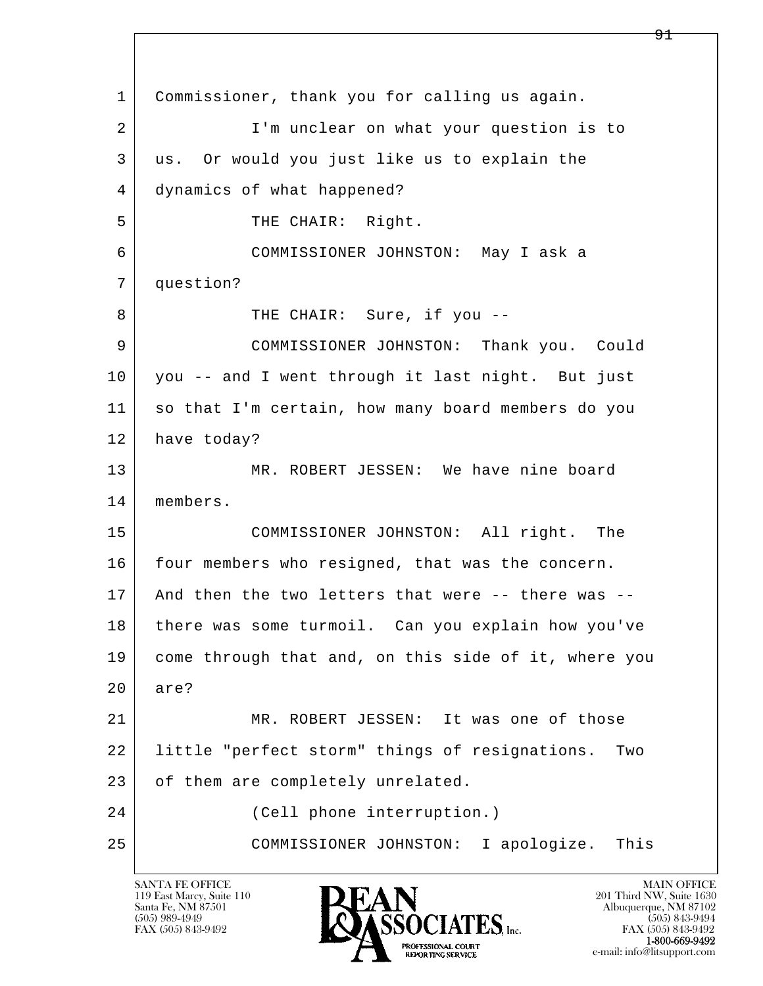l  $\overline{\phantom{a}}$  1 Commissioner, thank you for calling us again. 2 I'm unclear on what your question is to 3 us. Or would you just like us to explain the 4 dynamics of what happened? 5 | THE CHAIR: Right. 6 COMMISSIONER JOHNSTON: May I ask a 7 question? 8 | THE CHAIR: Sure, if you -- 9 COMMISSIONER JOHNSTON: Thank you. Could 10 you -- and I went through it last night. But just 11 so that I'm certain, how many board members do you 12 have today? 13 | MR. ROBERT JESSEN: We have nine board 14 members. 15 COMMISSIONER JOHNSTON: All right. The 16 four members who resigned, that was the concern. 17 And then the two letters that were -- there was -- 18 there was some turmoil. Can you explain how you've 19 come through that and, on this side of it, where you 20 are? 21 MR. ROBERT JESSEN: It was one of those 22 little "perfect storm" things of resignations. Two 23 of them are completely unrelated. 24 (Cell phone interruption.) 25 COMMISSIONER JOHNSTON: I apologize. This

119 East Marcy, Suite 110<br>Santa Fe, NM 87501

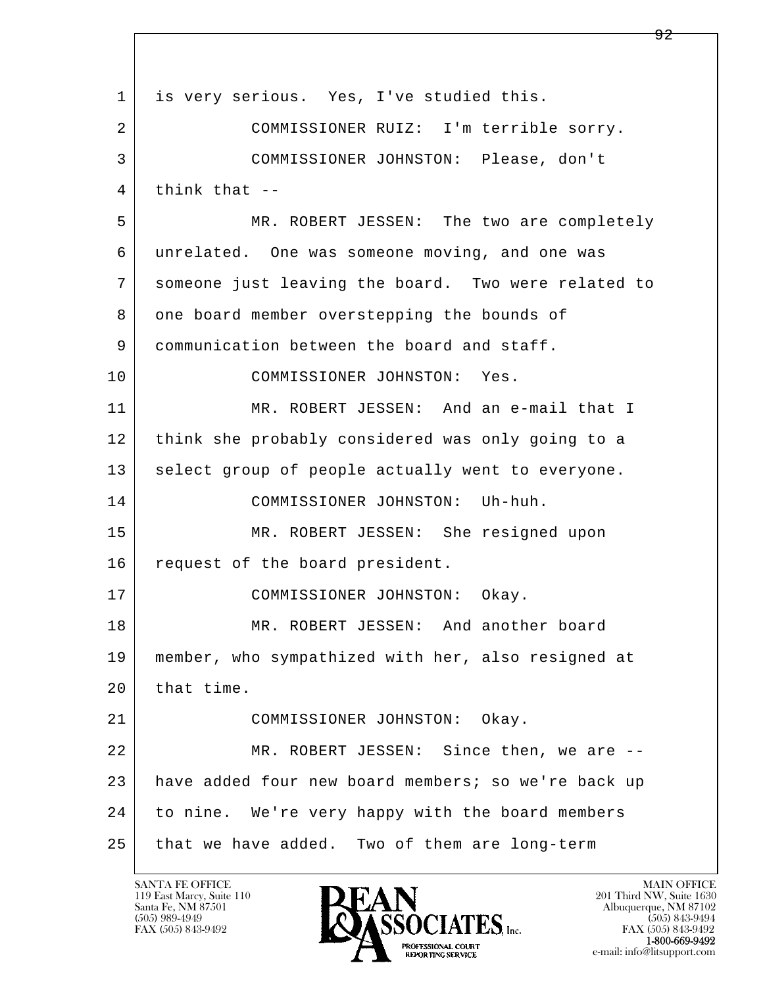l  $\overline{\phantom{a}}$ 1 is very serious. Yes, I've studied this. 2 COMMISSIONER RUIZ: I'm terrible sorry. 3 COMMISSIONER JOHNSTON: Please, don't  $4$  think that  $-$  5 MR. ROBERT JESSEN: The two are completely 6 unrelated. One was someone moving, and one was 7 someone just leaving the board. Two were related to 8 one board member overstepping the bounds of 9 communication between the board and staff. 10 COMMISSIONER JOHNSTON: Yes. 11 MR. ROBERT JESSEN: And an e-mail that I 12 think she probably considered was only going to a 13 select group of people actually went to everyone. 14 COMMISSIONER JOHNSTON: Uh-huh. 15 MR. ROBERT JESSEN: She resigned upon 16 request of the board president. 17 COMMISSIONER JOHNSTON: Okay. 18 MR. ROBERT JESSEN: And another board 19 member, who sympathized with her, also resigned at  $20$  that time. 21 COMMISSIONER JOHNSTON: Okay. 22 MR. ROBERT JESSEN: Since then, we are -- 23 have added four new board members; so we're back up 24 to nine. We're very happy with the board members 25 that we have added. Two of them are long-term

119 East Marcy, Suite 110<br>Santa Fe, NM 87501

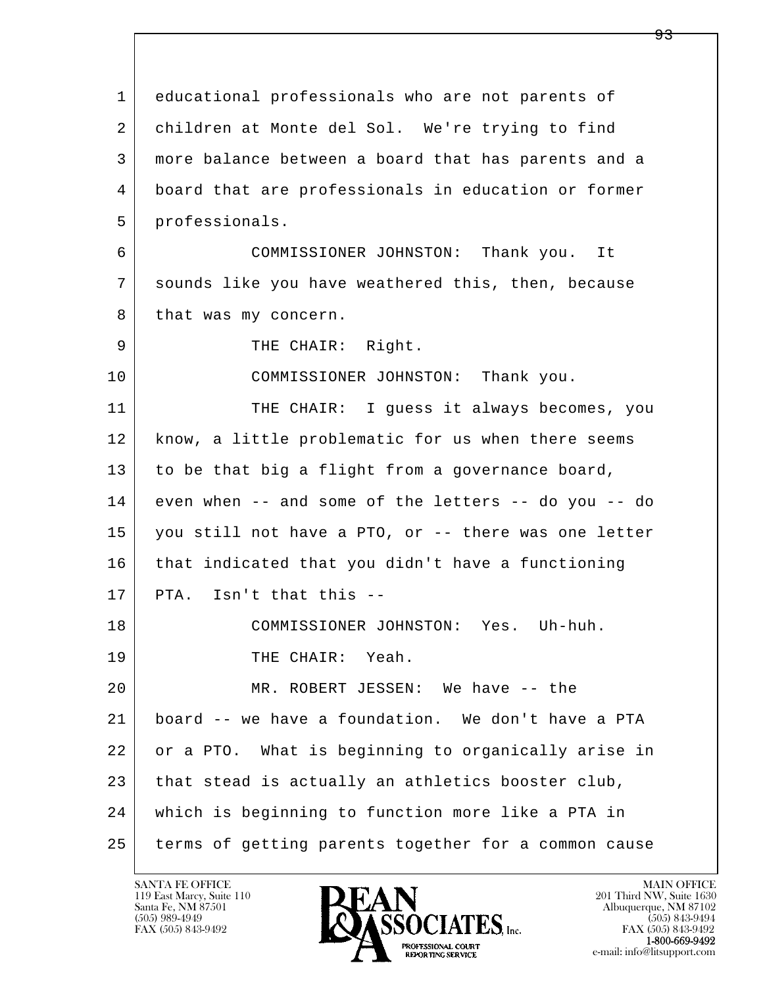l  $\overline{\phantom{a}}$  1 educational professionals who are not parents of 2 children at Monte del Sol. We're trying to find 3 more balance between a board that has parents and a 4 board that are professionals in education or former 5 professionals. 6 COMMISSIONER JOHNSTON: Thank you. It 7 sounds like you have weathered this, then, because 8 that was my concern. 9 | THE CHAIR: Right. 10 | COMMISSIONER JOHNSTON: Thank you. 11 THE CHAIR: I guess it always becomes, you 12 | know, a little problematic for us when there seems 13 to be that big a flight from a governance board, 14 even when -- and some of the letters -- do you -- do 15 you still not have a PTO, or -- there was one letter 16 that indicated that you didn't have a functioning  $17$  PTA. Isn't that this  $-$  18 COMMISSIONER JOHNSTON: Yes. Uh-huh. 19 THE CHAIR: Yeah. 20 MR. ROBERT JESSEN: We have -- the 21 board -- we have a foundation. We don't have a PTA 22 or a PTO. What is beginning to organically arise in 23 that stead is actually an athletics booster club, 24 which is beginning to function more like a PTA in 25 terms of getting parents together for a common cause

119 East Marcy, Suite 110<br>Santa Fe, NM 87501

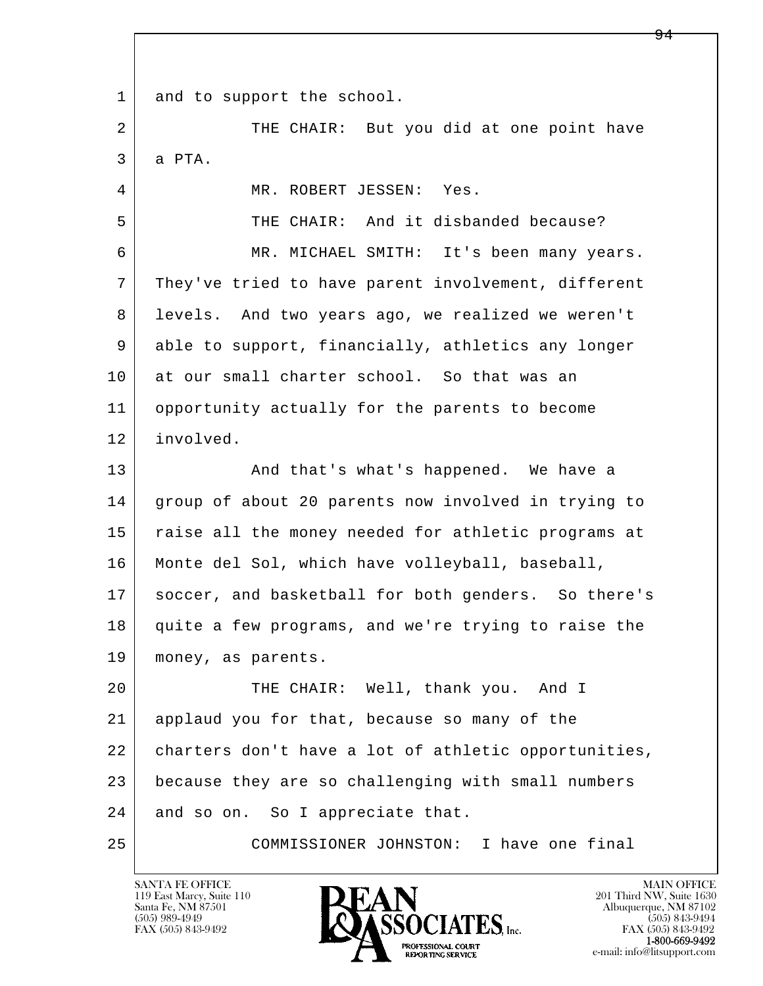1 and to support the school.

l  $\overline{\phantom{a}}$ 2 | THE CHAIR: But you did at one point have 3 a PTA. 4 MR. ROBERT JESSEN: Yes. 5 THE CHAIR: And it disbanded because? 6 MR. MICHAEL SMITH: It's been many years. 7 They've tried to have parent involvement, different 8 levels. And two years ago, we realized we weren't 9 | able to support, financially, athletics any longer 10 at our small charter school. So that was an 11 opportunity actually for the parents to become 12 involved. 13 | And that's what's happened. We have a 14 group of about 20 parents now involved in trying to 15 | raise all the money needed for athletic programs at 16 Monte del Sol, which have volleyball, baseball, 17 | soccer, and basketball for both genders. So there's 18 quite a few programs, and we're trying to raise the 19 money, as parents. 20 THE CHAIR: Well, thank you. And I 21 applaud you for that, because so many of the 22 charters don't have a lot of athletic opportunities, 23 because they are so challenging with small numbers 24 and so on. So I appreciate that.

25 COMMISSIONER JOHNSTON: I have one final

119 East Marcy, Suite 110<br>Santa Fe, NM 87501



FAX (505) 843-9492<br>1-800-669-9492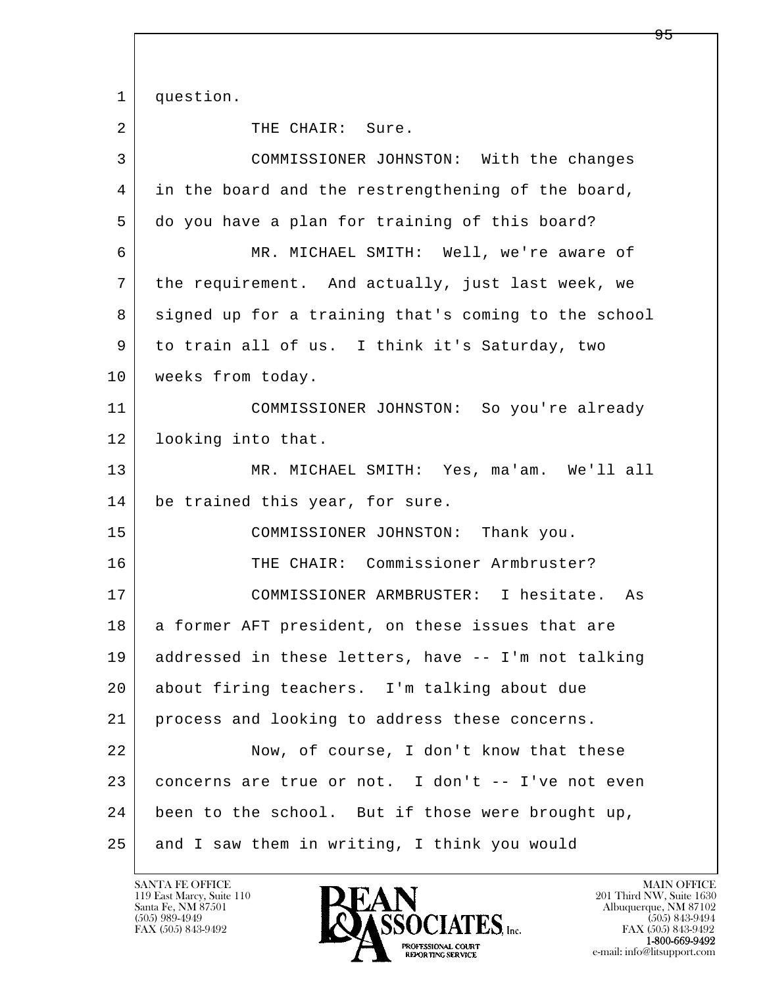l  $\overline{\phantom{a}}$ 1 question. 2 THE CHAIR: Sure. 3 COMMISSIONER JOHNSTON: With the changes 4 in the board and the restrengthening of the board, 5 do you have a plan for training of this board? 6 MR. MICHAEL SMITH: Well, we're aware of 7 the requirement. And actually, just last week, we 8 signed up for a training that's coming to the school 9 to train all of us. I think it's Saturday, two 10 | weeks from today. 11 COMMISSIONER JOHNSTON: So you're already 12 looking into that. 13 MR. MICHAEL SMITH: Yes, ma'am. We'll all 14 be trained this year, for sure. 15 | COMMISSIONER JOHNSTON: Thank you. 16 THE CHAIR: Commissioner Armbruster? 17 COMMISSIONER ARMBRUSTER: I hesitate. As 18 | a former AFT president, on these issues that are 19 addressed in these letters, have -- I'm not talking 20 about firing teachers. I'm talking about due 21 process and looking to address these concerns. 22 Now, of course, I don't know that these 23 concerns are true or not. I don't -- I've not even 24 been to the school. But if those were brought up, 25 and I saw them in writing, I think you would

119 East Marcy, Suite 110<br>Santa Fe, NM 87501

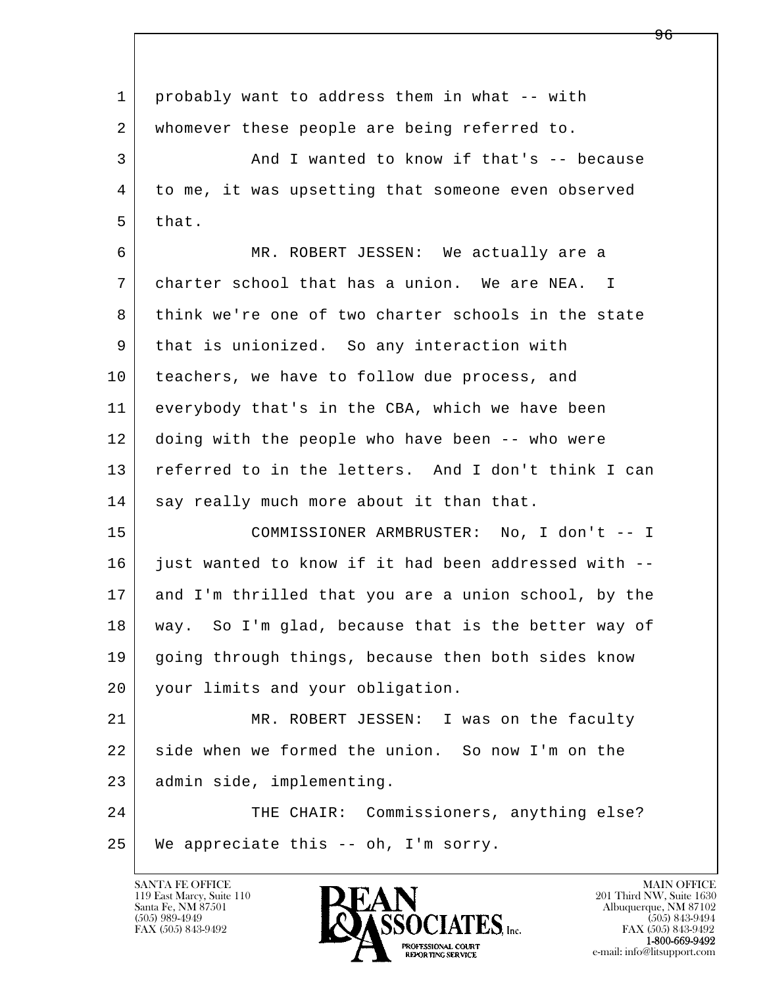l  $\overline{\phantom{a}}$  1 probably want to address them in what -- with 2 whomever these people are being referred to. 3 And I wanted to know if that's -- because 4 to me, it was upsetting that someone even observed  $5$  that. 6 MR. ROBERT JESSEN: We actually are a 7 charter school that has a union. We are NEA. I 8 think we're one of two charter schools in the state 9 | that is unionized. So any interaction with 10 teachers, we have to follow due process, and 11 everybody that's in the CBA, which we have been 12 doing with the people who have been -- who were 13 referred to in the letters. And I don't think I can 14 say really much more about it than that. 15 COMMISSIONER ARMBRUSTER: No, I don't -- I 16 just wanted to know if it had been addressed with -- 17 and I'm thrilled that you are a union school, by the 18 way. So I'm glad, because that is the better way of 19 going through things, because then both sides know 20 your limits and your obligation. 21 MR. ROBERT JESSEN: I was on the faculty 22 side when we formed the union. So now I'm on the 23 admin side, implementing. 24 THE CHAIR: Commissioners, anything else?  $25$  We appreciate this -- oh, I'm sorry.

119 East Marcy, Suite 110<br>Santa Fe, NM 87501

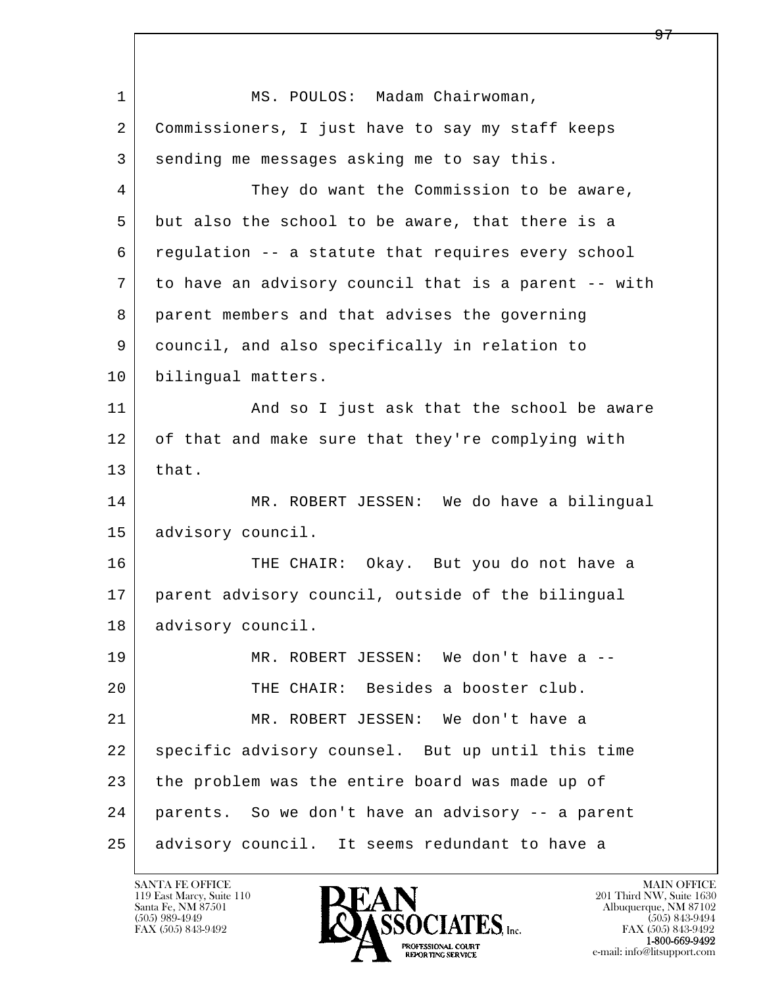l  $\overline{\phantom{a}}$ 1 MS. POULOS: Madam Chairwoman, 2 Commissioners, I just have to say my staff keeps 3 sending me messages asking me to say this. 4 They do want the Commission to be aware, 5 but also the school to be aware, that there is a 6 regulation -- a statute that requires every school 7 to have an advisory council that is a parent -- with 8 parent members and that advises the governing 9 council, and also specifically in relation to 10 bilingual matters. 11 | And so I just ask that the school be aware 12 of that and make sure that they're complying with  $13$  that. 14 MR. ROBERT JESSEN: We do have a bilingual 15 | advisory council. 16 THE CHAIR: Okay. But you do not have a 17 parent advisory council, outside of the bilingual 18 | advisory council. 19 MR. ROBERT JESSEN: We don't have a -- 20 THE CHAIR: Besides a booster club. 21 MR. ROBERT JESSEN: We don't have a 22 | specific advisory counsel. But up until this time 23 the problem was the entire board was made up of 24 parents. So we don't have an advisory -- a parent 25 advisory council. It seems redundant to have a

119 East Marcy, Suite 110<br>Santa Fe, NM 87501



FAX (505) 843-9492<br>**1-800-669-9492**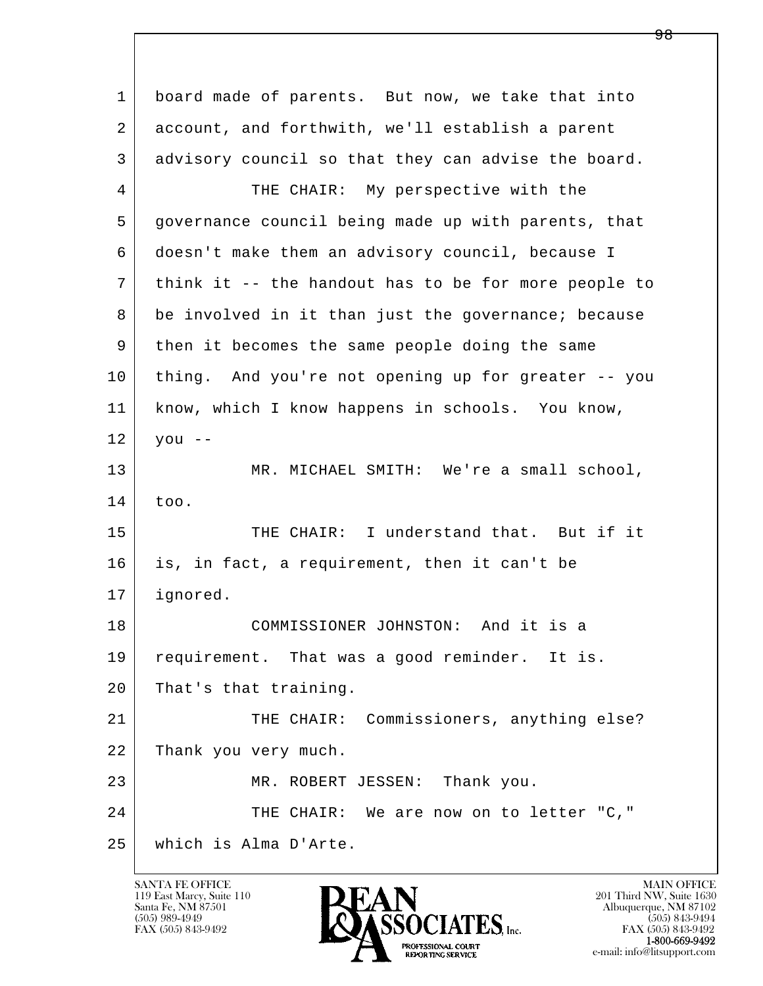l  $\overline{\phantom{a}}$  1 board made of parents. But now, we take that into 2 account, and forthwith, we'll establish a parent 3 advisory council so that they can advise the board. 4 THE CHAIR: My perspective with the 5 governance council being made up with parents, that 6 doesn't make them an advisory council, because I 7 think it -- the handout has to be for more people to 8 be involved in it than just the governance; because 9 then it becomes the same people doing the same 10 thing. And you're not opening up for greater -- you 11 know, which I know happens in schools. You know,  $12$  you  $-$ 13 MR. MICHAEL SMITH: We're a small school, 14 too. 15 THE CHAIR: I understand that. But if it 16 is, in fact, a requirement, then it can't be 17 ignored. 18 COMMISSIONER JOHNSTON: And it is a 19 | requirement. That was a good reminder. It is. 20 That's that training. 21 THE CHAIR: Commissioners, anything else? 22 Thank you very much. 23 MR. ROBERT JESSEN: Thank you. 24 THE CHAIR: We are now on to letter "C," 25 which is Alma D'Arte.

119 East Marcy, Suite 110<br>Santa Fe, NM 87501



FAX (505) 843-9492 FAX (505) 843-9492 e-mail: info@litsupport.com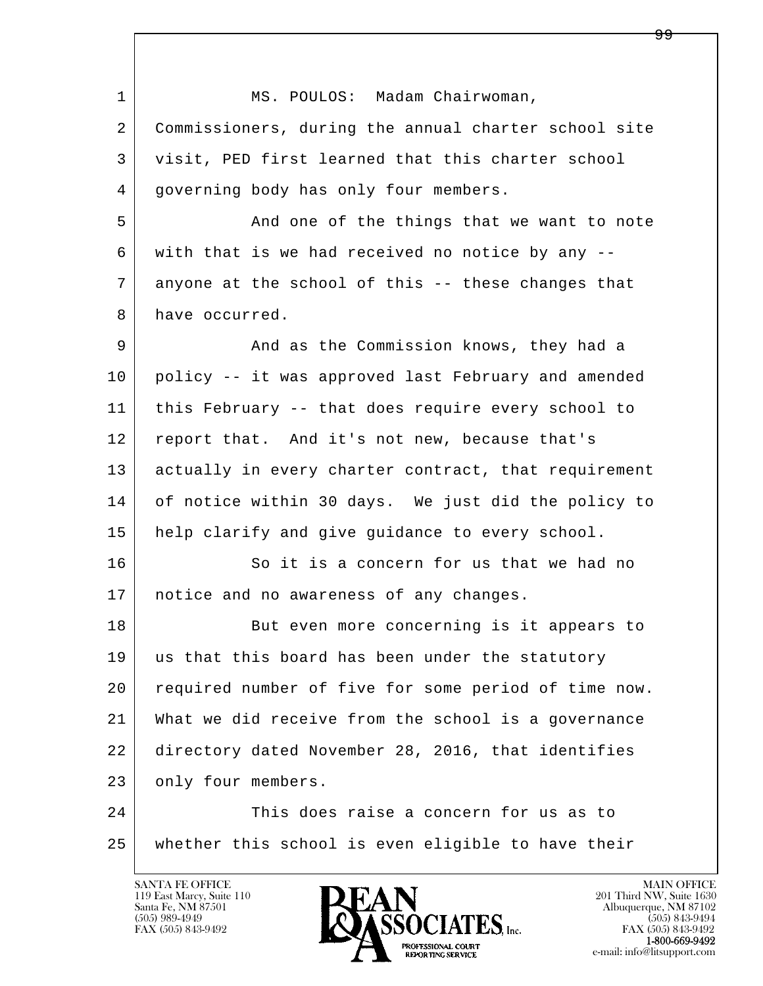| MS. POULOS: Madam Chairwoman,                        |
|------------------------------------------------------|
| Commissioners, during the annual charter school site |
| visit, PED first learned that this charter school    |
| governing body has only four members.                |
| And one of the things that we want to note           |
| with that is we had received no notice by any --     |
| anyone at the school of this -- these changes that   |
| have occurred.                                       |
| And as the Commission knows, they had a              |
| policy -- it was approved last February and amended  |
| this February -- that does require every school to   |
| report that. And it's not new, because that's        |
| actually in every charter contract, that requirement |
| of notice within 30 days. We just did the policy to  |
| help clarify and give guidance to every school.      |
| So it is a concern for us that we had no             |
| notice and no awareness of any changes.              |
| But even more concerning is it appears to            |
| us that this board has been under the statutory      |
| required number of five for some period of time now. |
| What we did receive from the school is a governance  |
| directory dated November 28, 2016, that identifies   |
| only four members.                                   |
| This does raise a concern for us as to               |
| whether this school is even eligible to have their   |
|                                                      |

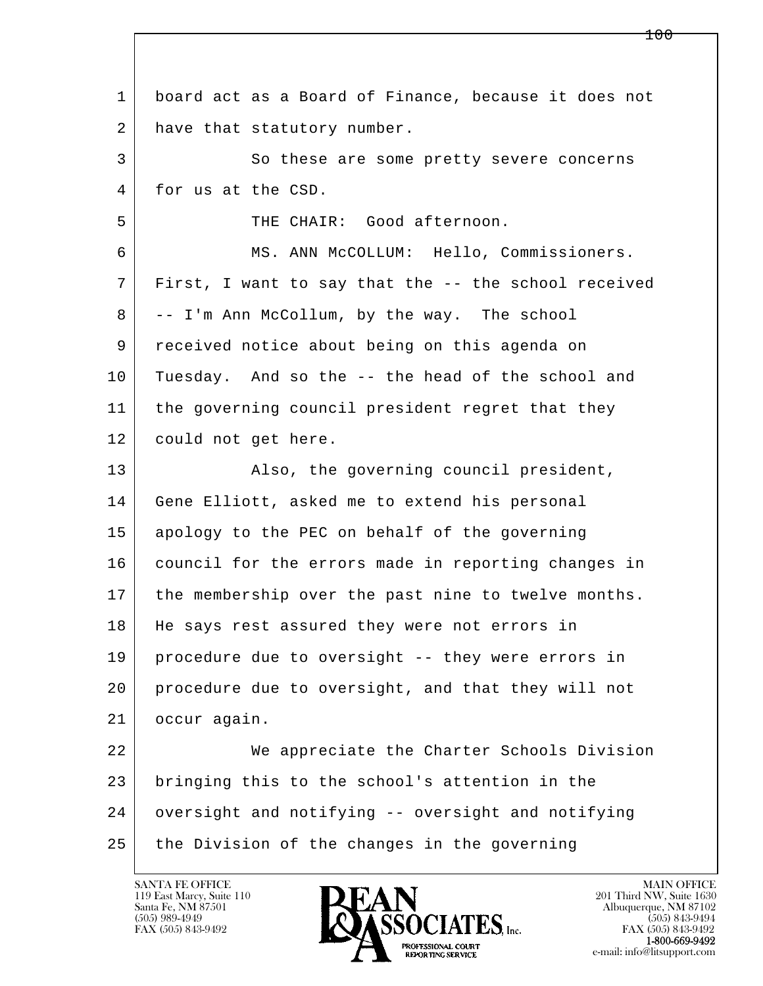| $\mathbf{1}$ | board act as a Board of Finance, because it does not |
|--------------|------------------------------------------------------|
| 2            | have that statutory number.                          |
| 3            | So these are some pretty severe concerns             |
| 4            | for us at the CSD.                                   |
| 5            | THE CHAIR: Good afternoon.                           |
| 6            | MS. ANN McCOLLUM: Hello, Commissioners.              |
| 7            | First, I want to say that the -- the school received |
| 8            | -- I'm Ann McCollum, by the way. The school          |
| 9            | received notice about being on this agenda on        |
| 10           | Tuesday. And so the -- the head of the school and    |
| 11           | the governing council president regret that they     |
| 12           | could not get here.                                  |
| 13           | Also, the governing council president,               |
| 14           | Gene Elliott, asked me to extend his personal        |
| 15           | apology to the PEC on behalf of the governing        |
|              |                                                      |
| 16           | council for the errors made in reporting changes in  |
| 17           | the membership over the past nine to twelve months.  |
| 18           | He says rest assured they were not errors in         |
| 19           | procedure due to oversight -- they were errors in    |
| 20           | procedure due to oversight, and that they will not   |
| 21           | occur again.                                         |
| 22           | We appreciate the Charter Schools Division           |
| 23           | bringing this to the school's attention in the       |
| 24           | oversight and notifying -- oversight and notifying   |

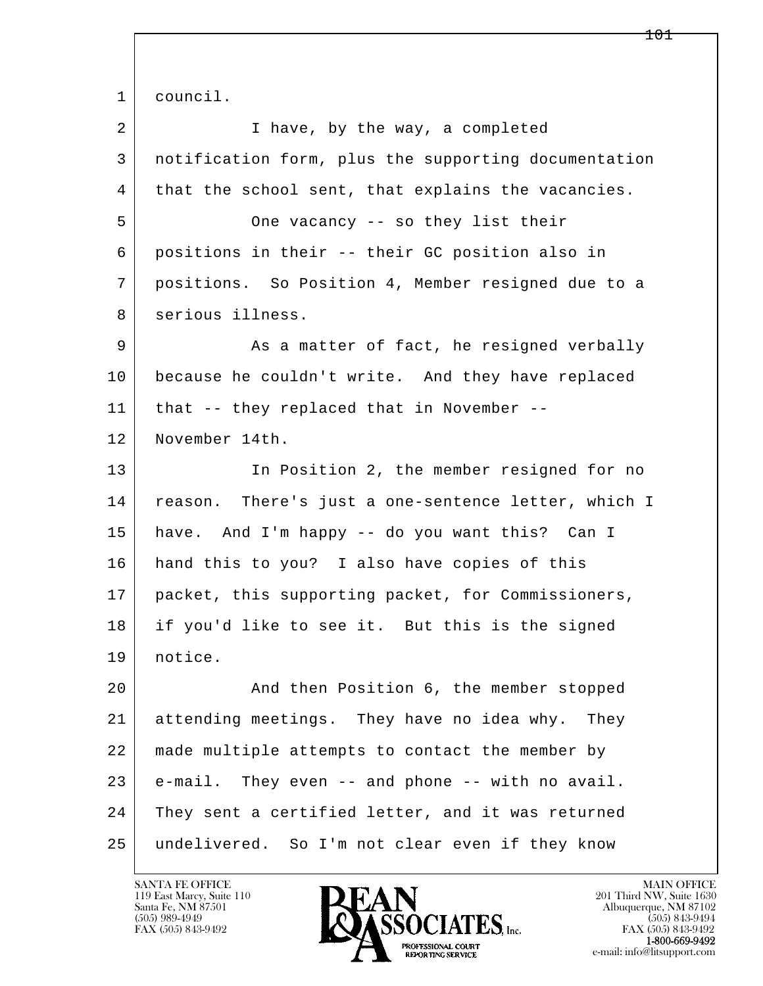l  $\overline{\phantom{a}}$  1 council. 2 I have, by the way, a completed 3 notification form, plus the supporting documentation 4 | that the school sent, that explains the vacancies. 5 One vacancy -- so they list their 6 positions in their -- their GC position also in 7 positions. So Position 4, Member resigned due to a 8 | serious illness. 9 As a matter of fact, he resigned verbally 10 because he couldn't write. And they have replaced 11 that -- they replaced that in November -- 12 November 14th. 13 In Position 2, the member resigned for no 14 | reason. There's just a one-sentence letter, which I 15 have. And I'm happy -- do you want this? Can I 16 hand this to you? I also have copies of this 17 packet, this supporting packet, for Commissioners, 18 if you'd like to see it. But this is the signed 19 notice. 20 | And then Position 6, the member stopped 21 attending meetings. They have no idea why. They 22 made multiple attempts to contact the member by 23 e-mail. They even -- and phone -- with no avail. 24 They sent a certified letter, and it was returned 25 undelivered. So I'm not clear even if they know

119 East Marcy, Suite 110<br>Santa Fe, NM 87501

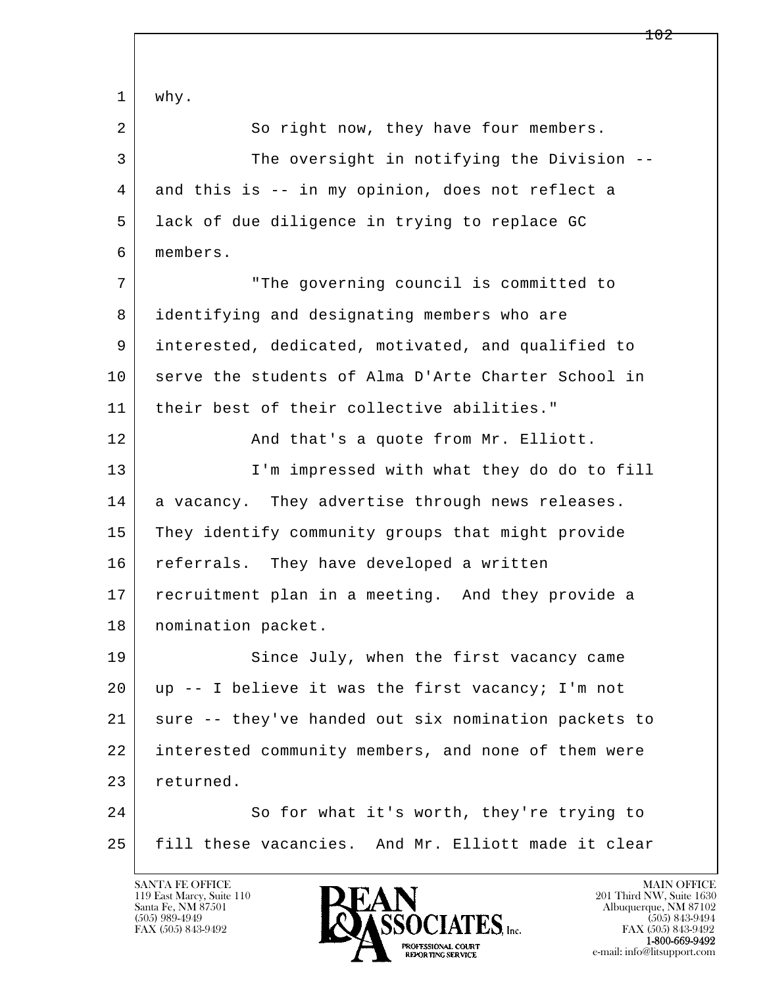l  $\overline{\phantom{a}}$  1 why. 2 So right now, they have four members. 3 The oversight in notifying the Division -- 4 and this is -- in my opinion, does not reflect a 5 lack of due diligence in trying to replace GC 6 members. 7 "The governing council is committed to 8 identifying and designating members who are 9 interested, dedicated, motivated, and qualified to 10 serve the students of Alma D'Arte Charter School in 11 their best of their collective abilities." 12 And that's a quote from Mr. Elliott. 13 | I'm impressed with what they do do to fill 14 a vacancy. They advertise through news releases. 15 They identify community groups that might provide 16 referrals. They have developed a written 17 | recruitment plan in a meeting. And they provide a 18 | nomination packet. 19 Since July, when the first vacancy came 20 up -- I believe it was the first vacancy; I'm not 21 sure -- they've handed out six nomination packets to 22 interested community members, and none of them were 23 returned. 24 So for what it's worth, they're trying to 25 fill these vacancies. And Mr. Elliott made it clear

119 East Marcy, Suite 110<br>Santa Fe, NM 87501

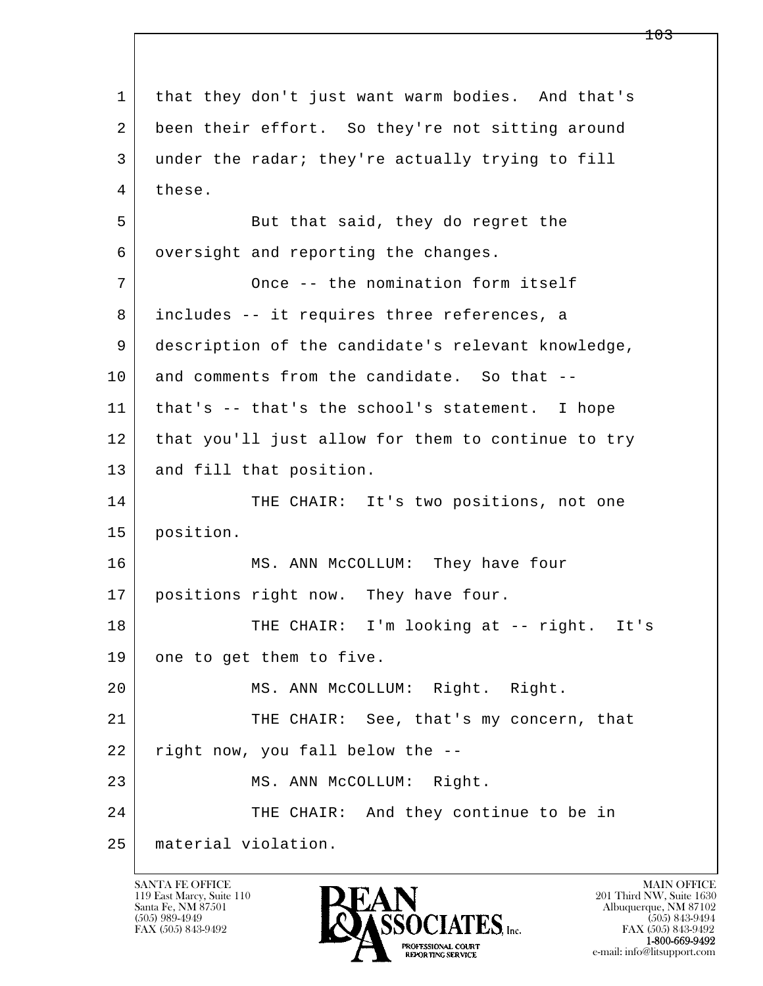l  $\overline{\phantom{a}}$  1 that they don't just want warm bodies. And that's 2 been their effort. So they're not sitting around 3 under the radar; they're actually trying to fill 4 these. 5 | But that said, they do regret the 6 | oversight and reporting the changes. 7 Once -- the nomination form itself 8 includes -- it requires three references, a 9 description of the candidate's relevant knowledge, 10 and comments from the candidate. So that -- 11 that's -- that's the school's statement. I hope 12 | that you'll just allow for them to continue to try 13 and fill that position. 14 THE CHAIR: It's two positions, not one 15 position. 16 MS. ANN McCOLLUM: They have four 17 | positions right now. They have four. 18 | THE CHAIR: I'm looking at -- right. It's 19 one to get them to five. 20 MS. ANN McCOLLUM: Right. Right. 21 | THE CHAIR: See, that's my concern, that  $22$  right now, you fall below the  $-$ -23 MS. ANN McCOLLUM: Right. 24 THE CHAIR: And they continue to be in 25 material violation.

119 East Marcy, Suite 110<br>Santa Fe, NM 87501



FAX (505) 843-9492<br>1-800-669-9492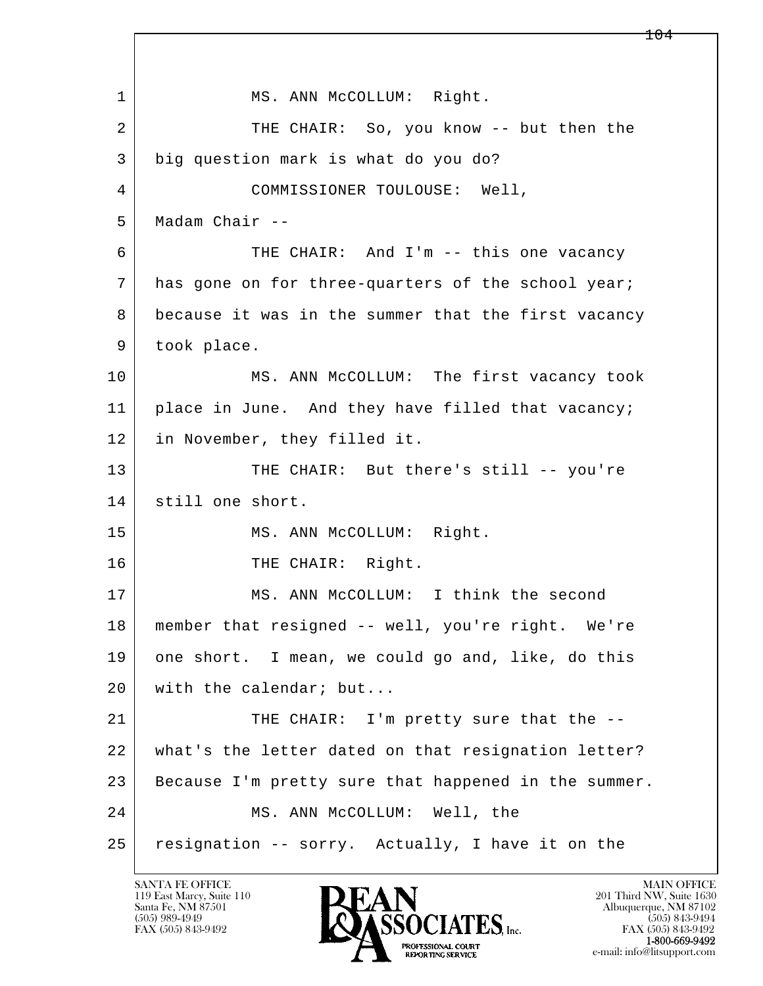l  $\overline{\phantom{a}}$ 1 | MS. ANN McCOLLUM: Right. 2 THE CHAIR: So, you know -- but then the 3 big question mark is what do you do? 4 COMMISSIONER TOULOUSE: Well, 5 Madam Chair -- 6 THE CHAIR: And I'm -- this one vacancy 7 has gone on for three-quarters of the school year; 8 because it was in the summer that the first vacancy 9 took place. 10 MS. ANN McCOLLUM: The first vacancy took 11 | place in June. And they have filled that vacancy; 12 in November, they filled it. 13 THE CHAIR: But there's still -- you're 14 still one short. 15 | MS. ANN McCOLLUM: Right. 16 THE CHAIR: Right. 17 MS. ANN McCOLLUM: I think the second 18 member that resigned -- well, you're right. We're 19 one short. I mean, we could go and, like, do this 20 with the calendar; but... 21 THE CHAIR: I'm pretty sure that the -- 22 what's the letter dated on that resignation letter? 23 | Because I'm pretty sure that happened in the summer. 24 MS. ANN McCOLLUM: Well, the 25 resignation -- sorry. Actually, I have it on the

119 East Marcy, Suite 110<br>Santa Fe, NM 87501

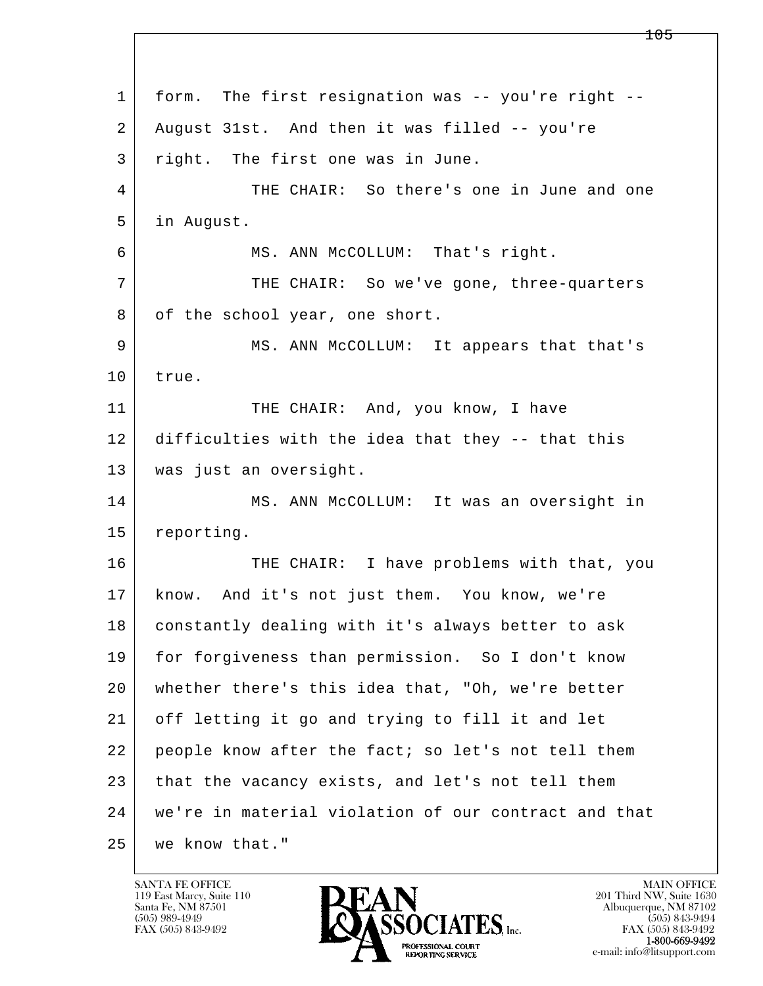l  $\overline{\phantom{a}}$  1 form. The first resignation was -- you're right -- 2 August 31st. And then it was filled -- you're 3 right. The first one was in June. 4 THE CHAIR: So there's one in June and one 5 in August. 6 MS. ANN McCOLLUM: That's right. 7 THE CHAIR: So we've gone, three-quarters 8 of the school year, one short. 9 MS. ANN McCOLLUM: It appears that that's 10 true. 11 THE CHAIR: And, you know, I have 12 difficulties with the idea that they -- that this 13 | was just an oversight. 14 MS. ANN McCOLLUM: It was an oversight in 15 reporting. 16 THE CHAIR: I have problems with that, you 17 know. And it's not just them. You know, we're 18 | constantly dealing with it's always better to ask 19 for forgiveness than permission. So I don't know 20 whether there's this idea that, "Oh, we're better 21 off letting it go and trying to fill it and let 22 people know after the fact; so let's not tell them 23 that the vacancy exists, and let's not tell them 24 we're in material violation of our contract and that 25 we know that."

119 East Marcy, Suite 110<br>Santa Fe, NM 87501



FAX (505) 843-9492 FAX (505) 843-9492 e-mail: info@litsupport.com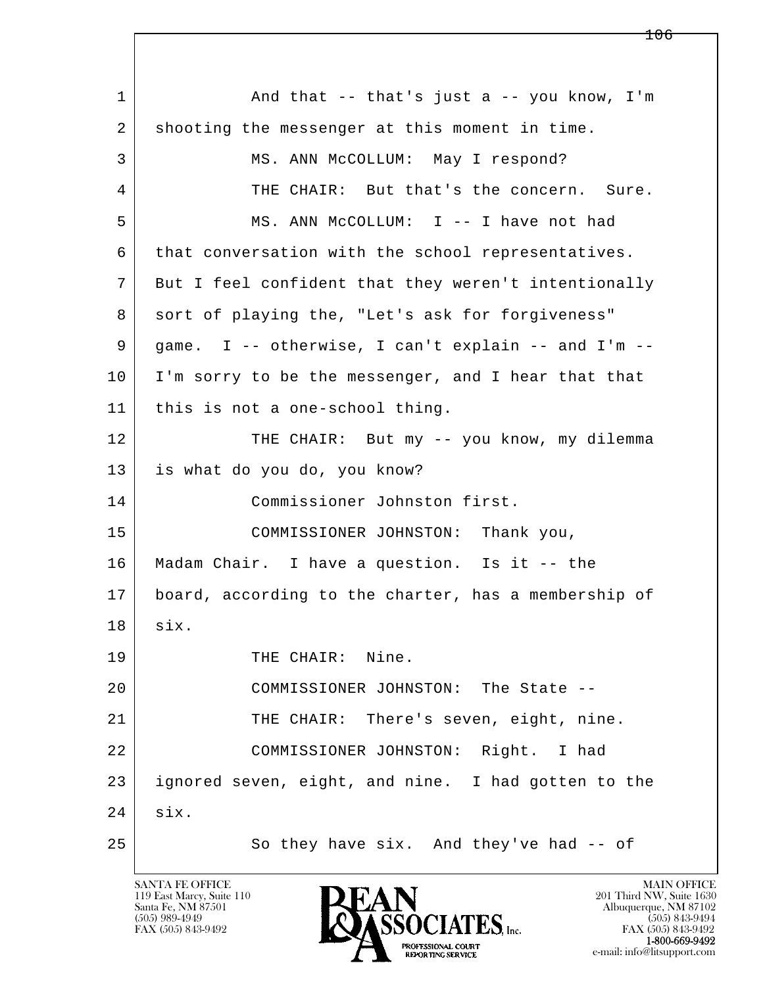l  $\overline{\phantom{a}}$ 1 and that -- that's just a -- you know, I'm 2 shooting the messenger at this moment in time. 3 MS. ANN McCOLLUM: May I respond? 4 THE CHAIR: But that's the concern. Sure. 5 MS. ANN McCOLLUM: I -- I have not had 6 that conversation with the school representatives. 7 But I feel confident that they weren't intentionally 8 sort of playing the, "Let's ask for forgiveness" 9 game. I -- otherwise, I can't explain -- and I'm -- 10 I'm sorry to be the messenger, and I hear that that 11 this is not a one-school thing. 12 THE CHAIR: But my -- you know, my dilemma 13 is what do you do, you know? 14 Commissioner Johnston first. 15 | COMMISSIONER JOHNSTON: Thank you, 16 Madam Chair. I have a question. Is it -- the 17 board, according to the charter, has a membership of 18 six. 19 THE CHAIR: Nine. 20 COMMISSIONER JOHNSTON: The State --21 THE CHAIR: There's seven, eight, nine. 22 COMMISSIONER JOHNSTON: Right. I had 23 ignored seven, eight, and nine. I had gotten to the 24 six. 25 So they have six. And they've had -- of

119 East Marcy, Suite 110<br>Santa Fe, NM 87501

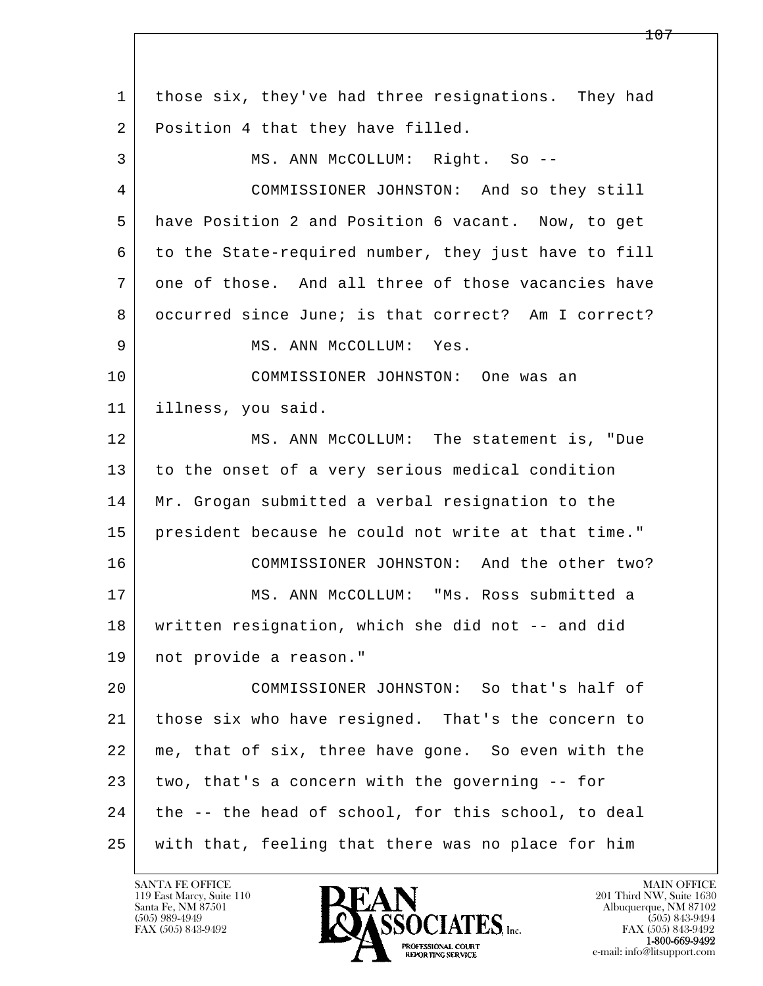l  $\overline{\phantom{a}}$  1 those six, they've had three resignations. They had 2 | Position 4 that they have filled. 3 MS. ANN McCOLLUM: Right. So -- 4 COMMISSIONER JOHNSTON: And so they still 5 have Position 2 and Position 6 vacant. Now, to get 6 to the State-required number, they just have to fill 7 one of those. And all three of those vacancies have 8 occurred since June; is that correct? Am I correct? 9 | MS. ANN McCOLLUM: Yes. 10 COMMISSIONER JOHNSTON: One was an 11 illness, you said. 12 MS. ANN McCOLLUM: The statement is, "Due 13 to the onset of a very serious medical condition 14 Mr. Grogan submitted a verbal resignation to the 15 president because he could not write at that time." 16 COMMISSIONER JOHNSTON: And the other two? 17 MS. ANN McCOLLUM: "Ms. Ross submitted a 18 written resignation, which she did not -- and did 19 not provide a reason." 20 COMMISSIONER JOHNSTON: So that's half of 21 those six who have resigned. That's the concern to 22 me, that of six, three have gone. So even with the  $23$  two, that's a concern with the governing  $-$  for 24 the -- the head of school, for this school, to deal 25 with that, feeling that there was no place for him

119 East Marcy, Suite 110<br>Santa Fe, NM 87501



FAX (505) 843-9492<br>**1-800-669-9492**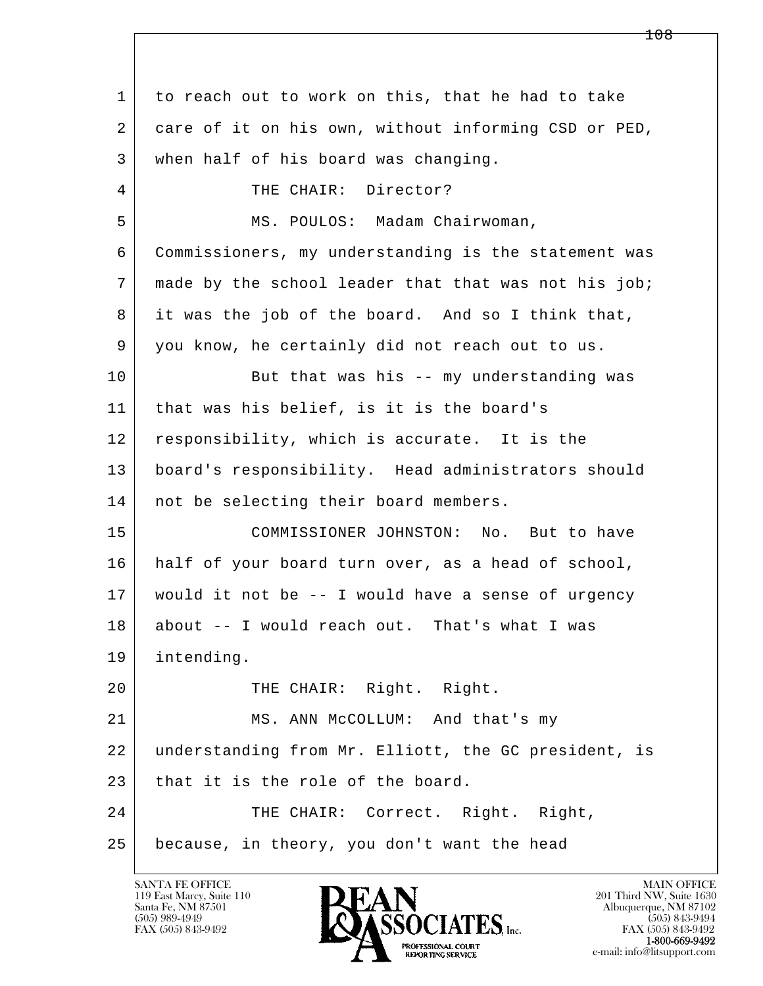l  $\overline{\phantom{a}}$  1 to reach out to work on this, that he had to take 2 care of it on his own, without informing CSD or PED, 3 when half of his board was changing. 4 THE CHAIR: Director? 5 | MS. POULOS: Madam Chairwoman, 6 Commissioners, my understanding is the statement was 7 | made by the school leader that that was not his job; 8 it was the job of the board. And so I think that, 9 you know, he certainly did not reach out to us. 10 But that was his -- my understanding was 11 that was his belief, is it is the board's 12 responsibility, which is accurate. It is the 13 board's responsibility. Head administrators should 14 | not be selecting their board members. 15 COMMISSIONER JOHNSTON: No. But to have 16 half of your board turn over, as a head of school, 17 would it not be -- I would have a sense of urgency 18 about -- I would reach out. That's what I was 19 intending. 20 THE CHAIR: Right. Right. 21 MS. ANN McCOLLUM: And that's my 22 understanding from Mr. Elliott, the GC president, is 23 that it is the role of the board. 24 THE CHAIR: Correct. Right. Right, 25 because, in theory, you don't want the head

119 East Marcy, Suite 110<br>Santa Fe, NM 87501



FAX (505) 843-9492 FAX (505) 843-9492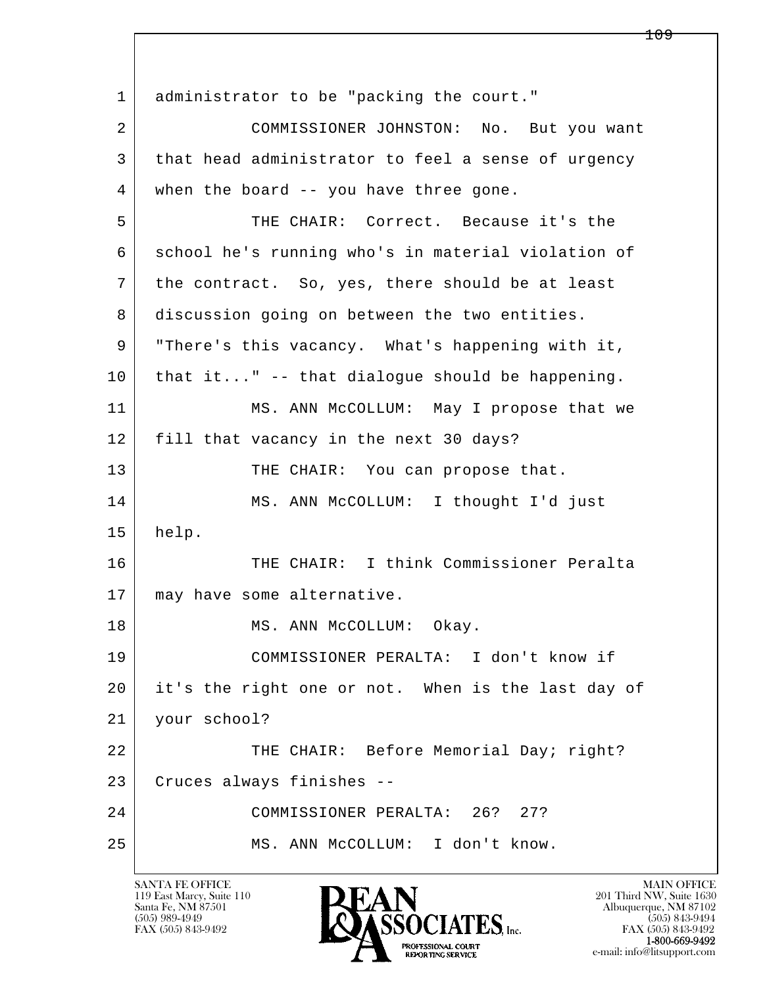l  $\overline{\phantom{a}}$ 1 administrator to be "packing the court." 2 COMMISSIONER JOHNSTON: No. But you want 3 that head administrator to feel a sense of urgency 4 when the board -- you have three gone. 5 THE CHAIR: Correct. Because it's the 6 school he's running who's in material violation of 7 the contract. So, yes, there should be at least 8 discussion going on between the two entities. 9 "There's this vacancy. What's happening with it,  $10$  that it..." -- that dialoque should be happening. 11 MS. ANN McCOLLUM: May I propose that we 12 fill that vacancy in the next 30 days? 13 THE CHAIR: You can propose that. 14 MS. ANN McCOLLUM: I thought I'd just 15 help. 16 THE CHAIR: I think Commissioner Peralta 17 | may have some alternative. 18 | MS. ANN McCOLLUM: Okay. 19 COMMISSIONER PERALTA: I don't know if 20 it's the right one or not. When is the last day of 21 your school? 22 THE CHAIR: Before Memorial Day; right? 23 Cruces always finishes -- 24 COMMISSIONER PERALTA: 26? 27? 25 MS. ANN McCOLLUM: I don't know.

119 East Marcy, Suite 110<br>Santa Fe, NM 87501



FAX (505) 843-9492 FAX (505) 843-9492 e-mail: info@litsupport.com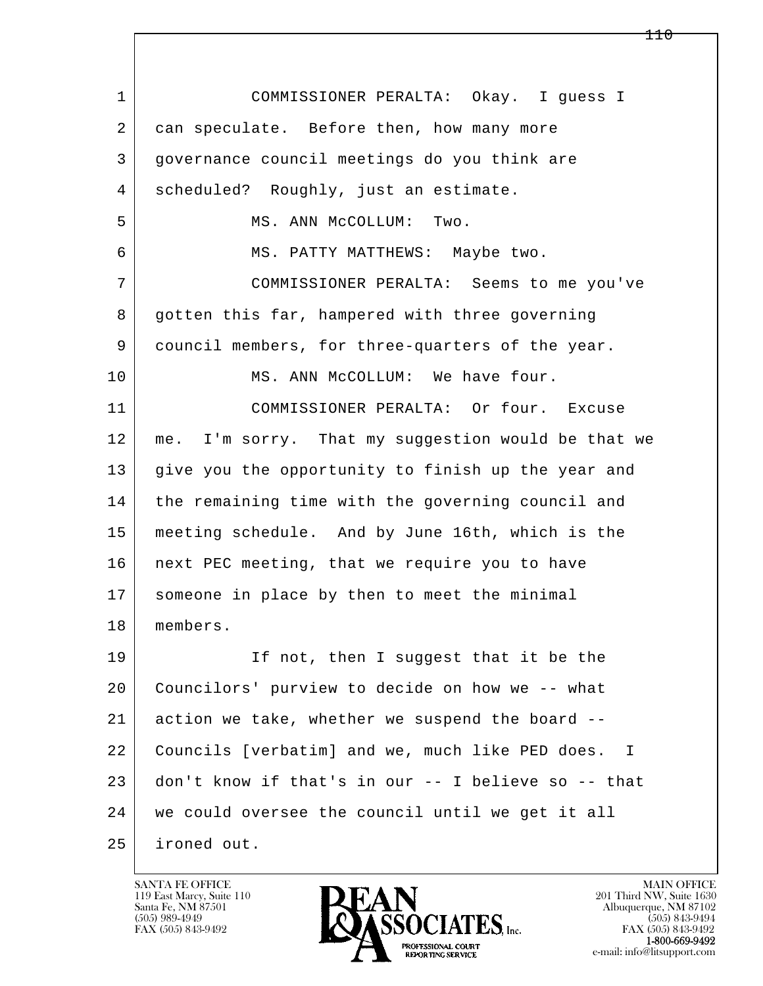l  $\overline{\phantom{a}}$  1 COMMISSIONER PERALTA: Okay. I guess I 2 can speculate. Before then, how many more 3 governance council meetings do you think are 4 scheduled? Roughly, just an estimate. 5 MS. ANN McCOLLUM: Two. 6 MS. PATTY MATTHEWS: Maybe two. 7 COMMISSIONER PERALTA: Seems to me you've 8 gotten this far, hampered with three governing 9 council members, for three-quarters of the year. 10 MS. ANN McCOLLUM: We have four. 11 COMMISSIONER PERALTA: Or four. Excuse 12 me. I'm sorry. That my suggestion would be that we 13 give you the opportunity to finish up the year and 14 the remaining time with the governing council and 15 meeting schedule. And by June 16th, which is the 16 | next PEC meeting, that we require you to have 17 someone in place by then to meet the minimal 18 members. 19 If not, then I suggest that it be the 20 Councilors' purview to decide on how we -- what 21 action we take, whether we suspend the board -- 22 Councils [verbatim] and we, much like PED does. I 23 don't know if that's in our -- I believe so -- that 24 we could oversee the council until we get it all 25 ironed out.

119 East Marcy, Suite 110<br>Santa Fe, NM 87501



FAX (505) 843-9492<br>1-800-669-9492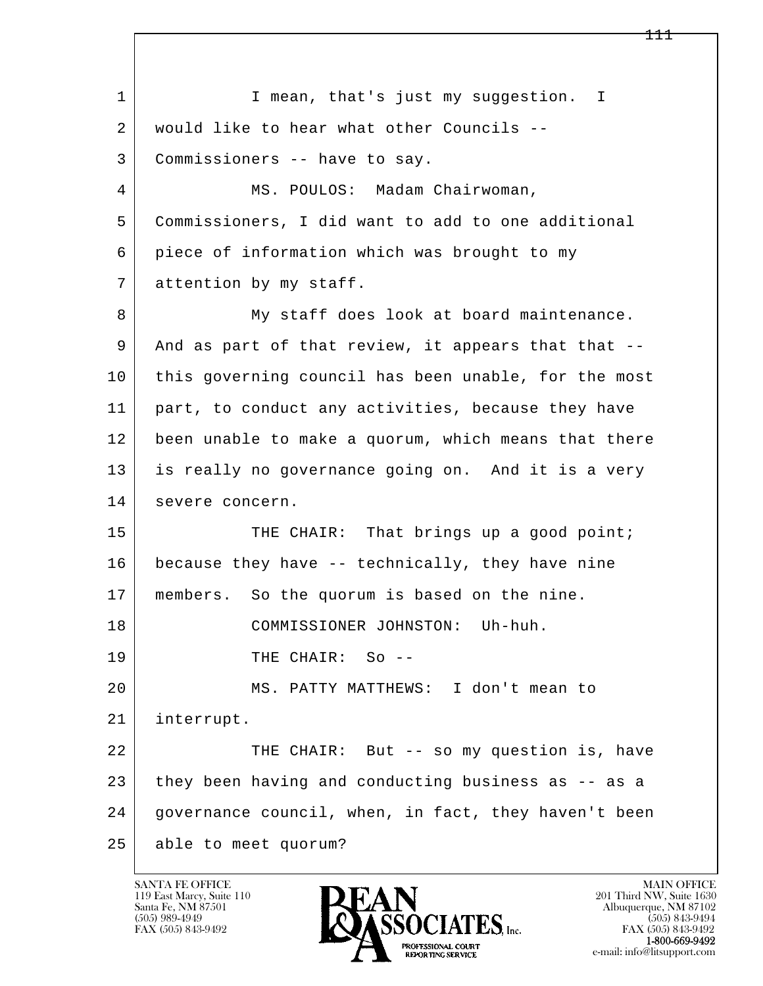l  $\overline{\phantom{a}}$ 1 I mean, that's just my suggestion. I 2 would like to hear what other Councils -- 3 Commissioners -- have to say. 4 MS. POULOS: Madam Chairwoman, 5 Commissioners, I did want to add to one additional 6 piece of information which was brought to my 7 attention by my staff. 8 My staff does look at board maintenance. 9 | And as part of that review, it appears that that --10 this governing council has been unable, for the most 11 part, to conduct any activities, because they have 12 been unable to make a quorum, which means that there 13 is really no governance going on. And it is a very 14 severe concern. 15 | THE CHAIR: That brings up a good point; 16 because they have -- technically, they have nine 17 | members. So the quorum is based on the nine. 18 COMMISSIONER JOHNSTON: Uh-huh. 19 THE CHAIR: So -- 20 MS. PATTY MATTHEWS: I don't mean to 21 interrupt. 22 THE CHAIR: But -- so my question is, have 23 they been having and conducting business as -- as a 24 governance council, when, in fact, they haven't been 25 able to meet quorum?

119 East Marcy, Suite 110<br>Santa Fe, NM 87501

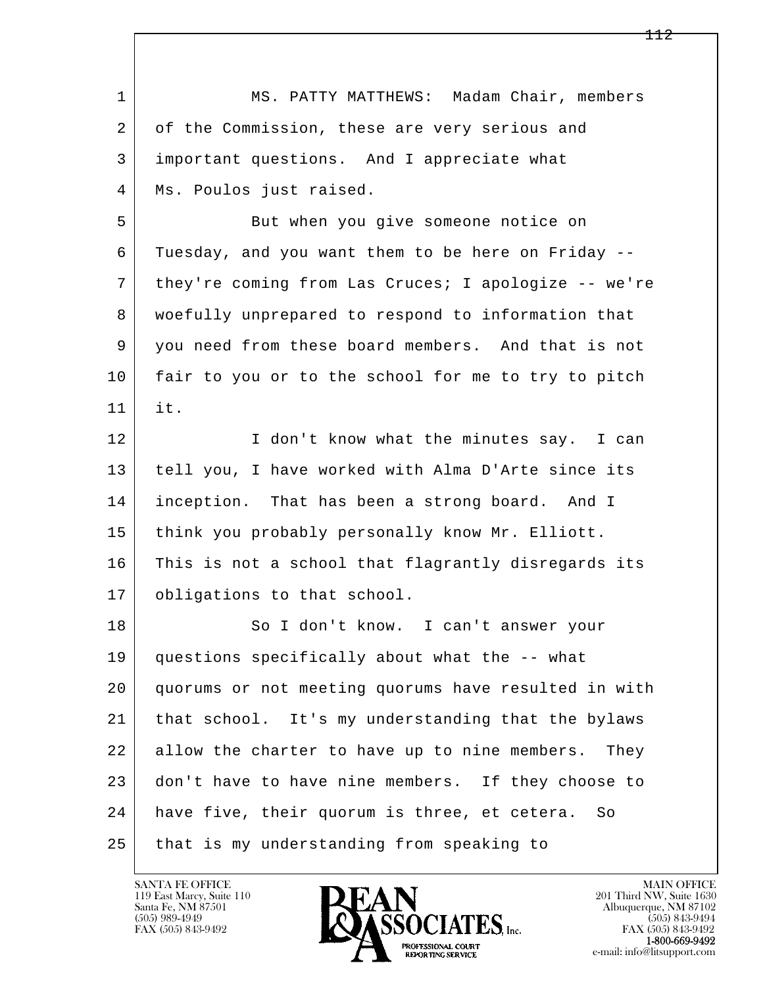| $\mathbf{1}$ | MS. PATTY MATTHEWS: Madam Chair, members             |
|--------------|------------------------------------------------------|
| 2            | of the Commission, these are very serious and        |
| 3            | important questions. And I appreciate what           |
| 4            | Ms. Poulos just raised.                              |
| 5            | But when you give someone notice on                  |
| 6            | Tuesday, and you want them to be here on Friday --   |
| 7            | they're coming from Las Cruces; I apologize -- we're |
| 8            | woefully unprepared to respond to information that   |
| 9            | you need from these board members. And that is not   |
| 10           | fair to you or to the school for me to try to pitch  |
| 11           | it.                                                  |
| 12           | I don't know what the minutes say. I can             |
| 13           | tell you, I have worked with Alma D'Arte since its   |
| 14           | inception. That has been a strong board. And I       |
| 15           | think you probably personally know Mr. Elliott.      |
| 16           | This is not a school that flagrantly disregards its  |
| 17           | obligations to that school.                          |
| 18           | So I don't know. I can't answer your                 |
| 19           | questions specifically about what the -- what        |
| 20           | quorums or not meeting quorums have resulted in with |
| 21           | that school. It's my understanding that the bylaws   |
| 22           | allow the charter to have up to nine members. They   |
| 23           | don't have to have nine members. If they choose to   |
| 24           | have five, their quorum is three, et cetera.<br>So   |
| 25           | that is my understanding from speaking to            |

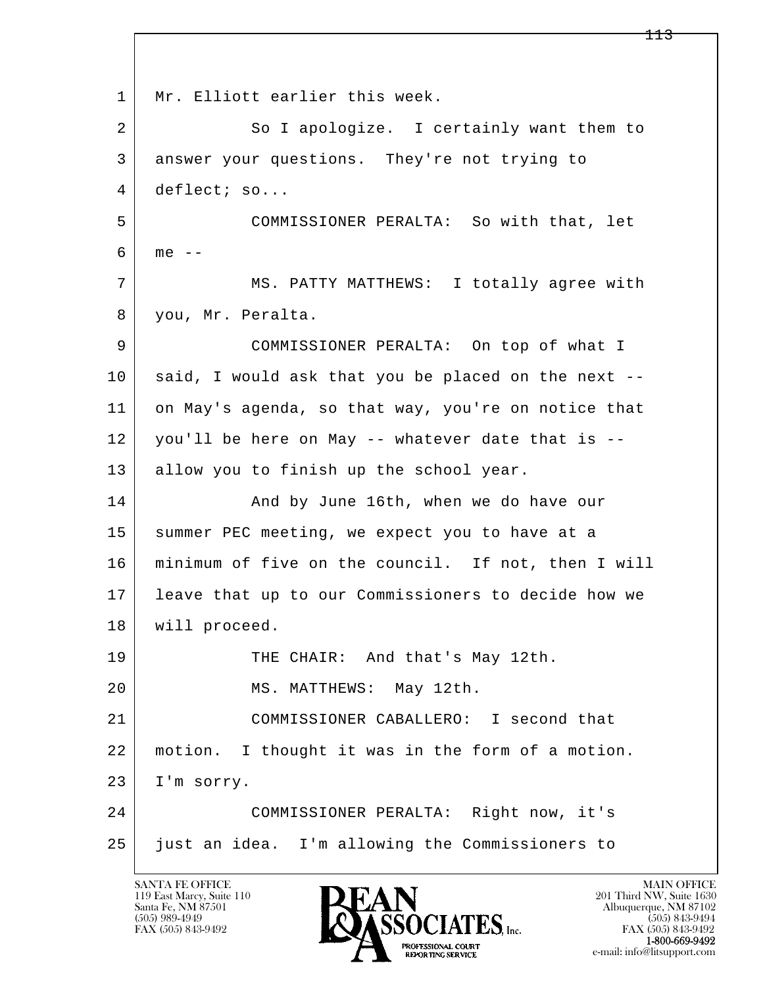l  $\overline{\phantom{a}}$ 1 | Mr. Elliott earlier this week. 2 So I apologize. I certainly want them to 3 answer your questions. They're not trying to 4 deflect; so... 5 COMMISSIONER PERALTA: So with that, let  $6 \mid me --$ 7 | MS. PATTY MATTHEWS: I totally agree with 8 you, Mr. Peralta. 9 COMMISSIONER PERALTA: On top of what I 10 said, I would ask that you be placed on the next --11 on May's agenda, so that way, you're on notice that 12 you'll be here on May -- whatever date that is -- 13 allow you to finish up the school year. 14 And by June 16th, when we do have our 15 | summer PEC meeting, we expect you to have at a 16 minimum of five on the council. If not, then I will 17 leave that up to our Commissioners to decide how we 18 will proceed. 19 THE CHAIR: And that's May 12th. 20 MS. MATTHEWS: May 12th. 21 COMMISSIONER CABALLERO: I second that 22 motion. I thought it was in the form of a motion. 23 I'm sorry. 24 COMMISSIONER PERALTA: Right now, it's 25 just an idea. I'm allowing the Commissioners to

119 East Marcy, Suite 110<br>Santa Fe, NM 87501

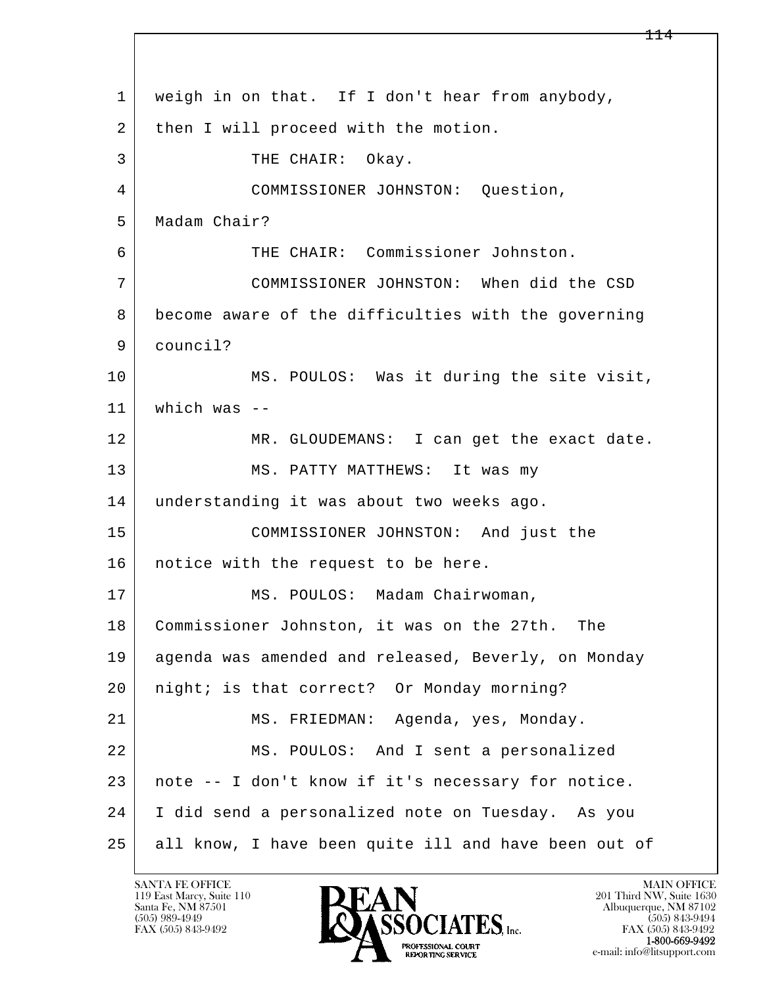l  $\overline{\phantom{a}}$  1 weigh in on that. If I don't hear from anybody, 2 | then I will proceed with the motion. 3 THE CHAIR: Okay. 4 COMMISSIONER JOHNSTON: Question, 5 Madam Chair? 6 THE CHAIR: Commissioner Johnston. 7 COMMISSIONER JOHNSTON: When did the CSD 8 become aware of the difficulties with the governing 9 council? 10 MS. POULOS: Was it during the site visit, 11 which was -- 12 MR. GLOUDEMANS: I can get the exact date. 13 MS. PATTY MATTHEWS: It was my 14 understanding it was about two weeks ago. 15 COMMISSIONER JOHNSTON: And just the 16 | notice with the request to be here. 17 | MS. POULOS: Madam Chairwoman, 18 Commissioner Johnston, it was on the 27th. The 19 agenda was amended and released, Beverly, on Monday 20 | night; is that correct? Or Monday morning? 21 MS. FRIEDMAN: Agenda, yes, Monday. 22 MS. POULOS: And I sent a personalized 23 note -- I don't know if it's necessary for notice. 24 I did send a personalized note on Tuesday. As you 25 all know, I have been quite ill and have been out of

119 East Marcy, Suite 110<br>Santa Fe, NM 87501

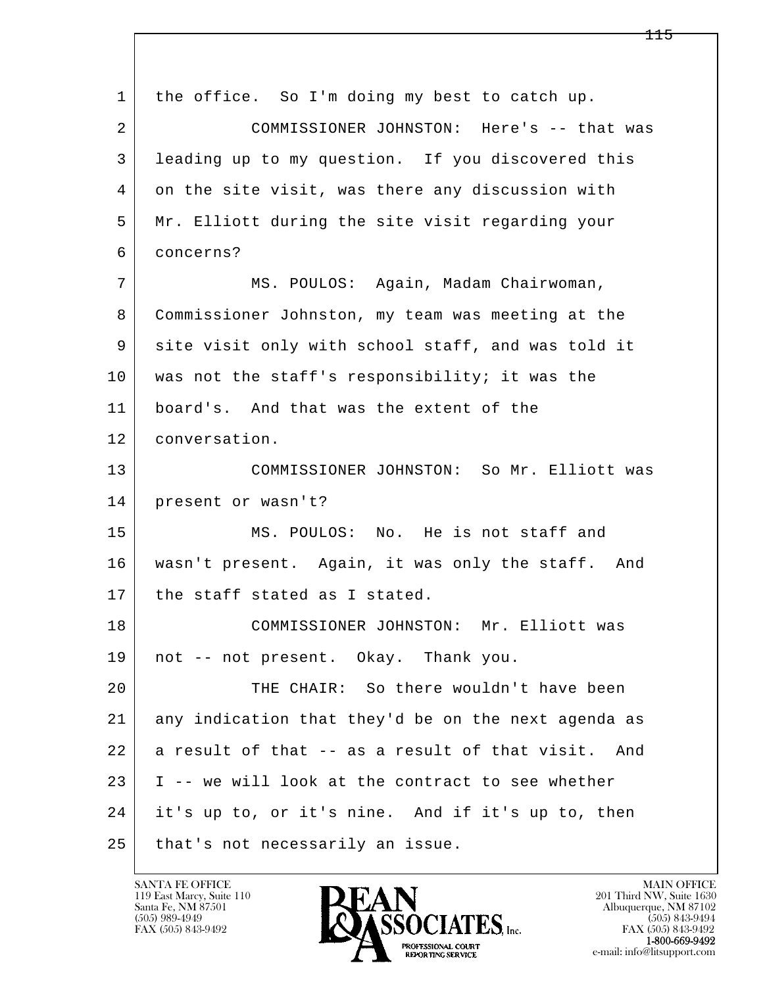l  $\overline{\phantom{a}}$  1 the office. So I'm doing my best to catch up. 2 COMMISSIONER JOHNSTON: Here's -- that was 3 leading up to my question. If you discovered this 4 on the site visit, was there any discussion with 5 Mr. Elliott during the site visit regarding your 6 concerns? 7 MS. POULOS: Again, Madam Chairwoman, 8 Commissioner Johnston, my team was meeting at the 9 site visit only with school staff, and was told it 10 was not the staff's responsibility; it was the 11 board's. And that was the extent of the 12 conversation. 13 COMMISSIONER JOHNSTON: So Mr. Elliott was 14 present or wasn't? 15 MS. POULOS: No. He is not staff and 16 wasn't present. Again, it was only the staff. And 17 the staff stated as I stated. 18 COMMISSIONER JOHNSTON: Mr. Elliott was 19 not -- not present. Okay. Thank you. 20 THE CHAIR: So there wouldn't have been 21 any indication that they'd be on the next agenda as  $22$  a result of that  $-$  as a result of that visit. And  $23$  | I -- we will look at the contract to see whether 24 it's up to, or it's nine. And if it's up to, then 25 | that's not necessarily an issue.

119 East Marcy, Suite 110<br>Santa Fe, NM 87501

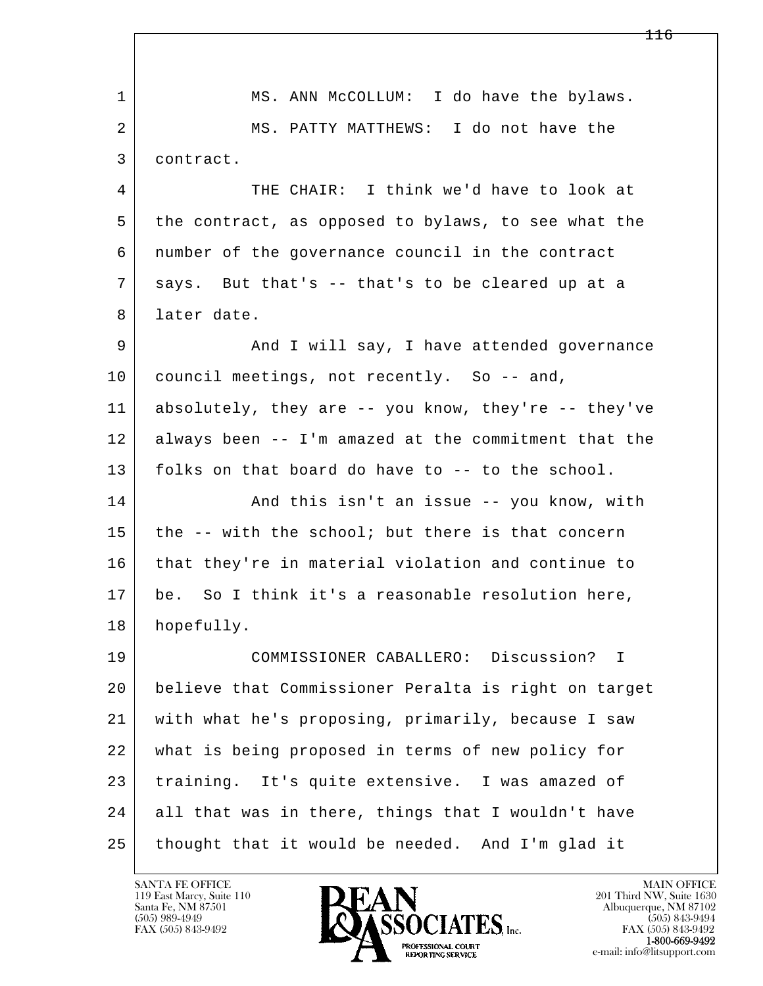l  $\overline{\phantom{a}}$  1 MS. ANN McCOLLUM: I do have the bylaws. 2 MS. PATTY MATTHEWS: I do not have the 3 contract. 4 THE CHAIR: I think we'd have to look at 5 the contract, as opposed to bylaws, to see what the 6 number of the governance council in the contract  $7$  says. But that's  $-$  that's to be cleared up at a 8 later date. 9 And I will say, I have attended governance 10 council meetings, not recently. So -- and, 11 absolutely, they are -- you know, they're -- they've 12 always been -- I'm amazed at the commitment that the 13 folks on that board do have to -- to the school. 14 And this isn't an issue -- you know, with  $15$  the  $-$ - with the school; but there is that concern 16 that they're in material violation and continue to 17 be. So I think it's a reasonable resolution here, 18 hopefully. 19 COMMISSIONER CABALLERO: Discussion? I 20 believe that Commissioner Peralta is right on target 21 with what he's proposing, primarily, because I saw 22 what is being proposed in terms of new policy for 23 training. It's quite extensive. I was amazed of 24 all that was in there, things that I wouldn't have 25 thought that it would be needed. And I'm glad it

119 East Marcy, Suite 110<br>Santa Fe, NM 87501



FAX (505) 843-9492<br>1-800-669-9492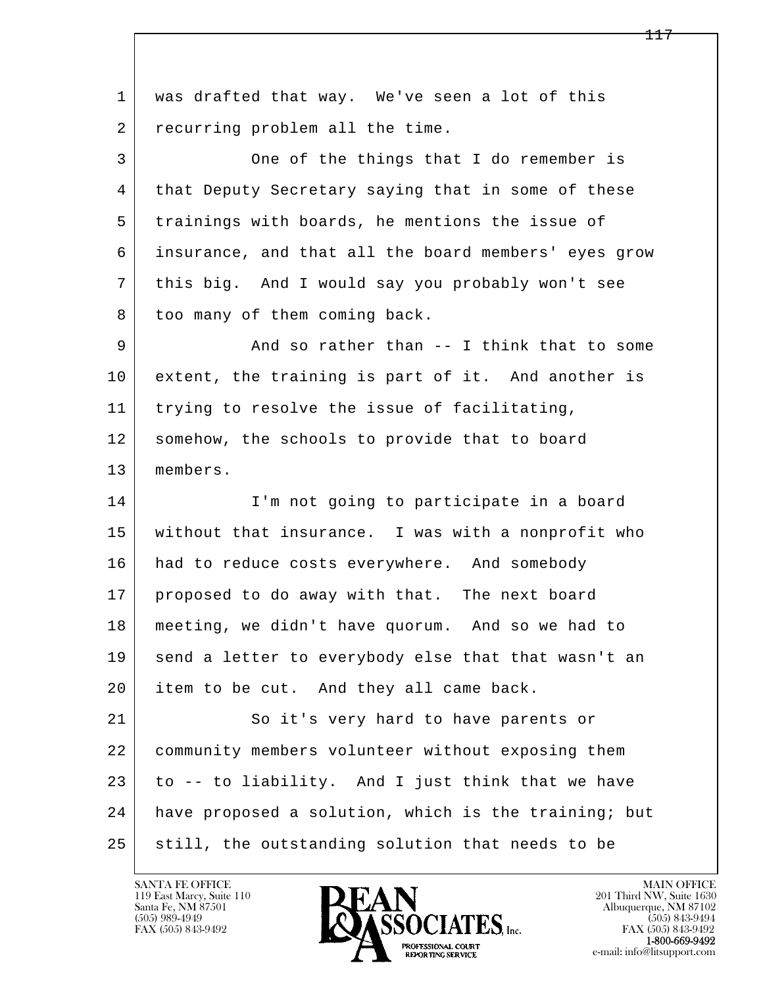l  $\overline{\phantom{a}}$  1 was drafted that way. We've seen a lot of this 2 recurring problem all the time. 3 One of the things that I do remember is 4 that Deputy Secretary saying that in some of these 5 trainings with boards, he mentions the issue of 6 insurance, and that all the board members' eyes grow 7 this big. And I would say you probably won't see 8 too many of them coming back. 9 And so rather than -- I think that to some 10 extent, the training is part of it. And another is 11 trying to resolve the issue of facilitating, 12 somehow, the schools to provide that to board 13 members. 14 I'm not going to participate in a board 15 without that insurance. I was with a nonprofit who 16 had to reduce costs everywhere. And somebody 17 proposed to do away with that. The next board 18 meeting, we didn't have quorum. And so we had to 19 send a letter to everybody else that that wasn't an 20 item to be cut. And they all came back. 21 So it's very hard to have parents or 22 community members volunteer without exposing them 23 to -- to liability. And I just think that we have 24 have proposed a solution, which is the training; but 25 still, the outstanding solution that needs to be

119 East Marcy, Suite 110<br>Santa Fe, NM 87501

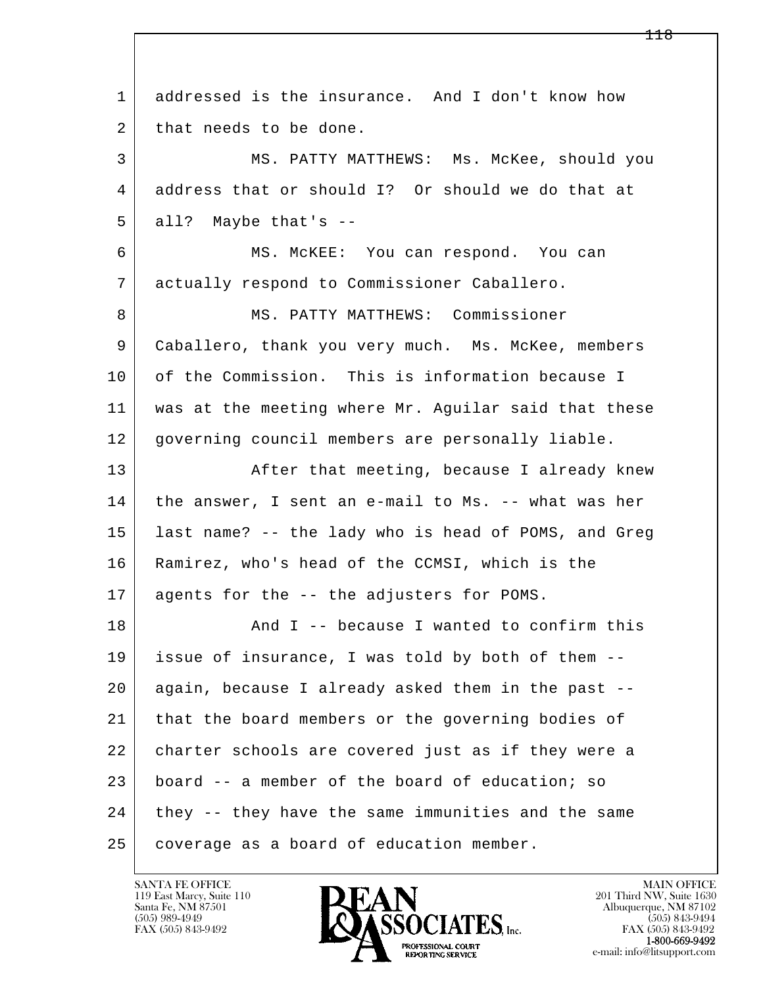l  $\overline{\phantom{a}}$  1 addressed is the insurance. And I don't know how 2 that needs to be done. 3 MS. PATTY MATTHEWS: Ms. McKee, should you 4 address that or should I? Or should we do that at  $5$  all? Maybe that's  $-$  6 MS. McKEE: You can respond. You can 7 actually respond to Commissioner Caballero. 8 | MS. PATTY MATTHEWS: Commissioner 9 Caballero, thank you very much. Ms. McKee, members 10 of the Commission. This is information because I 11 was at the meeting where Mr. Aguilar said that these 12 governing council members are personally liable. 13 | After that meeting, because I already knew 14 | the answer, I sent an e-mail to Ms. -- what was her 15 last name? -- the lady who is head of POMS, and Greg 16 Ramirez, who's head of the CCMSI, which is the 17 agents for the -- the adjusters for POMS. 18 And I -- because I wanted to confirm this 19 issue of insurance, I was told by both of them -- 20 again, because I already asked them in the past -- 21 that the board members or the governing bodies of 22 charter schools are covered just as if they were a 23 board -- a member of the board of education; so 24 they -- they have the same immunities and the same 25 | coverage as a board of education member.

119 East Marcy, Suite 110<br>Santa Fe, NM 87501

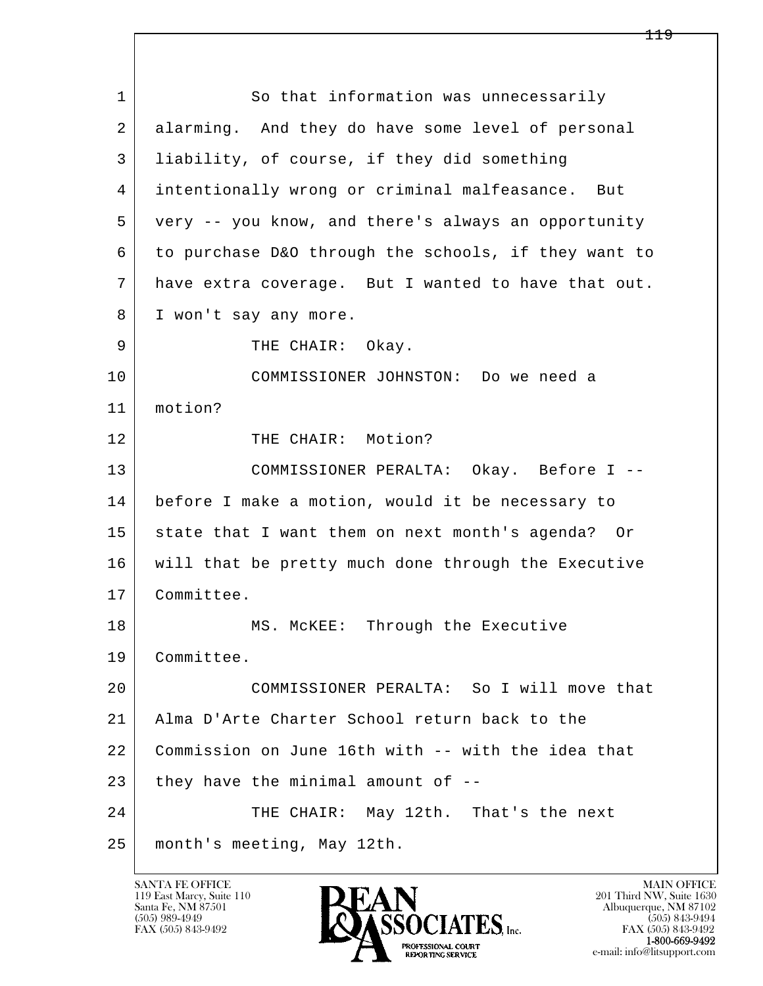l  $\overline{\phantom{a}}$ 1 So that information was unnecessarily 2 alarming. And they do have some level of personal 3 liability, of course, if they did something 4 intentionally wrong or criminal malfeasance. But 5 very -- you know, and there's always an opportunity 6 to purchase D&O through the schools, if they want to 7 have extra coverage. But I wanted to have that out. 8 | I won't say any more. 9 | THE CHAIR: Okay. 10 COMMISSIONER JOHNSTON: Do we need a 11 motion? 12 THE CHAIR: Motion? 13 COMMISSIONER PERALTA: Okay. Before I -- 14 before I make a motion, would it be necessary to 15 state that I want them on next month's agenda? Or 16 will that be pretty much done through the Executive 17 Committee. 18 MS. McKEE: Through the Executive 19 Committee. 20 COMMISSIONER PERALTA: So I will move that 21 Alma D'Arte Charter School return back to the 22 Commission on June 16th with -- with the idea that  $23$  they have the minimal amount of  $-$ 24 THE CHAIR: May 12th. That's the next 25 month's meeting, May 12th.

119 East Marcy, Suite 110<br>Santa Fe, NM 87501

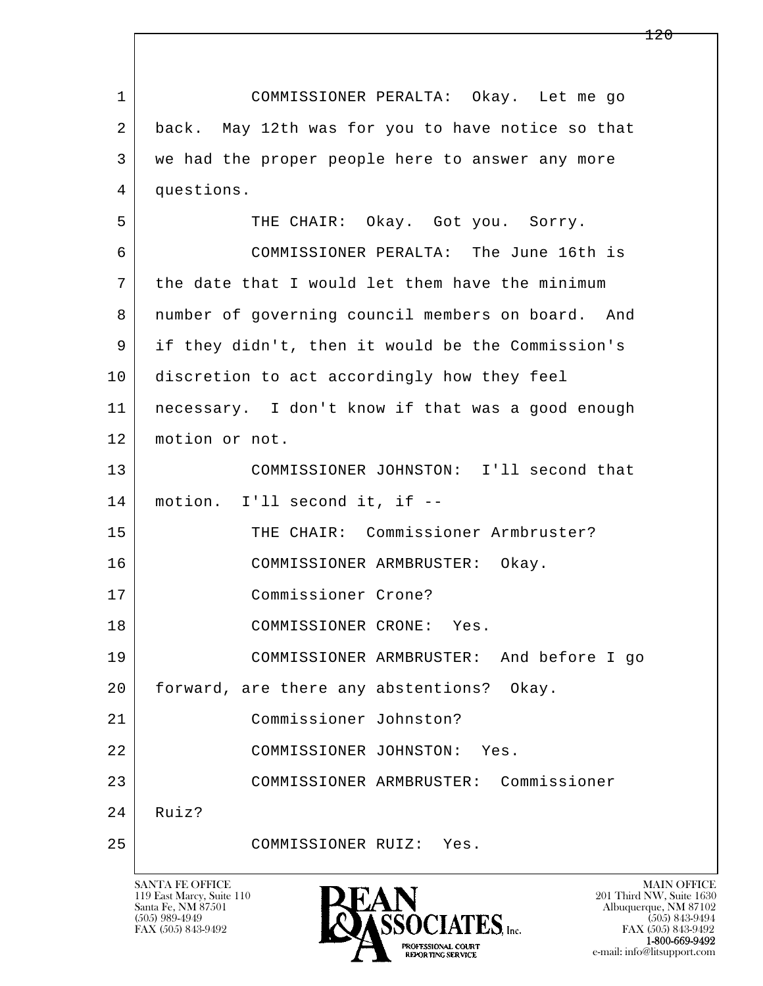l  $\overline{\phantom{a}}$  1 COMMISSIONER PERALTA: Okay. Let me go 2 back. May 12th was for you to have notice so that 3 we had the proper people here to answer any more 4 questions. 5 THE CHAIR: Okay. Got you. Sorry. 6 COMMISSIONER PERALTA: The June 16th is 7 the date that I would let them have the minimum 8 number of governing council members on board. And 9 if they didn't, then it would be the Commission's 10 discretion to act accordingly how they feel 11 necessary. I don't know if that was a good enough 12 motion or not. 13 COMMISSIONER JOHNSTON: I'll second that 14 motion. I'll second it, if -- 15 THE CHAIR: Commissioner Armbruster? 16 COMMISSIONER ARMBRUSTER: Okay. 17 Commissioner Crone? 18 COMMISSIONER CRONE: Yes. 19 COMMISSIONER ARMBRUSTER: And before I go 20 | forward, are there any abstentions? Okay. 21 Commissioner Johnston? 22 COMMISSIONER JOHNSTON: Yes. 23 COMMISSIONER ARMBRUSTER: Commissioner  $24$  Ruiz? 25 COMMISSIONER RUIZ: Yes.

119 East Marcy, Suite 110<br>Santa Fe, NM 87501



FAX (505) 843-9492 FAX (505) 843-9492 e-mail: info@litsupport.com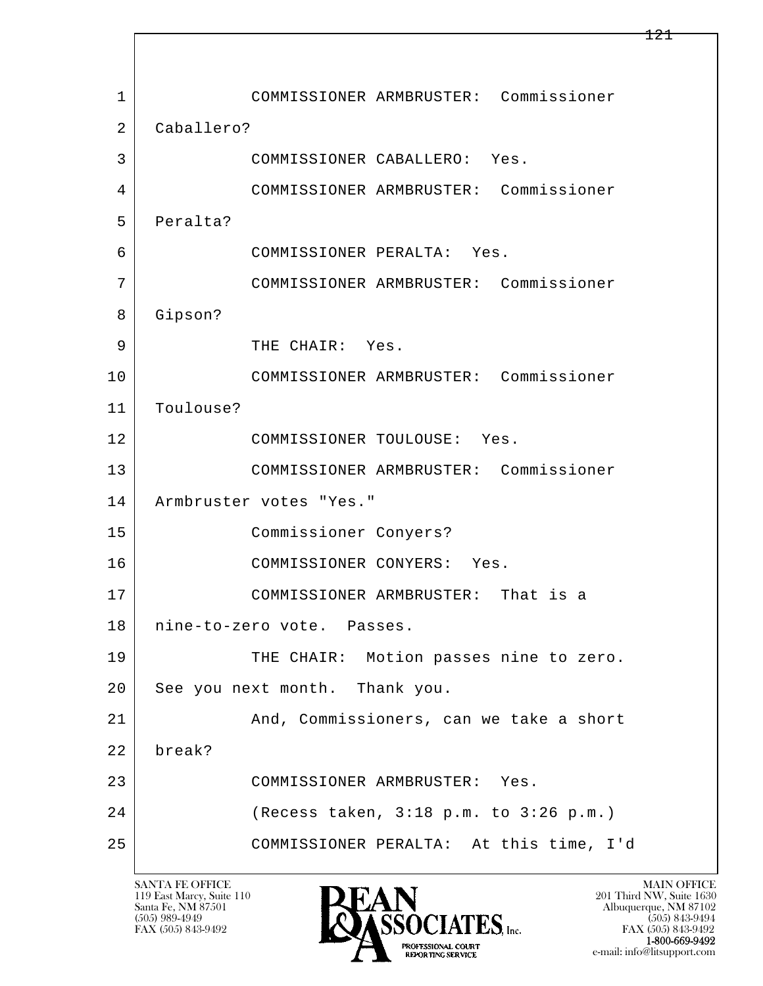l  $\overline{\phantom{a}}$  1 COMMISSIONER ARMBRUSTER: Commissioner 2 Caballero? 3 COMMISSIONER CABALLERO: Yes. 4 COMMISSIONER ARMBRUSTER: Commissioner 5 Peralta? 6 COMMISSIONER PERALTA: Yes. 7 COMMISSIONER ARMBRUSTER: Commissioner 8 Gipson? 9 | THE CHAIR: Yes. 10 COMMISSIONER ARMBRUSTER: Commissioner 11 Toulouse? 12 COMMISSIONER TOULOUSE: Yes. 13 COMMISSIONER ARMBRUSTER: Commissioner 14 | Armbruster votes "Yes." 15 Commissioner Conyers? 16 COMMISSIONER CONYERS: Yes. 17 COMMISSIONER ARMBRUSTER: That is a 18 nine-to-zero vote. Passes. 19 THE CHAIR: Motion passes nine to zero. 20 See you next month. Thank you. 21 And, Commissioners, can we take a short 22 break? 23 COMMISSIONER ARMBRUSTER: Yes. 24 (Recess taken, 3:18 p.m. to 3:26 p.m.) 25 COMMISSIONER PERALTA: At this time, I'd

119 East Marcy, Suite 110<br>Santa Fe, NM 87501

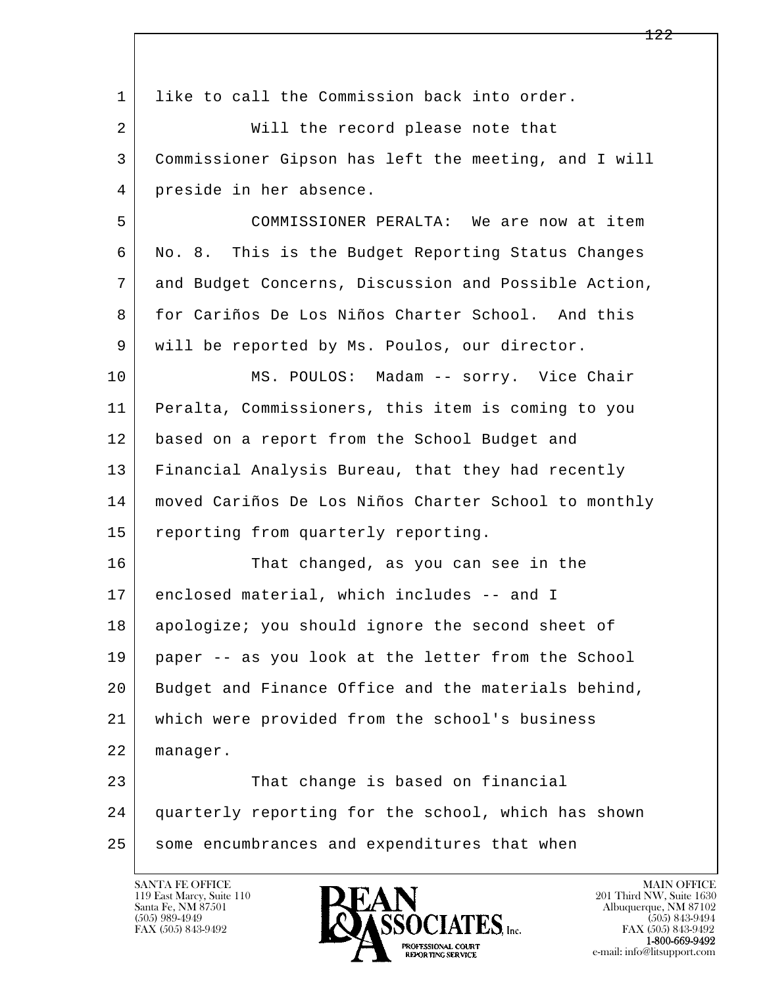| $\mathbf{1}$ | like to call the Commission back into order.         |
|--------------|------------------------------------------------------|
| 2            | Will the record please note that                     |
| 3            | Commissioner Gipson has left the meeting, and I will |
| 4            | preside in her absence.                              |
| 5            | COMMISSIONER PERALTA: We are now at item             |
| 6            | No. 8. This is the Budget Reporting Status Changes   |
| 7            | and Budget Concerns, Discussion and Possible Action, |
| 8            | for Cariños De Los Niños Charter School. And this    |
| 9            | will be reported by Ms. Poulos, our director.        |
| 10           | MS. POULOS: Madam -- sorry. Vice Chair               |
| 11           | Peralta, Commissioners, this item is coming to you   |
| 12           | based on a report from the School Budget and         |
| 13           | Financial Analysis Bureau, that they had recently    |
| 14           | moved Cariños De Los Niños Charter School to monthly |
| 15           | reporting from quarterly reporting.                  |
| 16           | That changed, as you can see in the                  |
| 17           | enclosed material, which includes -- and I           |
| 18           | apologize; you should ignore the second sheet of     |
| 19           | paper -- as you look at the letter from the School   |
| 20           | Budget and Finance Office and the materials behind,  |
| 21           | which were provided from the school's business       |
| 22           | manager.                                             |
| 23           | That change is based on financial                    |
| 24           | quarterly reporting for the school, which has shown  |
| 25           | some encumbrances and expenditures that when         |

 $\overline{\phantom{a}}$ 

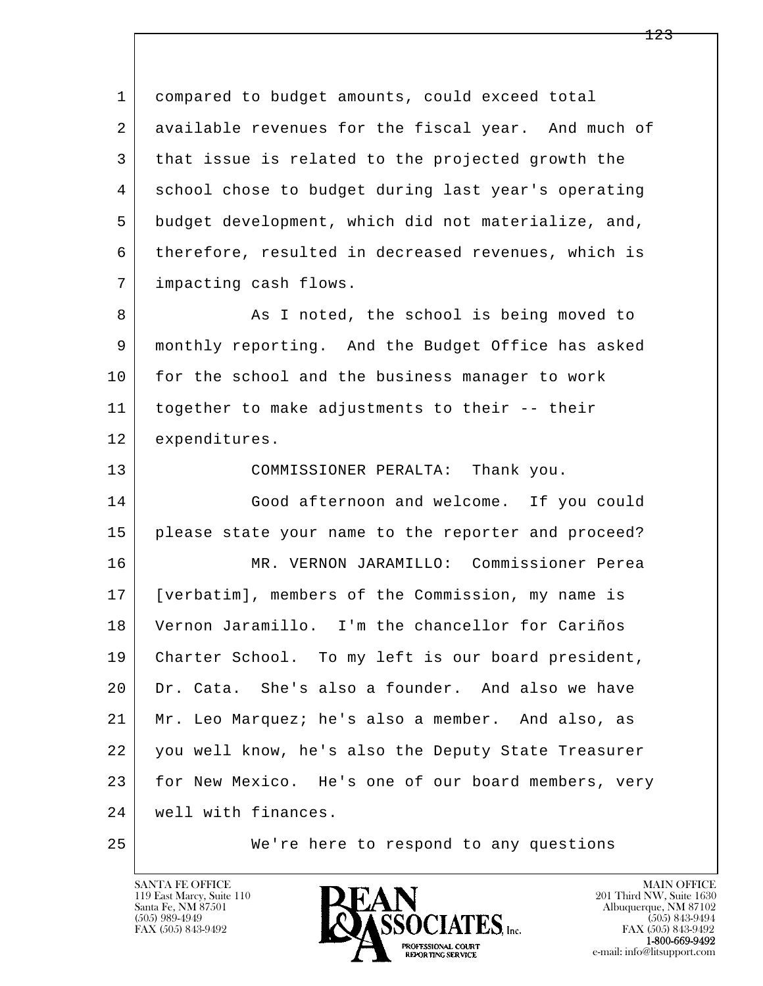l  $\overline{\phantom{a}}$  1 compared to budget amounts, could exceed total 2 available revenues for the fiscal year. And much of 3 that issue is related to the projected growth the 4 school chose to budget during last year's operating 5 budget development, which did not materialize, and, 6 therefore, resulted in decreased revenues, which is 7 impacting cash flows. 8 As I noted, the school is being moved to 9 monthly reporting. And the Budget Office has asked 10 for the school and the business manager to work 11 together to make adjustments to their -- their 12 expenditures. 13 COMMISSIONER PERALTA: Thank you. 14 Good afternoon and welcome. If you could 15 please state your name to the reporter and proceed? 16 MR. VERNON JARAMILLO: Commissioner Perea 17 [verbatim], members of the Commission, my name is 18 Vernon Jaramillo. I'm the chancellor for Cariños 19 Charter School. To my left is our board president, 20 Dr. Cata. She's also a founder. And also we have 21 Mr. Leo Marquez; he's also a member. And also, as 22 you well know, he's also the Deputy State Treasurer 23 for New Mexico. He's one of our board members, very 24 | well with finances.

25 We're here to respond to any questions

119 East Marcy, Suite 110<br>Santa Fe, NM 87501



FAX (505) 843-9492<br>1-800-669-9492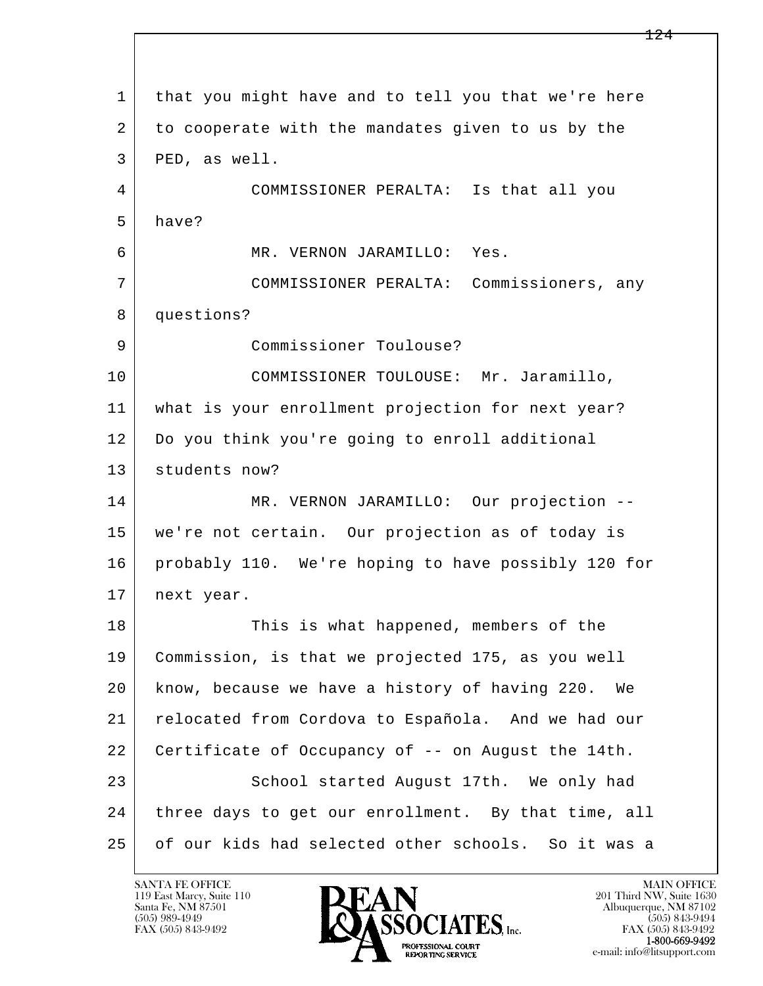l  $\overline{\phantom{a}}$  1 that you might have and to tell you that we're here 2 to cooperate with the mandates given to us by the 3 PED, as well. 4 COMMISSIONER PERALTA: Is that all you 5 have? 6 MR. VERNON JARAMILLO: Yes. 7 COMMISSIONER PERALTA: Commissioners, any 8 questions? 9 Commissioner Toulouse? 10 COMMISSIONER TOULOUSE: Mr. Jaramillo, 11 what is your enrollment projection for next year? 12 Do you think you're going to enroll additional 13 students now? 14 MR. VERNON JARAMILLO: Our projection -- 15 we're not certain. Our projection as of today is 16 probably 110. We're hoping to have possibly 120 for 17 next year. 18 This is what happened, members of the 19 Commission, is that we projected 175, as you well 20 know, because we have a history of having 220. We 21 relocated from Cordova to Española. And we had our 22 Certificate of Occupancy of -- on August the 14th. 23 School started August 17th. We only had 24 three days to get our enrollment. By that time, all 25 of our kids had selected other schools. So it was a

119 East Marcy, Suite 110<br>Santa Fe, NM 87501

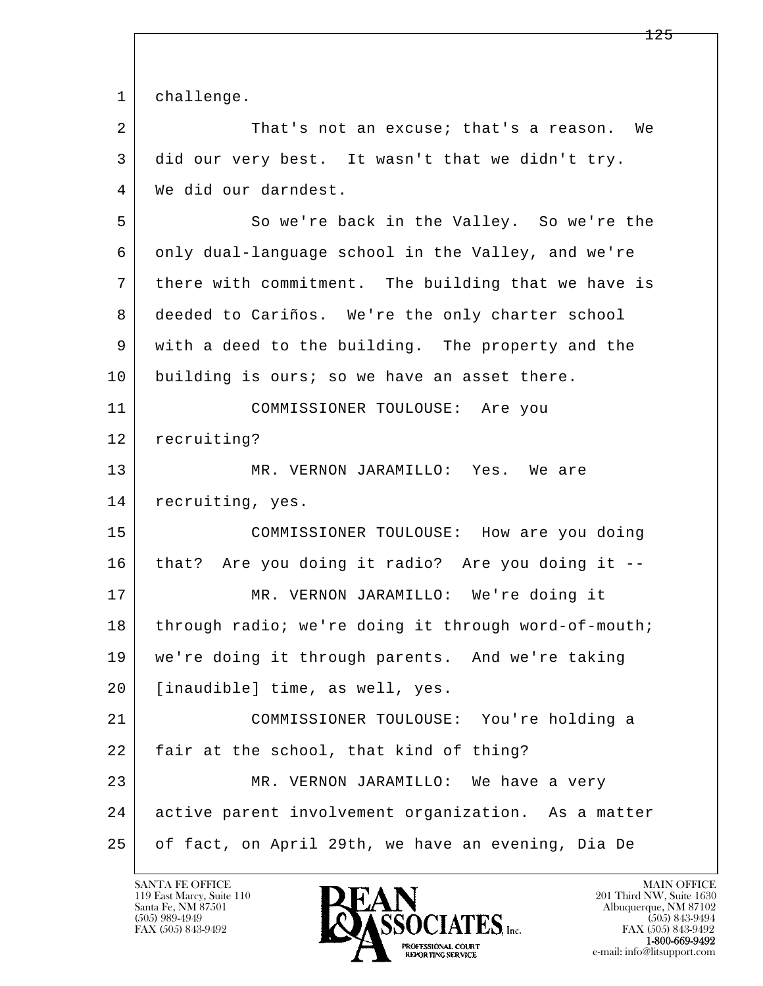l  $\overline{\phantom{a}}$  1 challenge. 2 That's not an excuse; that's a reason. We 3 did our very best. It wasn't that we didn't try. 4 We did our darndest. 5 So we're back in the Valley. So we're the 6 only dual-language school in the Valley, and we're 7 there with commitment. The building that we have is 8 deeded to Cariños. We're the only charter school 9 with a deed to the building. The property and the 10 building is ours; so we have an asset there. 11 COMMISSIONER TOULOUSE: Are you 12 recruiting? 13 MR. VERNON JARAMILLO: Yes. We are 14 recruiting, yes. 15 COMMISSIONER TOULOUSE: How are you doing 16 that? Are you doing it radio? Are you doing it -- 17 MR. VERNON JARAMILLO: We're doing it 18 through radio; we're doing it through word-of-mouth; 19 we're doing it through parents. And we're taking 20 [inaudible] time, as well, yes. 21 COMMISSIONER TOULOUSE: You're holding a 22 | fair at the school, that kind of thing? 23 MR. VERNON JARAMILLO: We have a very 24 active parent involvement organization. As a matter 25 of fact, on April 29th, we have an evening, Dia De

119 East Marcy, Suite 110<br>Santa Fe, NM 87501

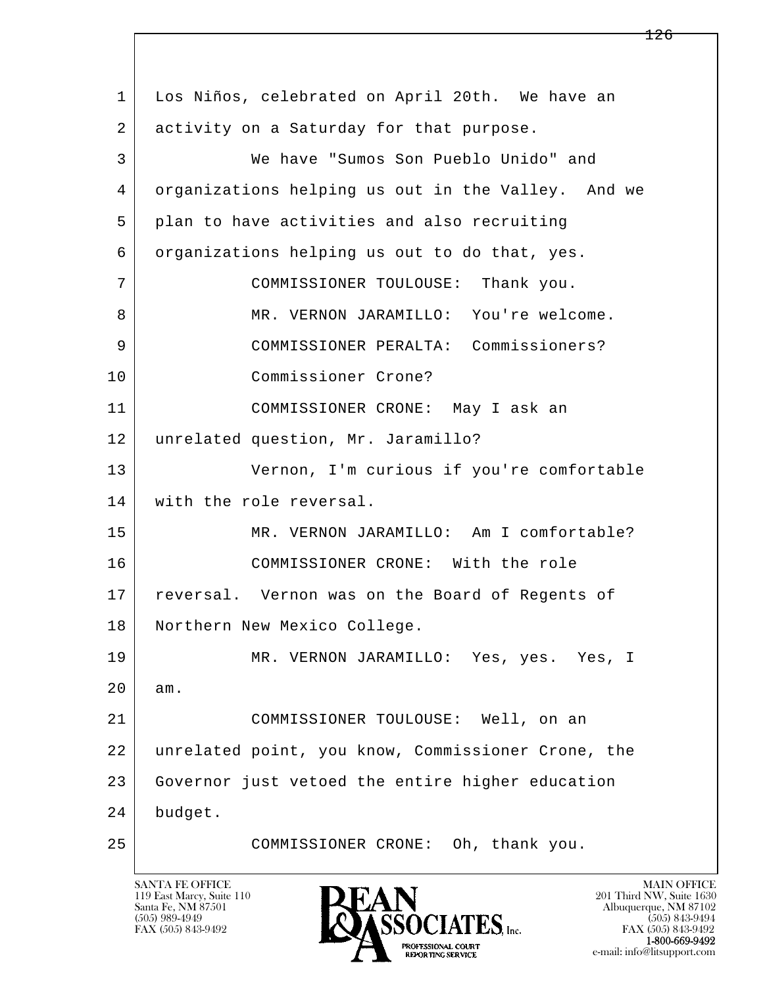| $\mathbf{1}$ | Los Niños, celebrated on April 20th. We have an    |
|--------------|----------------------------------------------------|
| 2            | activity on a Saturday for that purpose.           |
| 3            | We have "Sumos Son Pueblo Unido" and               |
| 4            | organizations helping us out in the Valley. And we |
| 5            | plan to have activities and also recruiting        |
| 6            | organizations helping us out to do that, yes.      |
| 7            | COMMISSIONER TOULOUSE: Thank you.                  |
| 8            | MR. VERNON JARAMILLO: You're welcome.              |
| 9            | COMMISSIONER PERALTA: Commissioners?               |
| 10           | Commissioner Crone?                                |
| 11           | COMMISSIONER CRONE: May I ask an                   |
| 12           | unrelated question, Mr. Jaramillo?                 |
| 13           | Vernon, I'm curious if you're comfortable          |
| 14           | with the role reversal.                            |
| 15           | MR. VERNON JARAMILLO: Am I comfortable?            |
| 16           | COMMISSIONER CRONE: With the role                  |
| 17           | reversal. Vernon was on the Board of Regents of    |
| 18           | Northern New Mexico College.                       |
| 19           | MR. VERNON JARAMILLO: Yes, yes. Yes, I             |
| 20           | am.                                                |
| 21           | COMMISSIONER TOULOUSE: Well, on an                 |
| 22           | unrelated point, you know, Commissioner Crone, the |
| 23           | Governor just vetoed the entire higher education   |
| 24           | budget.                                            |
| 25           | COMMISSIONER CRONE: Oh, thank you.                 |
|              |                                                    |

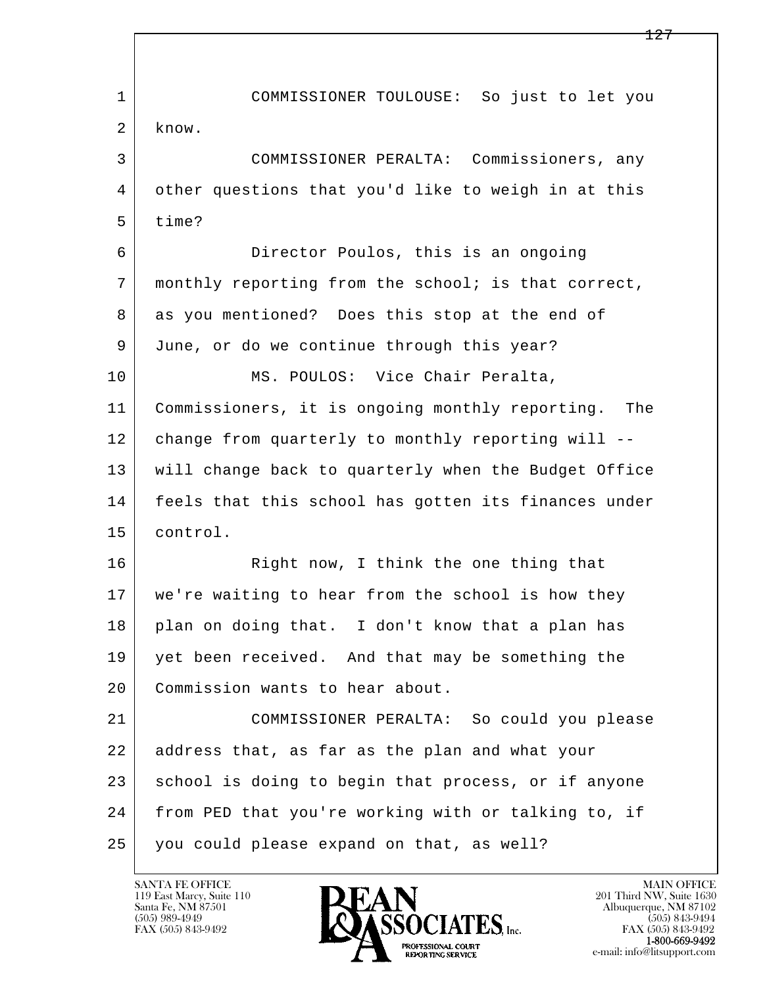l  $\overline{\phantom{a}}$  1 COMMISSIONER TOULOUSE: So just to let you 2 know. 3 COMMISSIONER PERALTA: Commissioners, any 4 other questions that you'd like to weigh in at this 5 time? 6 Director Poulos, this is an ongoing 7 monthly reporting from the school; is that correct, 8 as you mentioned? Does this stop at the end of 9 June, or do we continue through this year? 10 | MS. POULOS: Vice Chair Peralta, 11 Commissioners, it is ongoing monthly reporting. The 12 change from quarterly to monthly reporting will -- 13 will change back to quarterly when the Budget Office 14 | feels that this school has gotten its finances under 15 control. 16 Right now, I think the one thing that 17 we're waiting to hear from the school is how they 18 | plan on doing that. I don't know that a plan has 19 yet been received. And that may be something the 20 Commission wants to hear about. 21 COMMISSIONER PERALTA: So could you please 22 address that, as far as the plan and what your 23 school is doing to begin that process, or if anyone 24 from PED that you're working with or talking to, if 25 you could please expand on that, as well?

119 East Marcy, Suite 110<br>Santa Fe, NM 87501

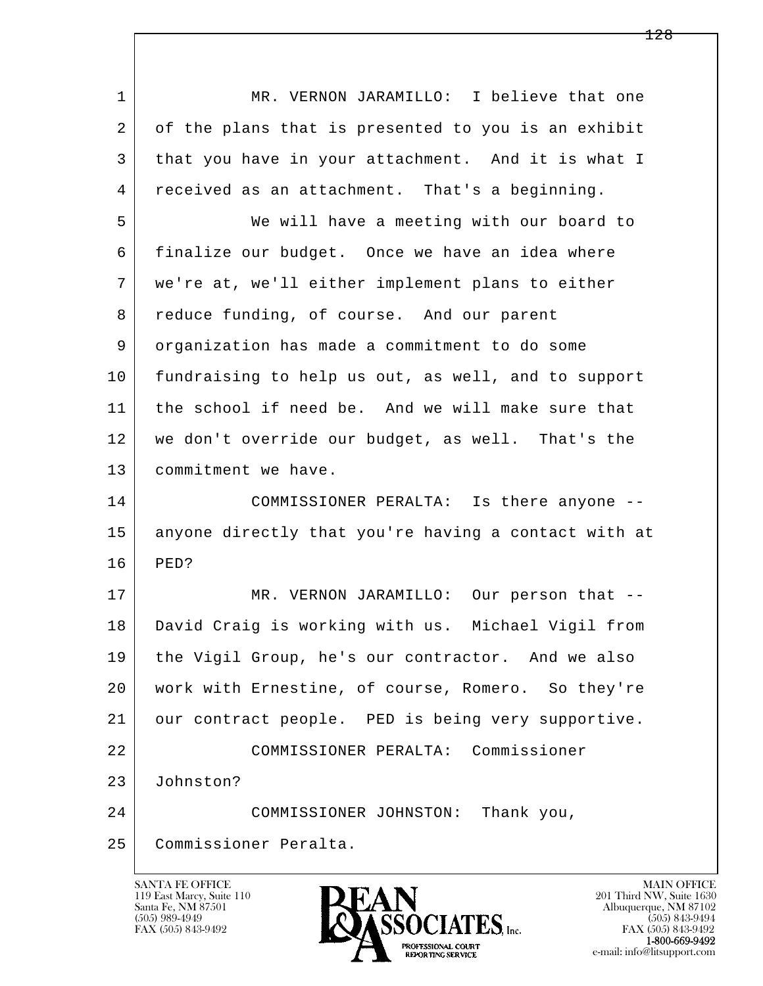l  $\overline{\phantom{a}}$ 1 MR. VERNON JARAMILLO: I believe that one 2 of the plans that is presented to you is an exhibit 3 that you have in your attachment. And it is what I 4 received as an attachment. That's a beginning. 5 We will have a meeting with our board to 6 finalize our budget. Once we have an idea where 7 we're at, we'll either implement plans to either 8 reduce funding, of course. And our parent 9 organization has made a commitment to do some 10 fundraising to help us out, as well, and to support 11 the school if need be. And we will make sure that 12 we don't override our budget, as well. That's the 13 commitment we have. 14 COMMISSIONER PERALTA: Is there anyone -- 15 anyone directly that you're having a contact with at 16 PED? 17 | MR. VERNON JARAMILLO: Our person that -- 18 David Craig is working with us. Michael Vigil from 19 the Vigil Group, he's our contractor. And we also 20 work with Ernestine, of course, Romero. So they're 21 our contract people. PED is being very supportive. 22 COMMISSIONER PERALTA: Commissioner 23 Johnston? 24 COMMISSIONER JOHNSTON: Thank you, 25 Commissioner Peralta.

119 East Marcy, Suite 110<br>Santa Fe, NM 87501

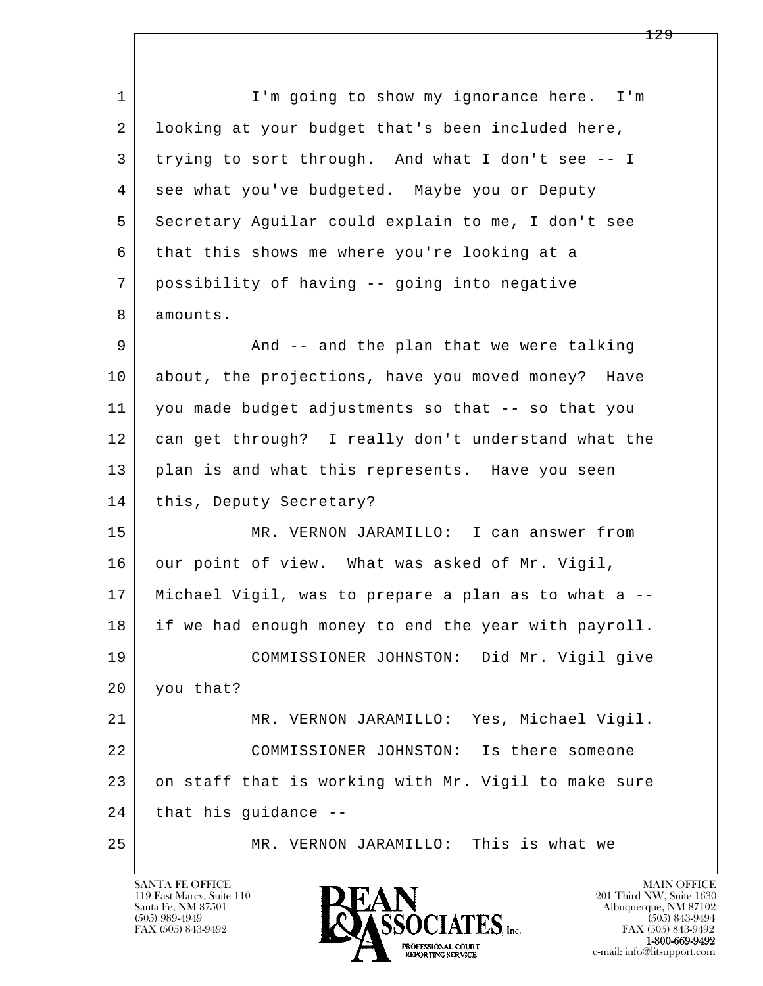l  $\overline{\phantom{a}}$ 1 I'm going to show my ignorance here. I'm 2 looking at your budget that's been included here, 3 trying to sort through. And what I don't see -- I 4 see what you've budgeted. Maybe you or Deputy 5 Secretary Aguilar could explain to me, I don't see 6 that this shows me where you're looking at a 7 possibility of having -- going into negative 8 amounts. 9 And -- and the plan that we were talking 10 about, the projections, have you moved money? Have 11 you made budget adjustments so that -- so that you 12 can get through? I really don't understand what the 13 plan is and what this represents. Have you seen 14 this, Deputy Secretary? 15 MR. VERNON JARAMILLO: I can answer from 16 our point of view. What was asked of Mr. Vigil, 17 Michael Vigil, was to prepare a plan as to what a -- 18 if we had enough money to end the year with payroll. 19 COMMISSIONER JOHNSTON: Did Mr. Vigil give 20 you that? 21 MR. VERNON JARAMILLO: Yes, Michael Vigil. 22 COMMISSIONER JOHNSTON: Is there someone 23 on staff that is working with Mr. Vigil to make sure  $24$  that his guidance --25 MR. VERNON JARAMILLO: This is what we

119 East Marcy, Suite 110<br>Santa Fe, NM 87501

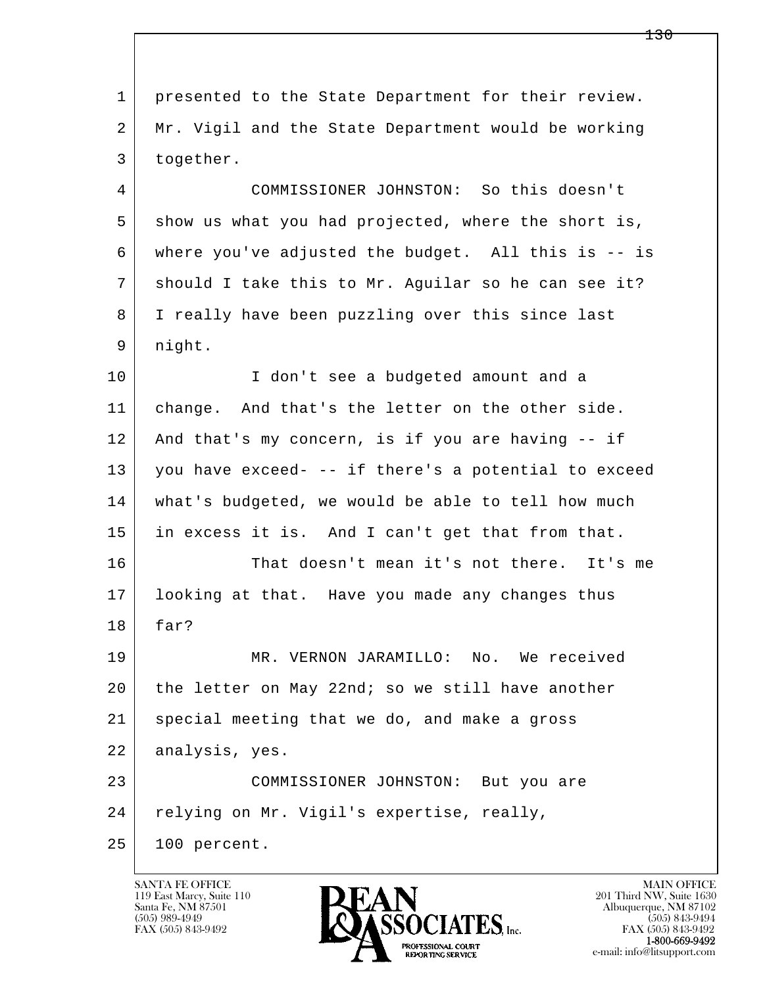l  $\overline{\phantom{a}}$  1 presented to the State Department for their review. 2 Mr. Vigil and the State Department would be working 3 together. 4 COMMISSIONER JOHNSTON: So this doesn't 5 show us what you had projected, where the short is, 6 where you've adjusted the budget. All this is -- is 7 should I take this to Mr. Aguilar so he can see it? 8 I really have been puzzling over this since last 9 night. 10 I don't see a budgeted amount and a 11 change. And that's the letter on the other side. 12 And that's my concern, is if you are having -- if 13 you have exceed- -- if there's a potential to exceed 14 what's budgeted, we would be able to tell how much 15 in excess it is. And I can't get that from that. 16 That doesn't mean it's not there. It's me 17 looking at that. Have you made any changes thus 18 far? 19 MR. VERNON JARAMILLO: No. We received 20 the letter on May 22nd; so we still have another 21 special meeting that we do, and make a gross 22 analysis, yes. 23 COMMISSIONER JOHNSTON: But you are 24 relying on Mr. Vigil's expertise, really, 25 100 percent.

119 East Marcy, Suite 110<br>Santa Fe, NM 87501

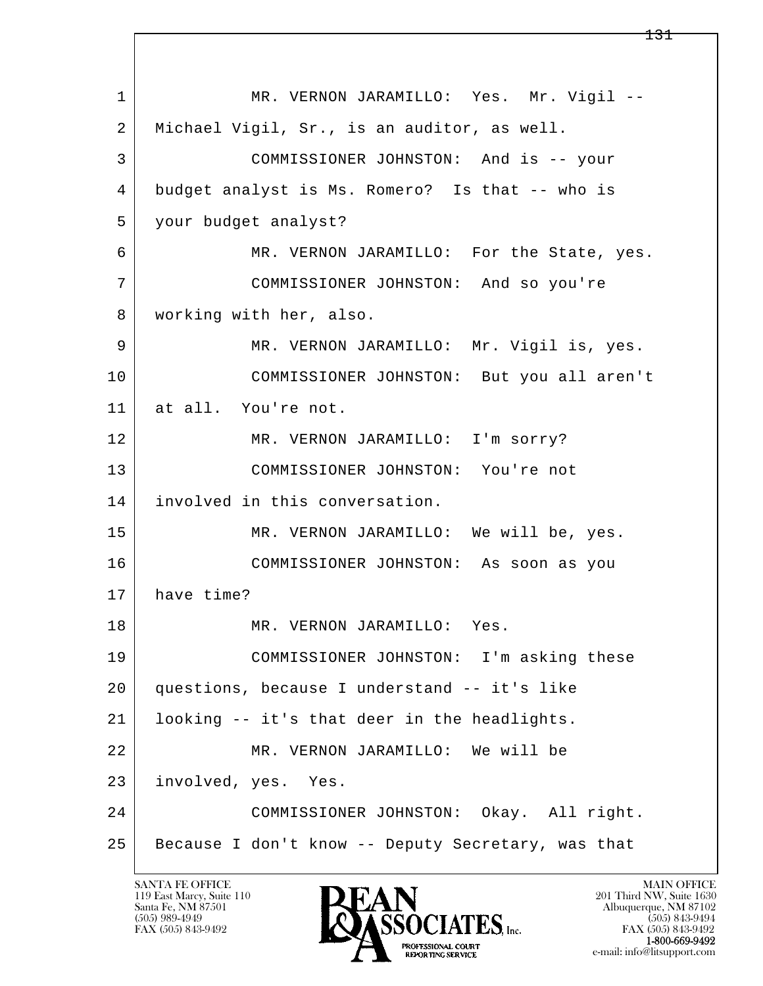l  $\overline{\phantom{a}}$ 1 | MR. VERNON JARAMILLO: Yes. Mr. Vigil -- 2 Michael Vigil, Sr., is an auditor, as well. 3 COMMISSIONER JOHNSTON: And is -- your 4 budget analyst is Ms. Romero? Is that -- who is 5 your budget analyst? 6 MR. VERNON JARAMILLO: For the State, yes. 7 COMMISSIONER JOHNSTON: And so you're 8 | working with her, also. 9 MR. VERNON JARAMILLO: Mr. Vigil is, yes. 10 COMMISSIONER JOHNSTON: But you all aren't 11 at all. You're not. 12 MR. VERNON JARAMILLO: I'm sorry? 13 COMMISSIONER JOHNSTON: You're not 14 involved in this conversation. 15 MR. VERNON JARAMILLO: We will be, yes. 16 COMMISSIONER JOHNSTON: As soon as you 17 have time? 18 MR. VERNON JARAMILLO: Yes. 19 COMMISSIONER JOHNSTON: I'm asking these 20 questions, because I understand -- it's like 21 looking -- it's that deer in the headlights. 22 MR. VERNON JARAMILLO: We will be 23 involved, yes. Yes. 24 COMMISSIONER JOHNSTON: Okay. All right. 25 Because I don't know -- Deputy Secretary, was that

119 East Marcy, Suite 110<br>Santa Fe, NM 87501

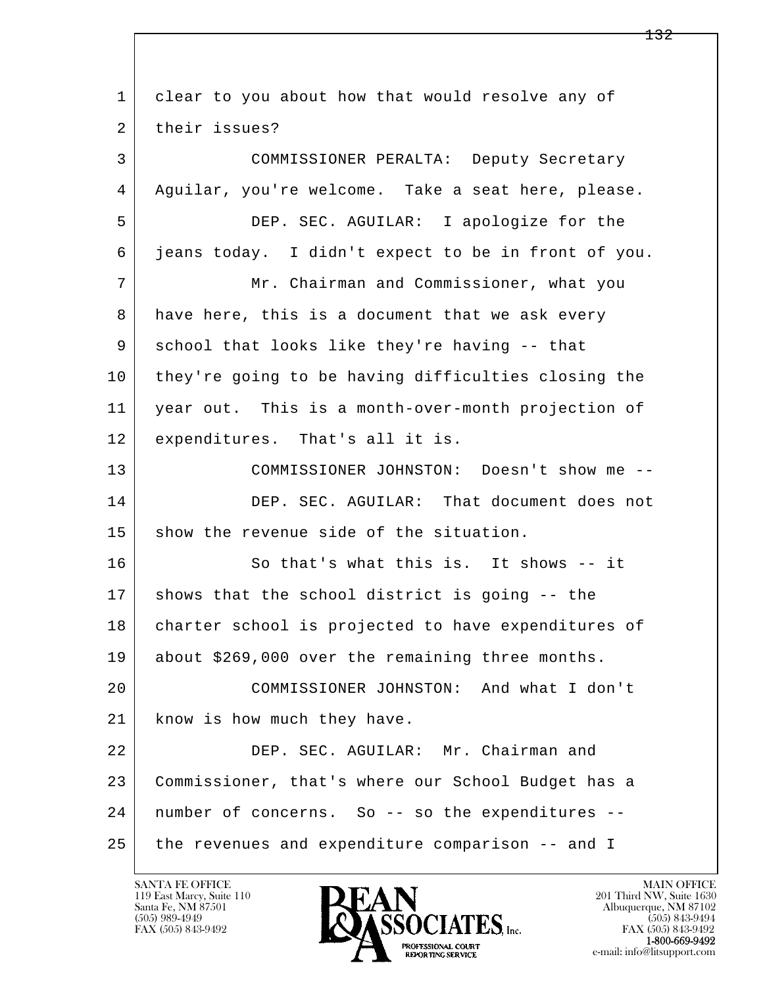| 1  | clear to you about how that would resolve any of    |
|----|-----------------------------------------------------|
| 2  | their issues?                                       |
| 3  | COMMISSIONER PERALTA: Deputy Secretary              |
| 4  | Aguilar, you're welcome. Take a seat here, please.  |
| 5  | DEP. SEC. AGUILAR: I apologize for the              |
| 6  | jeans today. I didn't expect to be in front of you. |
| 7  | Mr. Chairman and Commissioner, what you             |
| 8  | have here, this is a document that we ask every     |
| 9  | school that looks like they're having -- that       |
| 10 | they're going to be having difficulties closing the |
| 11 | year out. This is a month-over-month projection of  |
| 12 | expenditures. That's all it is.                     |
| 13 | COMMISSIONER JOHNSTON: Doesn't show me --           |
| 14 | DEP. SEC. AGUILAR: That document does not           |
| 15 | show the revenue side of the situation.             |
| 16 | So that's what this is. It shows -- it              |
| 17 | shows that the school district is going -- the      |
| 18 | charter school is projected to have expenditures of |
| 19 | about \$269,000 over the remaining three months.    |
| 20 | COMMISSIONER JOHNSTON: And what I don't             |
| 21 | know is how much they have.                         |
| 22 | DEP. SEC. AGUILAR: Mr. Chairman and                 |
| 23 | Commissioner, that's where our School Budget has a  |
| 24 | number of concerns. So -- so the expenditures --    |
| 25 | the revenues and expenditure comparison -- and I    |

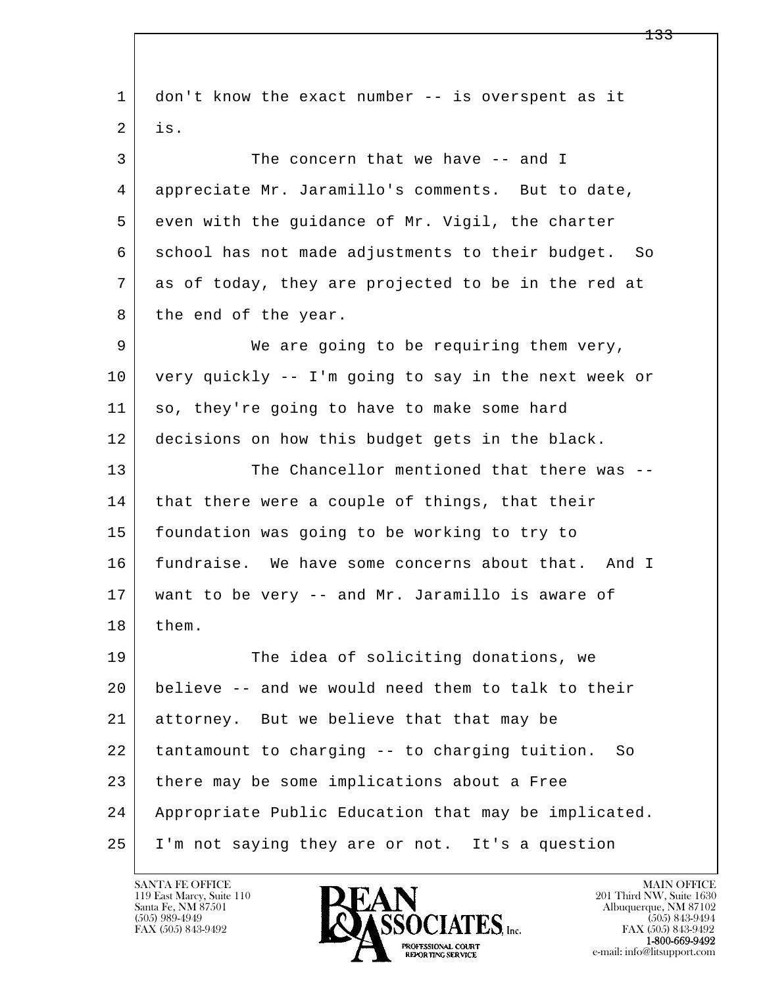l  $\overline{\phantom{a}}$  1 don't know the exact number -- is overspent as it  $2$  is. 3 The concern that we have -- and I 4 appreciate Mr. Jaramillo's comments. But to date, 5 even with the guidance of Mr. Vigil, the charter 6 school has not made adjustments to their budget. So 7 as of today, they are projected to be in the red at 8 the end of the year. 9 We are going to be requiring them very, 10 very quickly -- I'm going to say in the next week or 11 so, they're going to have to make some hard 12 decisions on how this budget gets in the black. 13 The Chancellor mentioned that there was --14 that there were a couple of things, that their 15 foundation was going to be working to try to 16 fundraise. We have some concerns about that. And I 17 want to be very -- and Mr. Jaramillo is aware of 18 | them. 19 The idea of soliciting donations, we 20 believe -- and we would need them to talk to their 21 attorney. But we believe that that may be 22 tantamount to charging -- to charging tuition. So 23 there may be some implications about a Free 24 Appropriate Public Education that may be implicated. 25 I'm not saying they are or not. It's a question

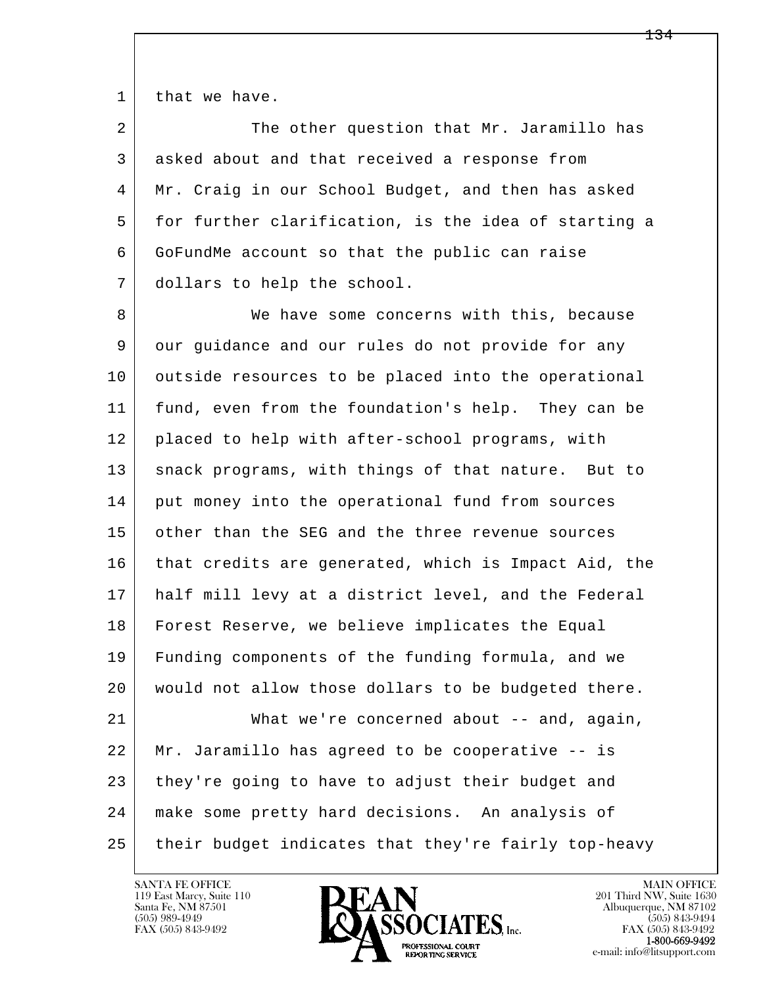1 that we have.

| 2 | The other question that Mr. Jaramillo has            |
|---|------------------------------------------------------|
| 3 | asked about and that received a response from        |
| 4 | Mr. Craig in our School Budget, and then has asked   |
| 5 | for further clarification, is the idea of starting a |
| 6 | GoFundMe account so that the public can raise        |
|   | dollars to help the school.                          |

l  $\overline{\phantom{a}}$ 8 We have some concerns with this, because 9 our guidance and our rules do not provide for any 10 | outside resources to be placed into the operational 11 fund, even from the foundation's help. They can be 12 placed to help with after-school programs, with 13 | snack programs, with things of that nature. But to 14 put money into the operational fund from sources 15 other than the SEG and the three revenue sources 16 that credits are generated, which is Impact Aid, the 17 half mill levy at a district level, and the Federal 18 Forest Reserve, we believe implicates the Equal 19 Funding components of the funding formula, and we 20 would not allow those dollars to be budgeted there. 21 What we're concerned about -- and, again, 22 Mr. Jaramillo has agreed to be cooperative -- is 23 they're going to have to adjust their budget and 24 make some pretty hard decisions. An analysis of

25 their budget indicates that they're fairly top-heavy

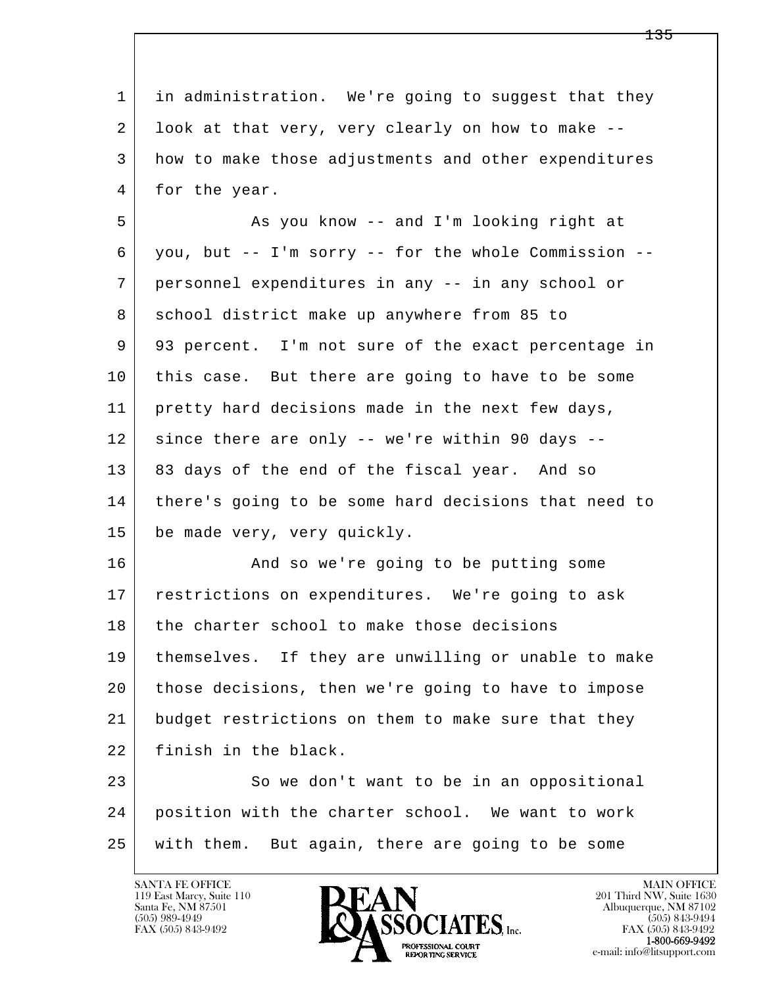| $\mathbf{1}$ | in administration. We're going to suggest that they  |
|--------------|------------------------------------------------------|
| 2            | look at that very, very clearly on how to make --    |
| 3            | how to make those adjustments and other expenditures |
| 4            | for the year.                                        |
| 5            | As you know -- and I'm looking right at              |
| 6            | you, but -- I'm sorry -- for the whole Commission -- |
| 7            | personnel expenditures in any -- in any school or    |
| 8            | school district make up anywhere from 85 to          |
| 9            | 93 percent. I'm not sure of the exact percentage in  |
| 10           | this case. But there are going to have to be some    |
| 11           | pretty hard decisions made in the next few days,     |
| 12           | since there are only -- we're within 90 days --      |
| 13           | 83 days of the end of the fiscal year. And so        |
| 14           | there's going to be some hard decisions that need to |
| 15           | be made very, very quickly.                          |
| 16           | And so we're going to be putting some                |
| 17           | restrictions on expenditures. We're going to ask     |
| 18           | the charter school to make those decisions           |
| 19           | themselves. If they are unwilling or unable to make  |
| 20           | those decisions, then we're going to have to impose  |
| 21           | budget restrictions on them to make sure that they   |
| 22           | finish in the black.                                 |
| 23           | So we don't want to be in an oppositional            |
| 24           | position with the charter school. We want to work    |
| 25           | with them. But again, there are going to be some     |
|              |                                                      |

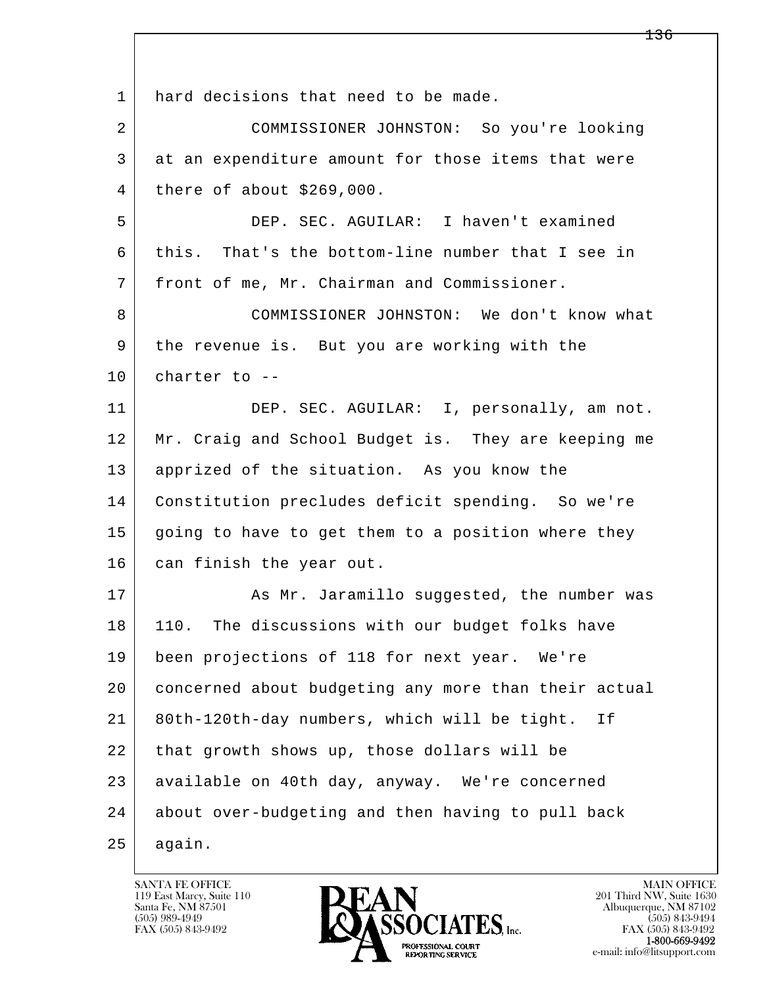l  $\overline{\phantom{a}}$ 1 hard decisions that need to be made. 2 COMMISSIONER JOHNSTON: So you're looking 3 at an expenditure amount for those items that were 4 there of about \$269,000. 5 DEP. SEC. AGUILAR: I haven't examined 6 this. That's the bottom-line number that I see in 7 front of me, Mr. Chairman and Commissioner. 8 COMMISSIONER JOHNSTON: We don't know what 9 the revenue is. But you are working with the  $10$  charter to  $-$ 11 DEP. SEC. AGUILAR: I, personally, am not. 12 Mr. Craig and School Budget is. They are keeping me 13 apprized of the situation. As you know the 14 Constitution precludes deficit spending. So we're 15 going to have to get them to a position where they 16 can finish the year out. 17 | The Mr. Jaramillo suggested, the number was 18 110. The discussions with our budget folks have 19 been projections of 118 for next year. We're 20 concerned about budgeting any more than their actual 21 80th-120th-day numbers, which will be tight. If 22 that growth shows up, those dollars will be 23 available on 40th day, anyway. We're concerned 24 about over-budgeting and then having to pull back  $25$  again.

119 East Marcy, Suite 110<br>Santa Fe, NM 87501

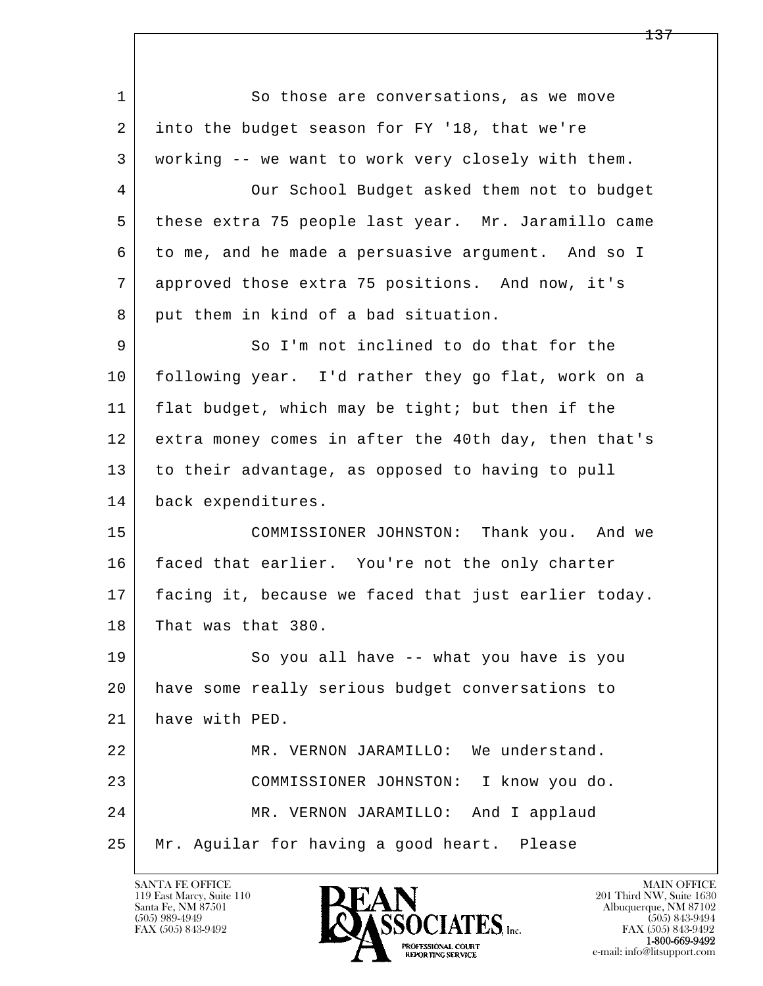l  $\overline{\phantom{a}}$ 1 So those are conversations, as we move 2 into the budget season for FY '18, that we're 3 working -- we want to work very closely with them. 4 Our School Budget asked them not to budget 5 these extra 75 people last year. Mr. Jaramillo came 6 to me, and he made a persuasive argument. And so I 7 approved those extra 75 positions. And now, it's 8 put them in kind of a bad situation. 9 So I'm not inclined to do that for the 10 following year. I'd rather they go flat, work on a 11 flat budget, which may be tight; but then if the 12 extra money comes in after the 40th day, then that's 13 to their advantage, as opposed to having to pull 14 back expenditures. 15 COMMISSIONER JOHNSTON: Thank you. And we 16 faced that earlier. You're not the only charter 17 facing it, because we faced that just earlier today. 18 That was that 380. 19 So you all have -- what you have is you 20 have some really serious budget conversations to 21 have with PED. 22 MR. VERNON JARAMILLO: We understand. 23 COMMISSIONER JOHNSTON: I know you do. 24 MR. VERNON JARAMILLO: And I applaud 25 Mr. Aguilar for having a good heart. Please

119 East Marcy, Suite 110<br>Santa Fe, NM 87501

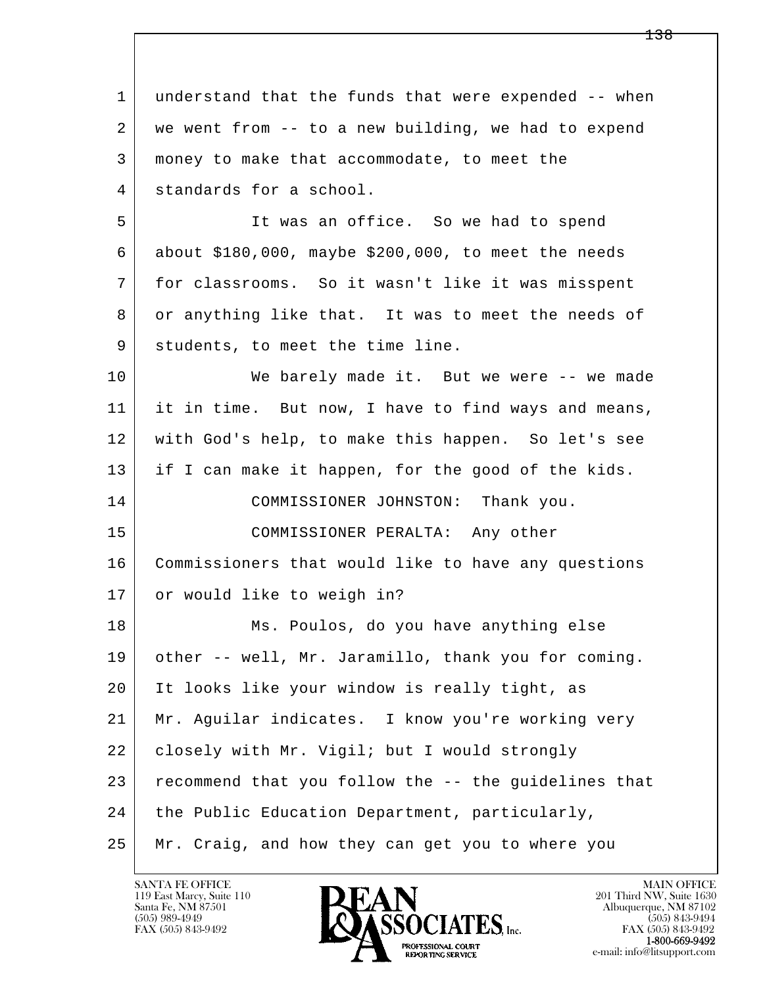l  $\overline{\phantom{a}}$ 1 understand that the funds that were expended -- when 2 we went from -- to a new building, we had to expend 3 money to make that accommodate, to meet the 4 standards for a school. 5 It was an office. So we had to spend 6 about \$180,000, maybe \$200,000, to meet the needs 7 for classrooms. So it wasn't like it was misspent 8 or anything like that. It was to meet the needs of 9 students, to meet the time line. 10 We barely made it. But we were -- we made 11 it in time. But now, I have to find ways and means, 12 with God's help, to make this happen. So let's see 13 if I can make it happen, for the good of the kids. 14 COMMISSIONER JOHNSTON: Thank you. 15 COMMISSIONER PERALTA: Any other 16 Commissioners that would like to have any questions 17 or would like to weigh in? 18 Ms. Poulos, do you have anything else 19 other -- well, Mr. Jaramillo, thank you for coming. 20 It looks like your window is really tight, as 21 Mr. Aguilar indicates. I know you're working very 22 closely with Mr. Vigil; but I would strongly 23 recommend that you follow the -- the guidelines that 24 | the Public Education Department, particularly, 25 Mr. Craig, and how they can get you to where you

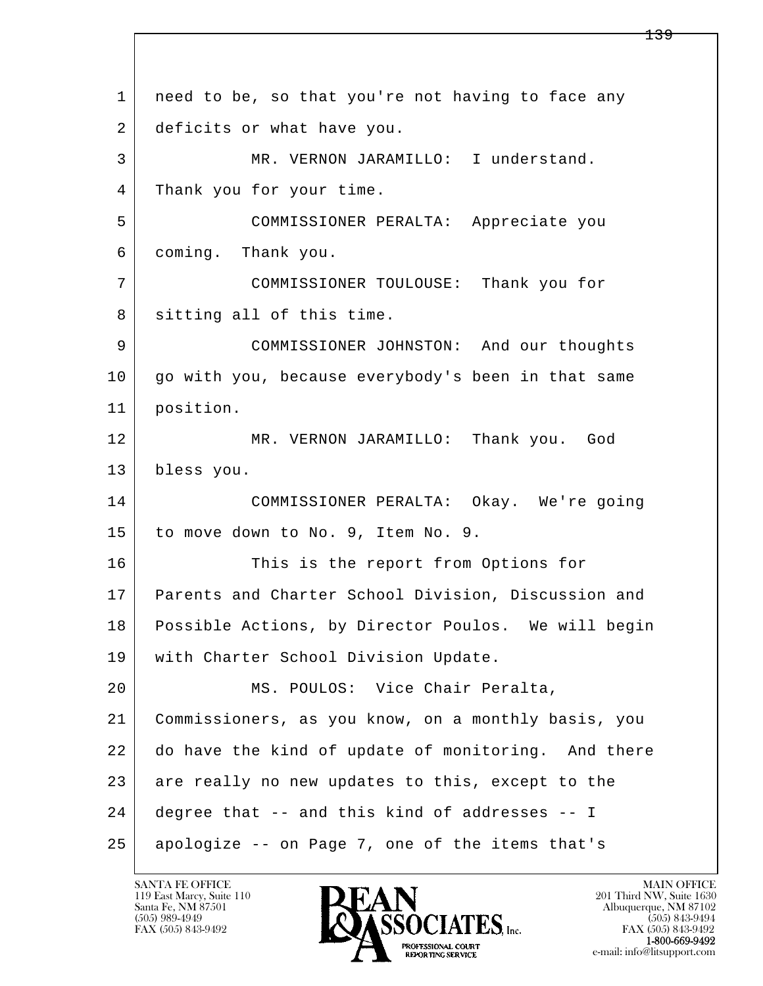l  $\overline{\phantom{a}}$  1 need to be, so that you're not having to face any 2 deficits or what have you. 3 MR. VERNON JARAMILLO: I understand. 4 Thank you for your time. 5 COMMISSIONER PERALTA: Appreciate you 6 coming. Thank you. 7 COMMISSIONER TOULOUSE: Thank you for 8 sitting all of this time. 9 COMMISSIONER JOHNSTON: And our thoughts 10 go with you, because everybody's been in that same 11 position. 12 MR. VERNON JARAMILLO: Thank you. God 13 bless you. 14 COMMISSIONER PERALTA: Okay. We're going 15 to move down to No. 9, Item No. 9. 16 This is the report from Options for 17 Parents and Charter School Division, Discussion and 18 Possible Actions, by Director Poulos. We will begin 19 | with Charter School Division Update. 20 MS. POULOS: Vice Chair Peralta, 21 Commissioners, as you know, on a monthly basis, you 22 do have the kind of update of monitoring. And there 23 are really no new updates to this, except to the 24 degree that -- and this kind of addresses -- I 25 apologize -- on Page 7, one of the items that's

119 East Marcy, Suite 110<br>Santa Fe, NM 87501



FAX (505) 843-9492 FAX (505) 843-9492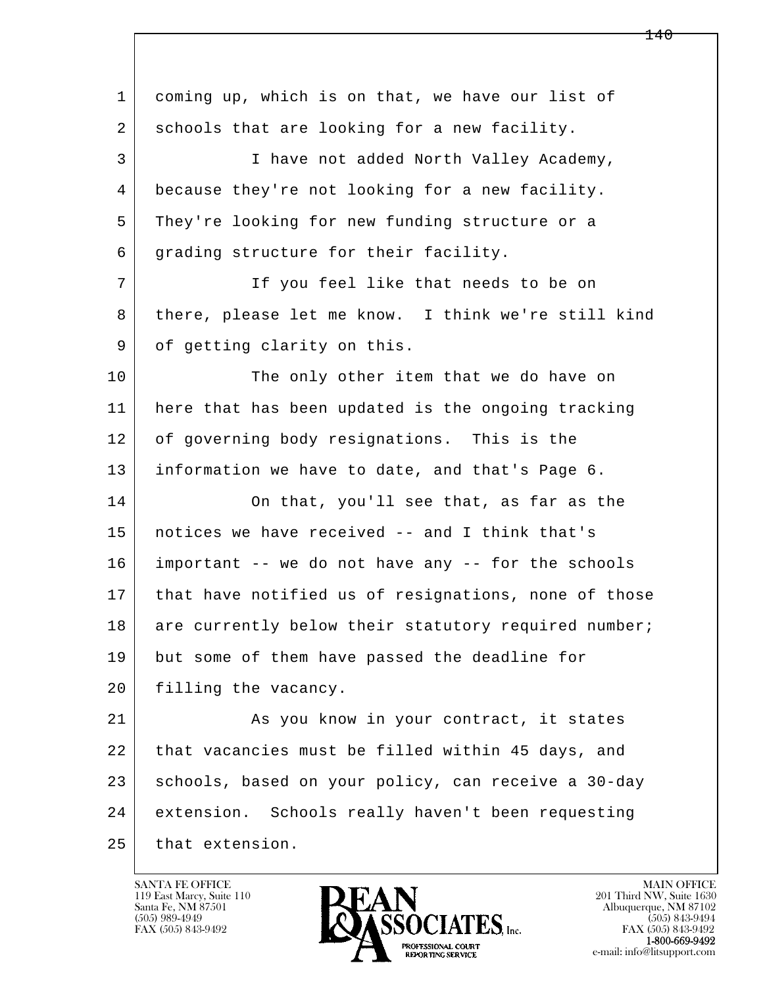l  $\overline{\phantom{a}}$  1 coming up, which is on that, we have our list of 2 schools that are looking for a new facility. 3 I have not added North Valley Academy, 4 because they're not looking for a new facility. 5 They're looking for new funding structure or a 6 grading structure for their facility. 7 If you feel like that needs to be on 8 | there, please let me know. I think we're still kind 9 of getting clarity on this. 10 | The only other item that we do have on 11 here that has been updated is the ongoing tracking 12 of governing body resignations. This is the 13 information we have to date, and that's Page 6. 14 On that, you'll see that, as far as the 15 notices we have received -- and I think that's 16 important -- we do not have any -- for the schools 17 | that have notified us of resignations, none of those 18 are currently below their statutory required number; 19 but some of them have passed the deadline for 20 | filling the vacancy. 21 As you know in your contract, it states 22 that vacancies must be filled within 45 days, and 23 schools, based on your policy, can receive a 30-day 24 extension. Schools really haven't been requesting 25 that extension.

119 East Marcy, Suite 110<br>Santa Fe, NM 87501



FAX (505) 843-9492<br>**1-800-669-9492**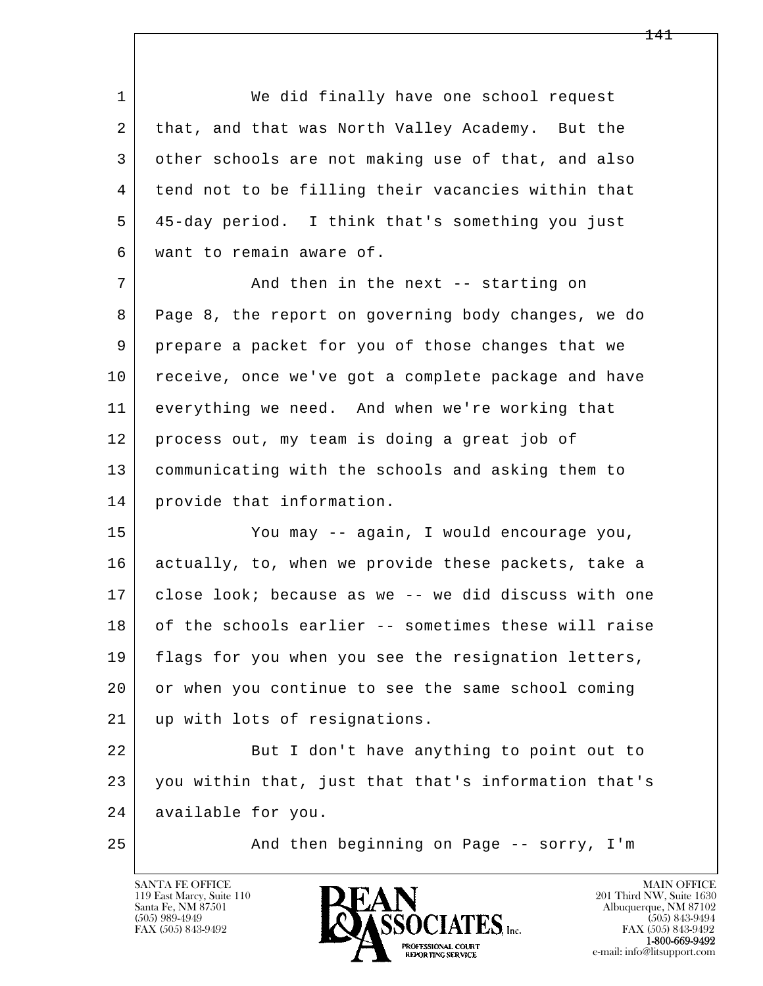1 We did finally have one school request 2 that, and that was North Valley Academy. But the 3 other schools are not making use of that, and also 4 tend not to be filling their vacancies within that 5 45-day period. I think that's something you just 6 want to remain aware of.

7 And then in the next -- starting on 8 Page 8, the report on governing body changes, we do 9 prepare a packet for you of those changes that we 10 receive, once we've got a complete package and have 11 everything we need. And when we're working that 12 process out, my team is doing a great job of 13 communicating with the schools and asking them to 14 provide that information.

 15 You may -- again, I would encourage you, 16 actually, to, when we provide these packets, take a 17 close look; because as we -- we did discuss with one 18 of the schools earlier -- sometimes these will raise 19 | flags for you when you see the resignation letters, 20 or when you continue to see the same school coming 21 up with lots of resignations.

l  $\overline{\phantom{a}}$ 22 But I don't have anything to point out to 23 you within that, just that that's information that's 24 available for you.

25 And then beginning on Page -- sorry, I'm

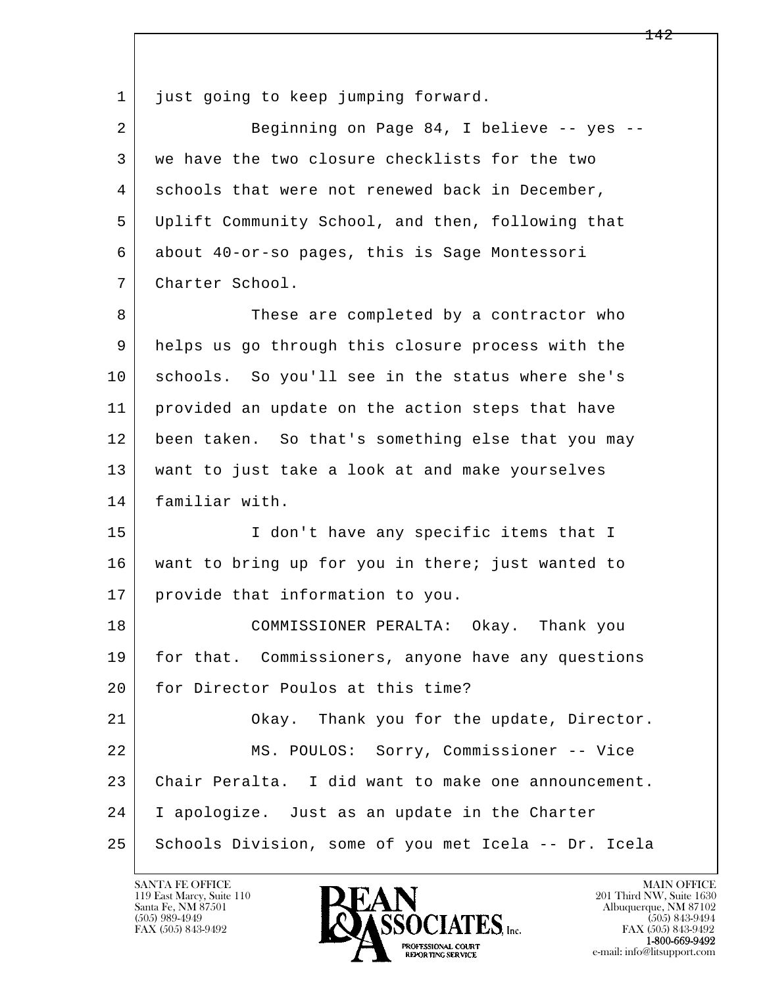l  $\overline{\phantom{a}}$ 1 just going to keep jumping forward. 2 Beginning on Page 84, I believe -- yes -- 3 we have the two closure checklists for the two 4 schools that were not renewed back in December, 5 Uplift Community School, and then, following that 6 about 40-or-so pages, this is Sage Montessori 7 Charter School. 8 These are completed by a contractor who 9 helps us go through this closure process with the 10 schools. So you'll see in the status where she's 11 provided an update on the action steps that have 12 been taken. So that's something else that you may 13 want to just take a look at and make yourselves 14 familiar with. 15 | I don't have any specific items that I 16 want to bring up for you in there; just wanted to 17 provide that information to you. 18 COMMISSIONER PERALTA: Okay. Thank you 19 | for that. Commissioners, anyone have any questions 20 for Director Poulos at this time? 21 Okay. Thank you for the update, Director. 22 MS. POULOS: Sorry, Commissioner -- Vice 23 Chair Peralta. I did want to make one announcement. 24 I apologize. Just as an update in the Charter 25 Schools Division, some of you met Icela -- Dr. Icela

119 East Marcy, Suite 110<br>Santa Fe, NM 87501

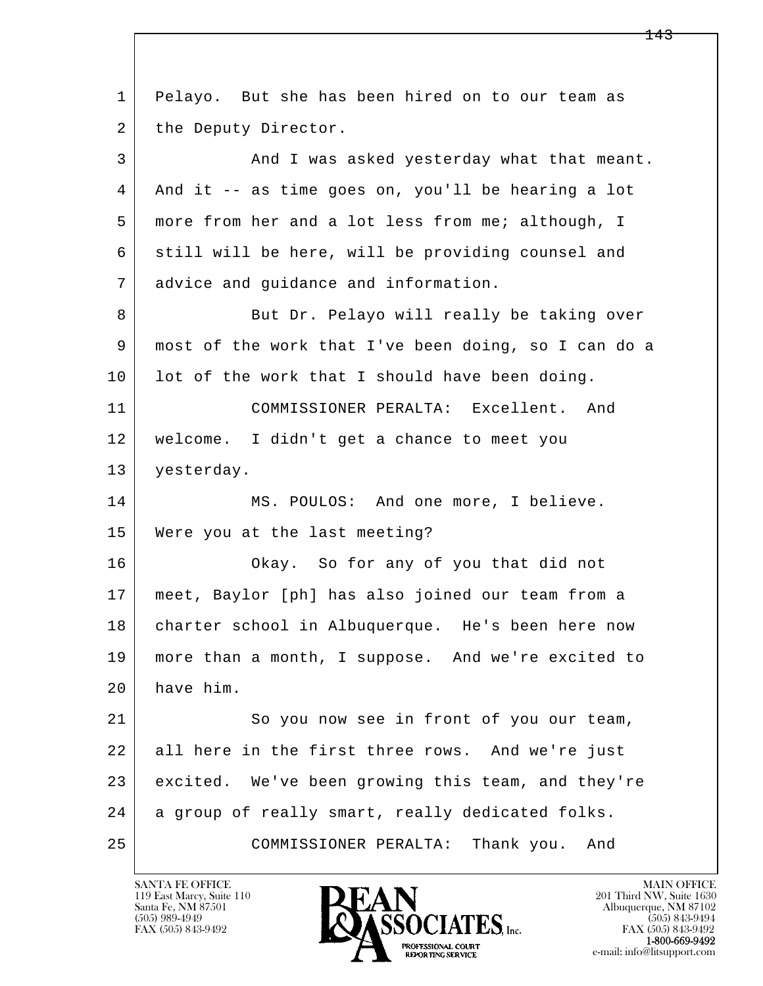| 1  | Pelayo. But she has been hired on to our team as     |
|----|------------------------------------------------------|
| 2  | the Deputy Director.                                 |
| 3  | And I was asked yesterday what that meant.           |
| 4  | And it -- as time goes on, you'll be hearing a lot   |
| 5  | more from her and a lot less from me; although, I    |
| 6  | still will be here, will be providing counsel and    |
| 7  | advice and guidance and information.                 |
| 8  | But Dr. Pelayo will really be taking over            |
| 9  | most of the work that I've been doing, so I can do a |
| 10 | lot of the work that I should have been doing.       |
| 11 | COMMISSIONER PERALTA: Excellent. And                 |
| 12 | welcome. I didn't get a chance to meet you           |
| 13 | yesterday.                                           |
| 14 | MS. POULOS: And one more, I believe.                 |
| 15 | Were you at the last meeting?                        |
| 16 | Okay. So for any of you that did not                 |
| 17 | meet, Baylor [ph] has also joined our team from a    |
| 18 | charter school in Albuquerque. He's been here now    |
| 19 | more than a month, I suppose. And we're excited to   |
| 20 | have him.                                            |
| 21 | So you now see in front of you our team,             |
| 22 | all here in the first three rows. And we're just     |
| 23 | excited. We've been growing this team, and they're   |
| 24 | a group of really smart, really dedicated folks.     |
| 25 | Thank you.<br>COMMISSIONER PERALTA:<br>And           |

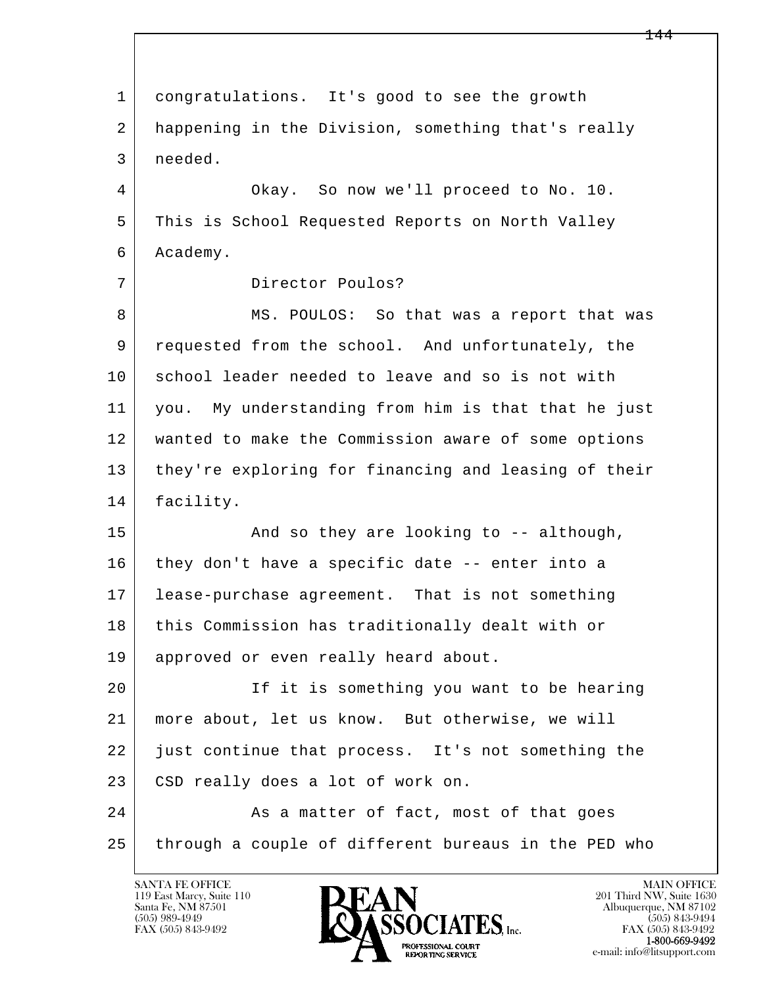l  $\overline{\phantom{a}}$  1 congratulations. It's good to see the growth 2 happening in the Division, something that's really 3 needed. 4 | Okay. So now we'll proceed to No. 10. 5 This is School Requested Reports on North Valley 6 Academy. 7 Director Poulos? 8 MS. POULOS: So that was a report that was 9 requested from the school. And unfortunately, the 10 school leader needed to leave and so is not with 11 you. My understanding from him is that that he just 12 wanted to make the Commission aware of some options 13 they're exploring for financing and leasing of their 14 facility. 15 | The Rand so they are looking to -- although, 16 they don't have a specific date -- enter into a 17 lease-purchase agreement. That is not something 18 | this Commission has traditionally dealt with or 19 approved or even really heard about. 20 If it is something you want to be hearing 21 more about, let us know. But otherwise, we will 22 just continue that process. It's not something the 23 CSD really does a lot of work on. 24 As a matter of fact, most of that goes 25 through a couple of different bureaus in the PED who

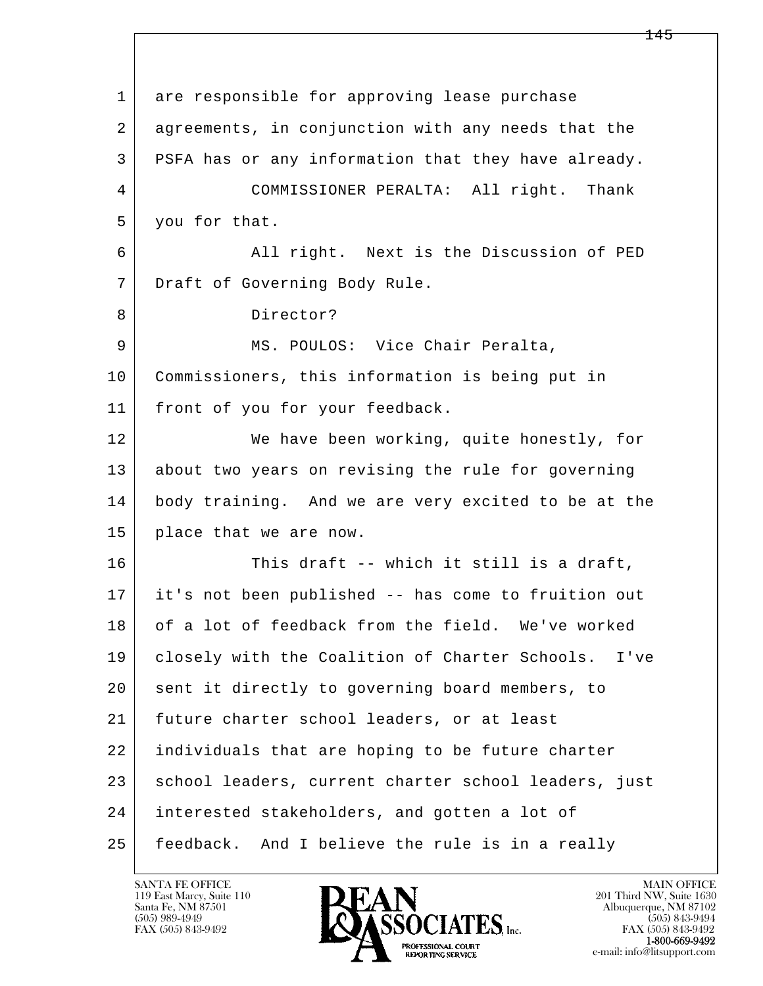l  $\overline{\phantom{a}}$  1 are responsible for approving lease purchase 2 agreements, in conjunction with any needs that the 3 PSFA has or any information that they have already. 4 COMMISSIONER PERALTA: All right. Thank 5 you for that. 6 All right. Next is the Discussion of PED 7 Draft of Governing Body Rule. 8 Director? 9 MS. POULOS: Vice Chair Peralta, 10 Commissioners, this information is being put in 11 front of you for your feedback. 12 We have been working, quite honestly, for 13 about two years on revising the rule for governing 14 body training. And we are very excited to be at the 15 place that we are now. 16 This draft -- which it still is a draft, 17 it's not been published -- has come to fruition out 18 of a lot of feedback from the field. We've worked 19 closely with the Coalition of Charter Schools. I've 20 sent it directly to governing board members, to 21 future charter school leaders, or at least 22 individuals that are hoping to be future charter 23 | school leaders, current charter school leaders, just 24 interested stakeholders, and gotten a lot of 25 feedback. And I believe the rule is in a really

119 East Marcy, Suite 110<br>Santa Fe, NM 87501

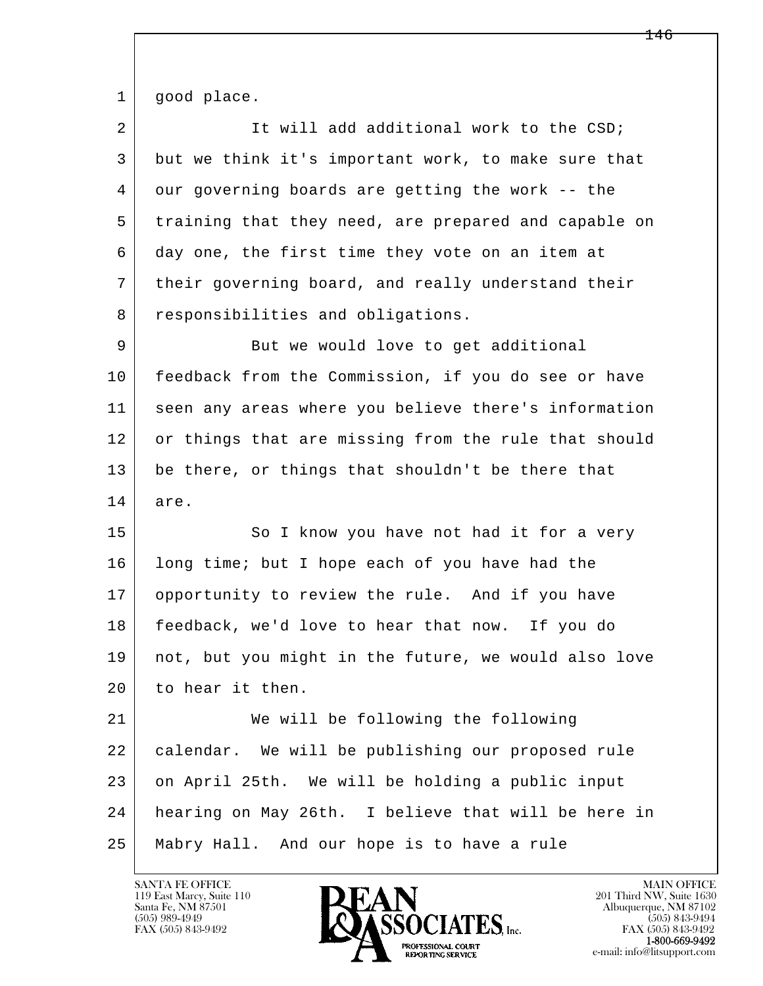1 good place.

| $\overline{2}$ | It will add additional work to the CSD;              |
|----------------|------------------------------------------------------|
| 3              | but we think it's important work, to make sure that  |
| 4              | our governing boards are getting the work -- the     |
| 5              | training that they need, are prepared and capable on |
| 6              | day one, the first time they vote on an item at      |
| 7              | their governing board, and really understand their   |
| 8              | responsibilities and obligations.                    |
| 9              | But we would love to get additional                  |
| 10             | feedback from the Commission, if you do see or have  |
| 11             | seen any areas where you believe there's information |
| 12             | or things that are missing from the rule that should |
| 13             | be there, or things that shouldn't be there that     |
|                |                                                      |
| 14             | are.                                                 |
| 15             | So I know you have not had it for a very             |
| 16             | long time; but I hope each of you have had the       |
| 17             | opportunity to review the rule. And if you have      |
| 18             | feedback, we'd love to hear that now. If you do      |
| 19             | not, but you might in the future, we would also love |
| 20             | to hear it then.                                     |
| 21             | We will be following the following                   |
| 22             | calendar. We will be publishing our proposed rule    |
| 23             | on April 25th. We will be holding a public input     |
| 24             | hearing on May 26th. I believe that will be here in  |

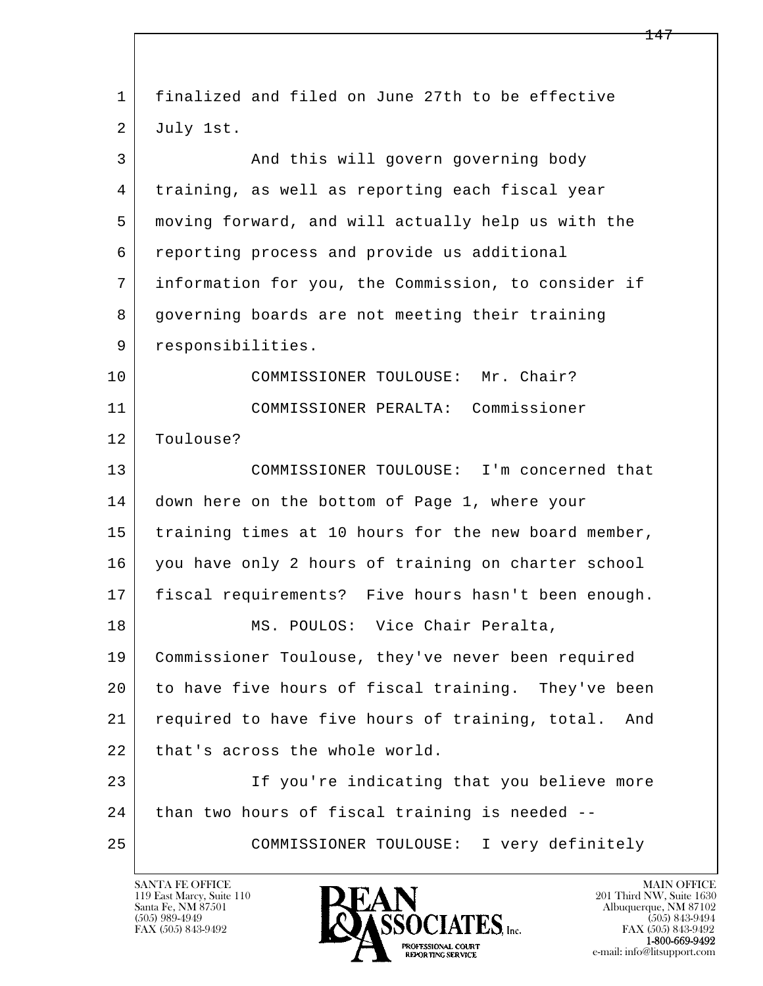| finalized and filed on June 27th to be effective       |
|--------------------------------------------------------|
| July 1st.                                              |
| And this will govern governing body                    |
| training, as well as reporting each fiscal year        |
| moving forward, and will actually help us with the     |
| reporting process and provide us additional            |
| information for you, the Commission, to consider if    |
| governing boards are not meeting their training        |
| responsibilities.                                      |
| COMMISSIONER TOULOUSE: Mr. Chair?                      |
| COMMISSIONER PERALTA: Commissioner                     |
| Toulouse?                                              |
| COMMISSIONER TOULOUSE: I'm concerned that              |
| down here on the bottom of Page 1, where your          |
| training times at 10 hours for the new board member,   |
| you have only 2 hours of training on charter school    |
| fiscal requirements? Five hours hasn't been enough.    |
| MS. POULOS: Vice Chair Peralta,                        |
| Commissioner Toulouse, they've never been required     |
| to have five hours of fiscal training. They've been    |
| required to have five hours of training, total.<br>And |
| that's across the whole world.                         |
| If you're indicating that you believe more             |
| than two hours of fiscal training is needed --         |
| COMMISSIONER TOULOUSE: I very definitely               |
|                                                        |

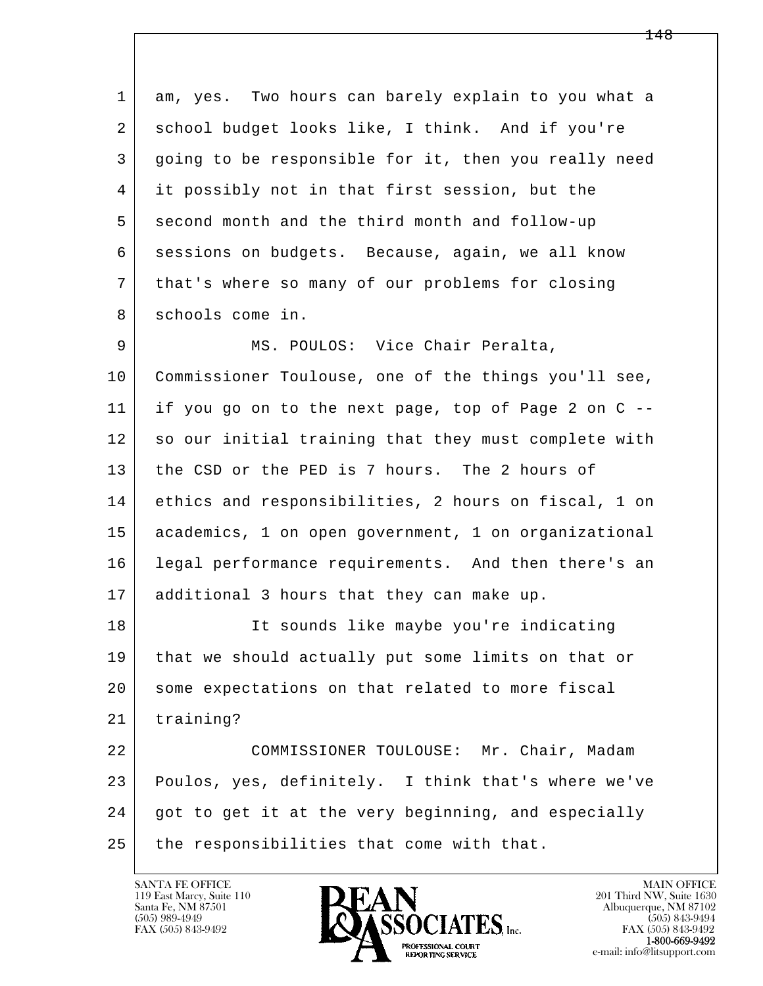1 am, yes. Two hours can barely explain to you what a 2 school budget looks like, I think. And if you're 3 going to be responsible for it, then you really need 4 it possibly not in that first session, but the 5 second month and the third month and follow-up 6 sessions on budgets. Because, again, we all know 7 that's where so many of our problems for closing 8 schools come in.

9 MS. POULOS: Vice Chair Peralta, 10 | Commissioner Toulouse, one of the things you'll see, 11 if you go on to the next page, top of Page 2 on C -- 12 so our initial training that they must complete with 13 the CSD or the PED is 7 hours. The 2 hours of 14 ethics and responsibilities, 2 hours on fiscal, 1 on 15 academics, 1 on open government, 1 on organizational 16 legal performance requirements. And then there's an 17 | additional 3 hours that they can make up.

 18 It sounds like maybe you're indicating 19 that we should actually put some limits on that or 20 some expectations on that related to more fiscal 21 training? 22 COMMISSIONER TOULOUSE: Mr. Chair, Madam

l  $\overline{\phantom{a}}$  23 Poulos, yes, definitely. I think that's where we've 24 got to get it at the very beginning, and especially 25 the responsibilities that come with that.

119 East Marcy, Suite 110<br>Santa Fe, NM 87501

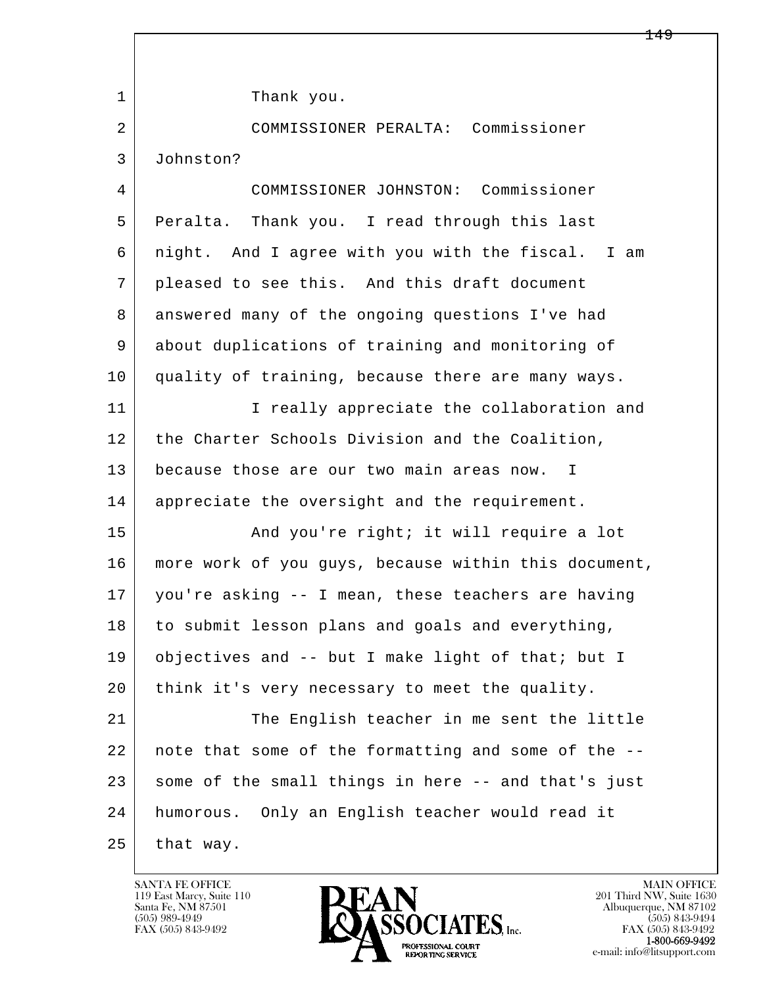l  $\overline{\phantom{a}}$ 1 Thank you. 2 COMMISSIONER PERALTA: Commissioner 3 Johnston? 4 COMMISSIONER JOHNSTON: Commissioner 5 Peralta. Thank you. I read through this last 6 night. And I agree with you with the fiscal. I am 7 pleased to see this. And this draft document 8 answered many of the ongoing questions I've had 9 about duplications of training and monitoring of 10 quality of training, because there are many ways. 11 | I really appreciate the collaboration and 12 the Charter Schools Division and the Coalition, 13 because those are our two main areas now. I 14 appreciate the oversight and the requirement. 15 | The Rand you're right; it will require a lot 16 more work of you guys, because within this document, 17 you're asking -- I mean, these teachers are having 18 to submit lesson plans and goals and everything, 19 objectives and -- but I make light of that; but I 20 think it's very necessary to meet the quality. 21 The English teacher in me sent the little 22 note that some of the formatting and some of the -- 23 some of the small things in here -- and that's just 24 humorous. Only an English teacher would read it  $25$  that way.

119 East Marcy, Suite 110<br>Santa Fe, NM 87501

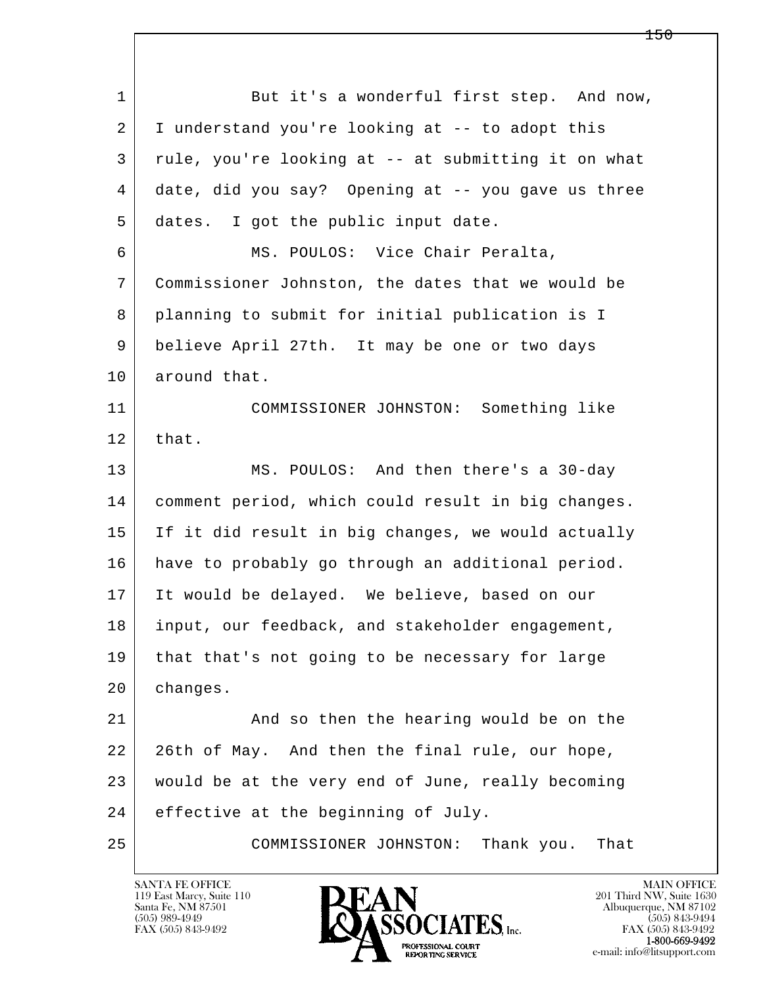l  $\overline{\phantom{a}}$ 1 But it's a wonderful first step. And now, 2 I understand you're looking at -- to adopt this 3 rule, you're looking at -- at submitting it on what 4 date, did you say? Opening at -- you gave us three 5 dates. I got the public input date. 6 MS. POULOS: Vice Chair Peralta, 7 Commissioner Johnston, the dates that we would be 8 planning to submit for initial publication is I 9 | believe April 27th. It may be one or two days 10 around that. 11 COMMISSIONER JOHNSTON: Something like  $12$  that. 13 MS. POULOS: And then there's a 30-day 14 comment period, which could result in big changes. 15 If it did result in big changes, we would actually 16 have to probably go through an additional period. 17 It would be delayed. We believe, based on our 18 | input, our feedback, and stakeholder engagement, 19 | that that's not going to be necessary for large 20 changes. 21 And so then the hearing would be on the 22 26th of May. And then the final rule, our hope, 23 would be at the very end of June, really becoming 24 effective at the beginning of July. 25 COMMISSIONER JOHNSTON: Thank you. That

119 East Marcy, Suite 110<br>Santa Fe, NM 87501

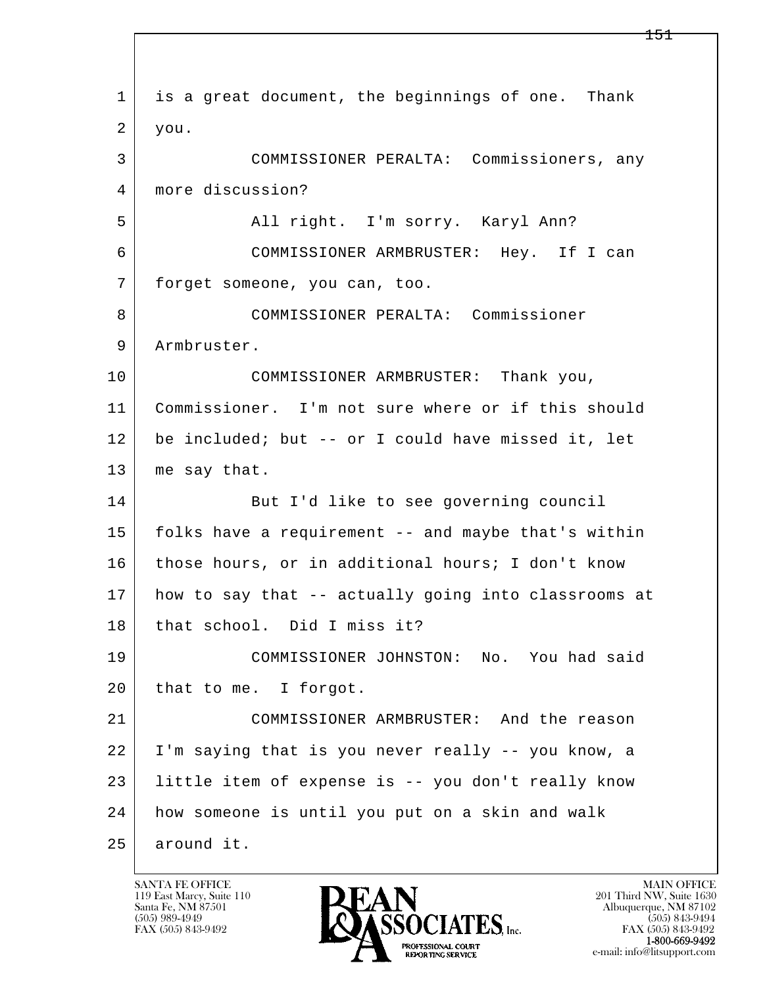l  $\overline{\phantom{a}}$  1 is a great document, the beginnings of one. Thank 2 you. 3 COMMISSIONER PERALTA: Commissioners, any 4 more discussion? 5 All right. I'm sorry. Karyl Ann? 6 COMMISSIONER ARMBRUSTER: Hey. If I can 7 forget someone, you can, too. 8 COMMISSIONER PERALTA: Commissioner 9 Armbruster. 10 COMMISSIONER ARMBRUSTER: Thank you, 11 Commissioner. I'm not sure where or if this should 12 be included; but -- or I could have missed it, let 13 me say that. 14 But I'd like to see governing council 15 folks have a requirement -- and maybe that's within 16 those hours, or in additional hours; I don't know 17 how to say that -- actually going into classrooms at 18 | that school. Did I miss it? 19 COMMISSIONER JOHNSTON: No. You had said 20 that to me. I forgot. 21 COMMISSIONER ARMBRUSTER: And the reason 22 I'm saying that is you never really -- you know, a 23 little item of expense is -- you don't really know 24 how someone is until you put on a skin and walk 25 around it.

119 East Marcy, Suite 110<br>Santa Fe, NM 87501

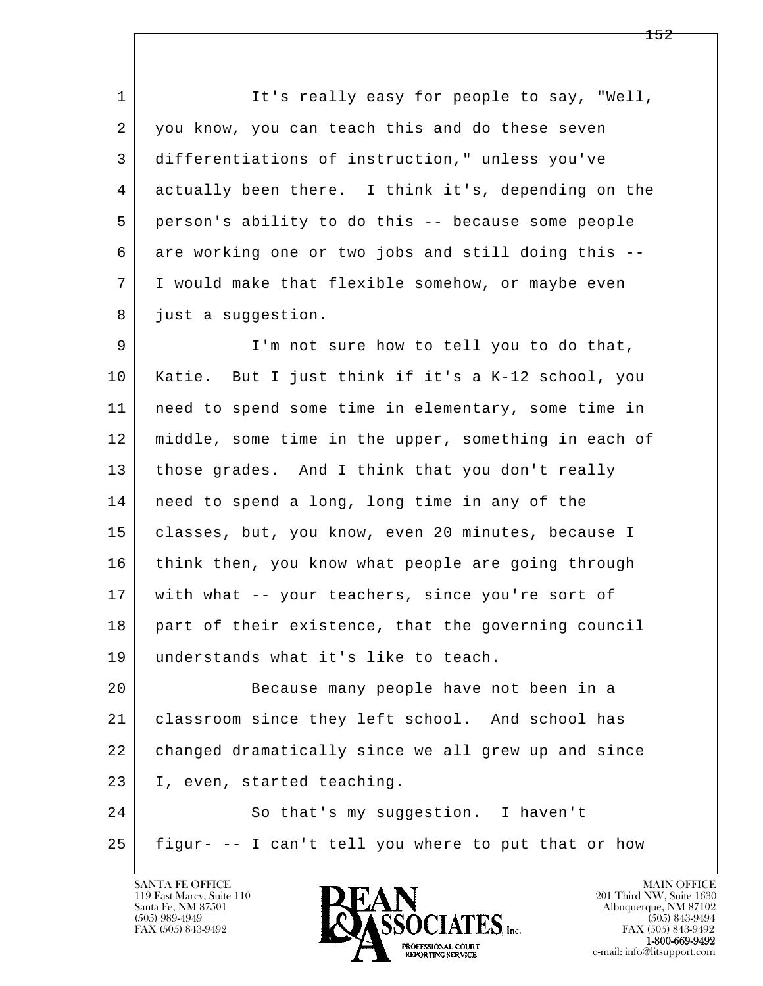1 It's really easy for people to say, "Well, 2 you know, you can teach this and do these seven 3 differentiations of instruction," unless you've 4 actually been there. I think it's, depending on the 5 person's ability to do this -- because some people  $6$  are working one or two jobs and still doing this  $-$ - 7 I would make that flexible somehow, or maybe even 8 just a suggestion.

9 I'm not sure how to tell you to do that, 10 Katie. But I just think if it's a K-12 school, you 11 need to spend some time in elementary, some time in 12 middle, some time in the upper, something in each of 13 | those grades. And I think that you don't really 14 need to spend a long, long time in any of the 15 | classes, but, you know, even 20 minutes, because I 16 think then, you know what people are going through 17 with what -- your teachers, since you're sort of 18 part of their existence, that the governing council 19 understands what it's like to teach.

l 20 Because many people have not been in a 21 classroom since they left school. And school has 22 changed dramatically since we all grew up and since 23 I, even, started teaching.

 $\overline{\phantom{a}}$ 24 So that's my suggestion. I haven't 25 figur- -- I can't tell you where to put that or how

119 East Marcy, Suite 110<br>Santa Fe, NM 87501



FAX (505) 843-9492<br>**1-800-669-9492**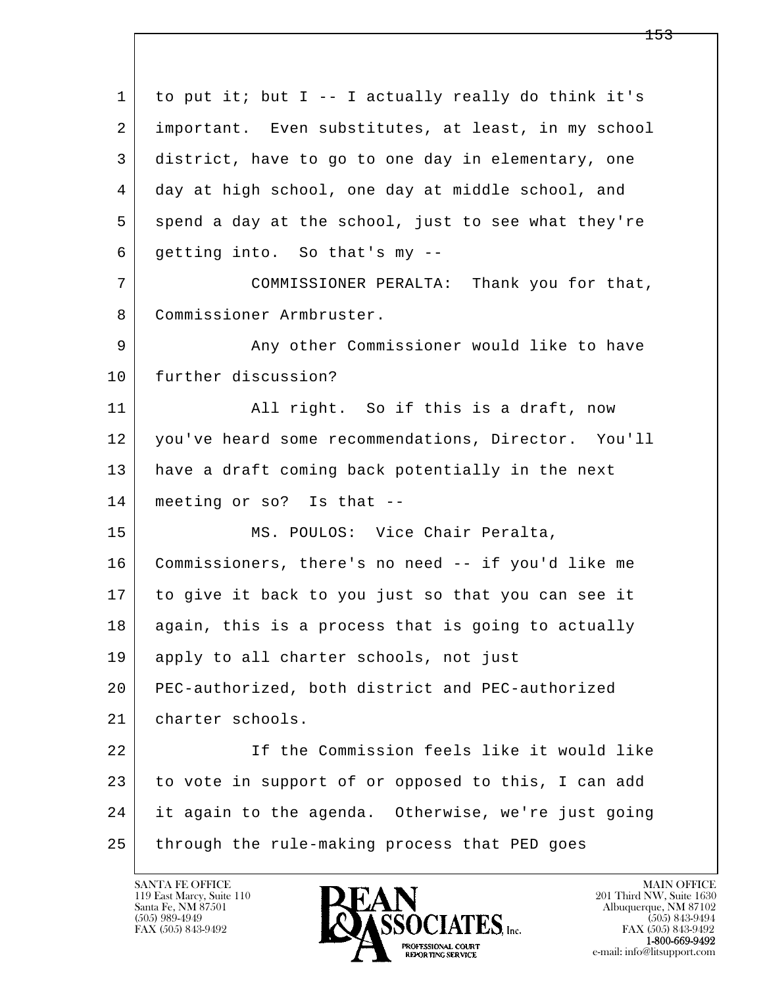l  $\overline{\phantom{a}}$  $1$  to put it; but I -- I actually really do think it's 2 important. Even substitutes, at least, in my school 3 district, have to go to one day in elementary, one 4 day at high school, one day at middle school, and  $5$  spend a day at the school, just to see what they're 6 getting into. So that's my -- 7 COMMISSIONER PERALTA: Thank you for that, 8 Commissioner Armbruster. 9 Any other Commissioner would like to have 10 further discussion? 11 | All right. So if this is a draft, now 12 you've heard some recommendations, Director. You'll 13 have a draft coming back potentially in the next 14 meeting or so? Is that -- 15 | MS. POULOS: Vice Chair Peralta, 16 Commissioners, there's no need -- if you'd like me 17 to give it back to you just so that you can see it 18 again, this is a process that is going to actually 19 apply to all charter schools, not just 20 PEC-authorized, both district and PEC-authorized 21 charter schools. 22 If the Commission feels like it would like 23 to vote in support of or opposed to this, I can add 24 it again to the agenda. Otherwise, we're just going 25 through the rule-making process that PED goes

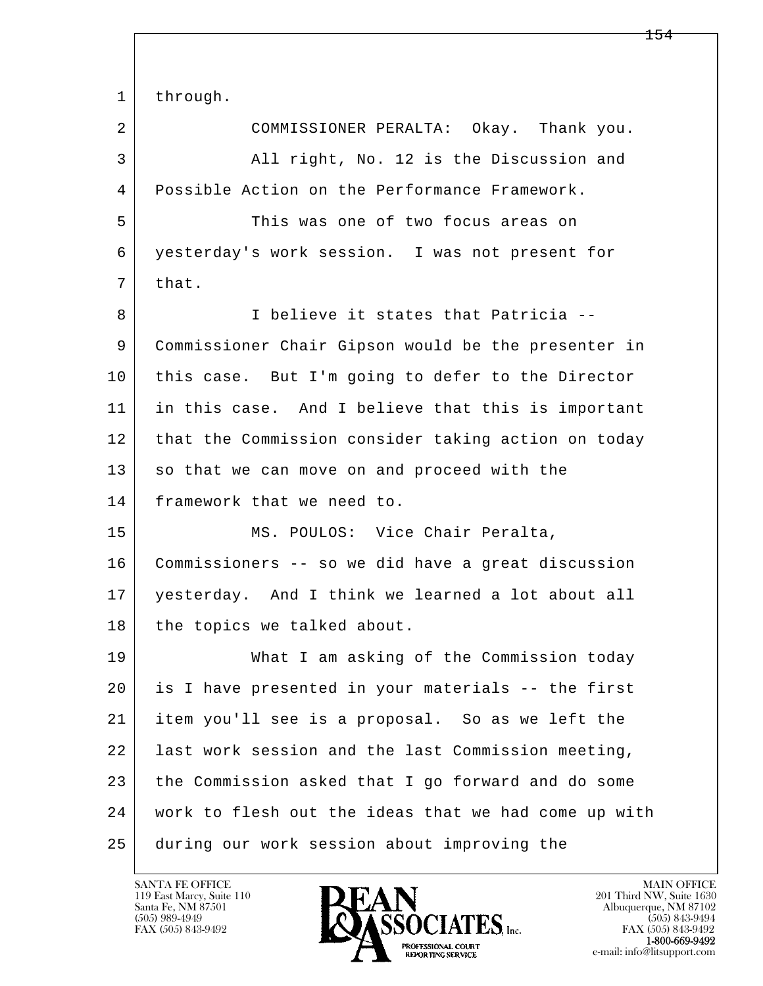l  $\overline{\phantom{a}}$ 1 through. 2 COMMISSIONER PERALTA: Okay. Thank you. 3 All right, No. 12 is the Discussion and 4 Possible Action on the Performance Framework. 5 This was one of two focus areas on 6 yesterday's work session. I was not present for  $7$  that. 8 I believe it states that Patricia -- 9 Commissioner Chair Gipson would be the presenter in 10 | this case. But I'm going to defer to the Director 11 in this case. And I believe that this is important 12 that the Commission consider taking action on today 13 so that we can move on and proceed with the 14 framework that we need to. 15 | MS. POULOS: Vice Chair Peralta, 16 Commissioners -- so we did have a great discussion 17 yesterday. And I think we learned a lot about all 18 | the topics we talked about. 19 What I am asking of the Commission today 20 is I have presented in your materials -- the first 21 item you'll see is a proposal. So as we left the 22 last work session and the last Commission meeting, 23 the Commission asked that I go forward and do some 24 work to flesh out the ideas that we had come up with 25 during our work session about improving the

119 East Marcy, Suite 110<br>Santa Fe, NM 87501

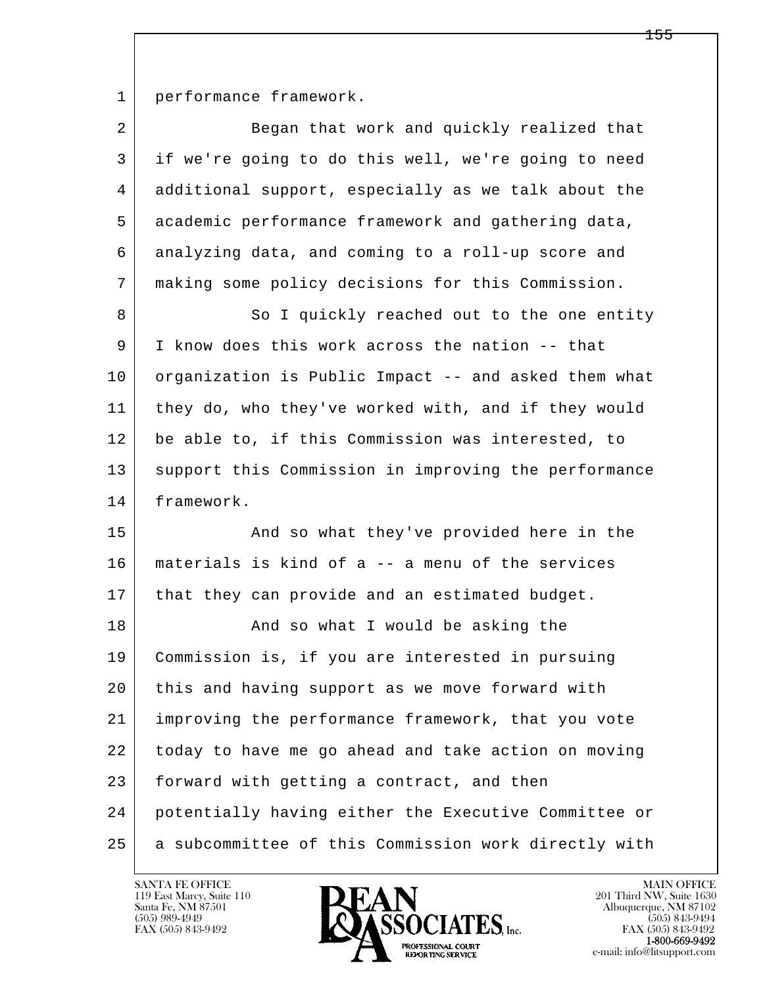1 performance framework.

| $\overline{a}$ | Began that work and quickly realized that            |
|----------------|------------------------------------------------------|
| 3              | if we're going to do this well, we're going to need  |
| 4              | additional support, especially as we talk about the  |
| 5              | academic performance framework and gathering data,   |
| 6              | analyzing data, and coming to a roll-up score and    |
| 7              | making some policy decisions for this Commission.    |
| 8              | So I quickly reached out to the one entity           |
| 9              | I know does this work across the nation -- that      |
| 10             | organization is Public Impact -- and asked them what |
| 11             | they do, who they've worked with, and if they would  |
| 12             | be able to, if this Commission was interested, to    |
| 13             | support this Commission in improving the performance |
| 14             | framework.                                           |
| 15             | And so what they've provided here in the             |
| 16             | materials is kind of a -- a menu of the services     |
| 17             | that they can provide and an estimated budget.       |
| 18             | And so what I would be asking the                    |
| 19             | Commission is, if you are interested in pursuing     |
| 20             | this and having support as we move forward with      |
| 21             | improving the performance framework, that you vote   |
| 22             | today to have me go ahead and take action on moving  |
| 23             | forward with getting a contract, and then            |
| 24             | potentially having either the Executive Committee or |
| 25             | a subcommittee of this Commission work directly with |

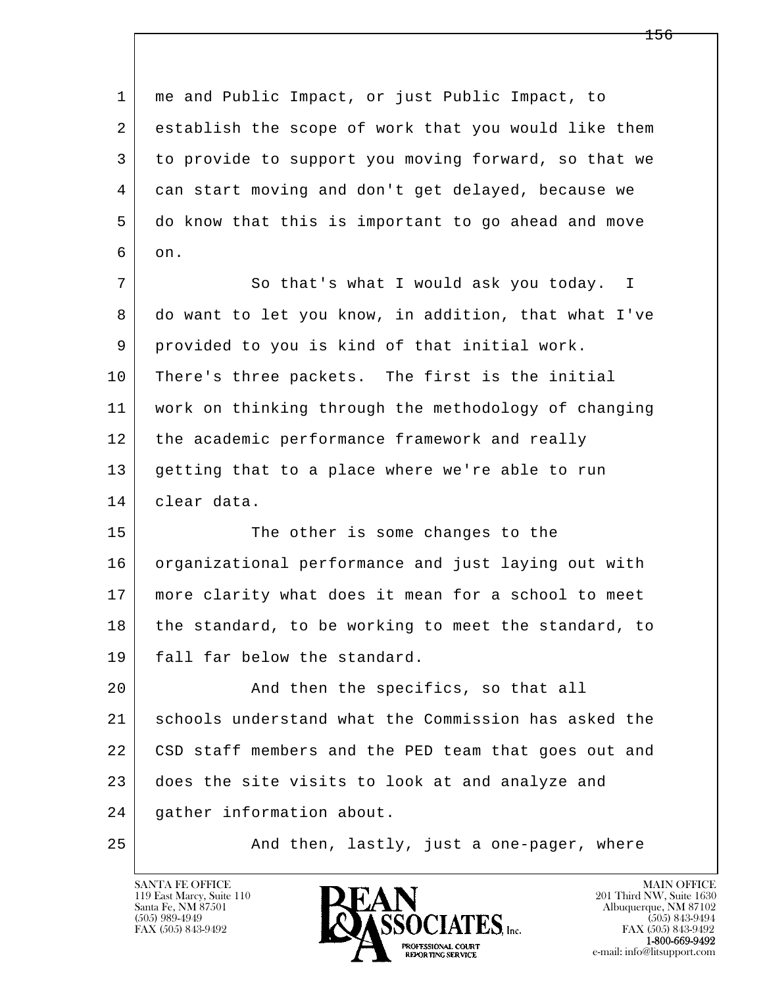l  $\overline{\phantom{a}}$  1 me and Public Impact, or just Public Impact, to 2 establish the scope of work that you would like them 3 to provide to support you moving forward, so that we 4 can start moving and don't get delayed, because we 5 do know that this is important to go ahead and move  $6$  on. 7 So that's what I would ask you today. I 8 do want to let you know, in addition, that what I've 9 provided to you is kind of that initial work. 10 There's three packets. The first is the initial 11 work on thinking through the methodology of changing 12 the academic performance framework and really 13 getting that to a place where we're able to run 14 clear data. 15 The other is some changes to the 16 organizational performance and just laying out with 17 more clarity what does it mean for a school to meet 18 the standard, to be working to meet the standard, to 19 fall far below the standard. 20 And then the specifics, so that all 21 schools understand what the Commission has asked the 22 CSD staff members and the PED team that goes out and 23 does the site visits to look at and analyze and 24 gather information about. 25 | And then, lastly, just a one-pager, where

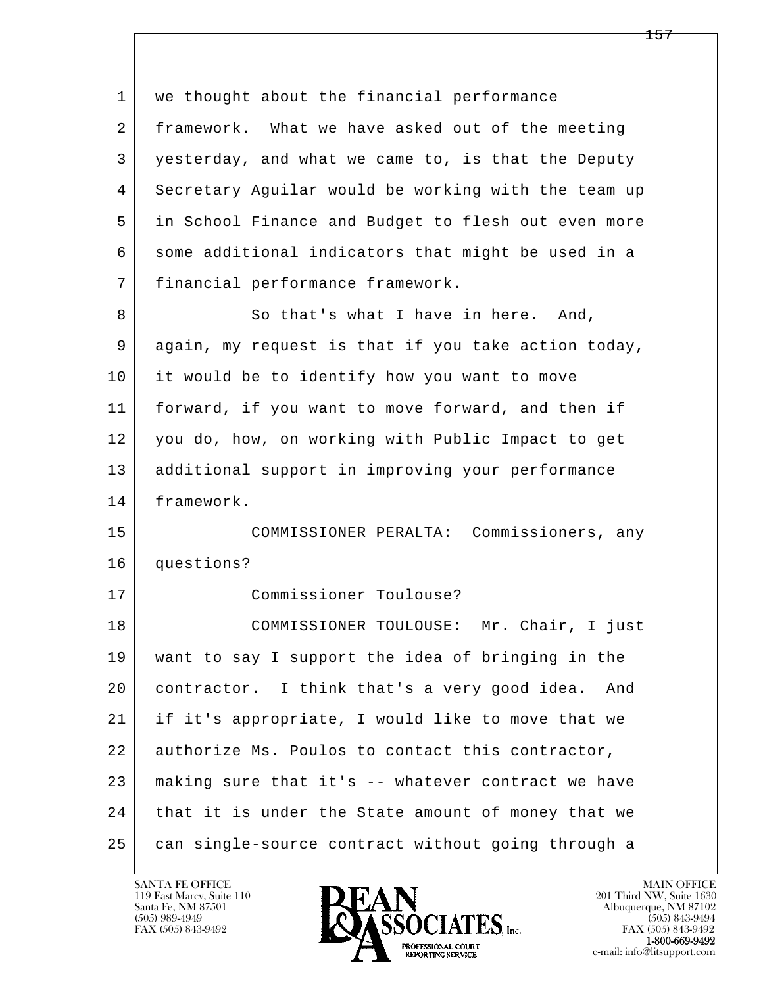l  $\overline{\phantom{a}}$ 1 | we thought about the financial performance 2 framework. What we have asked out of the meeting 3 yesterday, and what we came to, is that the Deputy 4 Secretary Aguilar would be working with the team up 5 in School Finance and Budget to flesh out even more 6 some additional indicators that might be used in a 7 financial performance framework. 8 So that's what I have in here. And, 9 again, my request is that if you take action today, 10 it would be to identify how you want to move 11 forward, if you want to move forward, and then if 12 you do, how, on working with Public Impact to get 13 additional support in improving your performance 14 framework. 15 COMMISSIONER PERALTA: Commissioners, any 16 questions? 17 Commissioner Toulouse? 18 COMMISSIONER TOULOUSE: Mr. Chair, I just 19 want to say I support the idea of bringing in the 20 contractor. I think that's a very good idea. And 21 if it's appropriate, I would like to move that we 22 authorize Ms. Poulos to contact this contractor, 23 making sure that it's -- whatever contract we have 24 that it is under the State amount of money that we 25 can single-source contract without going through a

119 East Marcy, Suite 110<br>Santa Fe, NM 87501

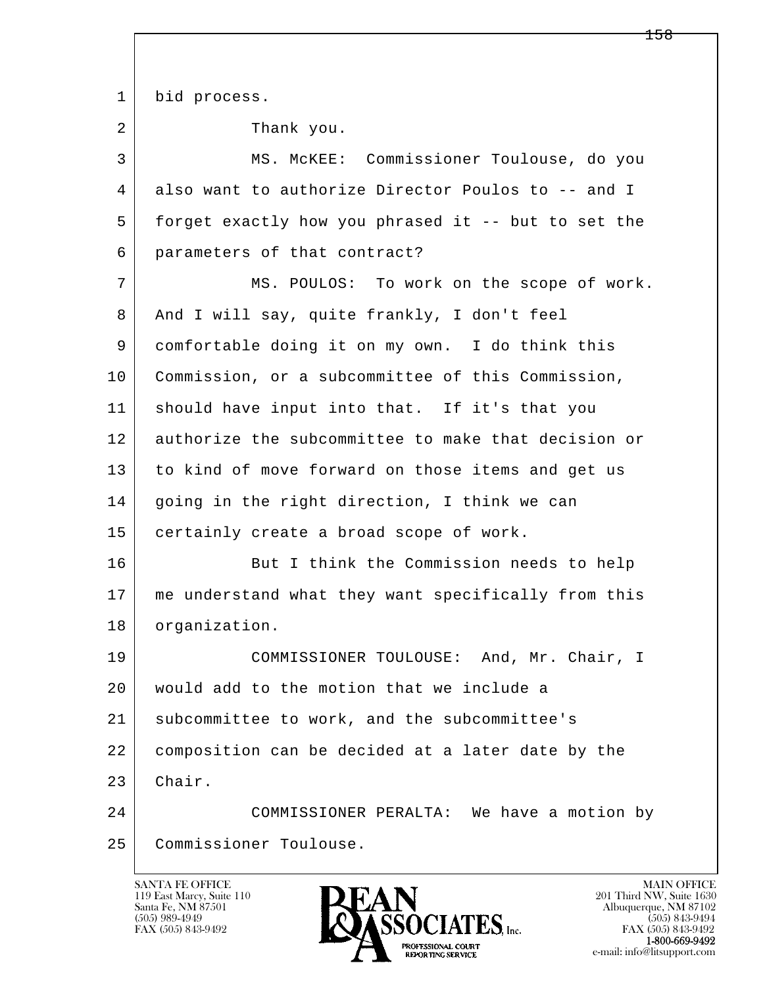| $\mathbf{1}$   | bid process.                                        |
|----------------|-----------------------------------------------------|
| $\overline{a}$ | Thank you.                                          |
| 3              | MS. MCKEE: Commissioner Toulouse, do you            |
| 4              | also want to authorize Director Poulos to -- and I  |
| 5              | forget exactly how you phrased it -- but to set the |
| 6              | parameters of that contract?                        |
| 7              | MS. POULOS: To work on the scope of work.           |
| 8              | And I will say, quite frankly, I don't feel         |
| 9              | comfortable doing it on my own. I do think this     |
| 10             | Commission, or a subcommittee of this Commission,   |
| 11             | should have input into that. If it's that you       |
| 12             | authorize the subcommittee to make that decision or |
| 13             | to kind of move forward on those items and get us   |
| 14             | going in the right direction, I think we can        |
| 15             | certainly create a broad scope of work.             |
| 16             | But I think the Commission needs to help            |
| 17             | me understand what they want specifically from this |
| 18             | organization.                                       |
| 19             | COMMISSIONER TOULOUSE: And, Mr. Chair, I            |
| 20             | would add to the motion that we include a           |
| 21             | subcommittee to work, and the subcommittee's        |
| 22             | composition can be decided at a later date by the   |
| 23             | Chair.                                              |
| 24             | COMMISSIONER PERALTA: We have a motion by           |
| 25             | Commissioner Toulouse.                              |
|                |                                                     |

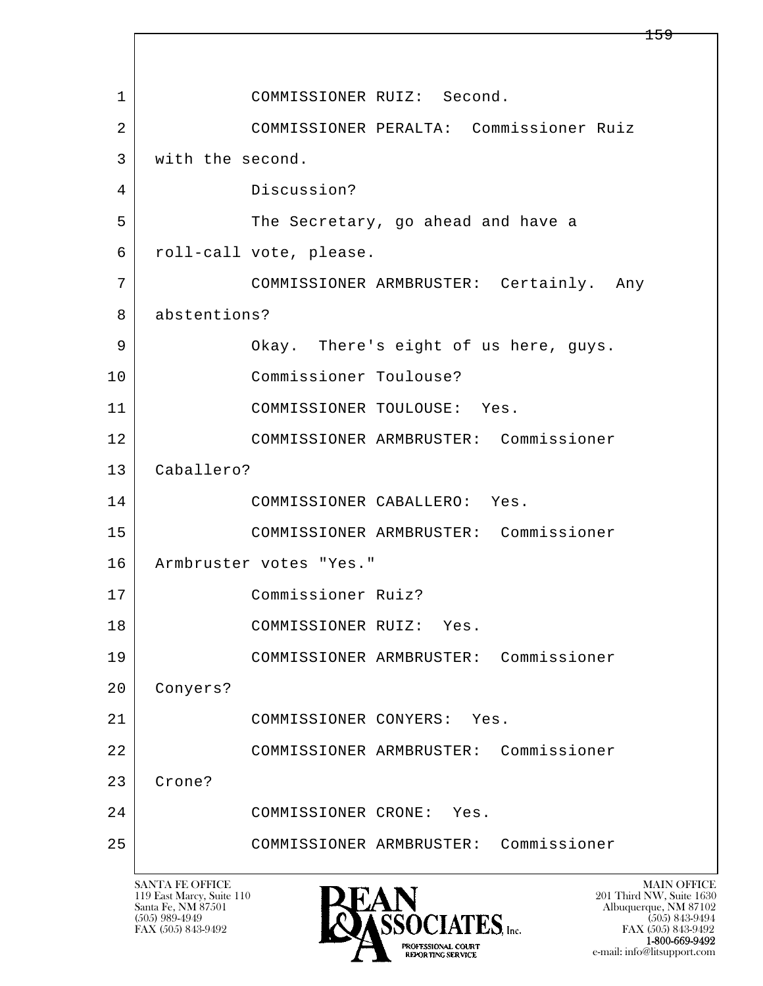l  $\overline{\phantom{a}}$  1 COMMISSIONER RUIZ: Second. 2 COMMISSIONER PERALTA: Commissioner Ruiz 3 with the second. 4 Discussion? 5 The Secretary, go ahead and have a 6 roll-call vote, please. 7 COMMISSIONER ARMBRUSTER: Certainly. Any 8 abstentions? 9 Okay. There's eight of us here, guys. 10 Commissioner Toulouse? 11 COMMISSIONER TOULOUSE: Yes. 12 COMMISSIONER ARMBRUSTER: Commissioner 13 Caballero? 14 COMMISSIONER CABALLERO: Yes. 15 COMMISSIONER ARMBRUSTER: Commissioner 16 Armbruster votes "Yes." 17 Commissioner Ruiz? 18 COMMISSIONER RUIZ: Yes. 19 COMMISSIONER ARMBRUSTER: Commissioner 20 Conyers? 21 COMMISSIONER CONYERS: Yes. 22 COMMISSIONER ARMBRUSTER: Commissioner 23 Crone? 24 COMMISSIONER CRONE: Yes. 25 COMMISSIONER ARMBRUSTER: Commissioner

119 East Marcy, Suite 110<br>Santa Fe, NM 87501

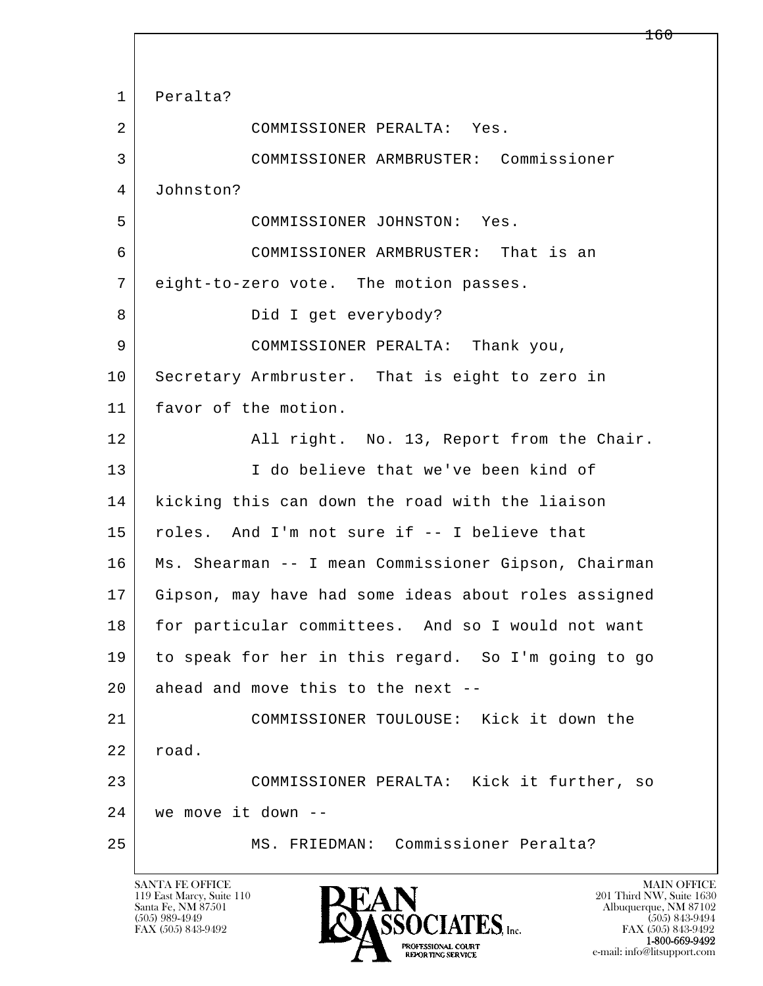l  $\overline{\phantom{a}}$  1 Peralta? 2 COMMISSIONER PERALTA: Yes. 3 COMMISSIONER ARMBRUSTER: Commissioner 4 Johnston? 5 COMMISSIONER JOHNSTON: Yes. 6 COMMISSIONER ARMBRUSTER: That is an 7 eight-to-zero vote. The motion passes. 8 Did I get everybody? 9 COMMISSIONER PERALTA: Thank you, 10 Secretary Armbruster. That is eight to zero in 11 favor of the motion. 12 All right. No. 13, Report from the Chair. 13 I do believe that we've been kind of 14 kicking this can down the road with the liaison 15 | roles. And I'm not sure if -- I believe that 16 Ms. Shearman -- I mean Commissioner Gipson, Chairman 17 Gipson, may have had some ideas about roles assigned 18 for particular committees. And so I would not want 19 to speak for her in this regard. So I'm going to go  $20$  ahead and move this to the next -- 21 COMMISSIONER TOULOUSE: Kick it down the 22 road. 23 COMMISSIONER PERALTA: Kick it further, so 24 we move it down -- 25 MS. FRIEDMAN: Commissioner Peralta?

119 East Marcy, Suite 110<br>Santa Fe, NM 87501

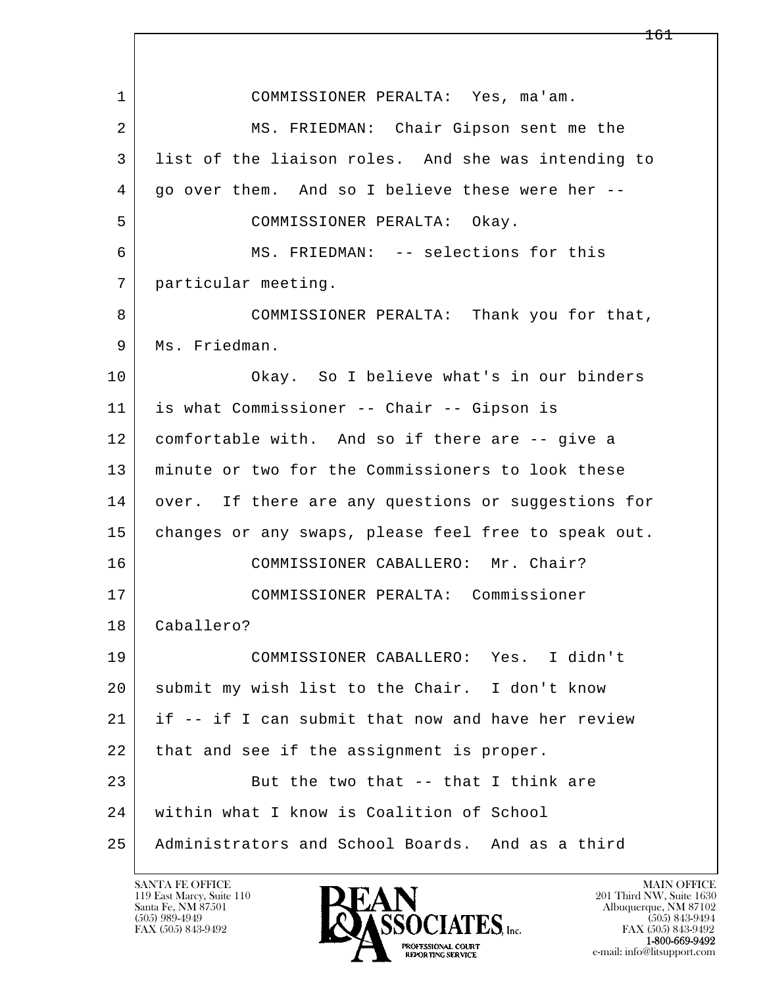| $\mathbf 1$ | COMMISSIONER PERALTA: Yes, ma'am.                    |
|-------------|------------------------------------------------------|
| 2           | MS. FRIEDMAN: Chair Gipson sent me the               |
| 3           | list of the liaison roles. And she was intending to  |
| 4           | go over them. And so I believe these were her --     |
| 5           | COMMISSIONER PERALTA: Okay.                          |
| 6           | MS. FRIEDMAN: -- selections for this                 |
| 7           | particular meeting.                                  |
| 8           | COMMISSIONER PERALTA: Thank you for that,            |
| 9           | Ms. Friedman.                                        |
| 10          | Okay. So I believe what's in our binders             |
| 11          | is what Commissioner -- Chair -- Gipson is           |
| 12          | comfortable with. And so if there are -- give a      |
| 13          | minute or two for the Commissioners to look these    |
| 14          | over. If there are any questions or suggestions for  |
| 15          | changes or any swaps, please feel free to speak out. |
| 16          | COMMISSIONER CABALLERO: Mr. Chair?                   |
| 17          | COMMISSIONER PERALTA: Commissioner                   |
| 18          | Caballero?                                           |
| 19          | COMMISSIONER CABALLERO: Yes. I didn't                |
| 20          | submit my wish list to the Chair. I don't know       |
| 21          | if -- if I can submit that now and have her review   |
| 22          | that and see if the assignment is proper.            |
| 23          | But the two that -- that I think are                 |
| 24          | within what I know is Coalition of School            |
| 25          | Administrators and School Boards. And as a third     |

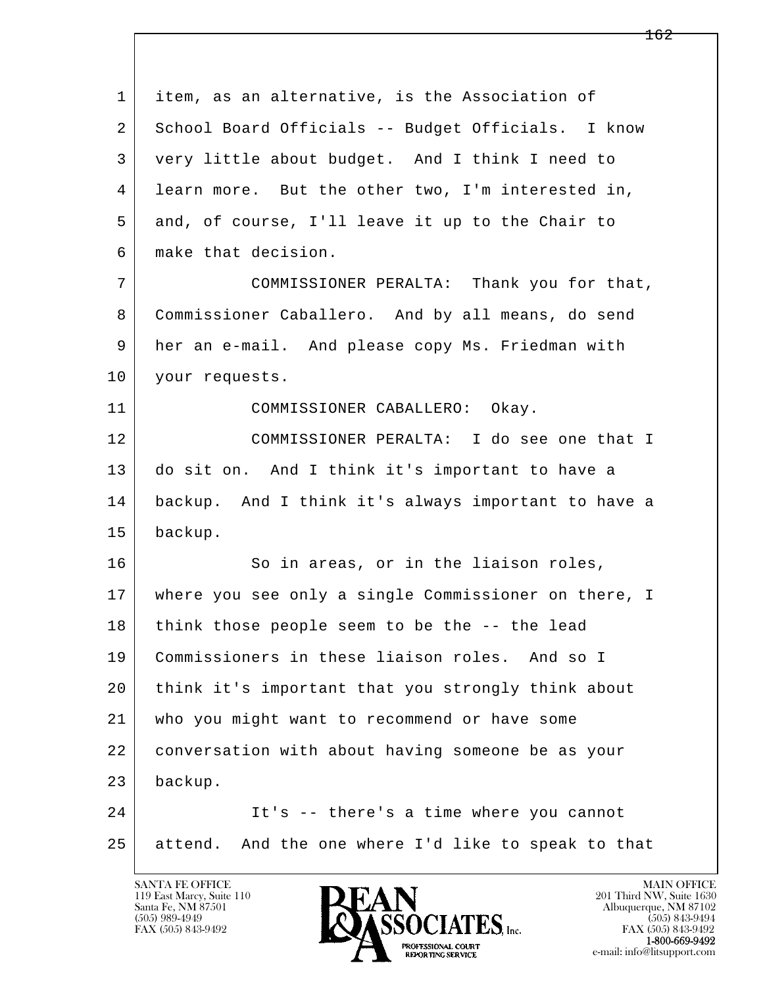l  $\overline{\phantom{a}}$  1 item, as an alternative, is the Association of 2 School Board Officials -- Budget Officials. I know 3 very little about budget. And I think I need to 4 learn more. But the other two, I'm interested in, 5 and, of course, I'll leave it up to the Chair to 6 make that decision. 7 COMMISSIONER PERALTA: Thank you for that, 8 Commissioner Caballero. And by all means, do send 9 her an e-mail. And please copy Ms. Friedman with 10 your requests. 11 COMMISSIONER CABALLERO: Okay. 12 COMMISSIONER PERALTA: I do see one that I 13 do sit on. And I think it's important to have a 14 backup. And I think it's always important to have a 15 backup. 16 So in areas, or in the liaison roles, 17 where you see only a single Commissioner on there, I 18 think those people seem to be the -- the lead 19 Commissioners in these liaison roles. And so I 20 think it's important that you strongly think about 21 who you might want to recommend or have some 22 conversation with about having someone be as your 23 backup. 24 It's -- there's a time where you cannot 25 attend. And the one where I'd like to speak to that

119 East Marcy, Suite 110<br>Santa Fe, NM 87501



FAX (505) 843-9492 FAX (505) 843-9492 e-mail: info@litsupport.com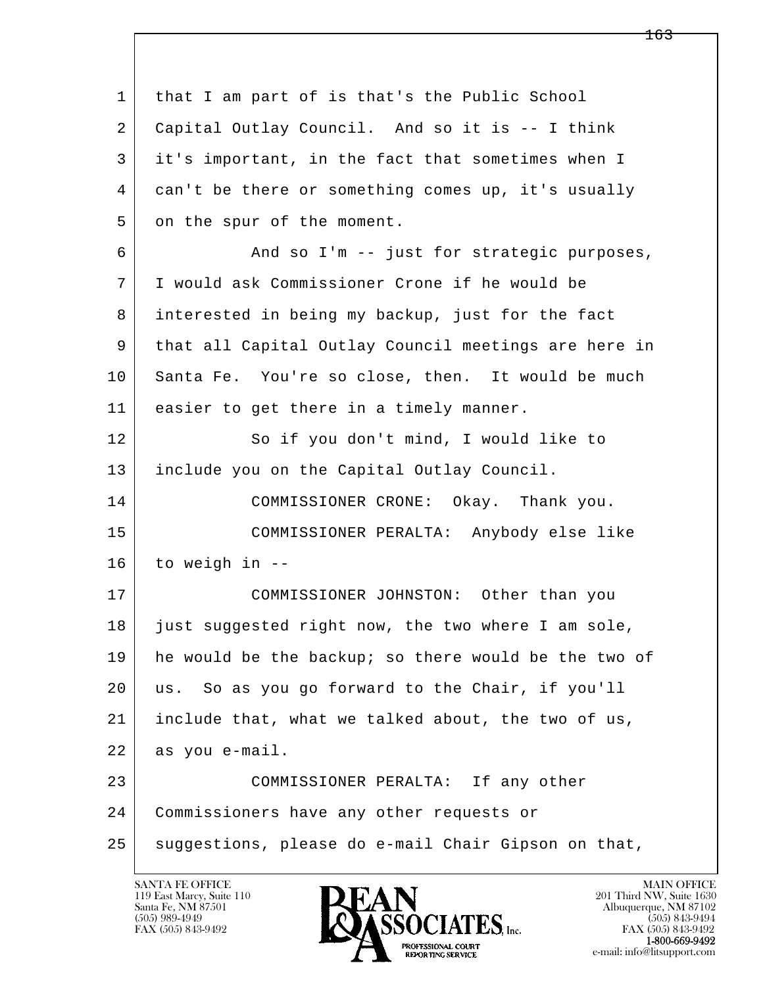| 1  | that I am part of is that's the Public School        |
|----|------------------------------------------------------|
| 2  | Capital Outlay Council. And so it is -- I think      |
| 3  | it's important, in the fact that sometimes when I    |
| 4  | can't be there or something comes up, it's usually   |
| 5  | on the spur of the moment.                           |
| 6  | And so I'm -- just for strategic purposes,           |
| 7  | I would ask Commissioner Crone if he would be        |
| 8  | interested in being my backup, just for the fact     |
| 9  | that all Capital Outlay Council meetings are here in |
| 10 | Santa Fe. You're so close, then. It would be much    |
| 11 | easier to get there in a timely manner.              |
| 12 | So if you don't mind, I would like to                |
| 13 | include you on the Capital Outlay Council.           |
| 14 | COMMISSIONER CRONE: Okay. Thank you.                 |
| 15 | COMMISSIONER PERALTA: Anybody else like              |
| 16 | to weigh in --                                       |
| 17 | COMMISSIONER JOHNSTON: Other than you                |
| 18 | just suggested right now, the two where I am sole,   |
| 19 | he would be the backup; so there would be the two of |
| 20 | us. So as you go forward to the Chair, if you'll     |
| 21 | include that, what we talked about, the two of us,   |
| 22 | as you e-mail.                                       |
| 23 | COMMISSIONER PERALTA: If any other                   |
| 24 | Commissioners have any other requests or             |
| 25 | suggestions, please do e-mail Chair Gipson on that,  |

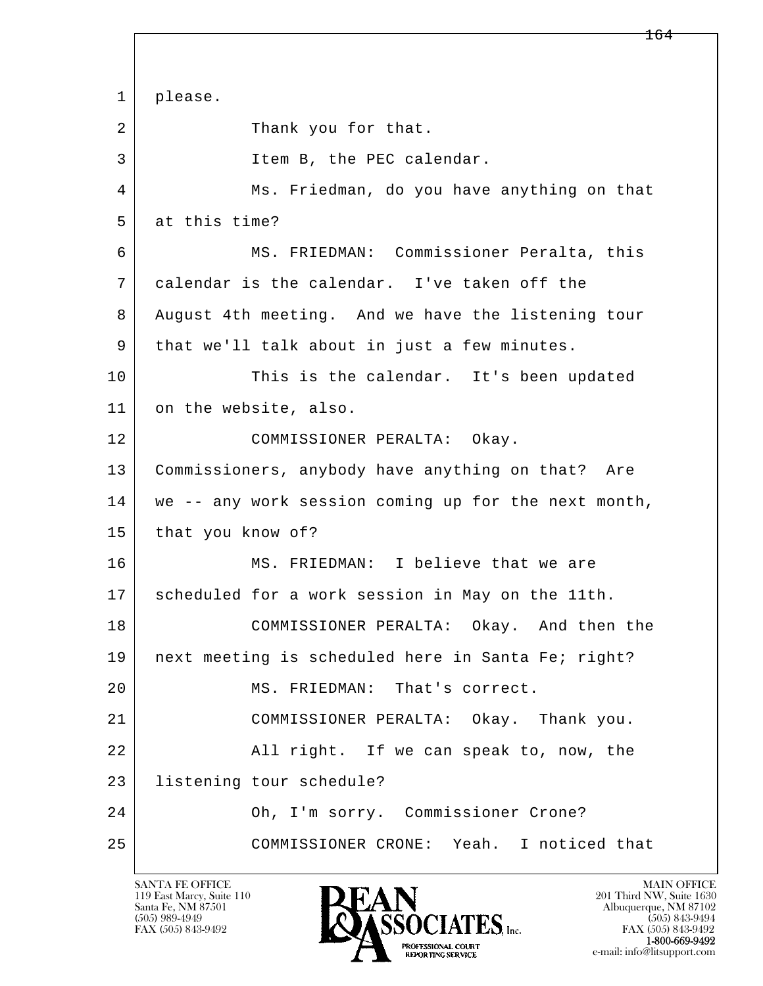l  $\overline{\phantom{a}}$  1 please. 2 Thank you for that. 3 Item B, the PEC calendar. 4 Ms. Friedman, do you have anything on that 5 at this time? 6 MS. FRIEDMAN: Commissioner Peralta, this 7 calendar is the calendar. I've taken off the 8 August 4th meeting. And we have the listening tour 9 | that we'll talk about in just a few minutes. 10 This is the calendar. It's been updated 11 on the website, also. 12 COMMISSIONER PERALTA: Okay. 13 Commissioners, anybody have anything on that? Are 14 we -- any work session coming up for the next month, 15 that you know of? 16 MS. FRIEDMAN: I believe that we are 17 scheduled for a work session in May on the 11th. 18 COMMISSIONER PERALTA: Okay. And then the 19 | next meeting is scheduled here in Santa Fe; right? 20 MS. FRIEDMAN: That's correct. 21 COMMISSIONER PERALTA: Okay. Thank you. 22 All right. If we can speak to, now, the 23 listening tour schedule? 24 Oh, I'm sorry. Commissioner Crone? 25 COMMISSIONER CRONE: Yeah. I noticed that

119 East Marcy, Suite 110<br>Santa Fe, NM 87501

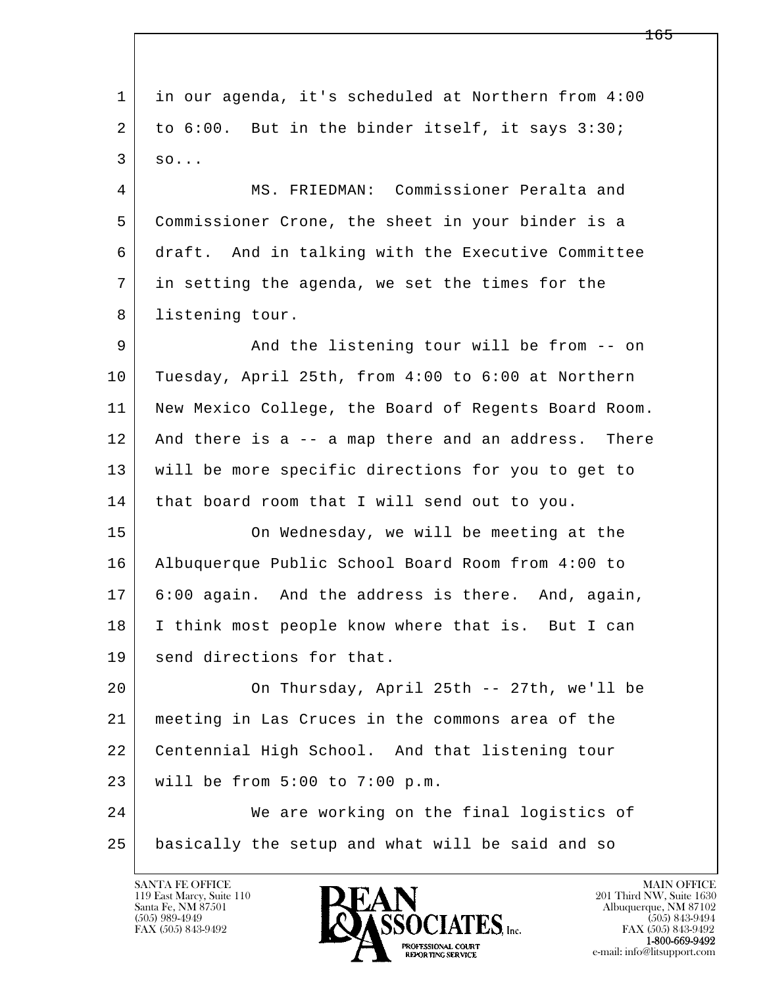l  $\overline{\phantom{a}}$  1 in our agenda, it's scheduled at Northern from 4:00 2 to 6:00. But in the binder itself, it says 3:30;  $3 \mid \text{so...}$  4 MS. FRIEDMAN: Commissioner Peralta and 5 Commissioner Crone, the sheet in your binder is a 6 draft. And in talking with the Executive Committee 7 in setting the agenda, we set the times for the 8 listening tour. 9 And the listening tour will be from -- on 10 Tuesday, April 25th, from 4:00 to 6:00 at Northern 11 New Mexico College, the Board of Regents Board Room. 12 And there is a -- a map there and an address. There 13 will be more specific directions for you to get to 14 | that board room that I will send out to you. 15 On Wednesday, we will be meeting at the 16 Albuquerque Public School Board Room from 4:00 to 17 6:00 again. And the address is there. And, again, 18 I think most people know where that is. But I can 19 send directions for that. 20 On Thursday, April 25th -- 27th, we'll be 21 meeting in Las Cruces in the commons area of the 22 Centennial High School. And that listening tour 23 will be from 5:00 to 7:00 p.m. 24 We are working on the final logistics of 25 basically the setup and what will be said and so

119 East Marcy, Suite 110<br>Santa Fe, NM 87501



FAX (505) 843-9492<br>**1-800-669-9492**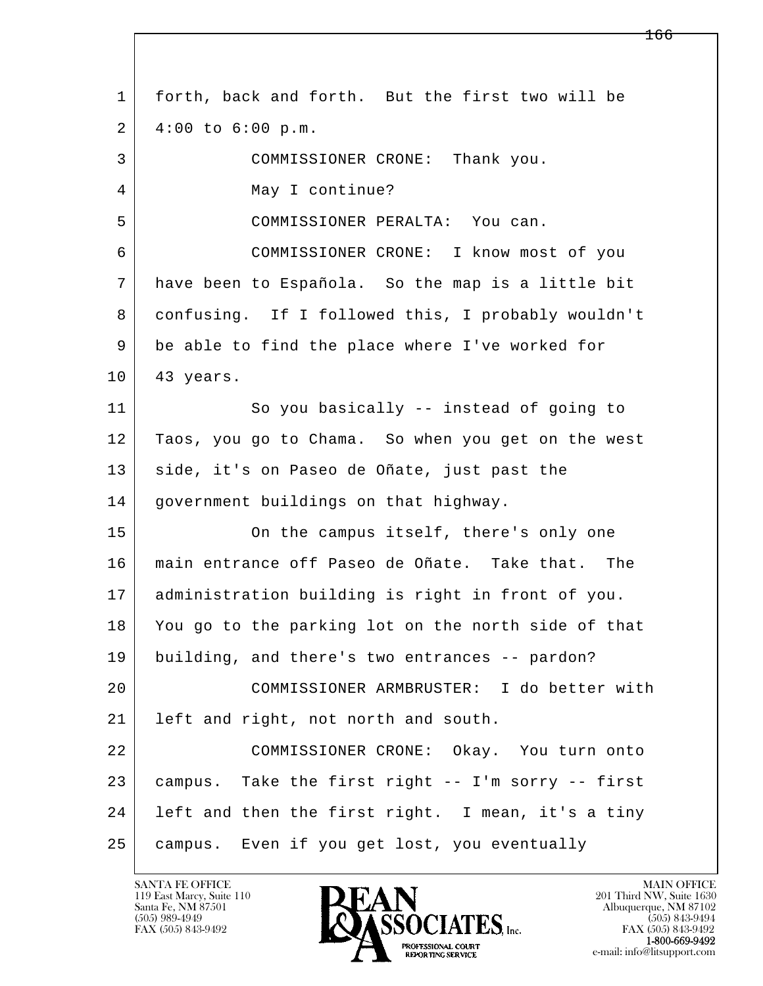l  $\overline{\phantom{a}}$  1 forth, back and forth. But the first two will be  $2$  | 4:00 to 6:00 p.m. 3 COMMISSIONER CRONE: Thank you. 4 May I continue? 5 COMMISSIONER PERALTA: You can. 6 COMMISSIONER CRONE: I know most of you 7 have been to Española. So the map is a little bit 8 confusing. If I followed this, I probably wouldn't 9 be able to find the place where I've worked for 10 | 43 years. 11 So you basically -- instead of going to 12 Taos, you go to Chama. So when you get on the west 13 | side, it's on Paseo de Oñate, just past the 14 government buildings on that highway. 15 | Conthe campus itself, there's only one 16 main entrance off Paseo de Oñate. Take that. The 17 administration building is right in front of you. 18 You go to the parking lot on the north side of that 19 building, and there's two entrances -- pardon? 20 COMMISSIONER ARMBRUSTER: I do better with 21 left and right, not north and south. 22 COMMISSIONER CRONE: Okay. You turn onto 23 campus. Take the first right -- I'm sorry -- first 24 | left and then the first right. I mean, it's a tiny 25 campus. Even if you get lost, you eventually

119 East Marcy, Suite 110<br>Santa Fe, NM 87501

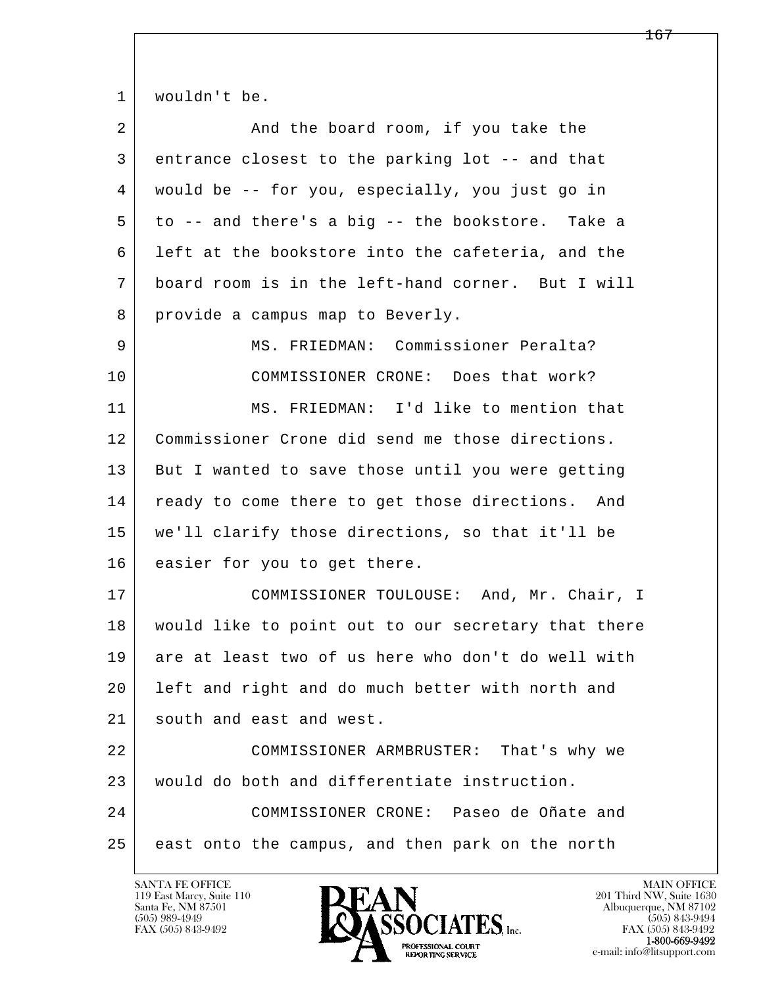1 | wouldn't be.

| 2  | And the board room, if you take the                 |
|----|-----------------------------------------------------|
| 3  | entrance closest to the parking lot -- and that     |
| 4  | would be -- for you, especially, you just go in     |
| 5  | to -- and there's a big -- the bookstore. Take a    |
| 6  | left at the bookstore into the cafeteria, and the   |
| 7  | board room is in the left-hand corner. But I will   |
| 8  | provide a campus map to Beverly.                    |
| 9  | MS. FRIEDMAN: Commissioner Peralta?                 |
| 10 | COMMISSIONER CRONE: Does that work?                 |
| 11 | MS. FRIEDMAN: I'd like to mention that              |
| 12 | Commissioner Crone did send me those directions.    |
| 13 | But I wanted to save those until you were getting   |
| 14 | ready to come there to get those directions. And    |
| 15 | we'll clarify those directions, so that it'll be    |
| 16 | easier for you to get there.                        |
| 17 | COMMISSIONER TOULOUSE: And, Mr. Chair, I            |
| 18 | would like to point out to our secretary that there |
| 19 | are at least two of us here who don't do well with  |
| 20 | left and right and do much better with north and    |
| 21 | south and east and west.                            |
| 22 | COMMISSIONER ARMBRUSTER: That's why we              |
| 23 | would do both and differentiate instruction.        |
| 24 | COMMISSIONER CRONE: Paseo de Oñate and              |
| 25 | east onto the campus, and then park on the north    |

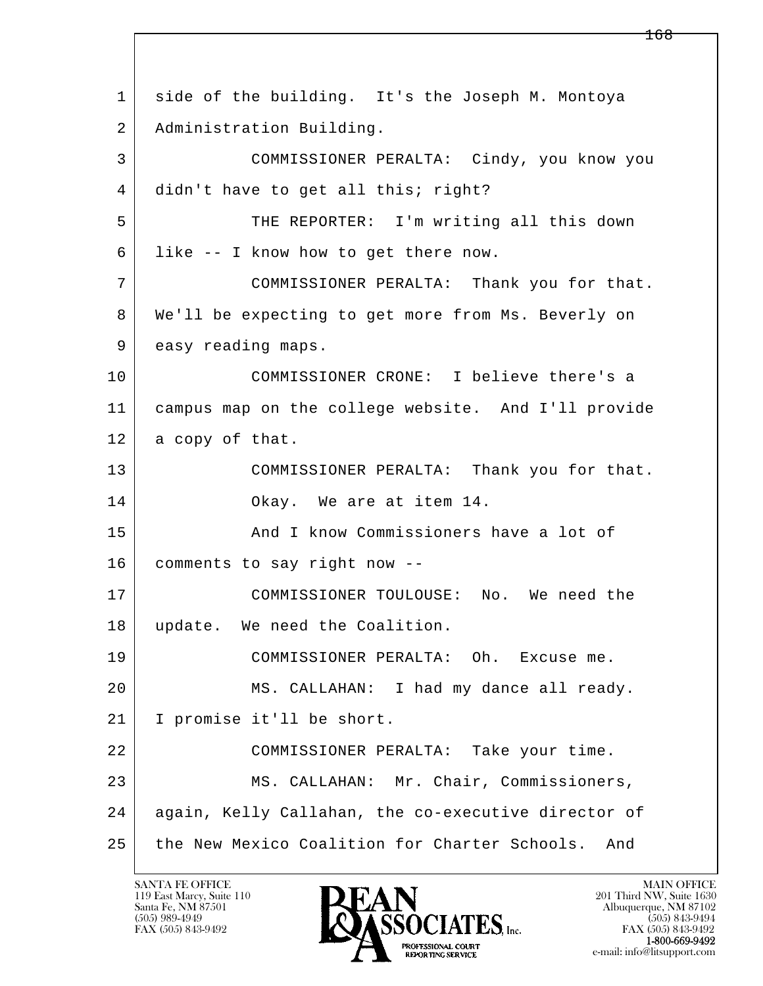l  $\overline{\phantom{a}}$  1 side of the building. It's the Joseph M. Montoya 2 | Administration Building. 3 COMMISSIONER PERALTA: Cindy, you know you 4 didn't have to get all this; right? 5 THE REPORTER: I'm writing all this down 6 like -- I know how to get there now. 7 COMMISSIONER PERALTA: Thank you for that. 8 We'll be expecting to get more from Ms. Beverly on 9 easy reading maps. 10 COMMISSIONER CRONE: I believe there's a 11 campus map on the college website. And I'll provide 12 a copy of that. 13 COMMISSIONER PERALTA: Thank you for that. 14 Okay. We are at item 14. 15 And I know Commissioners have a lot of 16 comments to say right now -- 17 COMMISSIONER TOULOUSE: No. We need the 18 update. We need the Coalition. 19 COMMISSIONER PERALTA: Oh. Excuse me. 20 MS. CALLAHAN: I had my dance all ready. 21 I promise it'll be short. 22 COMMISSIONER PERALTA: Take your time. 23 MS. CALLAHAN: Mr. Chair, Commissioners, 24 again, Kelly Callahan, the co-executive director of 25 the New Mexico Coalition for Charter Schools. And

119 East Marcy, Suite 110<br>Santa Fe, NM 87501

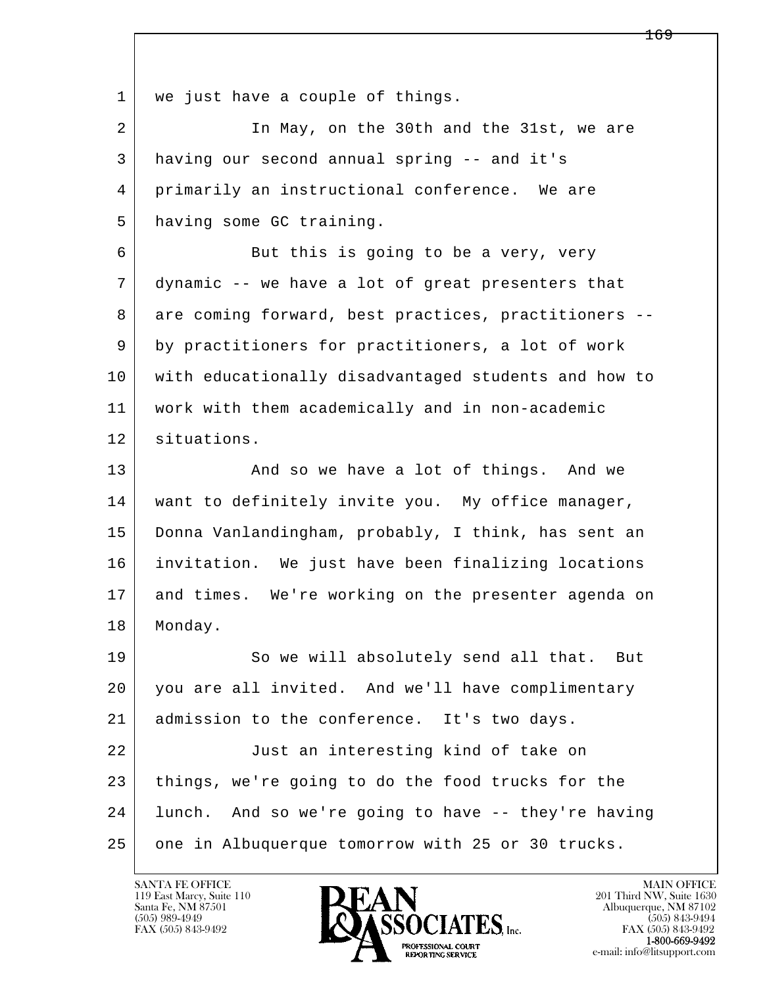l  $\overline{\phantom{a}}$ 1 | we just have a couple of things. 2 In May, on the 30th and the 31st, we are 3 having our second annual spring -- and it's 4 primarily an instructional conference. We are 5 having some GC training. 6 But this is going to be a very, very 7 dynamic -- we have a lot of great presenters that 8 are coming forward, best practices, practitioners -- 9 by practitioners for practitioners, a lot of work 10 with educationally disadvantaged students and how to 11 | work with them academically and in non-academic 12 situations. 13 And so we have a lot of things. And we 14 want to definitely invite you. My office manager, 15 Donna Vanlandingham, probably, I think, has sent an 16 invitation. We just have been finalizing locations 17 and times. We're working on the presenter agenda on 18 Monday. 19 So we will absolutely send all that. But 20 you are all invited. And we'll have complimentary 21 admission to the conference. It's two days. 22 Just an interesting kind of take on 23 things, we're going to do the food trucks for the 24 lunch. And so we're going to have -- they're having 25 one in Albuquerque tomorrow with 25 or 30 trucks.

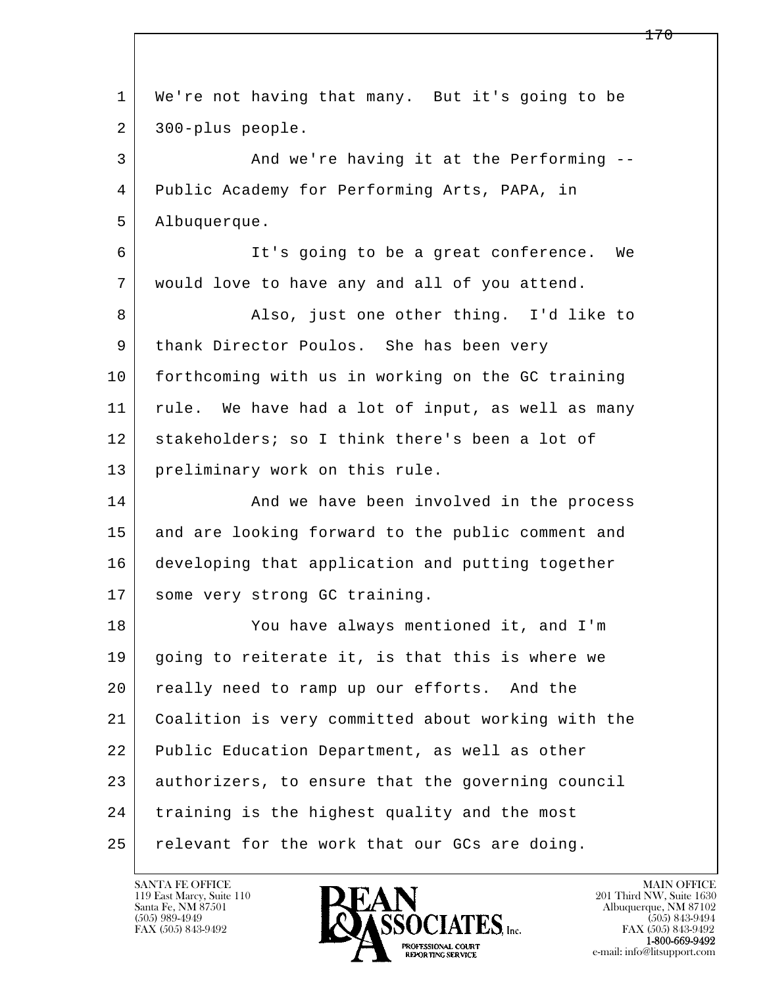| 1  | We're not having that many. But it's going to be   |
|----|----------------------------------------------------|
| 2  | 300-plus people.                                   |
| 3  | And we're having it at the Performing --           |
| 4  | Public Academy for Performing Arts, PAPA, in       |
| 5  | Albuquerque.                                       |
| 6  | It's going to be a great conference.<br>We         |
| 7  | would love to have any and all of you attend.      |
| 8  | Also, just one other thing. I'd like to            |
| 9  | thank Director Poulos. She has been very           |
| 10 | forthcoming with us in working on the GC training  |
| 11 | rule. We have had a lot of input, as well as many  |
| 12 | stakeholders; so I think there's been a lot of     |
| 13 | preliminary work on this rule.                     |
| 14 | And we have been involved in the process           |
| 15 | and are looking forward to the public comment and  |
| 16 | developing that application and putting together   |
| 17 | some very strong GC training.                      |
| 18 | You have always mentioned it, and I'm              |
| 19 | going to reiterate it, is that this is where we    |
| 20 | really need to ramp up our efforts. And the        |
| 21 | Coalition is very committed about working with the |
| 22 | Public Education Department, as well as other      |
| 23 | authorizers, to ensure that the governing council  |
| 24 | training is the highest quality and the most       |
| 25 | relevant for the work that our GCs are doing.      |

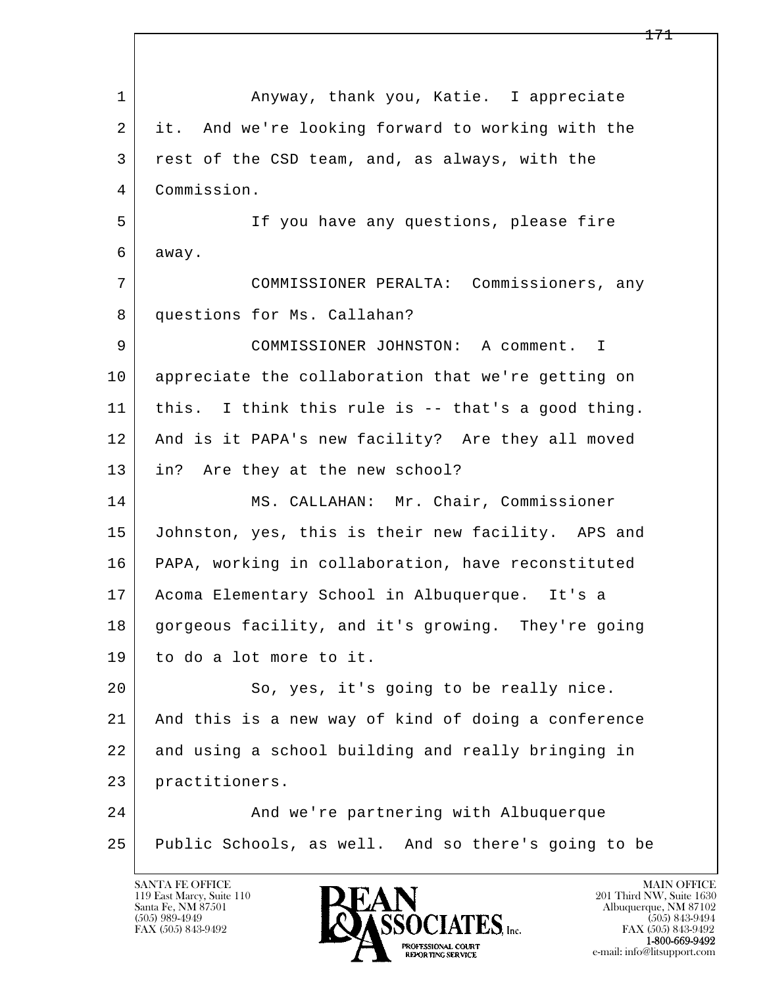l  $\overline{\phantom{a}}$ 1 Anyway, thank you, Katie. I appreciate 2 it. And we're looking forward to working with the 3 rest of the CSD team, and, as always, with the 4 Commission. 5 If you have any questions, please fire 6 away. 7 COMMISSIONER PERALTA: Commissioners, any 8 questions for Ms. Callahan? 9 COMMISSIONER JOHNSTON: A comment. I 10 appreciate the collaboration that we're getting on 11 this. I think this rule is -- that's a good thing. 12 And is it PAPA's new facility? Are they all moved 13 in? Are they at the new school? 14 | MS. CALLAHAN: Mr. Chair, Commissioner 15 Johnston, yes, this is their new facility. APS and 16 PAPA, working in collaboration, have reconstituted 17 Acoma Elementary School in Albuquerque. It's a 18 gorgeous facility, and it's growing. They're going 19 to do a lot more to it. 20 So, yes, it's going to be really nice. 21 And this is a new way of kind of doing a conference 22 and using a school building and really bringing in 23 practitioners. 24 And we're partnering with Albuquerque 25 Public Schools, as well. And so there's going to be

119 East Marcy, Suite 110<br>Santa Fe, NM 87501

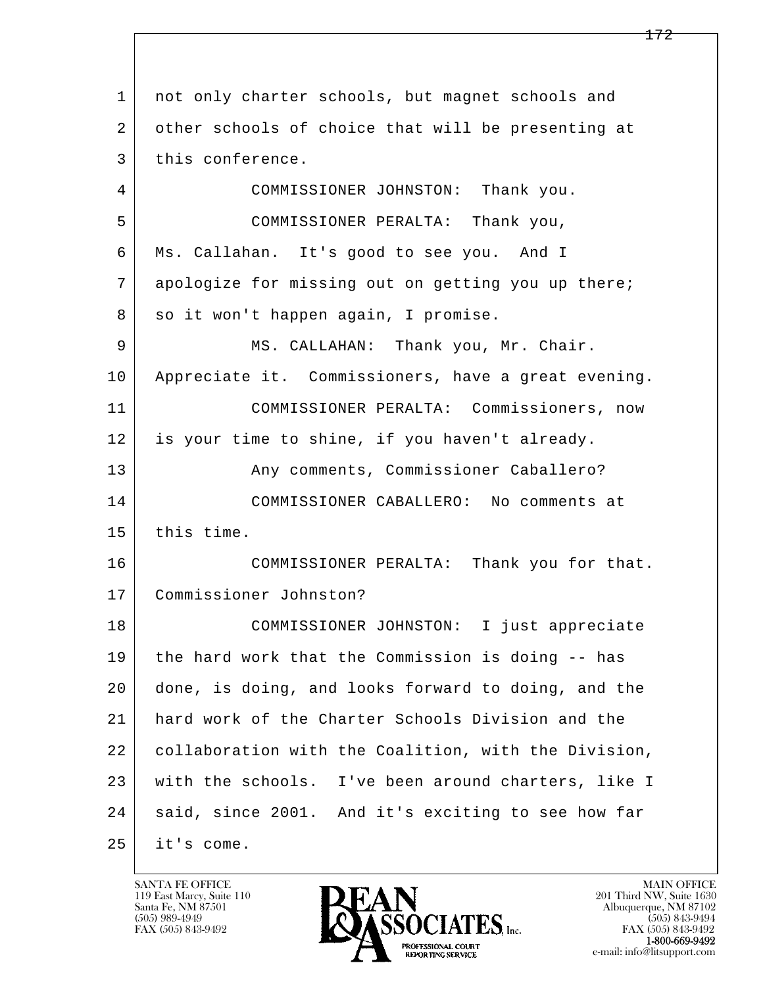l  $\overline{\phantom{a}}$ 1 not only charter schools, but magnet schools and 2 other schools of choice that will be presenting at 3 | this conference. 4 COMMISSIONER JOHNSTON: Thank you. 5 COMMISSIONER PERALTA: Thank you, 6 Ms. Callahan. It's good to see you. And I 7 apologize for missing out on getting you up there; 8 so it won't happen again, I promise. 9 MS. CALLAHAN: Thank you, Mr. Chair. 10 Appreciate it. Commissioners, have a great evening. 11 COMMISSIONER PERALTA: Commissioners, now 12 is your time to shine, if you haven't already. 13 | Any comments, Commissioner Caballero? 14 COMMISSIONER CABALLERO: No comments at 15 this time. 16 COMMISSIONER PERALTA: Thank you for that. 17 Commissioner Johnston? 18 COMMISSIONER JOHNSTON: I just appreciate 19 the hard work that the Commission is doing -- has 20 done, is doing, and looks forward to doing, and the 21 hard work of the Charter Schools Division and the 22 collaboration with the Coalition, with the Division, 23 with the schools. I've been around charters, like I 24 | said, since 2001. And it's exciting to see how far  $25$  it's come.

119 East Marcy, Suite 110<br>Santa Fe, NM 87501

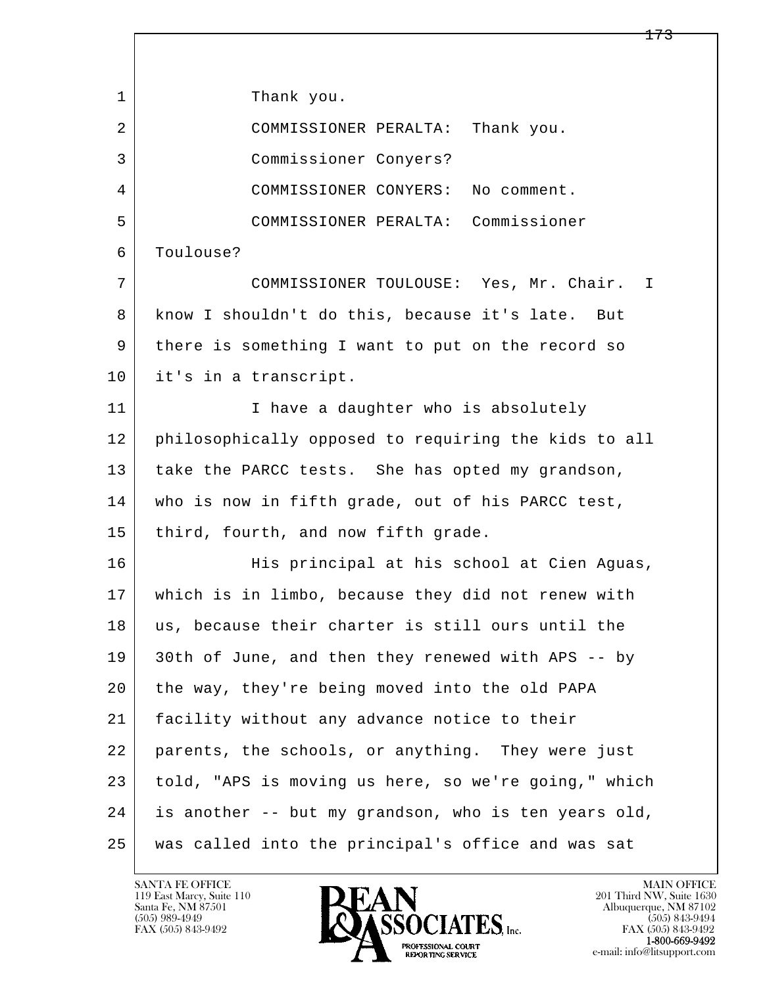l  $\overline{\phantom{a}}$ 1 | Thank you. 2 COMMISSIONER PERALTA: Thank you. 3 Commissioner Conyers? 4 COMMISSIONER CONYERS: No comment. 5 COMMISSIONER PERALTA: Commissioner 6 Toulouse? 7 COMMISSIONER TOULOUSE: Yes, Mr. Chair. I 8 | know I shouldn't do this, because it's late. But 9 there is something I want to put on the record so 10 it's in a transcript. 11 | Thave a daughter who is absolutely 12 philosophically opposed to requiring the kids to all 13 take the PARCC tests. She has opted my grandson, 14 who is now in fifth grade, out of his PARCC test, 15 | third, fourth, and now fifth grade. 16 His principal at his school at Cien Aguas, 17 which is in limbo, because they did not renew with 18 us, because their charter is still ours until the 19 30th of June, and then they renewed with APS -- by 20 the way, they're being moved into the old PAPA 21 facility without any advance notice to their 22 parents, the schools, or anything. They were just 23 told, "APS is moving us here, so we're going," which 24 is another -- but my grandson, who is ten years old, 25 was called into the principal's office and was sat

119 East Marcy, Suite 110<br>Santa Fe, NM 87501

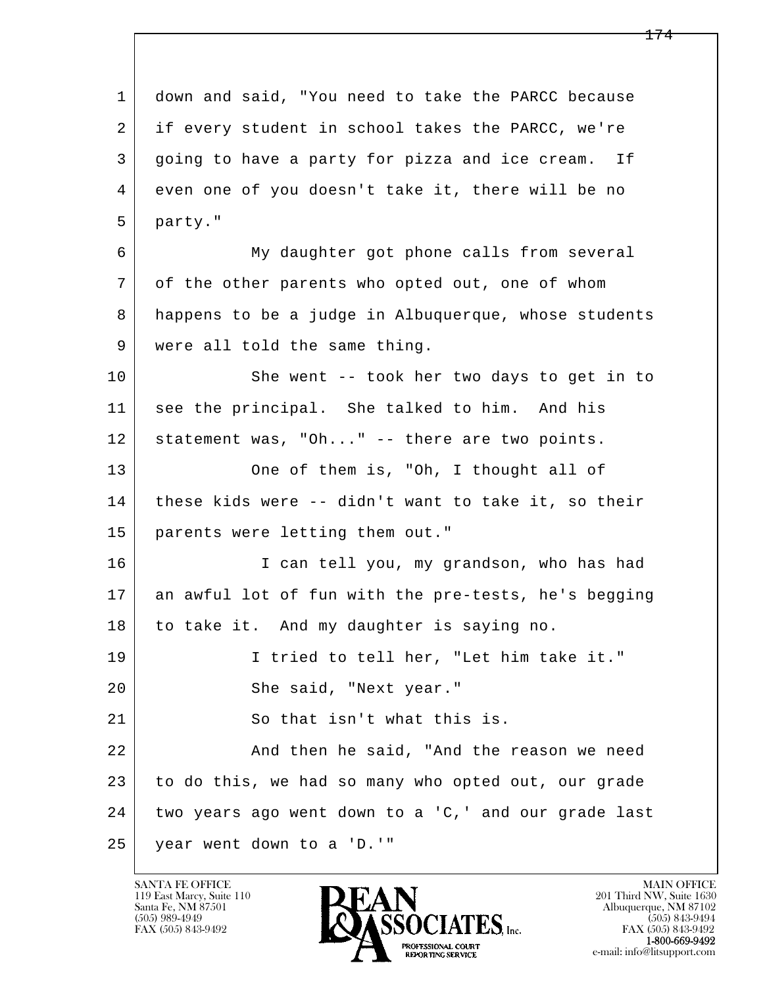l  $\overline{\phantom{a}}$  1 down and said, "You need to take the PARCC because 2 if every student in school takes the PARCC, we're 3 going to have a party for pizza and ice cream. If 4 even one of you doesn't take it, there will be no 5 party." 6 My daughter got phone calls from several 7 of the other parents who opted out, one of whom 8 happens to be a judge in Albuquerque, whose students 9 were all told the same thing. 10 She went -- took her two days to get in to 11 see the principal. She talked to him. And his 12 statement was, "Oh..." -- there are two points. 13 One of them is, "Oh, I thought all of 14 these kids were -- didn't want to take it, so their 15 parents were letting them out." 16 I can tell you, my grandson, who has had 17 an awful lot of fun with the pre-tests, he's begging 18 to take it. And my daughter is saying no. 19 I tried to tell her, "Let him take it." 20 She said, "Next year." 21 So that isn't what this is. 22 And then he said, "And the reason we need 23 to do this, we had so many who opted out, our grade 24 two years ago went down to a 'C,' and our grade last 25 year went down to a 'D.'"

119 East Marcy, Suite 110<br>Santa Fe, NM 87501

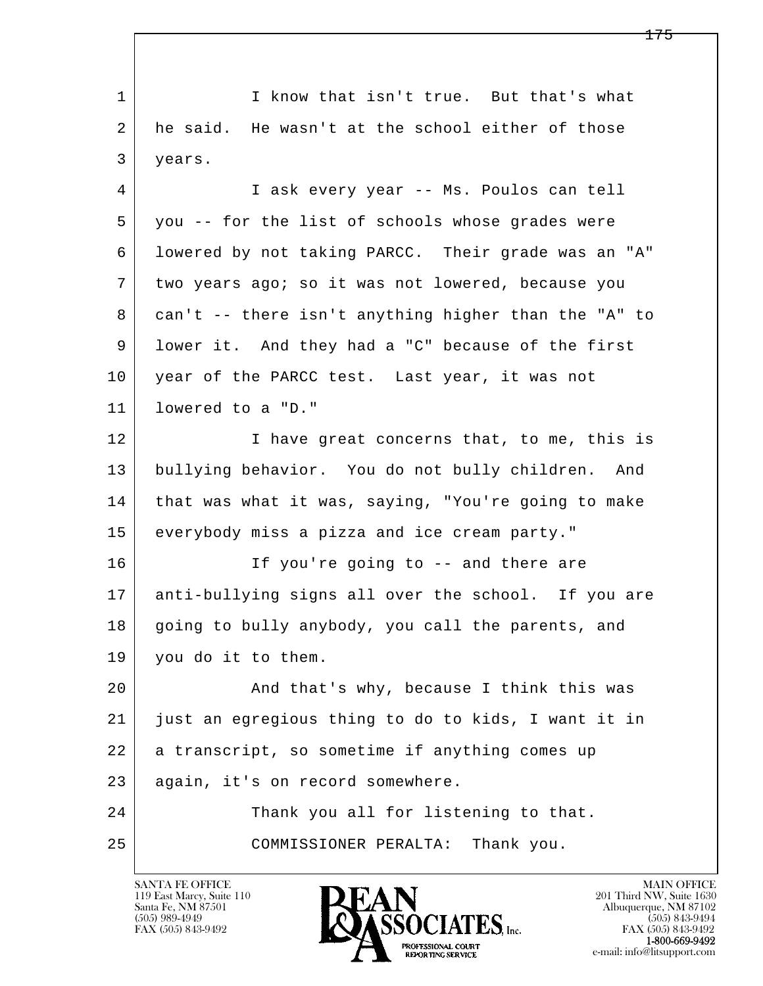l  $\overline{\phantom{a}}$ 1 I know that isn't true. But that's what 2 he said. He wasn't at the school either of those 3 years. 4 I ask every year -- Ms. Poulos can tell 5 you -- for the list of schools whose grades were 6 lowered by not taking PARCC. Their grade was an "A" 7 two years ago; so it was not lowered, because you 8 can't -- there isn't anything higher than the "A" to 9 lower it. And they had a "C" because of the first 10 year of the PARCC test. Last year, it was not 11 lowered to a "D." 12 I have great concerns that, to me, this is 13 bullying behavior. You do not bully children. And 14 | that was what it was, saying, "You're going to make 15 everybody miss a pizza and ice cream party." 16 If you're going to -- and there are 17 anti-bullying signs all over the school. If you are 18 going to bully anybody, you call the parents, and 19 you do it to them. 20 And that's why, because I think this was 21 just an egregious thing to do to kids, I want it in 22 a transcript, so sometime if anything comes up 23 again, it's on record somewhere. 24 Thank you all for listening to that. 25 COMMISSIONER PERALTA: Thank you.

119 East Marcy, Suite 110<br>Santa Fe, NM 87501



FAX (505) 843-9492<br>**1-800-669-9492**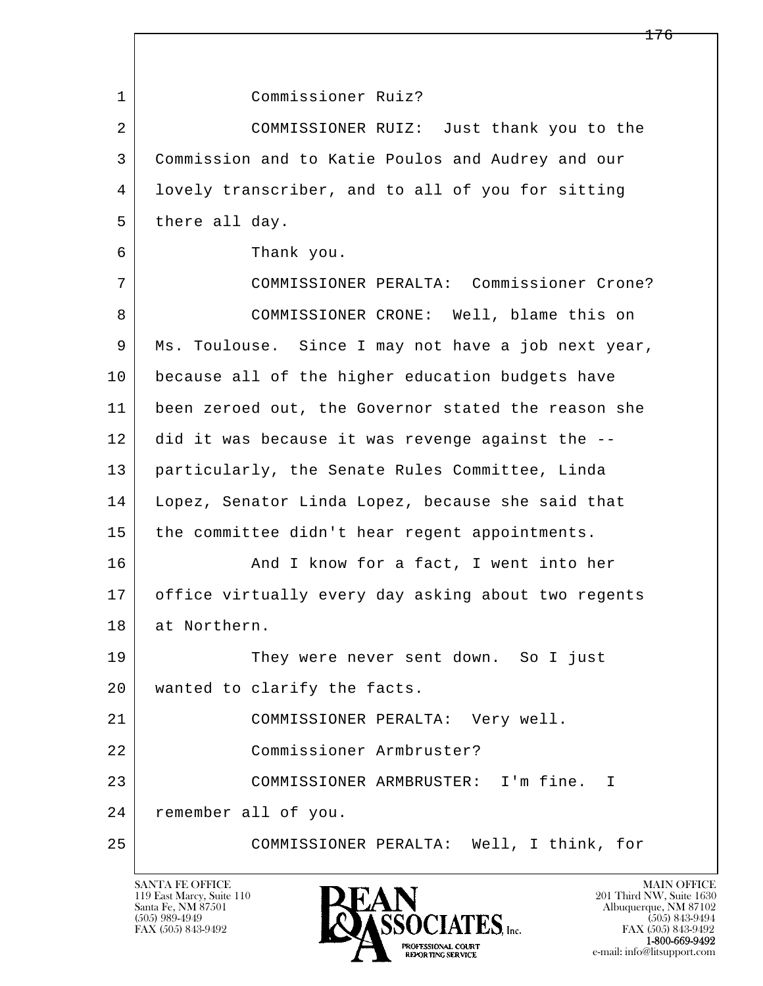l  $\overline{\phantom{a}}$  1 Commissioner Ruiz? 2 COMMISSIONER RUIZ: Just thank you to the 3 Commission and to Katie Poulos and Audrey and our 4 lovely transcriber, and to all of you for sitting 5 there all day. 6 Thank you. 7 COMMISSIONER PERALTA: Commissioner Crone? 8 | COMMISSIONER CRONE: Well, blame this on 9 Ms. Toulouse. Since I may not have a job next year, 10 because all of the higher education budgets have 11 been zeroed out, the Governor stated the reason she 12 did it was because it was revenge against the -- 13 particularly, the Senate Rules Committee, Linda 14 Lopez, Senator Linda Lopez, because she said that 15 | the committee didn't hear regent appointments. 16 And I know for a fact, I went into her 17 office virtually every day asking about two regents 18 at Northern. 19 They were never sent down. So I just 20 | wanted to clarify the facts. 21 COMMISSIONER PERALTA: Very well. 22 Commissioner Armbruster? 23 COMMISSIONER ARMBRUSTER: I'm fine. I 24 remember all of you. 25 COMMISSIONER PERALTA: Well, I think, for

119 East Marcy, Suite 110<br>Santa Fe, NM 87501

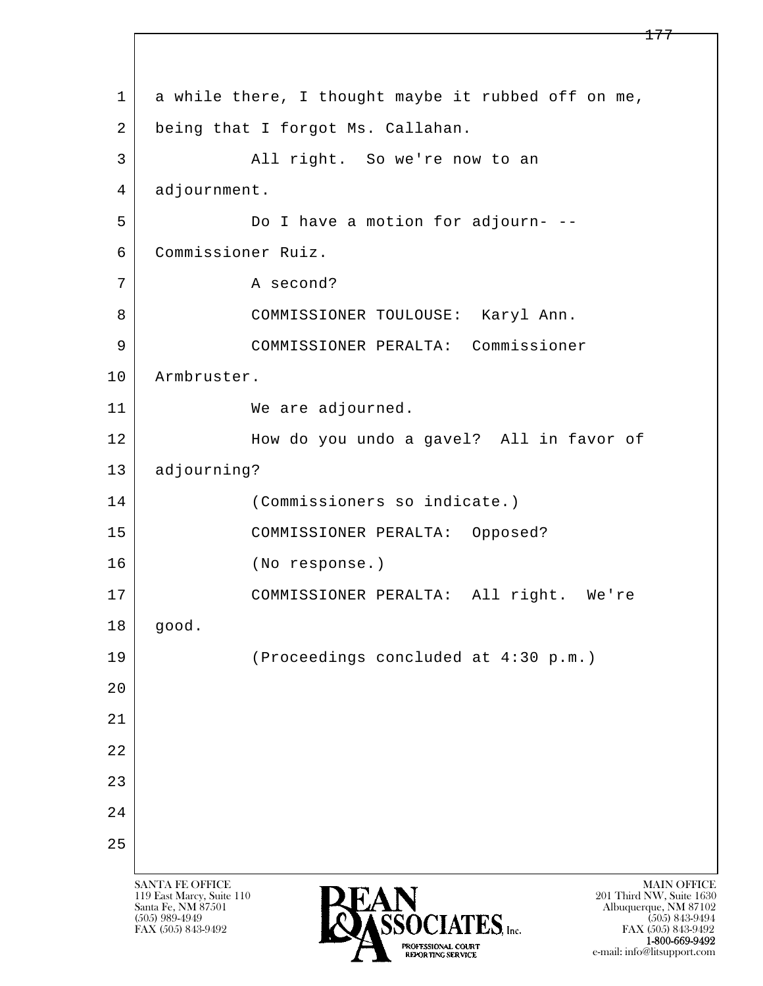l  $\overline{\phantom{a}}$ SANTA FE OFFICE MAIN OFFICE MAIN OFFICE MAIN OFFICE MAIN OFFICE 119 East Marcy, Suite 110<br>Santa Fe, NM 87501 Santa Fe, NM 87501 Albuquerque, NM 87102 1 a while there, I thought maybe it rubbed off on me, 2 being that I forgot Ms. Callahan. 3 | All right. So we're now to an 4 adjournment. 5 Do I have a motion for adjourn- 6 Commissioner Ruiz. 7 A second? 8 | COMMISSIONER TOULOUSE: Karyl Ann. 9 COMMISSIONER PERALTA: Commissioner 10 | Armbruster. 11 We are adjourned. 12 How do you undo a gavel? All in favor of 13 adjourning? 14 (Commissioners so indicate.) 15 COMMISSIONER PERALTA: Opposed? 16 (No response.) 17 COMMISSIONER PERALTA: All right. We're 18 good. 19 (Proceedings concluded at 4:30 p.m.)  $2.0$  21 22 23 24 25

PROFESSIONAL COURT<br>REPORTING SERVICE

 $\overline{\text{S5OCIATES}}_{\text{Inc}}$  [505) 989-4949 [505] 843-9492 [505] 843-9492 [505] 843-9492 FAX (505) 843-9492<br>**1-800-669-9492** e-mail: info@litsupport.com